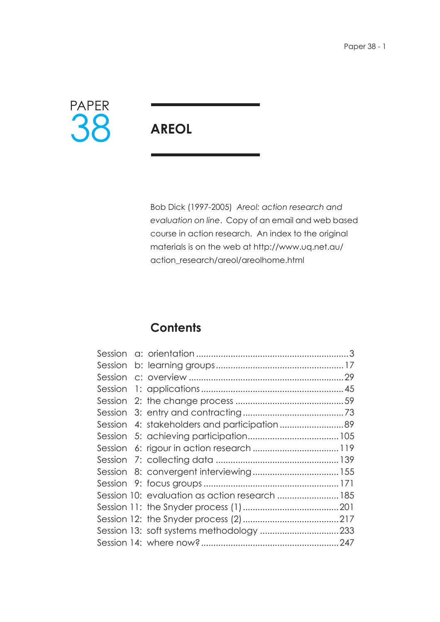

# **AREOL**

Bob Dick (1997-2005) *Areol: action research and evaluation on line*. Copy of an email and web based course in action research. An index to the original materials is on the web at http://www.uq.net.au/ action\_research/areol/areolhome.html

# **Contents**

|  | Session 4: stakeholders and participation89    |  |
|--|------------------------------------------------|--|
|  |                                                |  |
|  |                                                |  |
|  |                                                |  |
|  | Session 8: convergent interviewing 155         |  |
|  |                                                |  |
|  | Session 10: evaluation as action research  185 |  |
|  |                                                |  |
|  |                                                |  |
|  | Session 13: soft systems methodology 233       |  |
|  |                                                |  |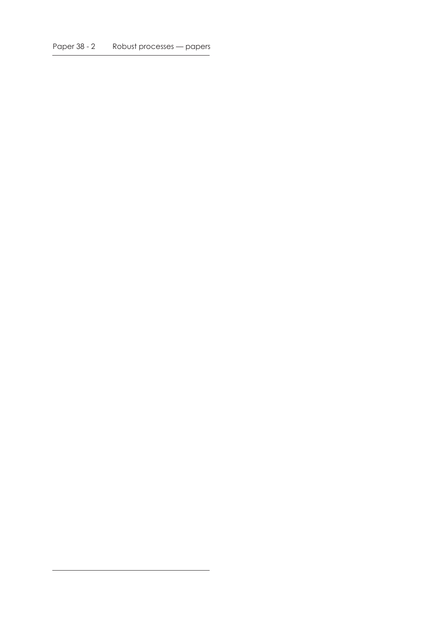Paper 38 - 2 Robust processes — papers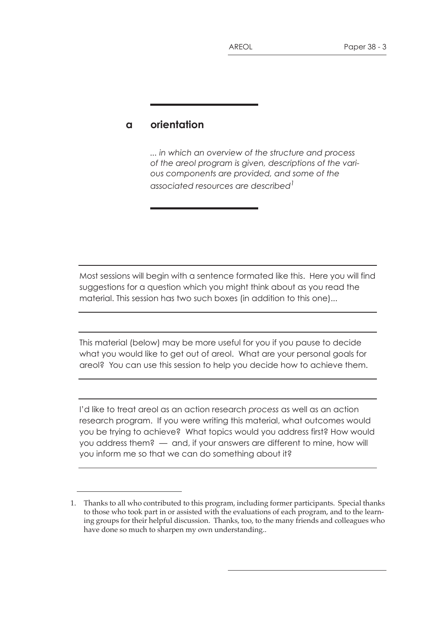## **a orientation**

*... in which an overview of the structure and process of the areol program is given, descriptions of the various components are provided, and some of the associated resources are described1*

Most sessions will begin with a sentence formated like this. Here you will find suggestions for a question which you might think about as you read the material. This session has two such boxes (in addition to this one)...

This material (below) may be more useful for you if you pause to decide what you would like to get out of areol. What are your personal goals for areol? You can use this session to help you decide how to achieve them.

I'd like to treat areol as an action research *process* as well as an action research program. If you were writing this material, what outcomes would you be trying to achieve? What topics would you address first? How would you address them? — and, if your answers are different to mine, how will you inform me so that we can do something about it?

<sup>1.</sup> Thanks to all who contributed to this program, including former participants. Special thanks to those who took part in or assisted with the evaluations of each program, and to the learning groups for their helpful discussion. Thanks, too, to the many friends and colleagues who have done so much to sharpen my own understanding...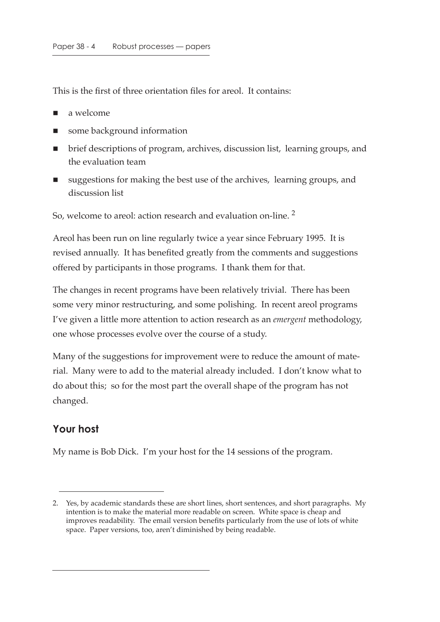This is the first of three orientation files for areol. It contains:

- a welcome
- some background information
- brief descriptions of program, archives, discussion list, learning groups, and the evaluation team
- suggestions for making the best use of the archives, learning groups, and discussion list

So, welcome to areol: action research and evaluation on-line. 2

Areol has been run on line regularly twice a year since February 1995. It is revised annually. It has benefited greatly from the comments and suggestions offered by participants in those programs. I thank them for that.

The changes in recent programs have been relatively trivial. There has been some very minor restructuring, and some polishing. In recent areol programs I've given a little more attention to action research as an *emergent* methodology, one whose processes evolve over the course of a study.

Many of the suggestions for improvement were to reduce the amount of material. Many were to add to the material already included. I don't know what to do about this; so for the most part the overall shape of the program has not changed.

## **Your host**

My name is Bob Dick. I'm your host for the 14 sessions of the program.

<sup>2.</sup> Yes, by academic standards these are short lines, short sentences, and short paragraphs. My intention is to make the material more readable on screen. White space is cheap and improves readability. The email version benefits particularly from the use of lots of white space. Paper versions, too, aren't diminished by being readable.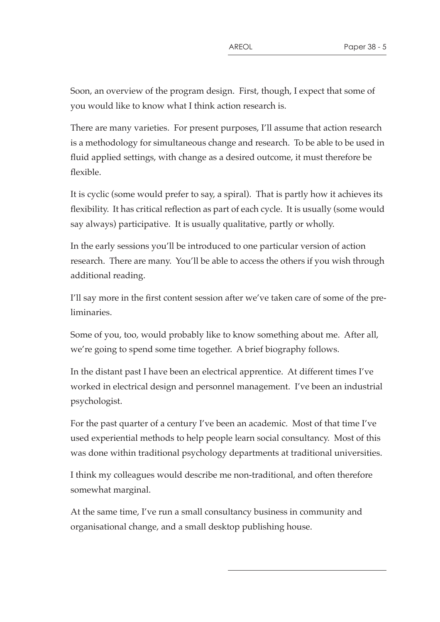Soon, an overview of the program design. First, though, I expect that some of you would like to know what I think action research is.

There are many varieties. For present purposes, I'll assume that action research is a methodology for simultaneous change and research. To be able to be used in fluid applied settings, with change as a desired outcome, it must therefore be flexible.

It is cyclic (some would prefer to say, a spiral). That is partly how it achieves its flexibility. It has critical reflection as part of each cycle. It is usually (some would say always) participative. It is usually qualitative, partly or wholly.

In the early sessions you'll be introduced to one particular version of action research. There are many. You'll be able to access the others if you wish through additional reading.

I'll say more in the first content session after we've taken care of some of the preliminaries.

Some of you, too, would probably like to know something about me. After all, we're going to spend some time together. A brief biography follows.

In the distant past I have been an electrical apprentice. At different times I've worked in electrical design and personnel management. I've been an industrial psychologist.

For the past quarter of a century I've been an academic. Most of that time I've used experiential methods to help people learn social consultancy. Most of this was done within traditional psychology departments at traditional universities.

I think my colleagues would describe me non-traditional, and often therefore somewhat marginal.

At the same time, I've run a small consultancy business in community and organisational change, and a small desktop publishing house.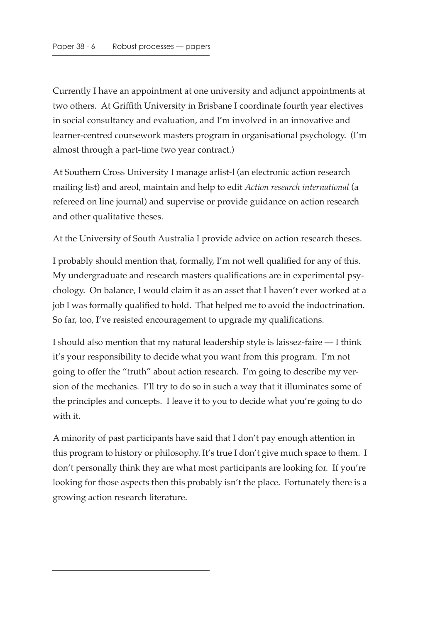Currently I have an appointment at one university and adjunct appointments at two others. At Griffith University in Brisbane I coordinate fourth year electives in social consultancy and evaluation, and I'm involved in an innovative and learner-centred coursework masters program in organisational psychology. (I'm almost through a part-time two year contract.)

At Southern Cross University I manage arlist-l (an electronic action research mailing list) and areol, maintain and help to edit *Action research international* (a refereed on line journal) and supervise or provide guidance on action research and other qualitative theses.

At the University of South Australia I provide advice on action research theses.

I probably should mention that, formally, I'm not well qualified for any of this. My undergraduate and research masters qualifications are in experimental psychology. On balance, I would claim it as an asset that I haven't ever worked at a job I was formally qualified to hold. That helped me to avoid the indoctrination. So far, too, I've resisted encouragement to upgrade my qualifications.

I should also mention that my natural leadership style is laissez-faire — I think it's your responsibility to decide what you want from this program. I'm not going to offer the "truth" about action research. I'm going to describe my version of the mechanics. I'll try to do so in such a way that it illuminates some of the principles and concepts. I leave it to you to decide what you're going to do with it.

A minority of past participants have said that I don't pay enough attention in this program to history or philosophy. It's true I don't give much space to them. I don't personally think they are what most participants are looking for. If you're looking for those aspects then this probably isn't the place. Fortunately there is a growing action research literature.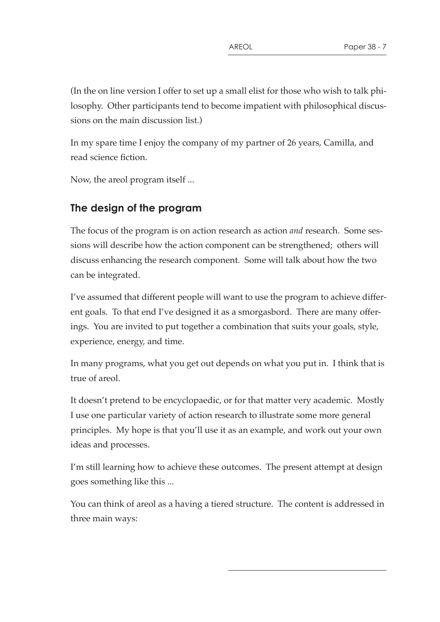(In the on line version I offer to set up a small elist for those who wish to talk philosophy. Other participants tend to become impatient with philosophical discussions on the main discussion list.)

In my spare time I enjoy the company of my partner of 26 years, Camilla, and read science fiction.

Now, the areol program itself ...

# **The design of the program**

The focus of the program is on action research as action *and* research. Some sessions will describe how the action component can be strengthened; others will discuss enhancing the research component. Some will talk about how the two can be integrated.

I've assumed that different people will want to use the program to achieve different goals. To that end I've designed it as a smorgasbord. There are many offerings. You are invited to put together a combination that suits your goals, style, experience, energy, and time.

In many programs, what you get out depends on what you put in. I think that is true of areol.

It doesn't pretend to be encyclopaedic, or for that matter very academic. Mostly I use one particular variety of action research to illustrate some more general principles. My hope is that you'll use it as an example, and work out your own ideas and processes.

I'm still learning how to achieve these outcomes. The present attempt at design goes something like this ...

You can think of areol as a having a tiered structure. The content is addressed in three main ways: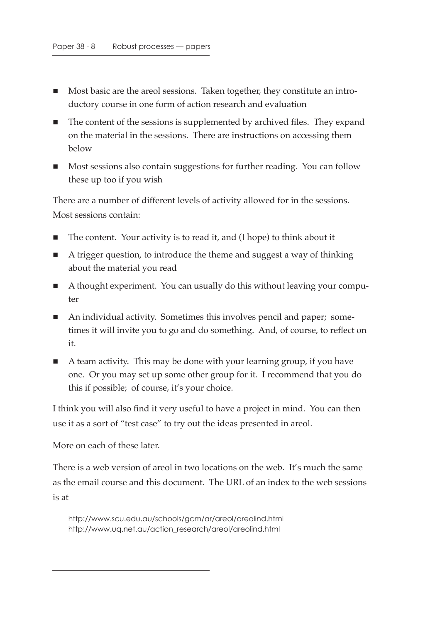- Most basic are the areol sessions. Taken together, they constitute an introductory course in one form of action research and evaluation
- The content of the sessions is supplemented by archived files. They expand on the material in the sessions. There are instructions on accessing them below
- Most sessions also contain suggestions for further reading. You can follow these up too if you wish

There are a number of different levels of activity allowed for in the sessions. Most sessions contain:

- The content. Your activity is to read it, and (I hope) to think about it
- A trigger question, to introduce the theme and suggest a way of thinking about the material you read
- A thought experiment. You can usually do this without leaving your computer
- An individual activity. Sometimes this involves pencil and paper; sometimes it will invite you to go and do something. And, of course, to reflect on it.
- A team activity. This may be done with your learning group, if you have one. Or you may set up some other group for it. I recommend that you do this if possible; of course, it's your choice.

I think you will also find it very useful to have a project in mind. You can then use it as a sort of "test case" to try out the ideas presented in areol.

More on each of these later.

There is a web version of areol in two locations on the web. It's much the same as the email course and this document. The URL of an index to the web sessions is at

http://www.scu.edu.au/schools/gcm/ar/areol/areolind.html http://www.uq.net.au/action\_research/areol/areolind.html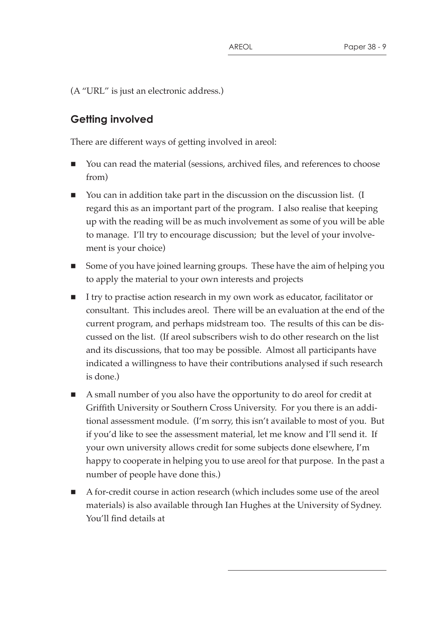(A "URL" is just an electronic address.)

# **Getting involved**

There are different ways of getting involved in areol:

- You can read the material (sessions, archived files, and references to choose from)
- You can in addition take part in the discussion on the discussion list. (I regard this as an important part of the program. I also realise that keeping up with the reading will be as much involvement as some of you will be able to manage. I'll try to encourage discussion; but the level of your involvement is your choice)
- Some of you have joined learning groups. These have the aim of helping you to apply the material to your own interests and projects
- I try to practise action research in my own work as educator, facilitator or consultant. This includes areol. There will be an evaluation at the end of the current program, and perhaps midstream too. The results of this can be discussed on the list. (If areol subscribers wish to do other research on the list and its discussions, that too may be possible. Almost all participants have indicated a willingness to have their contributions analysed if such research is done.)
- A small number of you also have the opportunity to do areol for credit at Griffith University or Southern Cross University. For you there is an additional assessment module. (I'm sorry, this isn't available to most of you. But if you'd like to see the assessment material, let me know and I'll send it. If your own university allows credit for some subjects done elsewhere, I'm happy to cooperate in helping you to use areol for that purpose. In the past a number of people have done this.)
- A for-credit course in action research (which includes some use of the areol materials) is also available through Ian Hughes at the University of Sydney. You'll find details at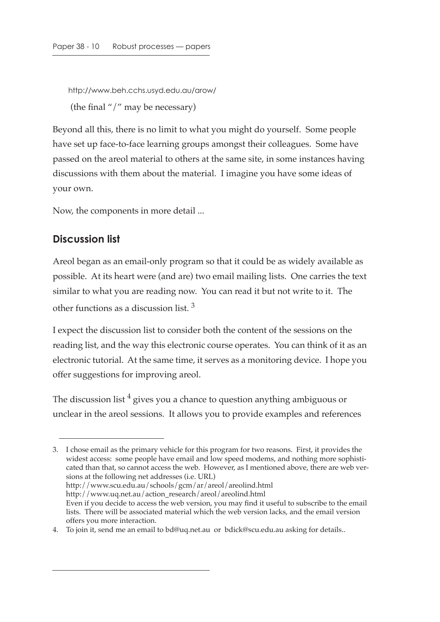```
http://www.beh.cchs.usyd.edu.au/arow/ 
(the final "/" may be necessary)
```
Beyond all this, there is no limit to what you might do yourself. Some people have set up face-to-face learning groups amongst their colleagues. Some have passed on the areol material to others at the same site, in some instances having discussions with them about the material. I imagine you have some ideas of your own.

Now, the components in more detail ...

## **Discussion list**

Areol began as an email-only program so that it could be as widely available as possible. At its heart were (and are) two email mailing lists. One carries the text similar to what you are reading now. You can read it but not write to it. The other functions as a discussion list.  $3$ 

I expect the discussion list to consider both the content of the sessions on the reading list, and the way this electronic course operates. You can think of it as an electronic tutorial. At the same time, it serves as a monitoring device. I hope you offer suggestions for improving areol.

The discussion list  $4$  gives you a chance to question anything ambiguous or unclear in the areol sessions. It allows you to provide examples and references

http://www.scu.edu.au/schools/gcm/ar/areol/areolind.html http://www.uq.net.au/action\_research/areol/areolind.html Even if you decide to access the web version, you may find it useful to subscribe to the email lists. There will be associated material which the web version lacks, and the email version offers you more interaction.

4. To join it, send me an email to bd@uq.net.au or bdick@scu.edu.au asking for details..

<sup>3.</sup> I chose email as the primary vehicle for this program for two reasons. First, it provides the widest access: some people have email and low speed modems, and nothing more sophisticated than that, so cannot access the web. However, as I mentioned above, there are web versions at the following net addresses (i.e. URL)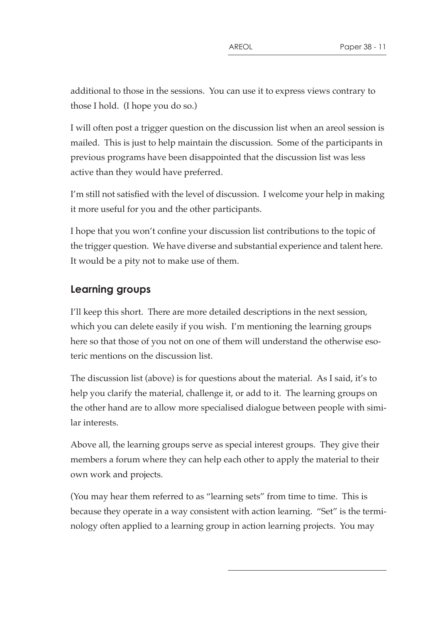additional to those in the sessions. You can use it to express views contrary to those I hold. (I hope you do so.)

I will often post a trigger question on the discussion list when an areol session is mailed. This is just to help maintain the discussion. Some of the participants in previous programs have been disappointed that the discussion list was less active than they would have preferred.

I'm still not satisfied with the level of discussion. I welcome your help in making it more useful for you and the other participants.

I hope that you won't confine your discussion list contributions to the topic of the trigger question. We have diverse and substantial experience and talent here. It would be a pity not to make use of them.

# **Learning groups**

I'll keep this short. There are more detailed descriptions in the next session, which you can delete easily if you wish. I'm mentioning the learning groups here so that those of you not on one of them will understand the otherwise esoteric mentions on the discussion list.

The discussion list (above) is for questions about the material. As I said, it's to help you clarify the material, challenge it, or add to it. The learning groups on the other hand are to allow more specialised dialogue between people with similar interests.

Above all, the learning groups serve as special interest groups. They give their members a forum where they can help each other to apply the material to their own work and projects.

(You may hear them referred to as "learning sets" from time to time. This is because they operate in a way consistent with action learning. "Set" is the terminology often applied to a learning group in action learning projects. You may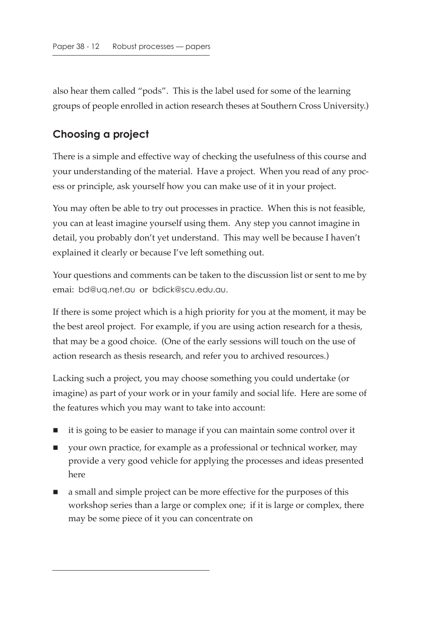also hear them called "pods". This is the label used for some of the learning groups of people enrolled in action research theses at Southern Cross University.)

# **Choosing a project**

There is a simple and effective way of checking the usefulness of this course and your understanding of the material. Have a project. When you read of any process or principle, ask yourself how you can make use of it in your project.

You may often be able to try out processes in practice. When this is not feasible, you can at least imagine yourself using them. Any step you cannot imagine in detail, you probably don't yet understand. This may well be because I haven't explained it clearly or because I've left something out.

Your questions and comments can be taken to the discussion list or sent to me by emai: bd@uq.net.au or bdick@scu.edu.au.

If there is some project which is a high priority for you at the moment, it may be the best areol project. For example, if you are using action research for a thesis, that may be a good choice. (One of the early sessions will touch on the use of action research as thesis research, and refer you to archived resources.)

Lacking such a project, you may choose something you could undertake (or imagine) as part of your work or in your family and social life. Here are some of the features which you may want to take into account:

- it is going to be easier to manage if you can maintain some control over it
- your own practice, for example as a professional or technical worker, may provide a very good vehicle for applying the processes and ideas presented here
- **a** a small and simple project can be more effective for the purposes of this workshop series than a large or complex one; if it is large or complex, there may be some piece of it you can concentrate on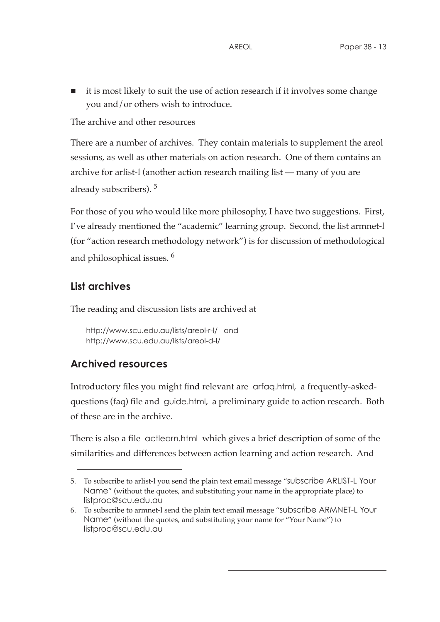■ it is most likely to suit the use of action research if it involves some change you and/or others wish to introduce.

The archive and other resources

There are a number of archives. They contain materials to supplement the areol sessions, as well as other materials on action research. One of them contains an archive for arlist-l (another action research mailing list — many of you are already subscribers). 5

For those of you who would like more philosophy, I have two suggestions. First, I've already mentioned the "academic" learning group. Second, the list armnet-l (for "action research methodology network") is for discussion of methodological and philosophical issues. 6

# **List archives**

The reading and discussion lists are archived at

http://www.scu.edu.au/lists/areol-r-l/ and http://www.scu.edu.au/lists/areol-d-l/

# **Archived resources**

Introductory files you might find relevant are arfaq.html, a frequently-askedquestions (faq) file and guide.html, a preliminary guide to action research. Both of these are in the archive.

There is also a file actlearn.html which gives a brief description of some of the similarities and differences between action learning and action research. And

<sup>5.</sup> To subscribe to arlist-l you send the plain text email message "subscribe ARLIST-L Your Name" (without the quotes, and substituting your name in the appropriate place) to listproc@scu.edu.au

<sup>6.</sup> To subscribe to armnet-l send the plain text email message "subscribe ARMNET-L Your Name" (without the quotes, and substituting your name for "Your Name") to listproc@scu.edu.au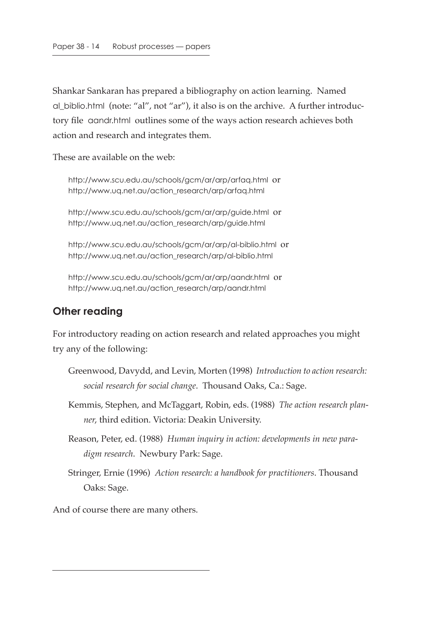Shankar Sankaran has prepared a bibliography on action learning. Named al\_biblio.html (note: "al", not "ar"), it also is on the archive. A further introductory file aandr.html outlines some of the ways action research achieves both action and research and integrates them.

These are available on the web:

http://www.scu.edu.au/schools/gcm/ar/arp/arfaq.html or http://www.uq.net.au/action\_research/arp/arfaq.html

http://www.scu.edu.au/schools/gcm/ar/arp/guide.html or http://www.uq.net.au/action\_research/arp/guide.html

http://www.scu.edu.au/schools/gcm/ar/arp/al-biblio.html or http://www.uq.net.au/action\_research/arp/al-biblio.html

http://www.scu.edu.au/schools/gcm/ar/arp/aandr.html or http://www.uq.net.au/action\_research/arp/aandr.html

## **Other reading**

For introductory reading on action research and related approaches you might try any of the following:

- Greenwood, Davydd, and Levin, Morten (1998) *Introduction to action research: social research for social change*. Thousand Oaks, Ca.: Sage.
- Kemmis, Stephen, and McTaggart, Robin, eds. (1988) *The action research planner*, third edition. Victoria: Deakin University.
- Reason, Peter, ed. (1988) *Human inquiry in action: developments in new paradigm research*. Newbury Park: Sage.
- Stringer, Ernie (1996) *Action research: a handbook for practitioners*. Thousand Oaks: Sage.

And of course there are many others.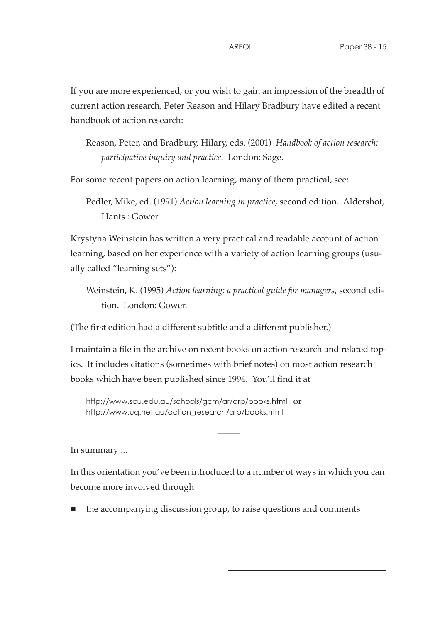If you are more experienced, or you wish to gain an impression of the breadth of current action research, Peter Reason and Hilary Bradbury have edited a recent handbook of action research:

Reason, Peter, and Bradbury, Hilary, eds. (2001) *Handbook of action research: participative inquiry and practice*. London: Sage.

For some recent papers on action learning, many of them practical, see:

Pedler, Mike, ed. (1991) *Action learning in practice*, second edition. Aldershot, Hants · Gower.

Krystyna Weinstein has written a very practical and readable account of action learning, based on her experience with a variety of action learning groups (usually called "learning sets"):

Weinstein, K. (1995) *Action learning: a practical guide for managers*, second edition. London: Gower.

(The first edition had a different subtitle and a different publisher.)

I maintain a file in the archive on recent books on action research and related topics. It includes citations (sometimes with brief notes) on most action research books which have been published since 1994. You'll find it at

http://www.scu.edu.au/schools/gcm/ar/arp/books.html or http://www.uq.net.au/action\_research/arp/books.html

In summary ...

In this orientation you've been introduced to a number of ways in which you can become more involved through

 $\overline{\phantom{a}}$ 

the accompanying discussion group, to raise questions and comments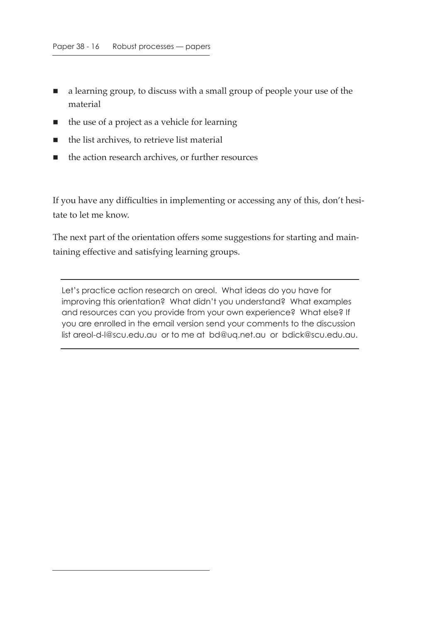- a learning group, to discuss with a small group of people your use of the material
- $\blacksquare$  the use of a project as a vehicle for learning
- $\blacksquare$  the list archives, to retrieve list material
- $\blacksquare$  the action research archives, or further resources

If you have any difficulties in implementing or accessing any of this, don't hesitate to let me know.

The next part of the orientation offers some suggestions for starting and maintaining effective and satisfying learning groups.

Let's practice action research on areol. What ideas do you have for improving this orientation? What didn't you understand? What examples and resources can you provide from your own experience? What else? If you are enrolled in the email version send your comments to the discussion list areol-d-l@scu.edu.au or to me at bd@uq.net.au or bdick@scu.edu.au.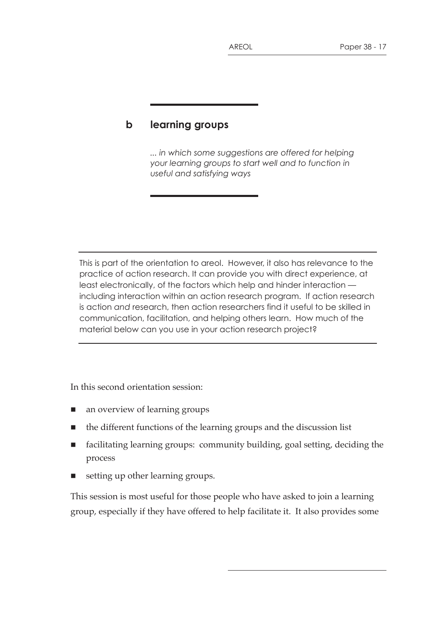# **b learning groups**

*... in which some suggestions are offered for helping your learning groups to start well and to function in useful and satisfying ways*

This is part of the orientation to areol. However, it also has relevance to the practice of action research. It can provide you with direct experience, at least electronically, of the factors which help and hinder interaction including interaction within an action research program. If action research is action *and* research, then action researchers find it useful to be skilled in communication, facilitation, and helping others learn. How much of the material below can you use in your action research project?

In this second orientation session:

- an overview of learning groups
- the different functions of the learning groups and the discussion list
- facilitating learning groups: community building, goal setting, deciding the process
- setting up other learning groups.

This session is most useful for those people who have asked to join a learning group, especially if they have offered to help facilitate it. It also provides some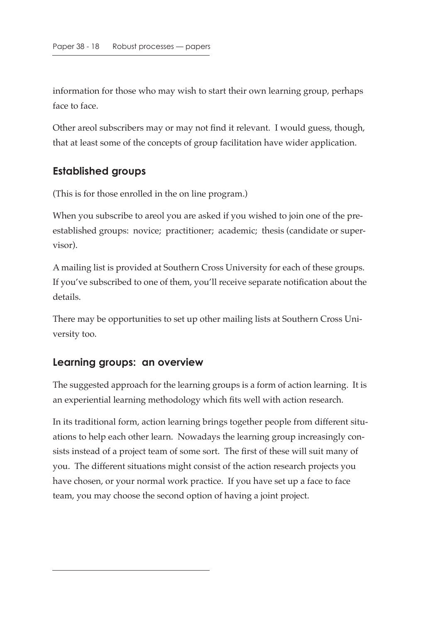information for those who may wish to start their own learning group, perhaps face to face.

Other areol subscribers may or may not find it relevant. I would guess, though, that at least some of the concepts of group facilitation have wider application.

## **Established groups**

(This is for those enrolled in the on line program.)

When you subscribe to areol you are asked if you wished to join one of the preestablished groups: novice; practitioner; academic; thesis (candidate or supervisor).

A mailing list is provided at Southern Cross University for each of these groups. If you've subscribed to one of them, you'll receive separate notification about the details.

There may be opportunities to set up other mailing lists at Southern Cross University too.

## **Learning groups: an overview**

The suggested approach for the learning groups is a form of action learning. It is an experiential learning methodology which fits well with action research.

In its traditional form, action learning brings together people from different situations to help each other learn. Nowadays the learning group increasingly consists instead of a project team of some sort. The first of these will suit many of you. The different situations might consist of the action research projects you have chosen, or your normal work practice. If you have set up a face to face team, you may choose the second option of having a joint project.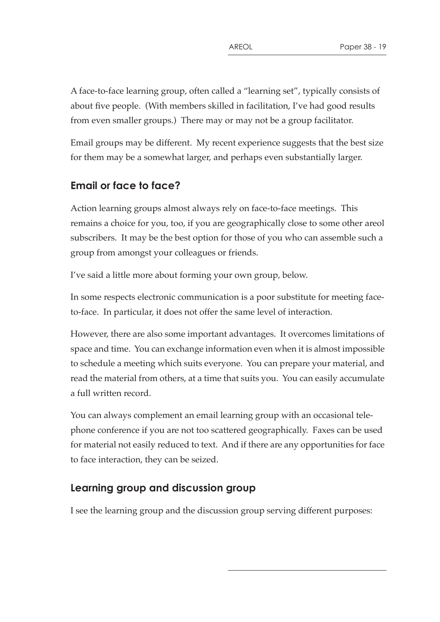A face-to-face learning group, often called a "learning set", typically consists of about five people. (With members skilled in facilitation, I've had good results from even smaller groups.) There may or may not be a group facilitator.

Email groups may be different. My recent experience suggests that the best size for them may be a somewhat larger, and perhaps even substantially larger.

# **Email or face to face?**

Action learning groups almost always rely on face-to-face meetings. This remains a choice for you, too, if you are geographically close to some other areol subscribers. It may be the best option for those of you who can assemble such a group from amongst your colleagues or friends.

I've said a little more about forming your own group, below.

In some respects electronic communication is a poor substitute for meeting faceto-face. In particular, it does not offer the same level of interaction.

However, there are also some important advantages. It overcomes limitations of space and time. You can exchange information even when it is almost impossible to schedule a meeting which suits everyone. You can prepare your material, and read the material from others, at a time that suits you. You can easily accumulate a full written record.

You can always complement an email learning group with an occasional telephone conference if you are not too scattered geographically. Faxes can be used for material not easily reduced to text. And if there are any opportunities for face to face interaction, they can be seized.

# **Learning group and discussion group**

I see the learning group and the discussion group serving different purposes: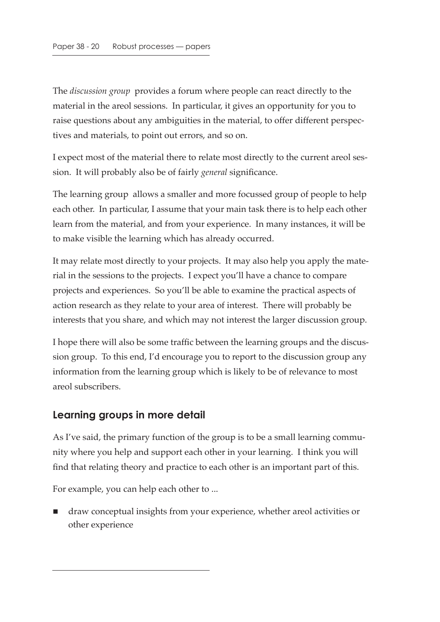The *discussion group* provides a forum where people can react directly to the material in the areol sessions. In particular, it gives an opportunity for you to raise questions about any ambiguities in the material, to offer different perspectives and materials, to point out errors, and so on.

I expect most of the material there to relate most directly to the current areol session. It will probably also be of fairly *general* significance.

The learning group allows a smaller and more focussed group of people to help each other. In particular, I assume that your main task there is to help each other learn from the material, and from your experience. In many instances, it will be to make visible the learning which has already occurred.

It may relate most directly to your projects. It may also help you apply the material in the sessions to the projects. I expect you'll have a chance to compare projects and experiences. So you'll be able to examine the practical aspects of action research as they relate to your area of interest. There will probably be interests that you share, and which may not interest the larger discussion group.

I hope there will also be some traffic between the learning groups and the discussion group. To this end, I'd encourage you to report to the discussion group any information from the learning group which is likely to be of relevance to most areol subscribers.

## **Learning groups in more detail**

As I've said, the primary function of the group is to be a small learning community where you help and support each other in your learning. I think you will find that relating theory and practice to each other is an important part of this.

For example, you can help each other to ...

 draw conceptual insights from your experience, whether areol activities or other experience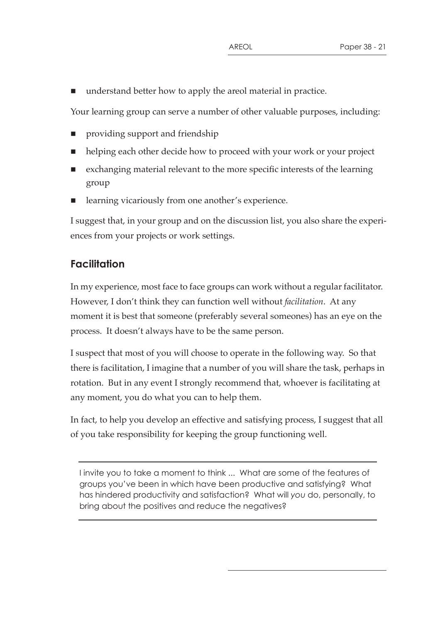■ understand better how to apply the areol material in practice.

Your learning group can serve a number of other valuable purposes, including:

- providing support and friendship
- helping each other decide how to proceed with your work or your project
- exchanging material relevant to the more specific interests of the learning group
- learning vicariously from one another's experience.

I suggest that, in your group and on the discussion list, you also share the experiences from your projects or work settings.

# **Facilitation**

In my experience, most face to face groups can work without a regular facilitator. However, I don't think they can function well without *facilitation*. At any moment it is best that someone (preferably several someones) has an eye on the process. It doesn't always have to be the same person.

I suspect that most of you will choose to operate in the following way. So that there is facilitation, I imagine that a number of you will share the task, perhaps in rotation. But in any event I strongly recommend that, whoever is facilitating at any moment, you do what you can to help them.

In fact, to help you develop an effective and satisfying process, I suggest that all of you take responsibility for keeping the group functioning well.

I invite you to take a moment to think ... What are some of the features of groups you've been in which have been productive and satisfying? What has hindered productivity and satisfaction? What will *you* do, personally, to bring about the positives and reduce the negatives?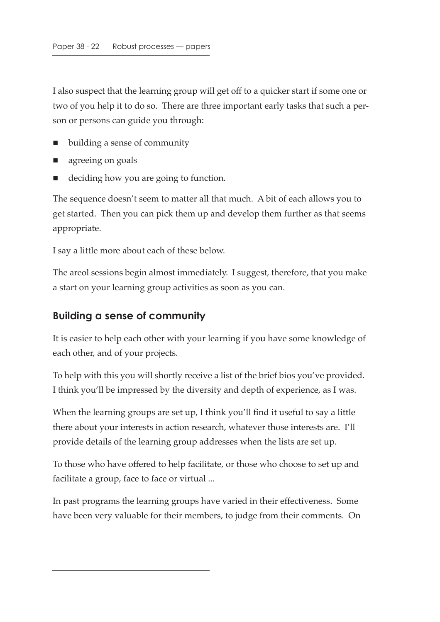I also suspect that the learning group will get off to a quicker start if some one or two of you help it to do so. There are three important early tasks that such a person or persons can guide you through:

- building a sense of community
- agreeing on goals
- deciding how you are going to function.

The sequence doesn't seem to matter all that much. A bit of each allows you to get started. Then you can pick them up and develop them further as that seems appropriate.

I say a little more about each of these below.

The areol sessions begin almost immediately. I suggest, therefore, that you make a start on your learning group activities as soon as you can.

## **Building a sense of community**

It is easier to help each other with your learning if you have some knowledge of each other, and of your projects.

To help with this you will shortly receive a list of the brief bios you've provided. I think you'll be impressed by the diversity and depth of experience, as I was.

When the learning groups are set up, I think you'll find it useful to say a little there about your interests in action research, whatever those interests are. I'll provide details of the learning group addresses when the lists are set up.

To those who have offered to help facilitate, or those who choose to set up and facilitate a group, face to face or virtual ...

In past programs the learning groups have varied in their effectiveness. Some have been very valuable for their members, to judge from their comments. On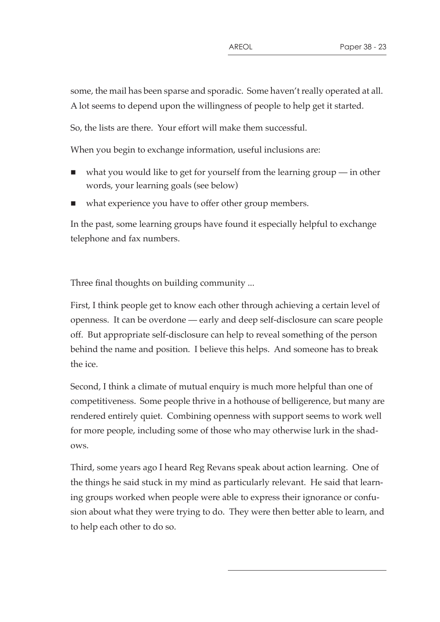some, the mail has been sparse and sporadic. Some haven't really operated at all. A lot seems to depend upon the willingness of people to help get it started.

So, the lists are there. Your effort will make them successful.

When you begin to exchange information, useful inclusions are:

- $\blacksquare$  what you would like to get for yourself from the learning group in other words, your learning goals (see below)
- what experience you have to offer other group members.

In the past, some learning groups have found it especially helpful to exchange telephone and fax numbers.

Three final thoughts on building community ...

First, I think people get to know each other through achieving a certain level of openness. It can be overdone — early and deep self-disclosure can scare people off. But appropriate self-disclosure can help to reveal something of the person behind the name and position. I believe this helps. And someone has to break the ice.

Second, I think a climate of mutual enquiry is much more helpful than one of competitiveness. Some people thrive in a hothouse of belligerence, but many are rendered entirely quiet. Combining openness with support seems to work well for more people, including some of those who may otherwise lurk in the shadows.

Third, some years ago I heard Reg Revans speak about action learning. One of the things he said stuck in my mind as particularly relevant. He said that learning groups worked when people were able to express their ignorance or confusion about what they were trying to do. They were then better able to learn, and to help each other to do so.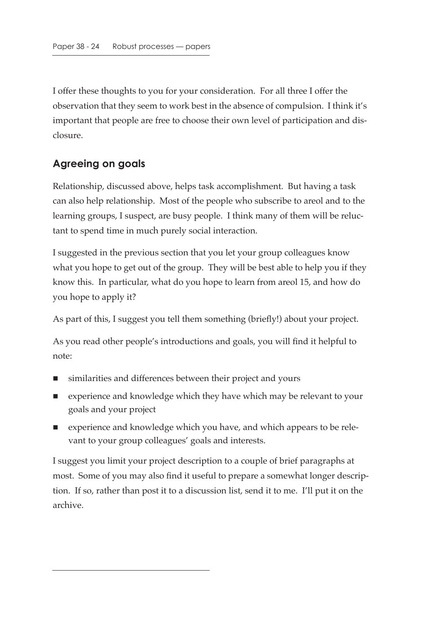I offer these thoughts to you for your consideration. For all three I offer the observation that they seem to work best in the absence of compulsion. I think it's important that people are free to choose their own level of participation and disclosure.

# **Agreeing on goals**

Relationship, discussed above, helps task accomplishment. But having a task can also help relationship. Most of the people who subscribe to areol and to the learning groups, I suspect, are busy people. I think many of them will be reluctant to spend time in much purely social interaction.

I suggested in the previous section that you let your group colleagues know what you hope to get out of the group. They will be best able to help you if they know this. In particular, what do you hope to learn from areol 15, and how do you hope to apply it?

As part of this, I suggest you tell them something (briefly!) about your project.

As you read other people's introductions and goals, you will find it helpful to note:

- similarities and differences between their project and yours
- experience and knowledge which they have which may be relevant to your goals and your project
- experience and knowledge which you have, and which appears to be relevant to your group colleagues' goals and interests.

I suggest you limit your project description to a couple of brief paragraphs at most. Some of you may also find it useful to prepare a somewhat longer description. If so, rather than post it to a discussion list, send it to me. I'll put it on the archive.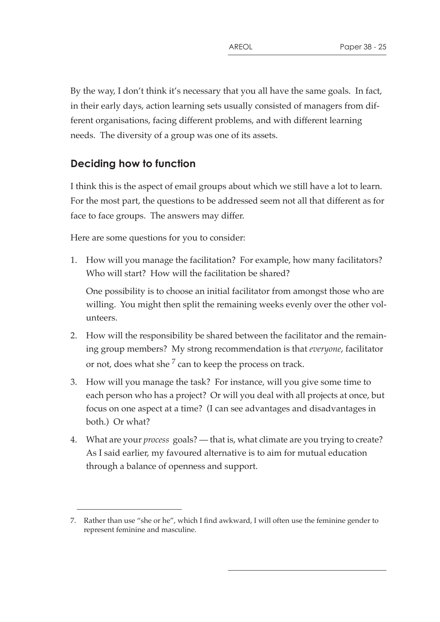By the way, I don't think it's necessary that you all have the same goals. In fact, in their early days, action learning sets usually consisted of managers from different organisations, facing different problems, and with different learning needs. The diversity of a group was one of its assets.

# **Deciding how to function**

I think this is the aspect of email groups about which we still have a lot to learn. For the most part, the questions to be addressed seem not all that different as for face to face groups. The answers may differ.

Here are some questions for you to consider:

1. How will you manage the facilitation? For example, how many facilitators? Who will start? How will the facilitation be shared?

One possibility is to choose an initial facilitator from amongst those who are willing. You might then split the remaining weeks evenly over the other volunteers.

- 2. How will the responsibility be shared between the facilitator and the remaining group members? My strong recommendation is that *everyone*, facilitator or not, does what she<sup>7</sup> can to keep the process on track.
- 3. How will you manage the task? For instance, will you give some time to each person who has a project? Or will you deal with all projects at once, but focus on one aspect at a time? (I can see advantages and disadvantages in both.) Or what?
- 4. What are your *process* goals? that is, what climate are you trying to create? As I said earlier, my favoured alternative is to aim for mutual education through a balance of openness and support.

<sup>7.</sup> Rather than use "she or he", which I find awkward, I will often use the feminine gender to represent feminine and masculine.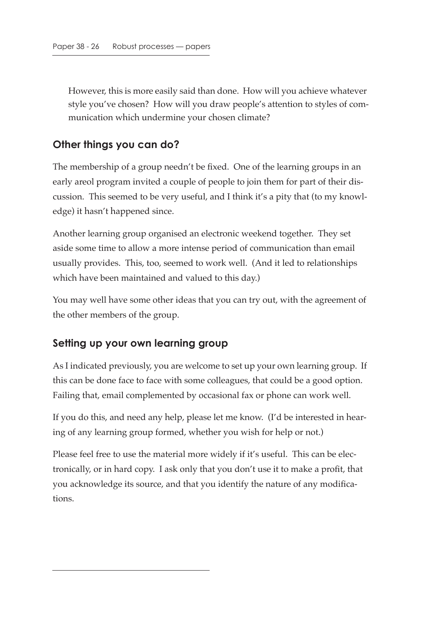However, this is more easily said than done. How will you achieve whatever style you've chosen? How will you draw people's attention to styles of communication which undermine your chosen climate?

# **Other things you can do?**

The membership of a group needn't be fixed. One of the learning groups in an early areol program invited a couple of people to join them for part of their discussion. This seemed to be very useful, and I think it's a pity that (to my knowledge) it hasn't happened since.

Another learning group organised an electronic weekend together. They set aside some time to allow a more intense period of communication than email usually provides. This, too, seemed to work well. (And it led to relationships which have been maintained and valued to this day.)

You may well have some other ideas that you can try out, with the agreement of the other members of the group.

## **Setting up your own learning group**

As I indicated previously, you are welcome to set up your own learning group. If this can be done face to face with some colleagues, that could be a good option. Failing that, email complemented by occasional fax or phone can work well.

If you do this, and need any help, please let me know. (I'd be interested in hearing of any learning group formed, whether you wish for help or not.)

Please feel free to use the material more widely if it's useful. This can be electronically, or in hard copy. I ask only that you don't use it to make a profit, that you acknowledge its source, and that you identify the nature of any modifications.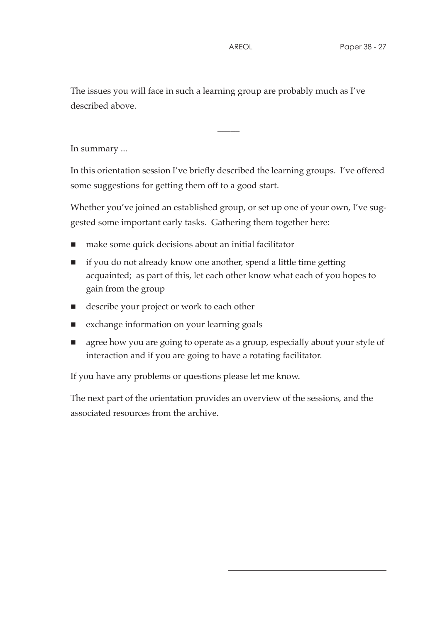The issues you will face in such a learning group are probably much as I've described above.

In summary ...

In this orientation session I've briefly described the learning groups. I've offered some suggestions for getting them off to a good start.

 $\overline{\phantom{a}}$ 

Whether you've joined an established group, or set up one of your own, I've suggested some important early tasks. Gathering them together here:

- make some quick decisions about an initial facilitator
- if you do not already know one another, spend a little time getting acquainted; as part of this, let each other know what each of you hopes to gain from the group
- **describe your project or work to each other**
- exchange information on your learning goals
- **E** agree how you are going to operate as a group, especially about your style of interaction and if you are going to have a rotating facilitator.

If you have any problems or questions please let me know.

The next part of the orientation provides an overview of the sessions, and the associated resources from the archive.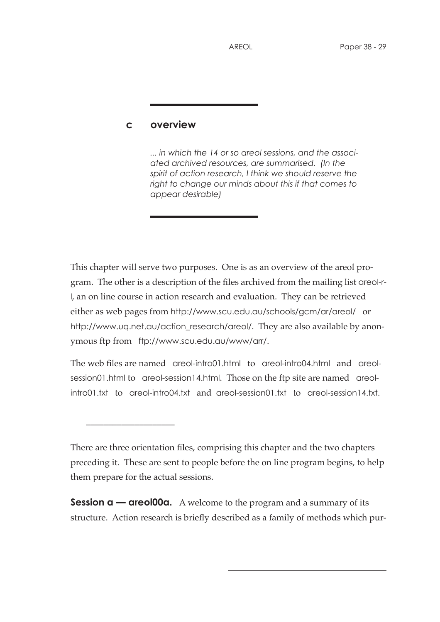#### **c overview**

\_\_\_\_\_\_\_\_\_\_\_\_\_\_\_\_\_\_\_\_

*... in which the 14 or so areol sessions, and the associated archived resources, are summarised. (In the spirit of action research, I think we should reserve the right to change our minds about this if that comes to appear desirable)*

This chapter will serve two purposes. One is as an overview of the areol program. The other is a description of the files archived from the mailing list areol-rl, an on line course in action research and evaluation. They can be retrieved either as web pages from http://www.scu.edu.au/schools/gcm/ar/areol/ or http://www.uq.net.au/action\_research/areol/. They are also available by anonymous ftp from ftp://www.scu.edu.au/www/arr/.

The web files are named areol-intro01.html to areol-intro04.html and areolsession01.html to areol-session14.html. Those on the ftp site are named areolintro01.txt to areol-intro04.txt and areol-session01.txt to areol-session14.txt.

There are three orientation files, comprising this chapter and the two chapters preceding it. These are sent to people before the on line program begins, to help them prepare for the actual sessions.

**Session a — areol00a.** A welcome to the program and a summary of its structure. Action research is briefly described as a family of methods which pur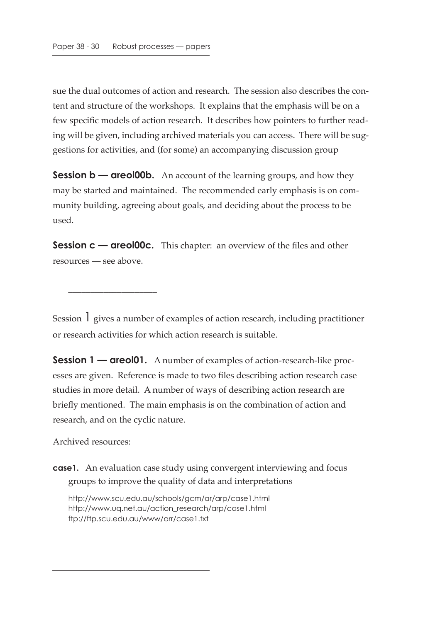sue the dual outcomes of action and research. The session also describes the content and structure of the workshops. It explains that the emphasis will be on a few specific models of action research. It describes how pointers to further reading will be given, including archived materials you can access. There will be suggestions for activities, and (for some) an accompanying discussion group

**Session b — areol00b.** An account of the learning groups, and how they may be started and maintained. The recommended early emphasis is on community building, agreeing about goals, and deciding about the process to be used.

**Session c — areol00c.** This chapter: an overview of the files and other resources — see above.

Session 1 gives a number of examples of action research, including practitioner or research activities for which action research is suitable.

**Session 1 — areol01.** A number of examples of action-research-like processes are given. Reference is made to two files describing action research case studies in more detail. A number of ways of describing action research are briefly mentioned. The main emphasis is on the combination of action and research, and on the cyclic nature.

Archived resources:

\_\_\_\_\_\_\_\_\_\_\_\_\_\_\_\_\_\_\_\_

**case1.** An evaluation case study using convergent interviewing and focus groups to improve the quality of data and interpretations

http://www.scu.edu.au/schools/gcm/ar/arp/case1.html http://www.uq.net.au/action\_research/arp/case1.html ftp://ftp.scu.edu.au/www/arr/case1.txt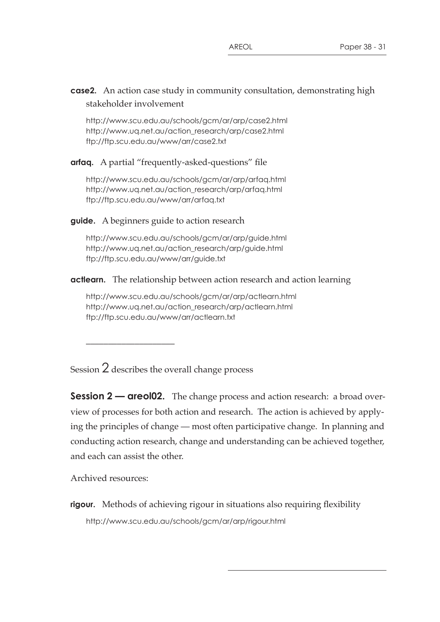### **case2.** An action case study in community consultation, demonstrating high stakeholder involvement

http://www.scu.edu.au/schools/gcm/ar/arp/case2.html http://www.uq.net.au/action\_research/arp/case2.html ftp://ftp.scu.edu.au/www/arr/case2.txt

#### **arfaq.** A partial "frequently-asked-questions" file

http://www.scu.edu.au/schools/gcm/ar/arp/arfaq.html http://www.uq.net.au/action\_research/arp/arfaq.html ftp://ftp.scu.edu.au/www/arr/arfaq.txt

#### **guide.** A beginners guide to action research

http://www.scu.edu.au/schools/gcm/ar/arp/guide.html http://www.uq.net.au/action\_research/arp/guide.html ftp://ftp.scu.edu.au/www/arr/guide.txt

#### **actlearn.** The relationship between action research and action learning

http://www.scu.edu.au/schools/gcm/ar/arp/actlearn.html http://www.uq.net.au/action\_research/arp/actlearn.html ftp://ftp.scu.edu.au/www/arr/actlearn.txt

Session 2 describes the overall change process

\_\_\_\_\_\_\_\_\_\_\_\_\_\_\_\_\_\_\_\_

**Session 2 — areol02.** The change process and action research: a broad overview of processes for both action and research. The action is achieved by applying the principles of change — most often participative change. In planning and conducting action research, change and understanding can be achieved together, and each can assist the other.

Archived resources:

**rigour.** Methods of achieving rigour in situations also requiring flexibility http://www.scu.edu.au/schools/gcm/ar/arp/rigour.html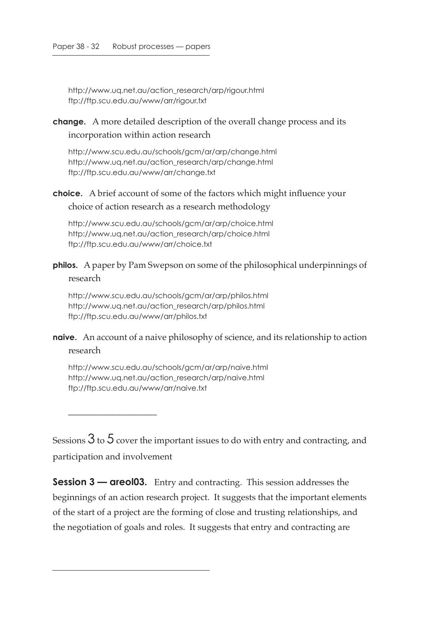http://www.uq.net.au/action\_research/arp/rigour.html ftp://ftp.scu.edu.au/www/arr/rigour.txt

#### **change.** A more detailed description of the overall change process and its incorporation within action research

http://www.scu.edu.au/schools/gcm/ar/arp/change.html http://www.uq.net.au/action\_research/arp/change.html ftp://ftp.scu.edu.au/www/arr/change.txt

#### **choice.** A brief account of some of the factors which might influence your choice of action research as a research methodology

http://www.scu.edu.au/schools/gcm/ar/arp/choice.html http://www.uq.net.au/action\_research/arp/choice.html ftp://ftp.scu.edu.au/www/arr/choice.txt

#### **philos.** A paper by Pam Swepson on some of the philosophical underpinnings of research

http://www.scu.edu.au/schools/gcm/ar/arp/philos.html http://www.uq.net.au/action\_research/arp/philos.html ftp://ftp.scu.edu.au/www/arr/philos.txt

#### **naive.** An account of a naive philosophy of science, and its relationship to action research

http://www.scu.edu.au/schools/gcm/ar/arp/naive.html http://www.uq.net.au/action\_research/arp/naive.html ftp://ftp.scu.edu.au/www/arr/naive.txt

\_\_\_\_\_\_\_\_\_\_\_\_\_\_\_\_\_\_\_\_

Sessions  $3$  to  $5$  cover the important issues to do with entry and contracting, and participation and involvement

**Session 3 — areol03.** Entry and contracting. This session addresses the beginnings of an action research project. It suggests that the important elements of the start of a project are the forming of close and trusting relationships, and the negotiation of goals and roles. It suggests that entry and contracting are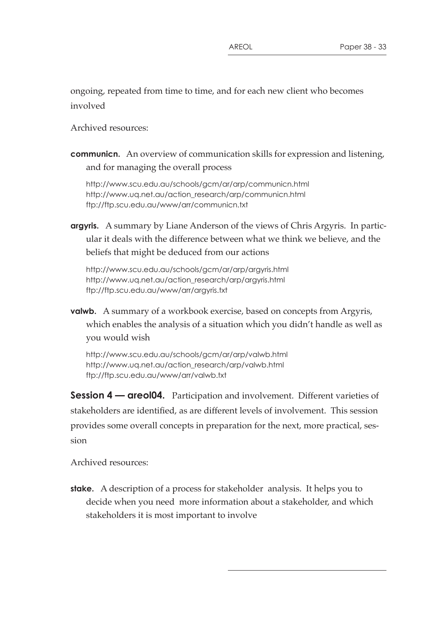ongoing, repeated from time to time, and for each new client who becomes involved

Archived resources:

**communicn.** An overview of communication skills for expression and listening, and for managing the overall process

http://www.scu.edu.au/schools/gcm/ar/arp/communicn.html http://www.uq.net.au/action\_research/arp/communicn.html ftp://ftp.scu.edu.au/www/arr/communicn.txt

**argyris.** A summary by Liane Anderson of the views of Chris Argyris. In particular it deals with the difference between what we think we believe, and the beliefs that might be deduced from our actions

http://www.scu.edu.au/schools/gcm/ar/arp/argyris.html http://www.uq.net.au/action\_research/arp/argyris.html ftp://ftp.scu.edu.au/www/arr/argyris.txt

**valwb.** A summary of a workbook exercise, based on concepts from Argyris, which enables the analysis of a situation which you didn't handle as well as you would wish

http://www.scu.edu.au/schools/gcm/ar/arp/valwb.html http://www.uq.net.au/action\_research/arp/valwb.html ftp://ftp.scu.edu.au/www/arr/valwb.txt

**Session 4 — areol04.** Participation and involvement. Different varieties of stakeholders are identified, as are different levels of involvement. This session provides some overall concepts in preparation for the next, more practical, session

Archived resources:

**stake.** A description of a process for stakeholder analysis. It helps you to decide when you need more information about a stakeholder, and which stakeholders it is most important to involve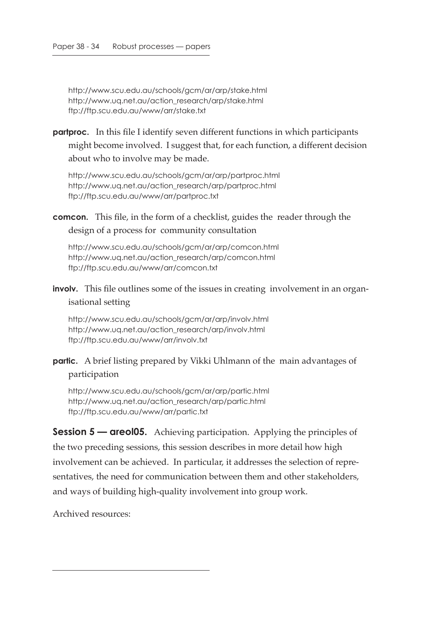http://www.scu.edu.au/schools/gcm/ar/arp/stake.html http://www.uq.net.au/action\_research/arp/stake.html ftp://ftp.scu.edu.au/www/arr/stake.txt

**partproc.** In this file I identify seven different functions in which participants might become involved. I suggest that, for each function, a different decision about who to involve may be made.

http://www.scu.edu.au/schools/gcm/ar/arp/partproc.html http://www.uq.net.au/action\_research/arp/partproc.html ftp://ftp.scu.edu.au/www/arr/partproc.txt

#### **comcon.** This file, in the form of a checklist, guides the reader through the design of a process for community consultation

http://www.scu.edu.au/schools/gcm/ar/arp/comcon.html http://www.uq.net.au/action\_research/arp/comcon.html ftp://ftp.scu.edu.au/www/arr/comcon.txt

**involv.** This file outlines some of the issues in creating involvement in an organisational setting

http://www.scu.edu.au/schools/gcm/ar/arp/involv.html http://www.uq.net.au/action\_research/arp/involv.html ftp://ftp.scu.edu.au/www/arr/involv.txt

#### **partic.** A brief listing prepared by Vikki Uhlmann of the main advantages of participation

http://www.scu.edu.au/schools/gcm/ar/arp/partic.html http://www.uq.net.au/action\_research/arp/partic.html ftp://ftp.scu.edu.au/www/arr/partic.txt

**Session 5 — areol05.** Achieving participation. Applying the principles of the two preceding sessions, this session describes in more detail how high involvement can be achieved. In particular, it addresses the selection of representatives, the need for communication between them and other stakeholders, and ways of building high-quality involvement into group work.

Archived resources: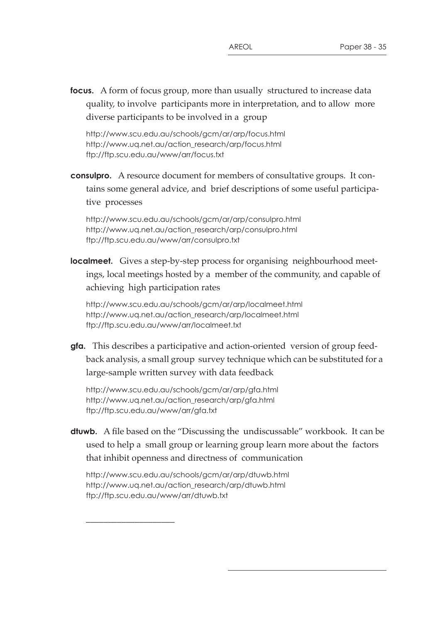**focus.** A form of focus group, more than usually structured to increase data quality, to involve participants more in interpretation, and to allow more diverse participants to be involved in a group

http://www.scu.edu.au/schools/gcm/ar/arp/focus.html http://www.uq.net.au/action\_research/arp/focus.html ftp://ftp.scu.edu.au/www/arr/focus.txt

**consulpro.** A resource document for members of consultative groups. It contains some general advice, and brief descriptions of some useful participative processes

http://www.scu.edu.au/schools/gcm/ar/arp/consulpro.html http://www.uq.net.au/action\_research/arp/consulpro.html ftp://ftp.scu.edu.au/www/arr/consulpro.txt

**localmeet.** Gives a step-by-step process for organising neighbourhood meetings, local meetings hosted by a member of the community, and capable of achieving high participation rates

http://www.scu.edu.au/schools/gcm/ar/arp/localmeet.html http://www.uq.net.au/action\_research/arp/localmeet.html ftp://ftp.scu.edu.au/www/arr/localmeet.txt

**gfa.** This describes a participative and action-oriented version of group feedback analysis, a small group survey technique which can be substituted for a large-sample written survey with data feedback

http://www.scu.edu.au/schools/gcm/ar/arp/gfa.html http://www.uq.net.au/action\_research/arp/gfa.html ftp://ftp.scu.edu.au/www/arr/gfa.txt

**dtuwb.** A file based on the "Discussing the undiscussable" workbook. It can be used to help a small group or learning group learn more about the factors that inhibit openness and directness of communication

http://www.scu.edu.au/schools/gcm/ar/arp/dtuwb.html http://www.uq.net.au/action\_research/arp/dtuwb.html ftp://ftp.scu.edu.au/www/arr/dtuwb.txt

\_\_\_\_\_\_\_\_\_\_\_\_\_\_\_\_\_\_\_\_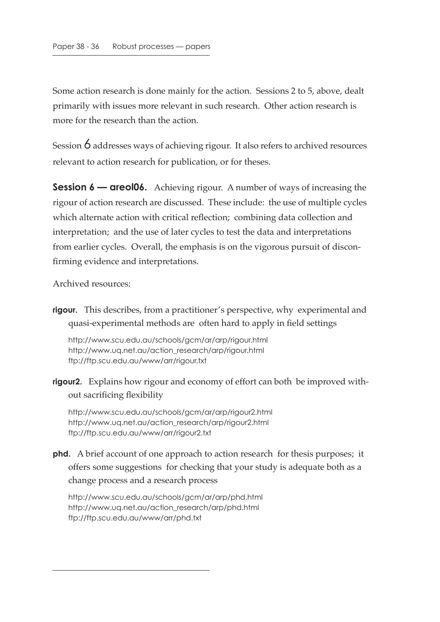Some action research is done mainly for the action. Sessions 2 to 5, above, dealt primarily with issues more relevant in such research. Other action research is more for the research than the action.

Session 6 addresses ways of achieving rigour. It also refers to archived resources relevant to action research for publication, or for theses.

**Session 6 — areol06.** Achieving rigour. A number of ways of increasing the rigour of action research are discussed. These include: the use of multiple cycles which alternate action with critical reflection; combining data collection and interpretation; and the use of later cycles to test the data and interpretations from earlier cycles. Overall, the emphasis is on the vigorous pursuit of disconfirming evidence and interpretations.

Archived resources:

**rigour.** This describes, from a practitioner's perspective, why experimental and quasi-experimental methods are often hard to apply in field settings

http://www.scu.edu.au/schools/gcm/ar/arp/rigour.html http://www.uq.net.au/action\_research/arp/rigour.html ftp://ftp.scu.edu.au/www/arr/rigour.txt

**rigour2.** Explains how rigour and economy of effort can both be improved without sacrificing flexibility

http://www.scu.edu.au/schools/gcm/ar/arp/rigour2.html http://www.uq.net.au/action\_research/arp/rigour2.html ftp://ftp.scu.edu.au/www/arr/rigour2.txt

**phd.** A brief account of one approach to action research for thesis purposes; it offers some suggestions for checking that your study is adequate both as a change process and a research process

http://www.scu.edu.au/schools/gcm/ar/arp/phd.html http://www.uq.net.au/action\_research/arp/phd.html ftp://ftp.scu.edu.au/www/arr/phd.txt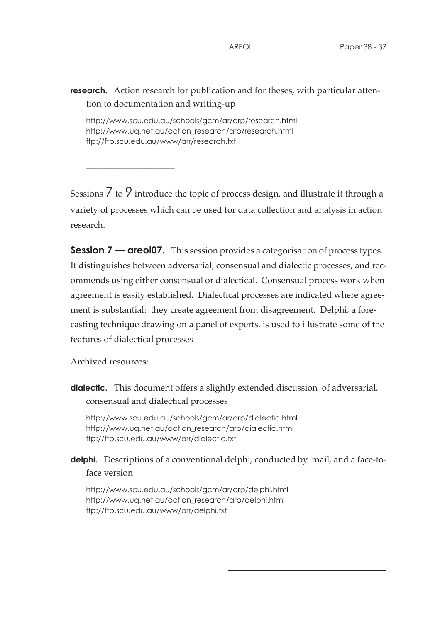## **research.** Action research for publication and for theses, with particular attention to documentation and writing-up

http://www.scu.edu.au/schools/gcm/ar/arp/research.html http://www.uq.net.au/action\_research/arp/research.html ftp://ftp.scu.edu.au/www/arr/research.txt

Sessions 7 to 9 introduce the topic of process design, and illustrate it through a variety of processes which can be used for data collection and analysis in action research.

**Session 7 — areol07.** This session provides a categorisation of process types. It distinguishes between adversarial, consensual and dialectic processes, and recommends using either consensual or dialectical. Consensual process work when agreement is easily established. Dialectical processes are indicated where agreement is substantial: they create agreement from disagreement. Delphi, a forecasting technique drawing on a panel of experts, is used to illustrate some of the features of dialectical processes

Archived resources:

\_\_\_\_\_\_\_\_\_\_\_\_\_\_\_\_\_\_\_\_

**dialectic.** This document offers a slightly extended discussion of adversarial, consensual and dialectical processes

http://www.scu.edu.au/schools/gcm/ar/arp/dialectic.html http://www.uq.net.au/action\_research/arp/dialectic.html ftp://ftp.scu.edu.au/www/arr/dialectic.txt

**delphi.** Descriptions of a conventional delphi, conducted by mail, and a face-toface version

http://www.scu.edu.au/schools/gcm/ar/arp/delphi.html http://www.uq.net.au/action\_research/arp/delphi.html ftp://ftp.scu.edu.au/www/arr/delphi.txt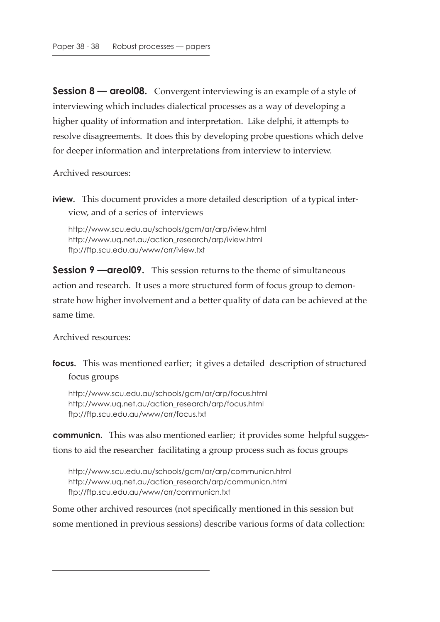**Session 8 — areol08.** Convergent interviewing is an example of a style of interviewing which includes dialectical processes as a way of developing a higher quality of information and interpretation. Like delphi, it attempts to resolve disagreements. It does this by developing probe questions which delve for deeper information and interpretations from interview to interview.

Archived resources:

**iview.** This document provides a more detailed description of a typical interview, and of a series of interviews

http://www.scu.edu.au/schools/gcm/ar/arp/iview.html http://www.uq.net.au/action\_research/arp/iview.html ftp://ftp.scu.edu.au/www/arr/iview.txt

**Session 9 —areol09.** This session returns to the theme of simultaneous action and research. It uses a more structured form of focus group to demonstrate how higher involvement and a better quality of data can be achieved at the same time.

Archived resources:

**focus.** This was mentioned earlier; it gives a detailed description of structured focus groups

http://www.scu.edu.au/schools/gcm/ar/arp/focus.html http://www.uq.net.au/action\_research/arp/focus.html ftp://ftp.scu.edu.au/www/arr/focus.txt

**communicn.** This was also mentioned earlier; it provides some helpful suggestions to aid the researcher facilitating a group process such as focus groups

http://www.scu.edu.au/schools/gcm/ar/arp/communicn.html http://www.uq.net.au/action\_research/arp/communicn.html ftp://ftp.scu.edu.au/www/arr/communicn.txt

Some other archived resources (not specifically mentioned in this session but some mentioned in previous sessions) describe various forms of data collection: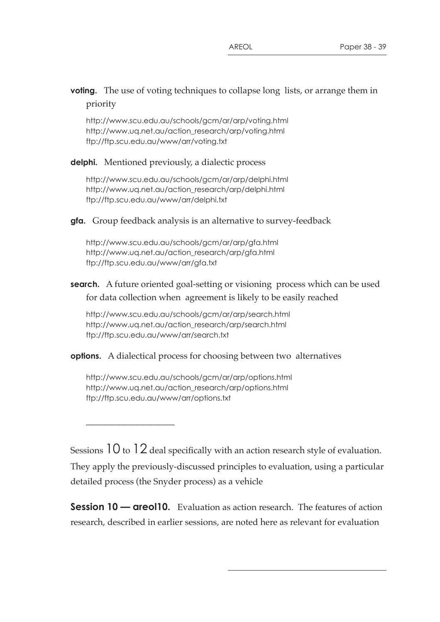## **voting.** The use of voting techniques to collapse long lists, or arrange them in priority

http://www.scu.edu.au/schools/gcm/ar/arp/voting.html http://www.uq.net.au/action\_research/arp/voting.html ftp://ftp.scu.edu.au/www/arr/voting.txt

#### **delphi.** Mentioned previously, a dialectic process

http://www.scu.edu.au/schools/gcm/ar/arp/delphi.html http://www.uq.net.au/action\_research/arp/delphi.html ftp://ftp.scu.edu.au/www/arr/delphi.txt

#### **gfa.** Group feedback analysis is an alternative to survey-feedback

http://www.scu.edu.au/schools/gcm/ar/arp/gfa.html http://www.uq.net.au/action\_research/arp/gfa.html ftp://ftp.scu.edu.au/www/arr/gfa.txt

## **search.** A future oriented goal-setting or visioning process which can be used for data collection when agreement is likely to be easily reached

http://www.scu.edu.au/schools/gcm/ar/arp/search.html http://www.uq.net.au/action\_research/arp/search.html ftp://ftp.scu.edu.au/www/arr/search.txt

#### **options.** A dialectical process for choosing between two alternatives

http://www.scu.edu.au/schools/gcm/ar/arp/options.html http://www.uq.net.au/action\_research/arp/options.html ftp://ftp.scu.edu.au/www/arr/options.txt

\_\_\_\_\_\_\_\_\_\_\_\_\_\_\_\_\_\_\_\_

Sessions  $10$  to  $12$  deal specifically with an action research style of evaluation. They apply the previously-discussed principles to evaluation, using a particular detailed process (the Snyder process) as a vehicle

**Session 10 — areol10.** Evaluation as action research. The features of action research, described in earlier sessions, are noted here as relevant for evaluation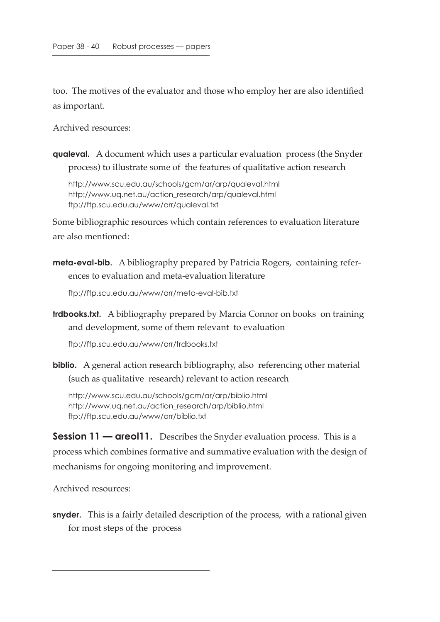too. The motives of the evaluator and those who employ her are also identified as important.

Archived resources:

**qualeval.** A document which uses a particular evaluation process (the Snyder process) to illustrate some of the features of qualitative action research

http://www.scu.edu.au/schools/gcm/ar/arp/qualeval.html http://www.uq.net.au/action\_research/arp/qualeval.html ftp://ftp.scu.edu.au/www/arr/qualeval.txt

Some bibliographic resources which contain references to evaluation literature are also mentioned:

**meta-eval-bib.** A bibliography prepared by Patricia Rogers, containing references to evaluation and meta-evaluation literature

ftp://ftp.scu.edu.au/www/arr/meta-eval-bib.txt

**trdbooks.txt.** A bibliography prepared by Marcia Connor on books on training and development, some of them relevant to evaluation

ftp://ftp.scu.edu.au/www/arr/trdbooks.txt

**biblio.** A general action research bibliography, also referencing other material (such as qualitative research) relevant to action research

http://www.scu.edu.au/schools/gcm/ar/arp/biblio.html http://www.uq.net.au/action\_research/arp/biblio.html ftp://ftp.scu.edu.au/www/arr/biblio.txt

**Session 11 — areol11.** Describes the Snyder evaluation process. This is a process which combines formative and summative evaluation with the design of mechanisms for ongoing monitoring and improvement.

Archived resources:

**snyder.** This is a fairly detailed description of the process, with a rational given for most steps of the process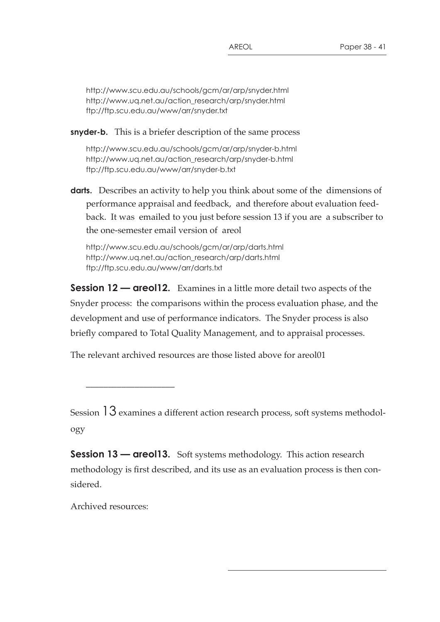http://www.scu.edu.au/schools/gcm/ar/arp/snyder.html http://www.uq.net.au/action\_research/arp/snyder.html ftp://ftp.scu.edu.au/www/arr/snyder.txt

**snyder-b.** This is a briefer description of the same process

http://www.scu.edu.au/schools/gcm/ar/arp/snyder-b.html http://www.uq.net.au/action\_research/arp/snyder-b.html ftp://ftp.scu.edu.au/www/arr/snyder-b.txt

**darts.** Describes an activity to help you think about some of the dimensions of performance appraisal and feedback, and therefore about evaluation feedback. It was emailed to you just before session 13 if you are a subscriber to the one-semester email version of areol

http://www.scu.edu.au/schools/gcm/ar/arp/darts.html http://www.uq.net.au/action\_research/arp/darts.html ftp://ftp.scu.edu.au/www/arr/darts.txt

**Session 12 — areol12.** Examines in a little more detail two aspects of the Snyder process: the comparisons within the process evaluation phase, and the development and use of performance indicators. The Snyder process is also briefly compared to Total Quality Management, and to appraisal processes.

The relevant archived resources are those listed above for areol01

Session 13 examines a different action research process, soft systems methodology

**Session 13 — areol13.** Soft systems methodology. This action research methodology is first described, and its use as an evaluation process is then considered.

Archived resources:

\_\_\_\_\_\_\_\_\_\_\_\_\_\_\_\_\_\_\_\_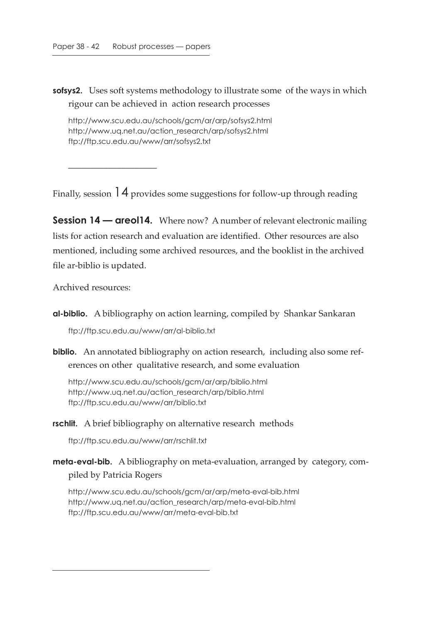\_\_\_\_\_\_\_\_\_\_\_\_\_\_\_\_\_\_\_\_

**sofsys2.** Uses soft systems methodology to illustrate some of the ways in which rigour can be achieved in action research processes

http://www.scu.edu.au/schools/gcm/ar/arp/sofsys2.html http://www.uq.net.au/action\_research/arp/sofsys2.html ftp://ftp.scu.edu.au/www/arr/sofsys2.txt

Finally, session  $14$  provides some suggestions for follow-up through reading

**Session 14 — areol14.** Where now? A number of relevant electronic mailing lists for action research and evaluation are identified. Other resources are also mentioned, including some archived resources, and the booklist in the archived file ar-biblio is updated.

Archived resources:

- **al-biblio.** A bibliography on action learning, compiled by Shankar Sankaran ftp://ftp.scu.edu.au/www/arr/al-biblio.txt
- **biblio.** An annotated bibliography on action research, including also some references on other qualitative research, and some evaluation

http://www.scu.edu.au/schools/gcm/ar/arp/biblio.html http://www.uq.net.au/action\_research/arp/biblio.html ftp://ftp.scu.edu.au/www/arr/biblio.txt

**rschlit.** A brief bibliography on alternative research methods

ftp://ftp.scu.edu.au/www/arr/rschlit.txt

**meta-eval-bib.** A bibliography on meta-evaluation, arranged by category, compiled by Patricia Rogers

http://www.scu.edu.au/schools/gcm/ar/arp/meta-eval-bib.html http://www.uq.net.au/action\_research/arp/meta-eval-bib.html ftp://ftp.scu.edu.au/www/arr/meta-eval-bib.txt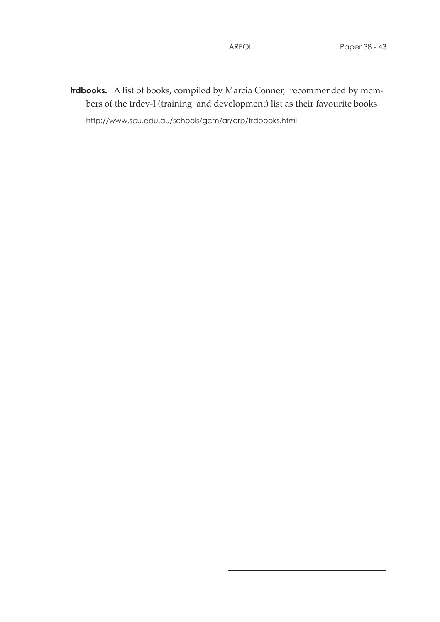**trdbooks.** A list of books, compiled by Marcia Conner, recommended by members of the trdev-l (training and development) list as their favourite books

http://www.scu.edu.au/schools/gcm/ar/arp/trdbooks.html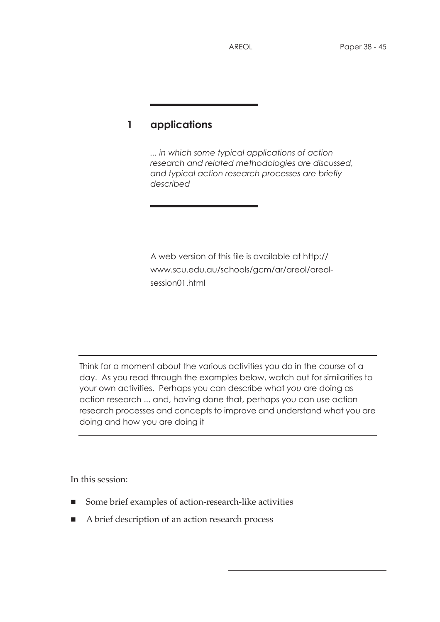# **1 applications**

*... in which some typical applications of action research and related methodologies are discussed, and typical action research processes are briefly described*

A web version of this file is available at http:// www.scu.edu.au/schools/gcm/ar/areol/areolsession01.html

Think for a moment about the various activities you do in the course of a day. As you read through the examples below, watch out for similarities to your own activities. Perhaps you can describe what *you* are doing as action research ... and, having done that, perhaps you can use action research processes and concepts to improve and understand what you are doing and how you are doing it

In this session:

- Some brief examples of action-research-like activities
- A brief description of an action research process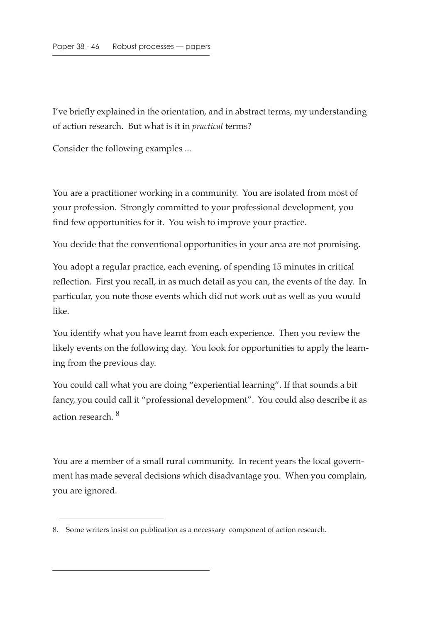I've briefly explained in the orientation, and in abstract terms, my understanding of action research. But what is it in *practical* terms?

Consider the following examples ...

You are a practitioner working in a community. You are isolated from most of your profession. Strongly committed to your professional development, you find few opportunities for it. You wish to improve your practice.

You decide that the conventional opportunities in your area are not promising.

You adopt a regular practice, each evening, of spending 15 minutes in critical reflection. First you recall, in as much detail as you can, the events of the day. In particular, you note those events which did not work out as well as you would like.

You identify what you have learnt from each experience. Then you review the likely events on the following day. You look for opportunities to apply the learning from the previous day.

You could call what you are doing "experiential learning". If that sounds a bit fancy, you could call it "professional development". You could also describe it as action research. 8

You are a member of a small rural community. In recent years the local government has made several decisions which disadvantage you. When you complain, you are ignored.

<sup>8.</sup> Some writers insist on publication as a necessary component of action research.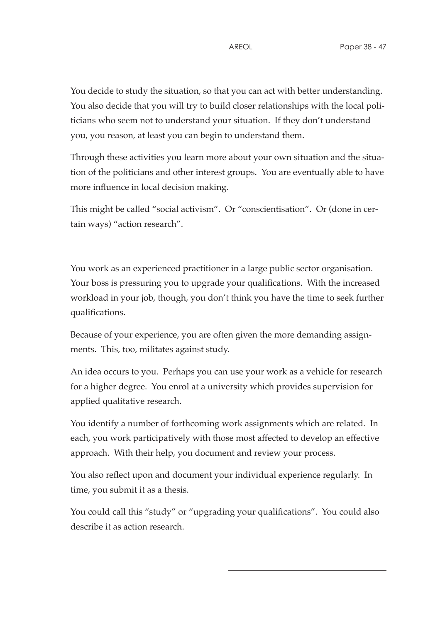You decide to study the situation, so that you can act with better understanding. You also decide that you will try to build closer relationships with the local politicians who seem not to understand your situation. If they don't understand you, you reason, at least you can begin to understand them.

Through these activities you learn more about your own situation and the situation of the politicians and other interest groups. You are eventually able to have more influence in local decision making.

This might be called "social activism". Or "conscientisation". Or (done in certain ways) "action research".

You work as an experienced practitioner in a large public sector organisation. Your boss is pressuring you to upgrade your qualifications. With the increased workload in your job, though, you don't think you have the time to seek further qualifications.

Because of your experience, you are often given the more demanding assignments. This, too, militates against study.

An idea occurs to you. Perhaps you can use your work as a vehicle for research for a higher degree. You enrol at a university which provides supervision for applied qualitative research.

You identify a number of forthcoming work assignments which are related. In each, you work participatively with those most affected to develop an effective approach. With their help, you document and review your process.

You also reflect upon and document your individual experience regularly. In time, you submit it as a thesis.

You could call this "study" or "upgrading your qualifications". You could also describe it as action research.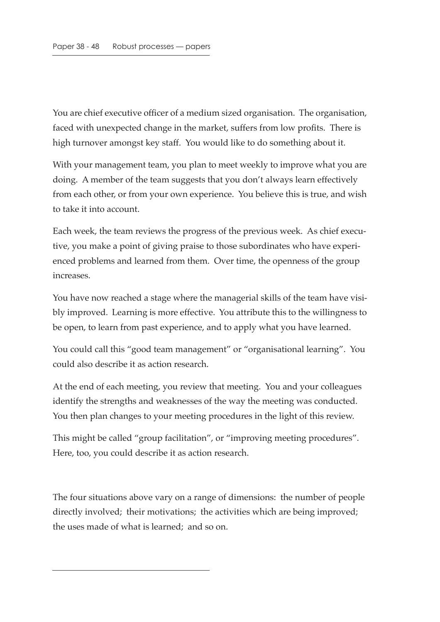You are chief executive officer of a medium sized organisation. The organisation, faced with unexpected change in the market, suffers from low profits. There is high turnover amongst key staff. You would like to do something about it.

With your management team, you plan to meet weekly to improve what you are doing. A member of the team suggests that you don't always learn effectively from each other, or from your own experience. You believe this is true, and wish to take it into account.

Each week, the team reviews the progress of the previous week. As chief executive, you make a point of giving praise to those subordinates who have experienced problems and learned from them. Over time, the openness of the group increases.

You have now reached a stage where the managerial skills of the team have visibly improved. Learning is more effective. You attribute this to the willingness to be open, to learn from past experience, and to apply what you have learned.

You could call this "good team management" or "organisational learning". You could also describe it as action research.

At the end of each meeting, you review that meeting. You and your colleagues identify the strengths and weaknesses of the way the meeting was conducted. You then plan changes to your meeting procedures in the light of this review.

This might be called "group facilitation", or "improving meeting procedures". Here, too, you could describe it as action research.

The four situations above vary on a range of dimensions: the number of people directly involved; their motivations; the activities which are being improved; the uses made of what is learned; and so on.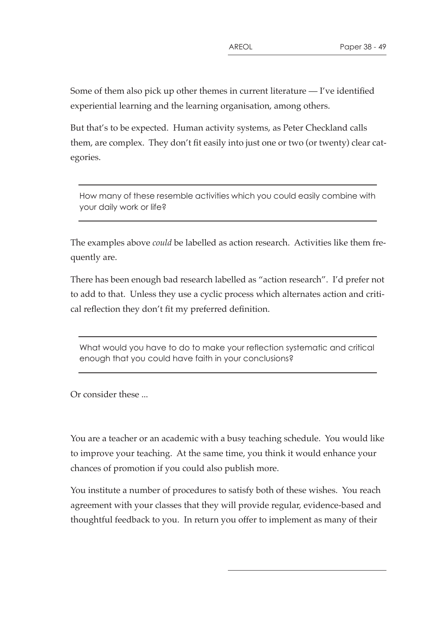Some of them also pick up other themes in current literature — I've identified experiential learning and the learning organisation, among others.

But that's to be expected. Human activity systems, as Peter Checkland calls them, are complex. They don't fit easily into just one or two (or twenty) clear categories.

How many of these resemble activities which you could easily combine with your daily work or life?

The examples above *could* be labelled as action research. Activities like them frequently are.

There has been enough bad research labelled as "action research". I'd prefer not to add to that. Unless they use a cyclic process which alternates action and critical reflection they don't fit my preferred definition.

What would you have to do to make your reflection systematic and critical enough that you could have faith in your conclusions?

Or consider these

You are a teacher or an academic with a busy teaching schedule. You would like to improve your teaching. At the same time, you think it would enhance your chances of promotion if you could also publish more.

You institute a number of procedures to satisfy both of these wishes. You reach agreement with your classes that they will provide regular, evidence-based and thoughtful feedback to you. In return you offer to implement as many of their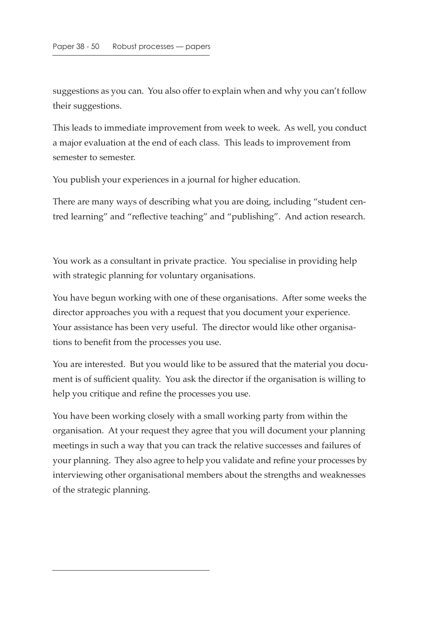suggestions as you can. You also offer to explain when and why you can't follow their suggestions.

This leads to immediate improvement from week to week. As well, you conduct a major evaluation at the end of each class. This leads to improvement from semester to semester.

You publish your experiences in a journal for higher education.

There are many ways of describing what you are doing, including "student centred learning" and "reflective teaching" and "publishing". And action research.

You work as a consultant in private practice. You specialise in providing help with strategic planning for voluntary organisations.

You have begun working with one of these organisations. After some weeks the director approaches you with a request that you document your experience. Your assistance has been very useful. The director would like other organisations to benefit from the processes you use.

You are interested. But you would like to be assured that the material you document is of sufficient quality. You ask the director if the organisation is willing to help you critique and refine the processes you use.

You have been working closely with a small working party from within the organisation. At your request they agree that you will document your planning meetings in such a way that you can track the relative successes and failures of your planning. They also agree to help you validate and refine your processes by interviewing other organisational members about the strengths and weaknesses of the strategic planning.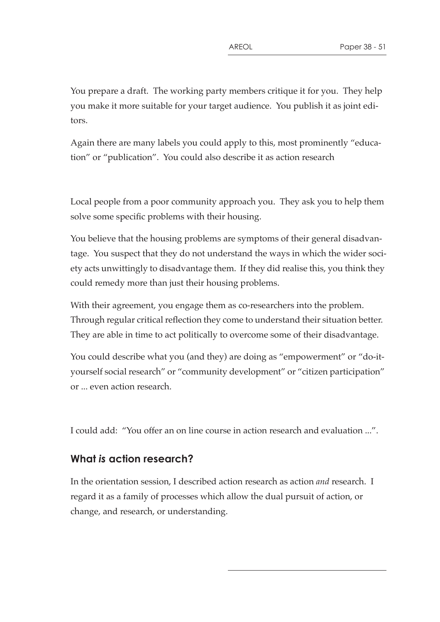You prepare a draft. The working party members critique it for you. They help you make it more suitable for your target audience. You publish it as joint editors.

Again there are many labels you could apply to this, most prominently "education" or "publication". You could also describe it as action research

Local people from a poor community approach you. They ask you to help them solve some specific problems with their housing.

You believe that the housing problems are symptoms of their general disadvantage. You suspect that they do not understand the ways in which the wider society acts unwittingly to disadvantage them. If they did realise this, you think they could remedy more than just their housing problems.

With their agreement, you engage them as co-researchers into the problem. Through regular critical reflection they come to understand their situation better. They are able in time to act politically to overcome some of their disadvantage.

You could describe what you (and they) are doing as "empowerment" or "do-ityourself social research" or "community development" or "citizen participation" or ... even action research.

I could add: "You offer an on line course in action research and evaluation ...".

# **What** *is* **action research?**

In the orientation session, I described action research as action *and* research. I regard it as a family of processes which allow the dual pursuit of action, or change, and research, or understanding.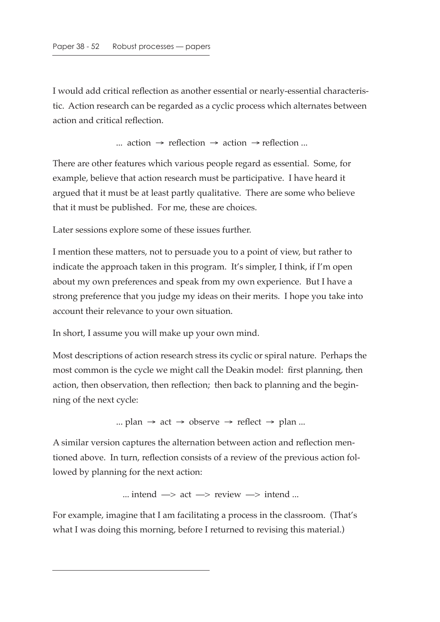I would add critical reflection as another essential or nearly-essential characteristic. Action research can be regarded as a cyclic process which alternates between action and critical reflection.

... action  $\rightarrow$  reflection  $\rightarrow$  action  $\rightarrow$  reflection ...

There are other features which various people regard as essential. Some, for example, believe that action research must be participative. I have heard it argued that it must be at least partly qualitative. There are some who believe that it must be published. For me, these are choices.

Later sessions explore some of these issues further.

I mention these matters, not to persuade you to a point of view, but rather to indicate the approach taken in this program. It's simpler, I think, if I'm open about my own preferences and speak from my own experience. But I have a strong preference that you judge my ideas on their merits. I hope you take into account their relevance to your own situation.

In short, I assume you will make up your own mind.

Most descriptions of action research stress its cyclic or spiral nature. Perhaps the most common is the cycle we might call the Deakin model: first planning, then action, then observation, then reflection; then back to planning and the beginning of the next cycle:

... plan  $\rightarrow$  act  $\rightarrow$  observe  $\rightarrow$  reflect  $\rightarrow$  plan ...

A similar version captures the alternation between action and reflection mentioned above. In turn, reflection consists of a review of the previous action followed by planning for the next action:

```
... intend \rightarrow act \rightarrow review \rightarrow intend ...
```
For example, imagine that I am facilitating a process in the classroom. (That's what I was doing this morning, before I returned to revising this material.)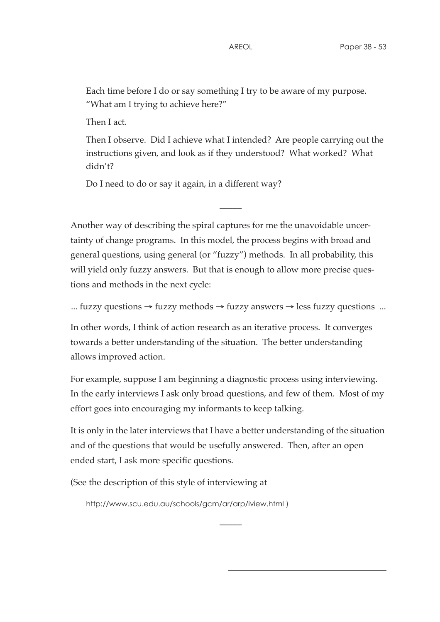Each time before I do or say something I try to be aware of my purpose. "What am I trying to achieve here?"

Then I act.

Then I observe. Did I achieve what I intended? Are people carrying out the instructions given, and look as if they understood? What worked? What didn't?

Do I need to do or say it again, in a different way?

Another way of describing the spiral captures for me the unavoidable uncertainty of change programs. In this model, the process begins with broad and general questions, using general (or "fuzzy") methods. In all probability, this will yield only fuzzy answers. But that is enough to allow more precise questions and methods in the next cycle:

 $\overline{\phantom{a}}$ 

... fuzzy questions  $\rightarrow$  fuzzy methods  $\rightarrow$  fuzzy answers  $\rightarrow$  less fuzzy questions ...

In other words, I think of action research as an iterative process. It converges towards a better understanding of the situation. The better understanding allows improved action.

For example, suppose I am beginning a diagnostic process using interviewing. In the early interviews I ask only broad questions, and few of them. Most of my effort goes into encouraging my informants to keep talking.

It is only in the later interviews that I have a better understanding of the situation and of the questions that would be usefully answered. Then, after an open ended start, I ask more specific questions.

 $\overline{\phantom{a}}$ 

(See the description of this style of interviewing at

http://www.scu.edu.au/schools/gcm/ar/arp/iview.html )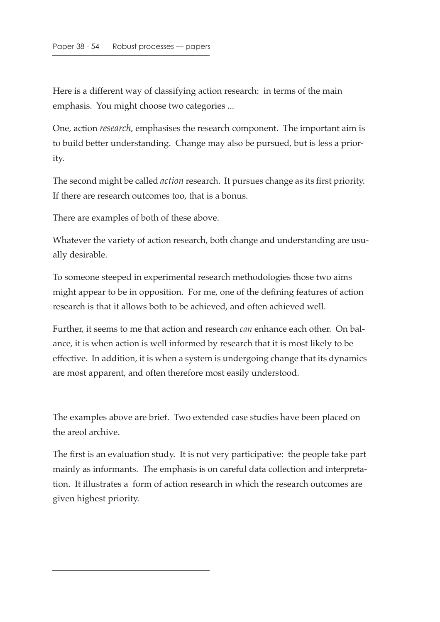Here is a different way of classifying action research: in terms of the main emphasis. You might choose two categories ...

One, action *research*, emphasises the research component. The important aim is to build better understanding. Change may also be pursued, but is less a priority.

The second might be called *action* research. It pursues change as its first priority. If there are research outcomes too, that is a bonus.

There are examples of both of these above.

Whatever the variety of action research, both change and understanding are usually desirable.

To someone steeped in experimental research methodologies those two aims might appear to be in opposition. For me, one of the defining features of action research is that it allows both to be achieved, and often achieved well.

Further, it seems to me that action and research *can* enhance each other. On balance, it is when action is well informed by research that it is most likely to be effective. In addition, it is when a system is undergoing change that its dynamics are most apparent, and often therefore most easily understood.

The examples above are brief. Two extended case studies have been placed on the areol archive.

The first is an evaluation study. It is not very participative: the people take part mainly as informants. The emphasis is on careful data collection and interpretation. It illustrates a form of action research in which the research outcomes are given highest priority.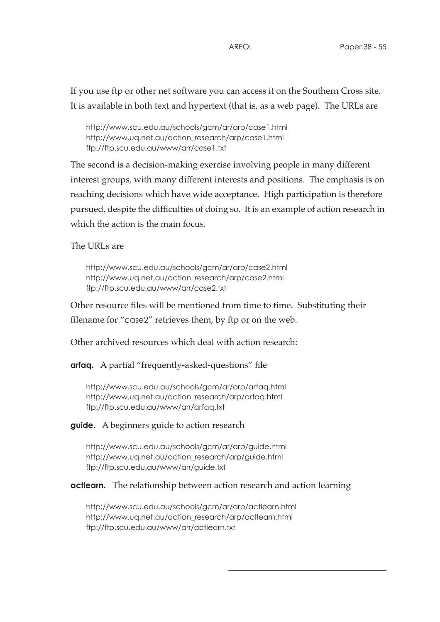If you use ftp or other net software you can access it on the Southern Cross site. It is available in both text and hypertext (that is, as a web page). The URLs are

http://www.scu.edu.au/schools/gcm/ar/arp/case1.html http://www.uq.net.au/action\_research/arp/case1.html ftp://ftp.scu.edu.au/www/arr/case1.txt

The second is a decision-making exercise involving people in many different interest groups, with many different interests and positions. The emphasis is on reaching decisions which have wide acceptance. High participation is therefore pursued, despite the difficulties of doing so. It is an example of action research in which the action is the main focus.

The URLs are

http://www.scu.edu.au/schools/gcm/ar/arp/case2.html http://www.uq.net.au/action\_research/arp/case2.html ftp://ftp.scu.edu.au/www/arr/case2.txt

Other resource files will be mentioned from time to time. Substituting their filename for "case2" retrieves them, by ftp or on the web.

Other archived resources which deal with action research:

**arfaq.** A partial "frequently-asked-questions" file

http://www.scu.edu.au/schools/gcm/ar/arp/arfaq.html http://www.uq.net.au/action\_research/arp/arfaq.html ftp://ftp.scu.edu.au/www/arr/arfaq.txt

**guide.** A beginners guide to action research

http://www.scu.edu.au/schools/gcm/ar/arp/guide.html http://www.uq.net.au/action\_research/arp/guide.html ftp://ftp.scu.edu.au/www/arr/guide.txt

**actlearn.** The relationship between action research and action learning

http://www.scu.edu.au/schools/gcm/ar/arp/actlearn.html http://www.uq.net.au/action\_research/arp/actlearn.html ftp://ftp.scu.edu.au/www/arr/actlearn.txt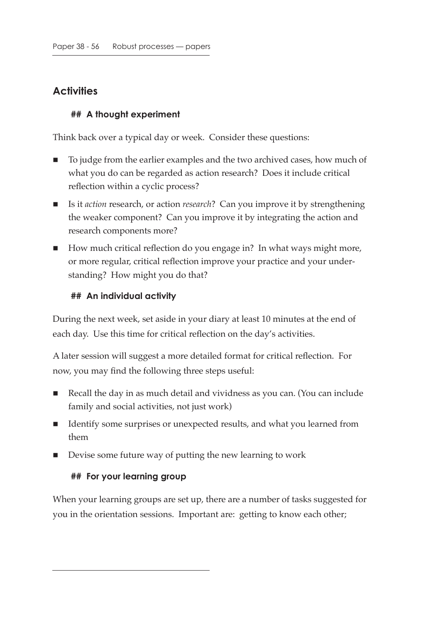# **Activities**

### **## A thought experiment**

Think back over a typical day or week. Consider these questions:

- To judge from the earlier examples and the two archived cases, how much of what you do can be regarded as action research? Does it include critical reflection within a cyclic process?
- Is it *action* research, or action *research*? Can you improve it by strengthening the weaker component? Can you improve it by integrating the action and research components more?
- How much critical reflection do you engage in? In what ways might more, or more regular, critical reflection improve your practice and your understanding? How might you do that?

### **## An individual activity**

During the next week, set aside in your diary at least 10 minutes at the end of each day. Use this time for critical reflection on the day's activities.

A later session will suggest a more detailed format for critical reflection. For now, you may find the following three steps useful:

- Recall the day in as much detail and vividness as you can. (You can include family and social activities, not just work)
- Identify some surprises or unexpected results, and what you learned from them
- Devise some future way of putting the new learning to work

#### **## For your learning group**

When your learning groups are set up, there are a number of tasks suggested for you in the orientation sessions. Important are: getting to know each other;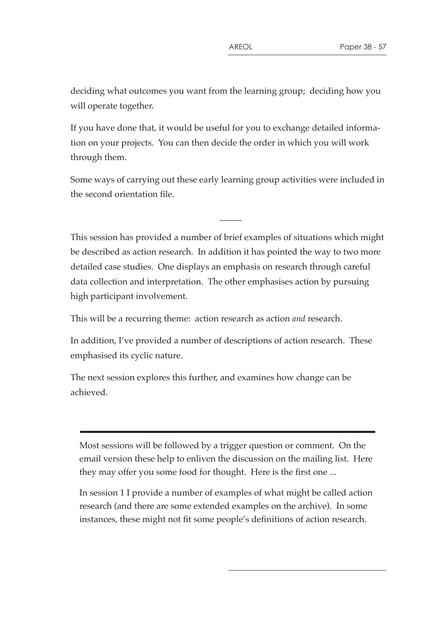deciding what outcomes you want from the learning group; deciding how you will operate together.

If you have done that, it would be useful for you to exchange detailed information on your projects. You can then decide the order in which you will work through them.

Some ways of carrying out these early learning group activities were included in the second orientation file.

 $\overline{\phantom{a}}$ 

This session has provided a number of brief examples of situations which might be described as action research. In addition it has pointed the way to two more detailed case studies. One displays an emphasis on research through careful data collection and interpretation. The other emphasises action by pursuing high participant involvement.

This will be a recurring theme: action research as action *and* research.

In addition, I've provided a number of descriptions of action research. These emphasised its cyclic nature.

The next session explores this further, and examines how change can be achieved.

Most sessions will be followed by a trigger question or comment. On the email version these help to enliven the discussion on the mailing list. Here they may offer you some food for thought. Here is the first one ...

In session 1 I provide a number of examples of what might be called action research (and there are some extended examples on the archive). In some instances, these might not fit some people's definitions of action research.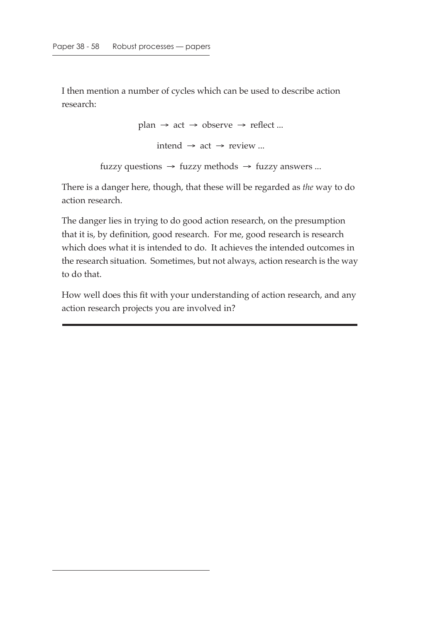I then mention a number of cycles which can be used to describe action research:

> $plan \rightarrow act \rightarrow observe \rightarrow reflect ...$ intend  $\rightarrow$  act  $\rightarrow$  review ... fuzzy questions  $\rightarrow$  fuzzy methods  $\rightarrow$  fuzzy answers ...

There is a danger here, though, that these will be regarded as *the* way to do action research.

The danger lies in trying to do good action research, on the presumption that it is, by definition, good research. For me, good research is research which does what it is intended to do. It achieves the intended outcomes in the research situation. Sometimes, but not always, action research is the way to do that.

How well does this fit with your understanding of action research, and any action research projects you are involved in?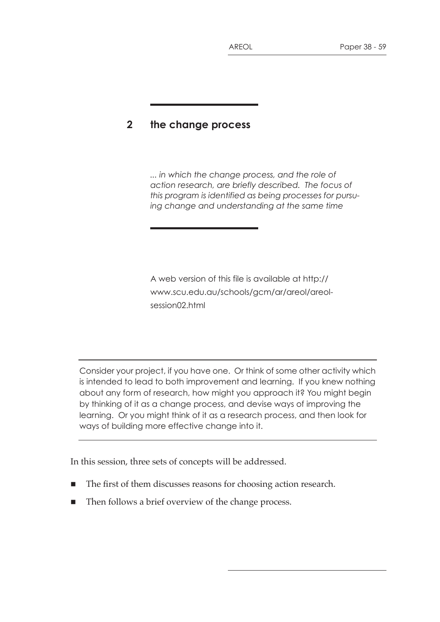# **2 the change process**

*... in which the change process, and the role of action research, are briefly described. The focus of this program is identified as being processes for pursuing change and understanding at the same time*

A web version of this file is available at http:// www.scu.edu.au/schools/gcm/ar/areol/areolsession02.html

Consider your project, if you have one. Or think of some other activity which is intended to lead to both improvement and learning. If you knew nothing about any form of research, how might you approach it? You might begin by thinking of it as a change process, and devise ways of improving the learning. Or you might think of it as a research process, and then look for ways of building more effective change into it.

In this session, three sets of concepts will be addressed.

- The first of them discusses reasons for choosing action research.
- Then follows a brief overview of the change process.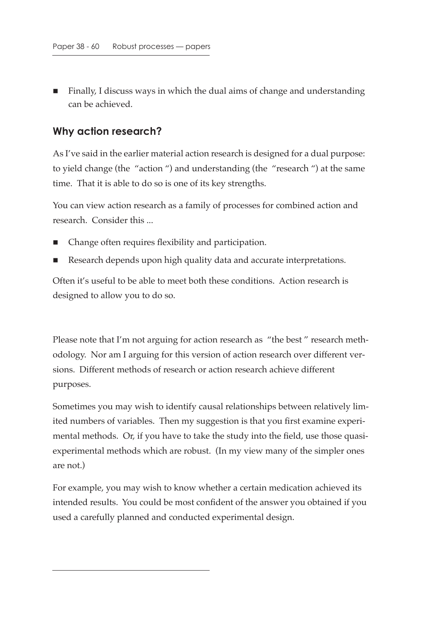Finally, I discuss ways in which the dual aims of change and understanding can be achieved.

# **Why action research?**

As I've said in the earlier material action research is designed for a dual purpose: to yield change (the "action ") and understanding (the "research ") at the same time. That it is able to do so is one of its key strengths.

You can view action research as a family of processes for combined action and research. Consider this ...

- Change often requires flexibility and participation.
- Research depends upon high quality data and accurate interpretations.

Often it's useful to be able to meet both these conditions. Action research is designed to allow you to do so.

Please note that I'm not arguing for action research as "the best " research methodology. Nor am I arguing for this version of action research over different versions. Different methods of research or action research achieve different purposes.

Sometimes you may wish to identify causal relationships between relatively limited numbers of variables. Then my suggestion is that you first examine experimental methods. Or, if you have to take the study into the field, use those quasiexperimental methods which are robust. (In my view many of the simpler ones are not.)

For example, you may wish to know whether a certain medication achieved its intended results. You could be most confident of the answer you obtained if you used a carefully planned and conducted experimental design.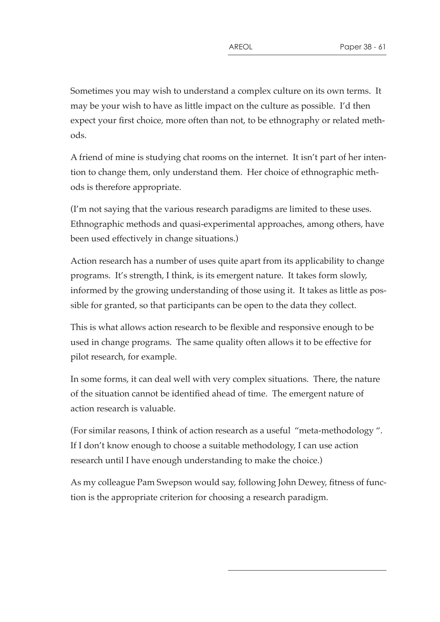Sometimes you may wish to understand a complex culture on its own terms. It may be your wish to have as little impact on the culture as possible. I'd then expect your first choice, more often than not, to be ethnography or related methods.

A friend of mine is studying chat rooms on the internet. It isn't part of her intention to change them, only understand them. Her choice of ethnographic methods is therefore appropriate.

(I'm not saying that the various research paradigms are limited to these uses. Ethnographic methods and quasi-experimental approaches, among others, have been used effectively in change situations.)

Action research has a number of uses quite apart from its applicability to change programs. It's strength, I think, is its emergent nature. It takes form slowly, informed by the growing understanding of those using it. It takes as little as possible for granted, so that participants can be open to the data they collect.

This is what allows action research to be flexible and responsive enough to be used in change programs. The same quality often allows it to be effective for pilot research, for example.

In some forms, it can deal well with very complex situations. There, the nature of the situation cannot be identified ahead of time. The emergent nature of action research is valuable.

(For similar reasons, I think of action research as a useful "meta-methodology ". If I don't know enough to choose a suitable methodology, I can use action research until I have enough understanding to make the choice.)

As my colleague Pam Swepson would say, following John Dewey, fitness of function is the appropriate criterion for choosing a research paradigm.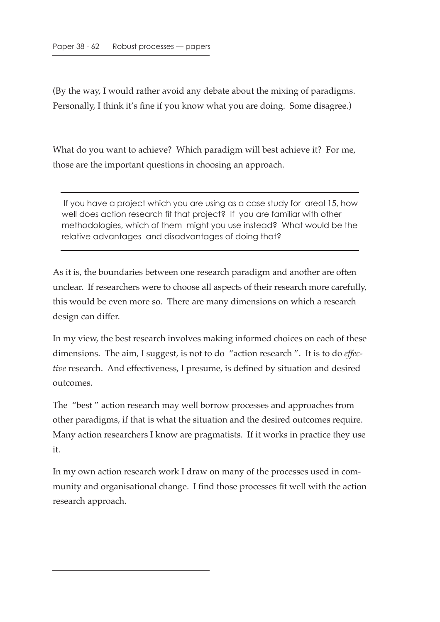(By the way, I would rather avoid any debate about the mixing of paradigms. Personally, I think it's fine if you know what you are doing. Some disagree.)

What do you want to achieve? Which paradigm will best achieve it? For me, those are the important questions in choosing an approach.

 If you have a project which you are using as a case study for areol 15, how well does action research fit that project? If you are familiar with other methodologies, which of them might you use instead? What would be the relative advantages and disadvantages of doing that?

As it is, the boundaries between one research paradigm and another are often unclear. If researchers were to choose all aspects of their research more carefully, this would be even more so. There are many dimensions on which a research design can differ.

In my view, the best research involves making informed choices on each of these dimensions. The aim, I suggest, is not to do "action research ". It is to do *effective* research. And effectiveness, I presume, is defined by situation and desired outcomes.

The "best " action research may well borrow processes and approaches from other paradigms, if that is what the situation and the desired outcomes require. Many action researchers I know are pragmatists. If it works in practice they use it.

In my own action research work I draw on many of the processes used in community and organisational change. I find those processes fit well with the action research approach.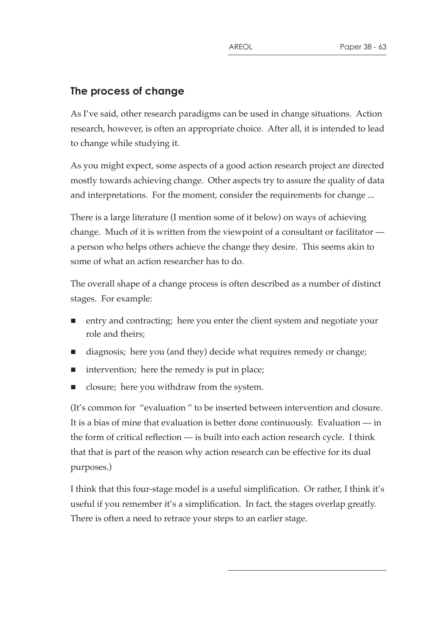# **The process of change**

As I've said, other research paradigms can be used in change situations. Action research, however, is often an appropriate choice. After all, it is intended to lead to change while studying it.

As you might expect, some aspects of a good action research project are directed mostly towards achieving change. Other aspects try to assure the quality of data and interpretations. For the moment, consider the requirements for change ...

There is a large literature (I mention some of it below) on ways of achieving change. Much of it is written from the viewpoint of a consultant or facilitator a person who helps others achieve the change they desire. This seems akin to some of what an action researcher has to do.

The overall shape of a change process is often described as a number of distinct stages. For example:

- entry and contracting; here you enter the client system and negotiate your role and theirs;
- diagnosis; here you (and they) decide what requires remedy or change;
- $\blacksquare$  intervention; here the remedy is put in place;
- closure; here you withdraw from the system.

(It's common for "evaluation " to be inserted between intervention and closure. It is a bias of mine that evaluation is better done continuously. Evaluation — in the form of critical reflection — is built into each action research cycle. I think that that is part of the reason why action research can be effective for its dual purposes.)

I think that this four-stage model is a useful simplification. Or rather, I think it's useful if you remember it's a simplification. In fact, the stages overlap greatly. There is often a need to retrace your steps to an earlier stage.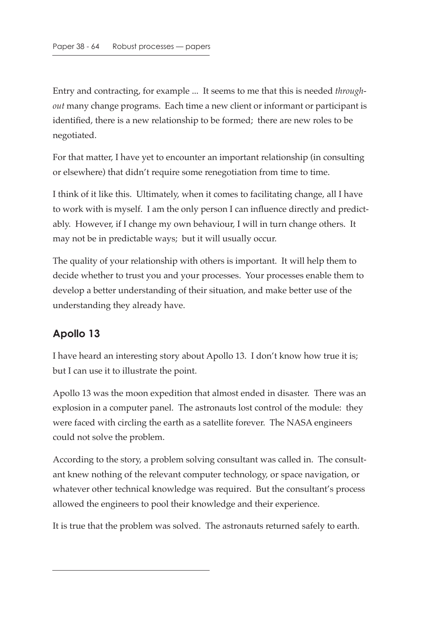Entry and contracting, for example ... It seems to me that this is needed *throughout* many change programs. Each time a new client or informant or participant is identified, there is a new relationship to be formed; there are new roles to be negotiated.

For that matter, I have yet to encounter an important relationship (in consulting or elsewhere) that didn't require some renegotiation from time to time.

I think of it like this. Ultimately, when it comes to facilitating change, all I have to work with is myself. I am the only person I can influence directly and predictably. However, if I change my own behaviour, I will in turn change others. It may not be in predictable ways; but it will usually occur.

The quality of your relationship with others is important. It will help them to decide whether to trust you and your processes. Your processes enable them to develop a better understanding of their situation, and make better use of the understanding they already have.

# **Apollo 13**

I have heard an interesting story about Apollo 13. I don't know how true it is; but I can use it to illustrate the point.

Apollo 13 was the moon expedition that almost ended in disaster. There was an explosion in a computer panel. The astronauts lost control of the module: they were faced with circling the earth as a satellite forever. The NASA engineers could not solve the problem.

According to the story, a problem solving consultant was called in. The consultant knew nothing of the relevant computer technology, or space navigation, or whatever other technical knowledge was required. But the consultant's process allowed the engineers to pool their knowledge and their experience.

It is true that the problem was solved. The astronauts returned safely to earth.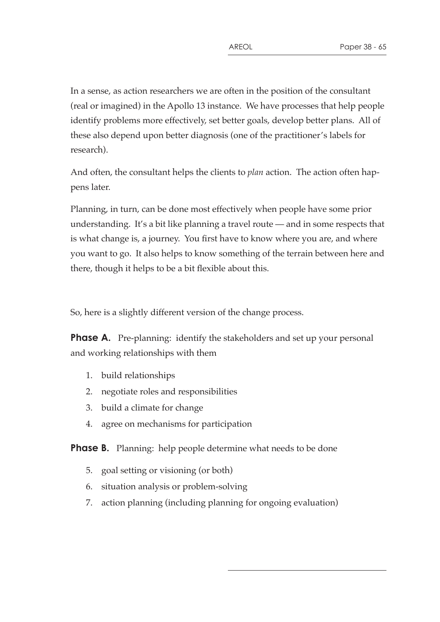In a sense, as action researchers we are often in the position of the consultant (real or imagined) in the Apollo 13 instance. We have processes that help people identify problems more effectively, set better goals, develop better plans. All of these also depend upon better diagnosis (one of the practitioner's labels for research).

And often, the consultant helps the clients to *plan* action. The action often happens later.

Planning, in turn, can be done most effectively when people have some prior understanding. It's a bit like planning a travel route — and in some respects that is what change is, a journey. You first have to know where you are, and where you want to go. It also helps to know something of the terrain between here and there, though it helps to be a bit flexible about this.

So, here is a slightly different version of the change process.

**Phase A.** Pre-planning: identify the stakeholders and set up your personal and working relationships with them

- 1. build relationships
- 2. negotiate roles and responsibilities
- 3. build a climate for change
- 4. agree on mechanisms for participation

**Phase B.** Planning: help people determine what needs to be done

- 5. goal setting or visioning (or both)
- 6. situation analysis or problem-solving
- 7. action planning (including planning for ongoing evaluation)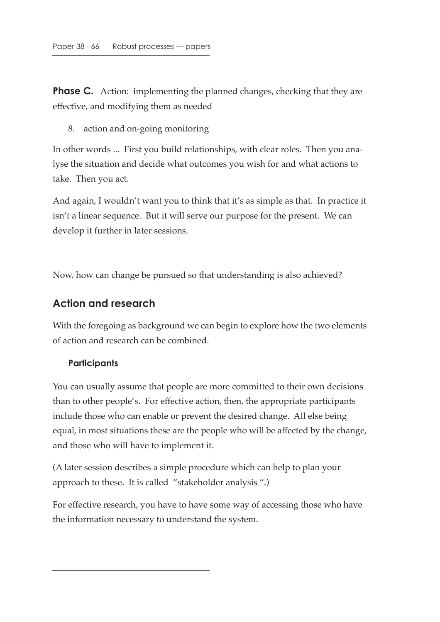**Phase C.** Action: implementing the planned changes, checking that they are effective, and modifying them as needed

8. action and on-going monitoring

In other words ... First you build relationships, with clear roles. Then you analyse the situation and decide what outcomes you wish for and what actions to take. Then you act.

And again, I wouldn't want you to think that it's as simple as that. In practice it isn't a linear sequence. But it will serve our purpose for the present. We can develop it further in later sessions.

Now, how can change be pursued so that understanding is also achieved?

# **Action and research**

With the foregoing as background we can begin to explore how the two elements of action and research can be combined.

#### **Participants**

You can usually assume that people are more committed to their own decisions than to other people's. For effective action, then, the appropriate participants include those who can enable or prevent the desired change. All else being equal, in most situations these are the people who will be affected by the change, and those who will have to implement it.

(A later session describes a simple procedure which can help to plan your approach to these. It is called "stakeholder analysis ".)

For effective research, you have to have some way of accessing those who have the information necessary to understand the system.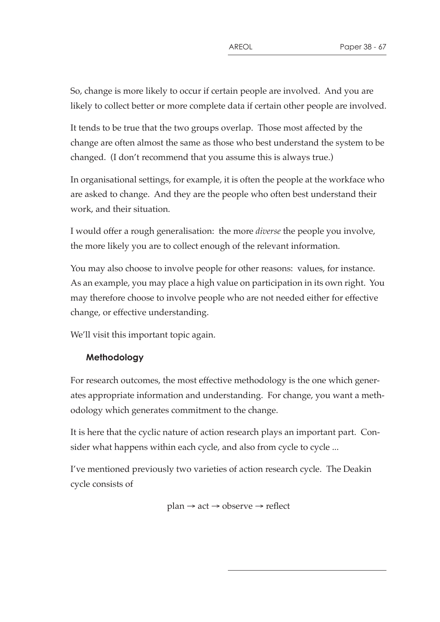So, change is more likely to occur if certain people are involved. And you are likely to collect better or more complete data if certain other people are involved.

It tends to be true that the two groups overlap. Those most affected by the change are often almost the same as those who best understand the system to be changed. (I don't recommend that you assume this is always true.)

In organisational settings, for example, it is often the people at the workface who are asked to change. And they are the people who often best understand their work, and their situation.

I would offer a rough generalisation: the more *diverse* the people you involve, the more likely you are to collect enough of the relevant information.

You may also choose to involve people for other reasons: values, for instance. As an example, you may place a high value on participation in its own right. You may therefore choose to involve people who are not needed either for effective change, or effective understanding.

We'll visit this important topic again.

## **Methodology**

For research outcomes, the most effective methodology is the one which generates appropriate information and understanding. For change, you want a methodology which generates commitment to the change.

It is here that the cyclic nature of action research plays an important part. Consider what happens within each cycle, and also from cycle to cycle ...

I've mentioned previously two varieties of action research cycle. The Deakin cycle consists of

 $plan \rightarrow act \rightarrow observe \rightarrow reflect$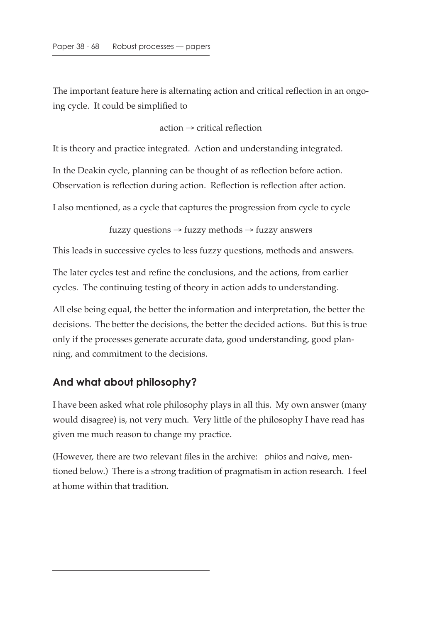The important feature here is alternating action and critical reflection in an ongoing cycle. It could be simplified to

 $action \rightarrow critical reflection$ 

It is theory and practice integrated. Action and understanding integrated.

In the Deakin cycle, planning can be thought of as reflection before action. Observation is reflection during action. Reflection is reflection after action.

I also mentioned, as a cycle that captures the progression from cycle to cycle

fuzzy questions  $\rightarrow$  fuzzy methods  $\rightarrow$  fuzzy answers

This leads in successive cycles to less fuzzy questions, methods and answers.

The later cycles test and refine the conclusions, and the actions, from earlier cycles. The continuing testing of theory in action adds to understanding.

All else being equal, the better the information and interpretation, the better the decisions. The better the decisions, the better the decided actions. But this is true only if the processes generate accurate data, good understanding, good planning, and commitment to the decisions.

# **And what about philosophy?**

I have been asked what role philosophy plays in all this. My own answer (many would disagree) is, not very much. Very little of the philosophy I have read has given me much reason to change my practice.

(However, there are two relevant files in the archive: philos and naive, mentioned below.) There is a strong tradition of pragmatism in action research. I feel at home within that tradition.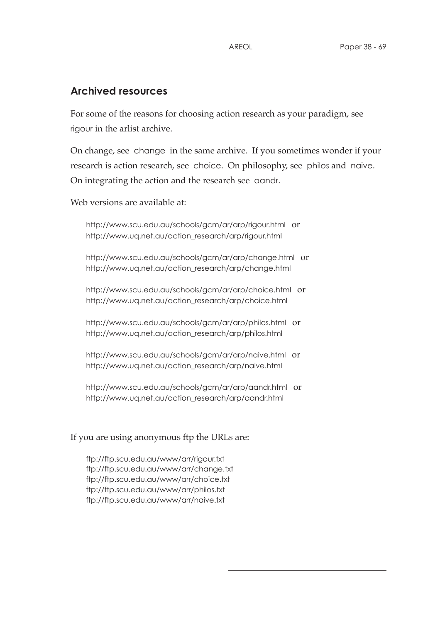# **Archived resources**

For some of the reasons for choosing action research as your paradigm, see rigour in the arlist archive.

On change, see change in the same archive. If you sometimes wonder if your research is action research, see choice. On philosophy, see philos and naive. On integrating the action and the research see aandr.

Web versions are available at:

http://www.scu.edu.au/schools/gcm/ar/arp/rigour.html or http://www.uq.net.au/action\_research/arp/rigour.html

http://www.scu.edu.au/schools/gcm/ar/arp/change.html or http://www.uq.net.au/action\_research/arp/change.html

http://www.scu.edu.au/schools/gcm/ar/arp/choice.html or http://www.uq.net.au/action\_research/arp/choice.html

http://www.scu.edu.au/schools/gcm/ar/arp/philos.html or http://www.uq.net.au/action\_research/arp/philos.html

http://www.scu.edu.au/schools/gcm/ar/arp/naive.html or http://www.uq.net.au/action\_research/arp/naive.html

http://www.scu.edu.au/schools/gcm/ar/arp/aandr.html or http://www.uq.net.au/action\_research/arp/aandr.html

#### If you are using anonymous ftp the URLs are:

ftp://ftp.scu.edu.au/www/arr/rigour.txt ftp://ftp.scu.edu.au/www/arr/change.txt ftp://ftp.scu.edu.au/www/arr/choice.txt ftp://ftp.scu.edu.au/www/arr/philos.txt ftp://ftp.scu.edu.au/www/arr/naive.txt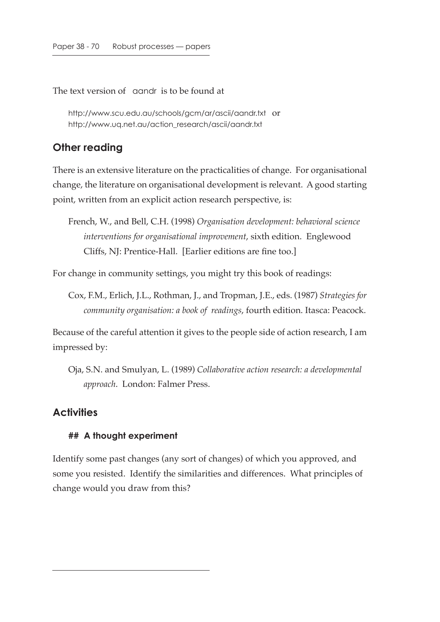The text version of aandr is to be found at

http://www.scu.edu.au/schools/gcm/ar/ascii/aandr.txt or http://www.uq.net.au/action\_research/ascii/aandr.txt

### **Other reading**

There is an extensive literature on the practicalities of change. For organisational change, the literature on organisational development is relevant. A good starting point, written from an explicit action research perspective, is:

French, W., and Bell, C.H. (1998) *Organisation development: behavioral science interventions for organisational improvement*, sixth edition. Englewood Cliffs, NJ: Prentice-Hall. [Earlier editions are fine too.]

For change in community settings, you might try this book of readings:

Cox, F.M., Erlich, J.L., Rothman, J., and Tropman, J.E., eds. (1987) *Strategies for community organisation: a book of readings*, fourth edition. Itasca: Peacock.

Because of the careful attention it gives to the people side of action research, I am impressed by:

Oja, S.N. and Smulyan, L. (1989) *Collaborative action research: a developmental approach*. London: Falmer Press.

### **Activities**

#### **## A thought experiment**

Identify some past changes (any sort of changes) of which you approved, and some you resisted. Identify the similarities and differences. What principles of change would you draw from this?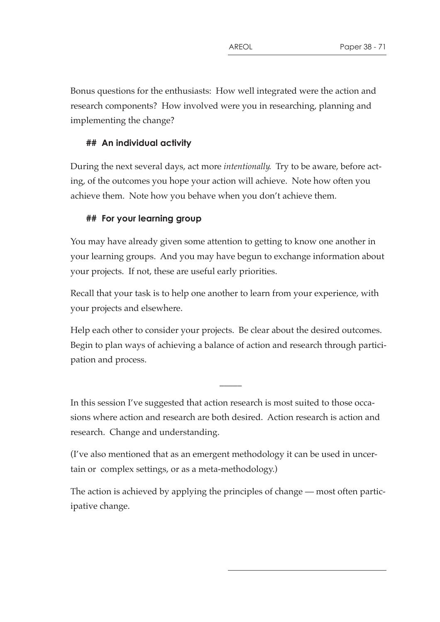Bonus questions for the enthusiasts: How well integrated were the action and research components? How involved were you in researching, planning and implementing the change?

### **## An individual activity**

During the next several days, act more *intentionally*. Try to be aware, before acting, of the outcomes you hope your action will achieve. Note how often you achieve them. Note how you behave when you don't achieve them.

## **## For your learning group**

You may have already given some attention to getting to know one another in your learning groups. And you may have begun to exchange information about your projects. If not, these are useful early priorities.

Recall that your task is to help one another to learn from your experience, with your projects and elsewhere.

Help each other to consider your projects. Be clear about the desired outcomes. Begin to plan ways of achieving a balance of action and research through participation and process.

 $\overline{\phantom{a}}$ 

In this session I've suggested that action research is most suited to those occasions where action and research are both desired. Action research is action and research. Change and understanding.

(I've also mentioned that as an emergent methodology it can be used in uncertain or complex settings, or as a meta-methodology.)

The action is achieved by applying the principles of change — most often participative change.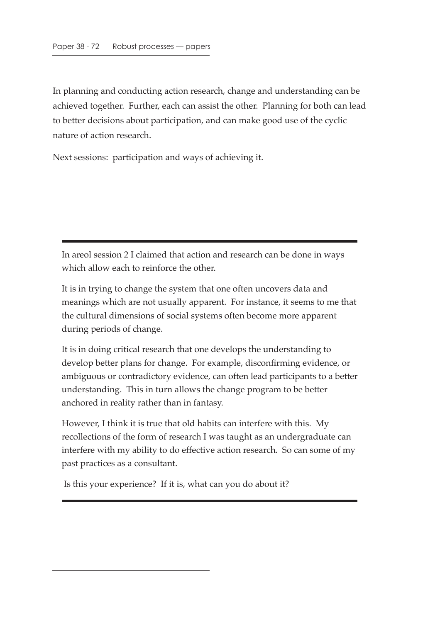In planning and conducting action research, change and understanding can be achieved together. Further, each can assist the other. Planning for both can lead to better decisions about participation, and can make good use of the cyclic nature of action research.

Next sessions: participation and ways of achieving it.

In areol session 2 I claimed that action and research can be done in ways which allow each to reinforce the other.

It is in trying to change the system that one often uncovers data and meanings which are not usually apparent. For instance, it seems to me that the cultural dimensions of social systems often become more apparent during periods of change.

It is in doing critical research that one develops the understanding to develop better plans for change. For example, disconfirming evidence, or ambiguous or contradictory evidence, can often lead participants to a better understanding. This in turn allows the change program to be better anchored in reality rather than in fantasy.

However, I think it is true that old habits can interfere with this. My recollections of the form of research I was taught as an undergraduate can interfere with my ability to do effective action research. So can some of my past practices as a consultant.

Is this your experience? If it is, what can you do about it?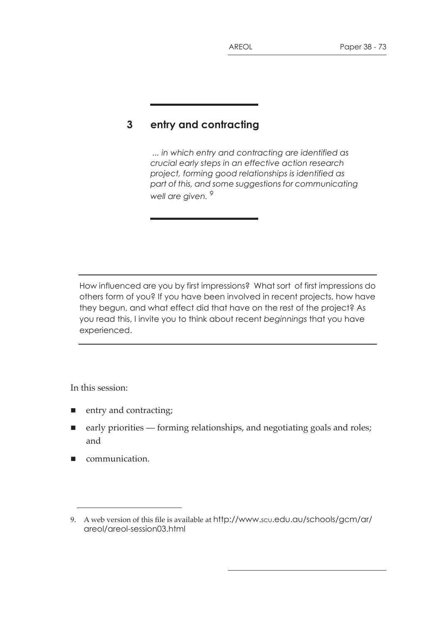# **3 entry and contracting**

 *... in which entry and contracting are identified as crucial early steps in an effective action research project, forming good relationships is identified as part of this, and some suggestions for communicating well are given. 9*

How influenced are you by first impressions? What sort of first impressions do others form of you? If you have been involved in recent projects, how have they begun, and what effect did that have on the rest of the project? As you read this, I invite you to think about recent *beginnings* that you have experienced.

In this session:

- entry and contracting;
- early priorities forming relationships, and negotiating goals and roles; and
- communication.

<sup>9.</sup> A web version of this file is available at http://www.scu.edu.au/schools/gcm/ar/ areol/areol-session03.html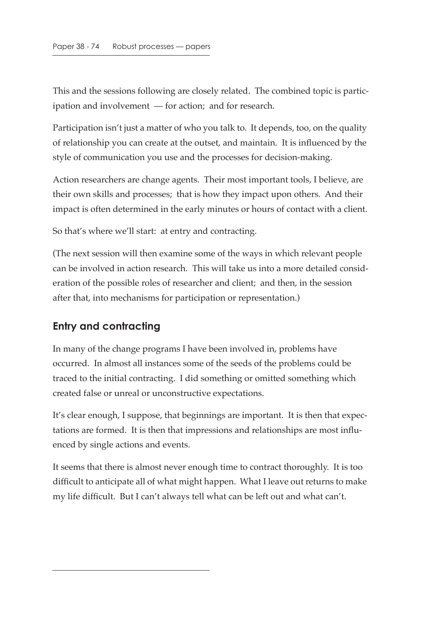This and the sessions following are closely related. The combined topic is participation and involvement — for action; and for research.

Participation isn't just a matter of who you talk to. It depends, too, on the quality of relationship you can create at the outset, and maintain. It is influenced by the style of communication you use and the processes for decision-making.

Action researchers are change agents. Their most important tools, I believe, are their own skills and processes; that is how they impact upon others. And their impact is often determined in the early minutes or hours of contact with a client.

So that's where we'll start: at entry and contracting.

(The next session will then examine some of the ways in which relevant people can be involved in action research. This will take us into a more detailed consideration of the possible roles of researcher and client; and then, in the session after that, into mechanisms for participation or representation.)

# **Entry and contracting**

In many of the change programs I have been involved in, problems have occurred. In almost all instances some of the seeds of the problems could be traced to the initial contracting. I did something or omitted something which created false or unreal or unconstructive expectations.

It's clear enough, I suppose, that beginnings are important. It is then that expectations are formed. It is then that impressions and relationships are most influenced by single actions and events.

It seems that there is almost never enough time to contract thoroughly. It is too difficult to anticipate all of what might happen. What I leave out returns to make my life difficult. But I can't always tell what can be left out and what can't.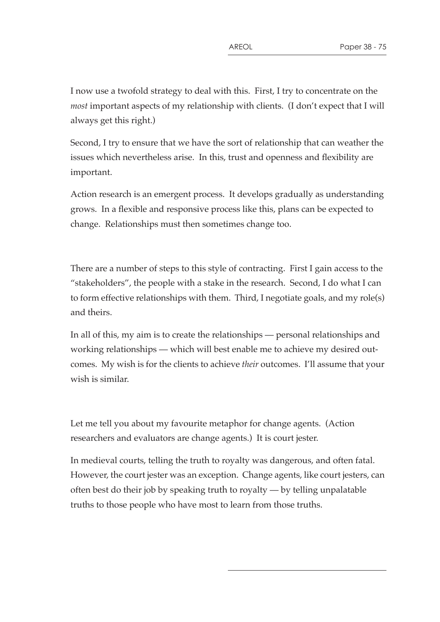I now use a twofold strategy to deal with this. First, I try to concentrate on the *most* important aspects of my relationship with clients. (I don't expect that I will always get this right.)

Second, I try to ensure that we have the sort of relationship that can weather the issues which nevertheless arise. In this, trust and openness and flexibility are important.

Action research is an emergent process. It develops gradually as understanding grows. In a flexible and responsive process like this, plans can be expected to change. Relationships must then sometimes change too.

There are a number of steps to this style of contracting. First I gain access to the "stakeholders", the people with a stake in the research. Second, I do what I can to form effective relationships with them. Third, I negotiate goals, and my role(s) and theirs.

In all of this, my aim is to create the relationships — personal relationships and working relationships — which will best enable me to achieve my desired outcomes. My wish is for the clients to achieve *their* outcomes. I'll assume that your wish is similar.

Let me tell you about my favourite metaphor for change agents. (Action researchers and evaluators are change agents.) It is court jester.

In medieval courts, telling the truth to royalty was dangerous, and often fatal. However, the court jester was an exception. Change agents, like court jesters, can often best do their job by speaking truth to royalty — by telling unpalatable truths to those people who have most to learn from those truths.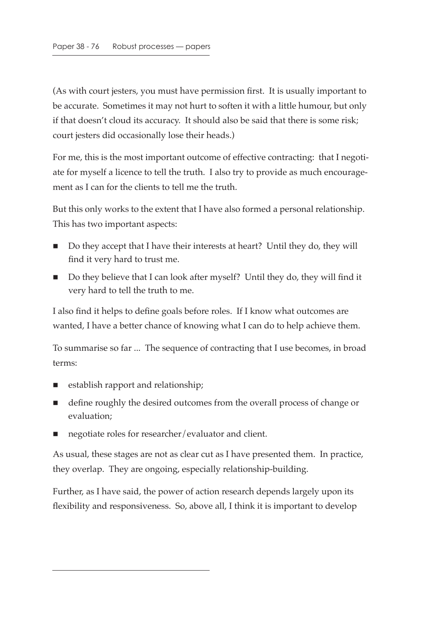(As with court jesters, you must have permission first. It is usually important to be accurate. Sometimes it may not hurt to soften it with a little humour, but only if that doesn't cloud its accuracy. It should also be said that there is some risk; court jesters did occasionally lose their heads.)

For me, this is the most important outcome of effective contracting: that I negotiate for myself a licence to tell the truth. I also try to provide as much encouragement as I can for the clients to tell me the truth.

But this only works to the extent that I have also formed a personal relationship. This has two important aspects:

- Do they accept that I have their interests at heart? Until they do, they will find it very hard to trust me.
- Do they believe that I can look after myself? Until they do, they will find it very hard to tell the truth to me.

I also find it helps to define goals before roles. If I know what outcomes are wanted, I have a better chance of knowing what I can do to help achieve them.

To summarise so far ... The sequence of contracting that I use becomes, in broad terms:

- establish rapport and relationship;
- define roughly the desired outcomes from the overall process of change or evaluation;
- negotiate roles for researcher/evaluator and client.

As usual, these stages are not as clear cut as I have presented them. In practice, they overlap. They are ongoing, especially relationship-building.

Further, as I have said, the power of action research depends largely upon its flexibility and responsiveness. So, above all, I think it is important to develop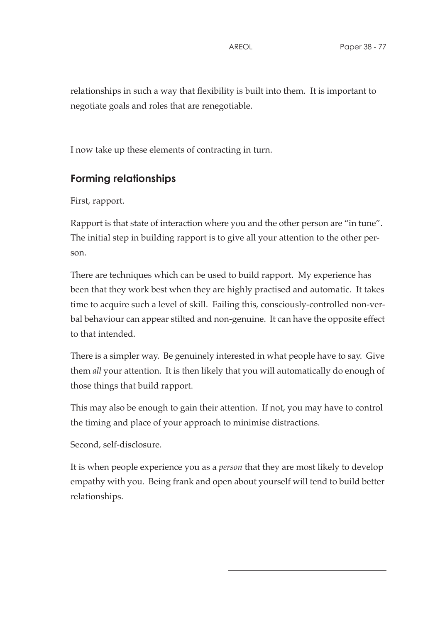relationships in such a way that flexibility is built into them. It is important to negotiate goals and roles that are renegotiable.

I now take up these elements of contracting in turn.

# **Forming relationships**

First, rapport.

Rapport is that state of interaction where you and the other person are "in tune". The initial step in building rapport is to give all your attention to the other person.

There are techniques which can be used to build rapport. My experience has been that they work best when they are highly practised and automatic. It takes time to acquire such a level of skill. Failing this, consciously-controlled non-verbal behaviour can appear stilted and non-genuine. It can have the opposite effect to that intended.

There is a simpler way. Be genuinely interested in what people have to say. Give them *all* your attention. It is then likely that you will automatically do enough of those things that build rapport.

This may also be enough to gain their attention. If not, you may have to control the timing and place of your approach to minimise distractions.

Second, self-disclosure.

It is when people experience you as a *person* that they are most likely to develop empathy with you. Being frank and open about yourself will tend to build better relationships.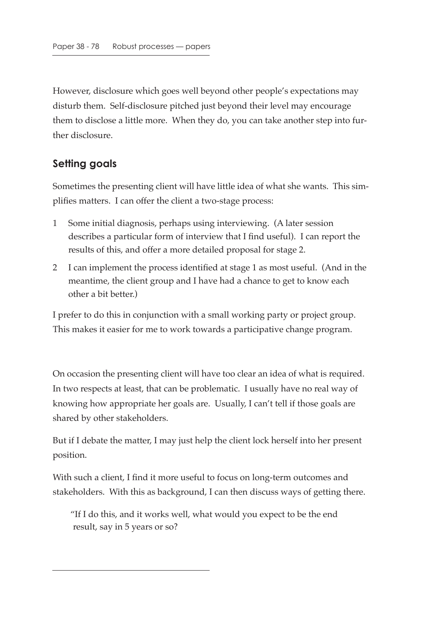However, disclosure which goes well beyond other people's expectations may disturb them. Self-disclosure pitched just beyond their level may encourage them to disclose a little more. When they do, you can take another step into further disclosure.

# **Setting goals**

Sometimes the presenting client will have little idea of what she wants. This simplifies matters. I can offer the client a two-stage process:

- 1 Some initial diagnosis, perhaps using interviewing. (A later session describes a particular form of interview that I find useful). I can report the results of this, and offer a more detailed proposal for stage 2.
- 2 I can implement the process identified at stage 1 as most useful. (And in the meantime, the client group and I have had a chance to get to know each other a bit better.)

I prefer to do this in conjunction with a small working party or project group. This makes it easier for me to work towards a participative change program.

On occasion the presenting client will have too clear an idea of what is required. In two respects at least, that can be problematic. I usually have no real way of knowing how appropriate her goals are. Usually, I can't tell if those goals are shared by other stakeholders.

But if I debate the matter, I may just help the client lock herself into her present position.

With such a client, I find it more useful to focus on long-term outcomes and stakeholders. With this as background, I can then discuss ways of getting there.

 "If I do this, and it works well, what would you expect to be the end result, say in 5 years or so?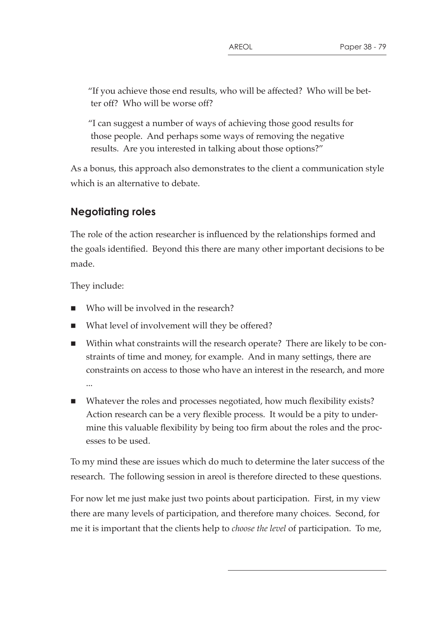"If you achieve those end results, who will be affected? Who will be better off? Who will be worse off?

 "I can suggest a number of ways of achieving those good results for those people. And perhaps some ways of removing the negative results. Are you interested in talking about those options?"

As a bonus, this approach also demonstrates to the client a communication style which is an alternative to debate.

# **Negotiating roles**

The role of the action researcher is influenced by the relationships formed and the goals identified. Beyond this there are many other important decisions to be made.

They include:

- Who will be involved in the research?
- What level of involvement will they be offered?
- Within what constraints will the research operate? There are likely to be constraints of time and money, for example. And in many settings, there are constraints on access to those who have an interest in the research, and more ...
- Whatever the roles and processes negotiated, how much flexibility exists? Action research can be a very flexible process. It would be a pity to undermine this valuable flexibility by being too firm about the roles and the processes to be used.

To my mind these are issues which do much to determine the later success of the research. The following session in areol is therefore directed to these questions.

For now let me just make just two points about participation. First, in my view there are many levels of participation, and therefore many choices. Second, for me it is important that the clients help to *choose the level* of participation. To me,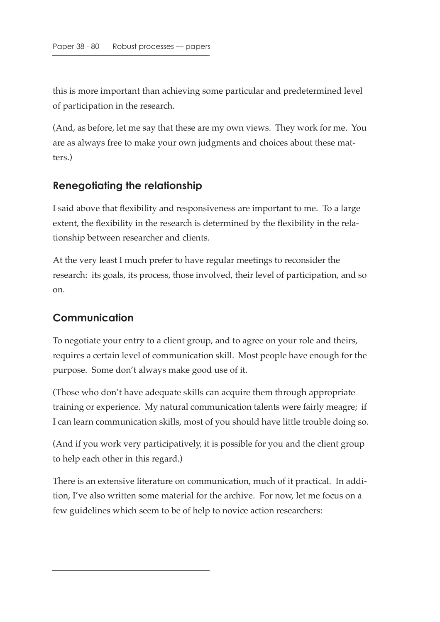this is more important than achieving some particular and predetermined level of participation in the research.

(And, as before, let me say that these are my own views. They work for me. You are as always free to make your own judgments and choices about these matters.)

## **Renegotiating the relationship**

I said above that flexibility and responsiveness are important to me. To a large extent, the flexibility in the research is determined by the flexibility in the relationship between researcher and clients.

At the very least I much prefer to have regular meetings to reconsider the research: its goals, its process, those involved, their level of participation, and so on.

# **Communication**

To negotiate your entry to a client group, and to agree on your role and theirs, requires a certain level of communication skill. Most people have enough for the purpose. Some don't always make good use of it.

(Those who don't have adequate skills can acquire them through appropriate training or experience. My natural communication talents were fairly meagre; if I can learn communication skills, most of you should have little trouble doing so.

(And if you work very participatively, it is possible for you and the client group to help each other in this regard.)

There is an extensive literature on communication, much of it practical. In addition, I've also written some material for the archive. For now, let me focus on a few guidelines which seem to be of help to novice action researchers: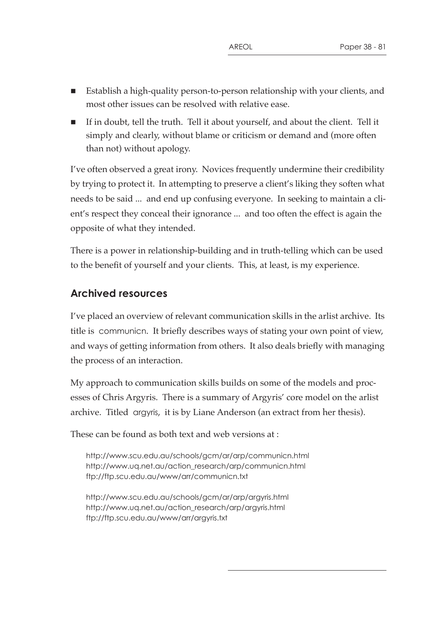- Establish a high-quality person-to-person relationship with your clients, and most other issues can be resolved with relative ease.
- If in doubt, tell the truth. Tell it about yourself, and about the client. Tell it simply and clearly, without blame or criticism or demand and (more often than not) without apology.

I've often observed a great irony. Novices frequently undermine their credibility by trying to protect it. In attempting to preserve a client's liking they soften what needs to be said ... and end up confusing everyone. In seeking to maintain a client's respect they conceal their ignorance ... and too often the effect is again the opposite of what they intended.

There is a power in relationship-building and in truth-telling which can be used to the benefit of yourself and your clients. This, at least, is my experience.

# **Archived resources**

I've placed an overview of relevant communication skills in the arlist archive. Its title is communicn. It briefly describes ways of stating your own point of view, and ways of getting information from others. It also deals briefly with managing the process of an interaction.

My approach to communication skills builds on some of the models and processes of Chris Argyris. There is a summary of Argyris' core model on the arlist archive. Titled argyris, it is by Liane Anderson (an extract from her thesis).

These can be found as both text and web versions at :

http://www.scu.edu.au/schools/gcm/ar/arp/communicn.html http://www.uq.net.au/action\_research/arp/communicn.html ftp://ftp.scu.edu.au/www/arr/communicn.txt

http://www.scu.edu.au/schools/gcm/ar/arp/argyris.html http://www.uq.net.au/action\_research/arp/argyris.html ftp://ftp.scu.edu.au/www/arr/argyris.txt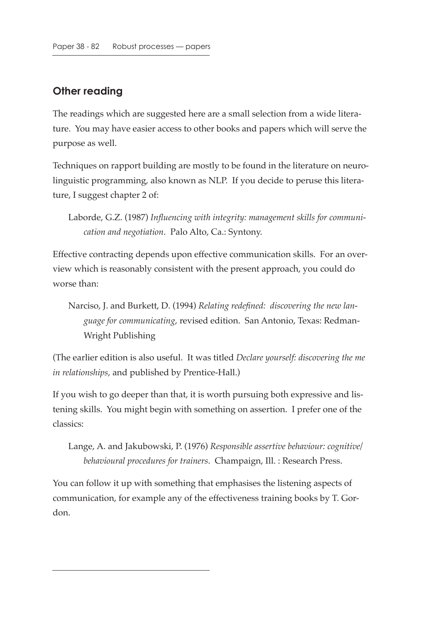### **Other reading**

The readings which are suggested here are a small selection from a wide literature. You may have easier access to other books and papers which will serve the purpose as well.

Techniques on rapport building are mostly to be found in the literature on neurolinguistic programming, also known as NLP. If you decide to peruse this literature, I suggest chapter 2 of:

Laborde, G.Z. (1987) *Influencing with integrity: management skills for communication and negotiation*. Palo Alto, Ca.: Syntony.

Effective contracting depends upon effective communication skills. For an overview which is reasonably consistent with the present approach, you could do worse than:

Narciso, J. and Burkett, D. (1994) *Relating redefined: discovering the new language for communicating*, revised edition. San Antonio, Texas: Redman-Wright Publishing

(The earlier edition is also useful. It was titled *Declare yourself: discovering the me in relationships*, and published by Prentice-Hall.)

If you wish to go deeper than that, it is worth pursuing both expressive and listening skills. You might begin with something on assertion. I prefer one of the classics:

Lange, A. and Jakubowski, P. (1976) *Responsible assertive behaviour: cognitive/ behavioural procedures for trainers*. Champaign, Ill. : Research Press.

You can follow it up with something that emphasises the listening aspects of communication, for example any of the effectiveness training books by T. Gordon.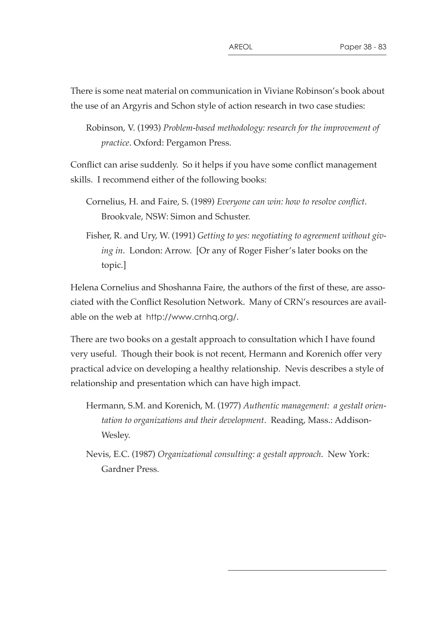There is some neat material on communication in Viviane Robinson's book about the use of an Argyris and Schon style of action research in two case studies:

Robinson, V. (1993) *Problem-based methodology: research for the improvement of practice*. Oxford: Pergamon Press.

Conflict can arise suddenly. So it helps if you have some conflict management skills. I recommend either of the following books:

- Cornelius, H. and Faire, S. (1989) *Everyone can win: how to resolve conflict*. Brookvale, NSW: Simon and Schuster.
- Fisher, R. and Ury, W. (1991) *Getting to yes: negotiating to agreement without giving in*. London: Arrow. [Or any of Roger Fisher's later books on the topic.]

Helena Cornelius and Shoshanna Faire, the authors of the first of these, are associated with the Conflict Resolution Network. Many of CRN's resources are available on the web at http://www.crnhq.org/.

There are two books on a gestalt approach to consultation which I have found very useful. Though their book is not recent, Hermann and Korenich offer very practical advice on developing a healthy relationship. Nevis describes a style of relationship and presentation which can have high impact.

- Hermann, S.M. and Korenich, M. (1977) *Authentic management: a gestalt orientation to organizations and their development*. Reading, Mass.: Addison-Wesley.
- Nevis, E.C. (1987) *Organizational consulting: a gestalt approach*. New York: Gardner Press.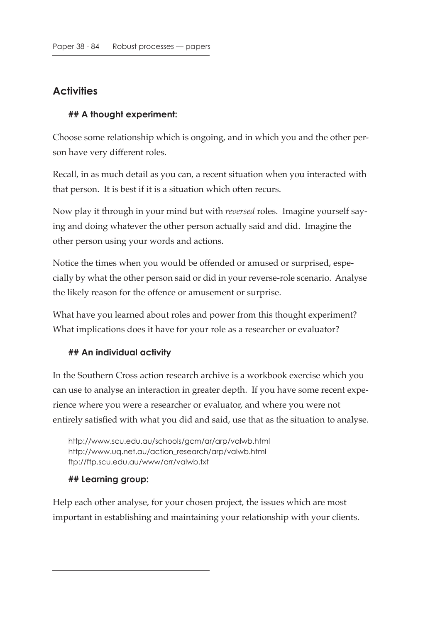## **Activities**

#### **## A thought experiment:**

Choose some relationship which is ongoing, and in which you and the other person have very different roles.

Recall, in as much detail as you can, a recent situation when you interacted with that person. It is best if it is a situation which often recurs.

Now play it through in your mind but with *reversed* roles. Imagine yourself saying and doing whatever the other person actually said and did. Imagine the other person using your words and actions.

Notice the times when you would be offended or amused or surprised, especially by what the other person said or did in your reverse-role scenario. Analyse the likely reason for the offence or amusement or surprise.

What have you learned about roles and power from this thought experiment? What implications does it have for your role as a researcher or evaluator?

#### **## An individual activity**

In the Southern Cross action research archive is a workbook exercise which you can use to analyse an interaction in greater depth. If you have some recent experience where you were a researcher or evaluator, and where you were not entirely satisfied with what you did and said, use that as the situation to analyse.

http://www.scu.edu.au/schools/gcm/ar/arp/valwb.html http://www.uq.net.au/action\_research/arp/valwb.html ftp://ftp.scu.edu.au/www/arr/valwb.txt

#### **## Learning group:**

Help each other analyse, for your chosen project, the issues which are most important in establishing and maintaining your relationship with your clients.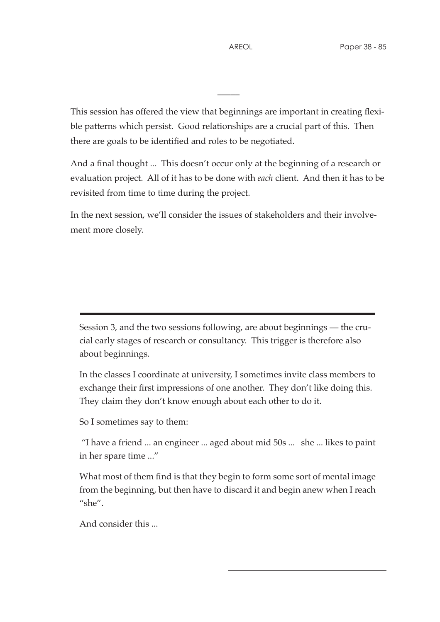This session has offered the view that beginnings are important in creating flexible patterns which persist. Good relationships are a crucial part of this. Then there are goals to be identified and roles to be negotiated.

 $\overline{\phantom{a}}$ 

And a final thought ... This doesn't occur only at the beginning of a research or evaluation project. All of it has to be done with *each* client. And then it has to be revisited from time to time during the project.

In the next session, we'll consider the issues of stakeholders and their involvement more closely.

Session 3, and the two sessions following, are about beginnings — the crucial early stages of research or consultancy. This trigger is therefore also about beginnings.

In the classes I coordinate at university, I sometimes invite class members to exchange their first impressions of one another. They don't like doing this. They claim they don't know enough about each other to do it.

So I sometimes say to them:

 "I have a friend ... an engineer ... aged about mid 50s ... she ... likes to paint in her spare time ..."

What most of them find is that they begin to form some sort of mental image from the beginning, but then have to discard it and begin anew when I reach "she".

And consider this ...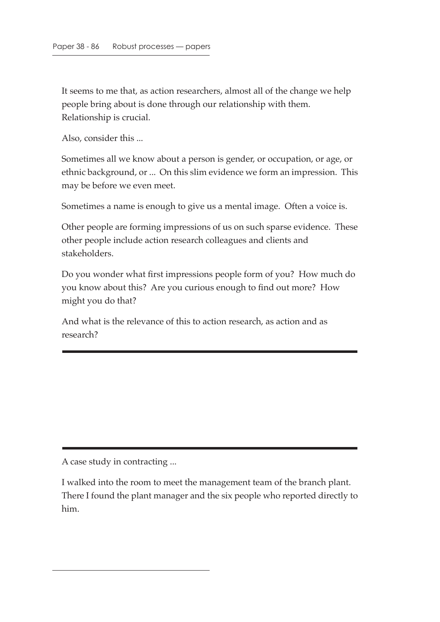It seems to me that, as action researchers, almost all of the change we help people bring about is done through our relationship with them. Relationship is crucial.

Also, consider this ...

Sometimes all we know about a person is gender, or occupation, or age, or ethnic background, or ... On this slim evidence we form an impression. This may be before we even meet.

Sometimes a name is enough to give us a mental image. Often a voice is.

Other people are forming impressions of us on such sparse evidence. These other people include action research colleagues and clients and stakeholders.

Do you wonder what first impressions people form of you? How much do you know about this? Are you curious enough to find out more? How might you do that?

And what is the relevance of this to action research, as action and as research?

A case study in contracting ...

I walked into the room to meet the management team of the branch plant. There I found the plant manager and the six people who reported directly to him.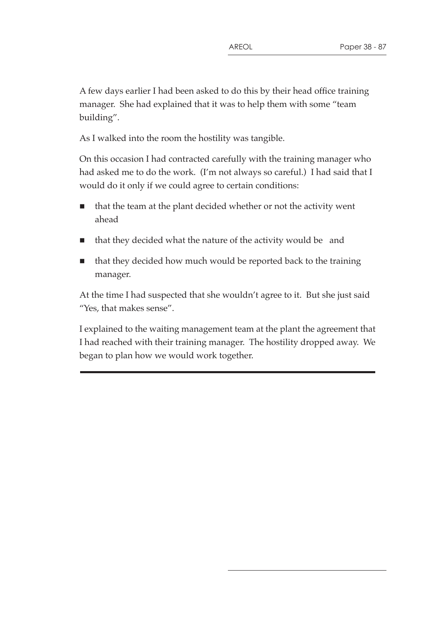A few days earlier I had been asked to do this by their head office training manager. She had explained that it was to help them with some "team building".

As I walked into the room the hostility was tangible.

On this occasion I had contracted carefully with the training manager who had asked me to do the work. (I'm not always so careful.) I had said that I would do it only if we could agree to certain conditions:

- that the team at the plant decided whether or not the activity went ahead
- $\blacksquare$  that they decided what the nature of the activity would be and
- that they decided how much would be reported back to the training manager.

At the time I had suspected that she wouldn't agree to it. But she just said "Yes, that makes sense".

I explained to the waiting management team at the plant the agreement that I had reached with their training manager. The hostility dropped away. We began to plan how we would work together.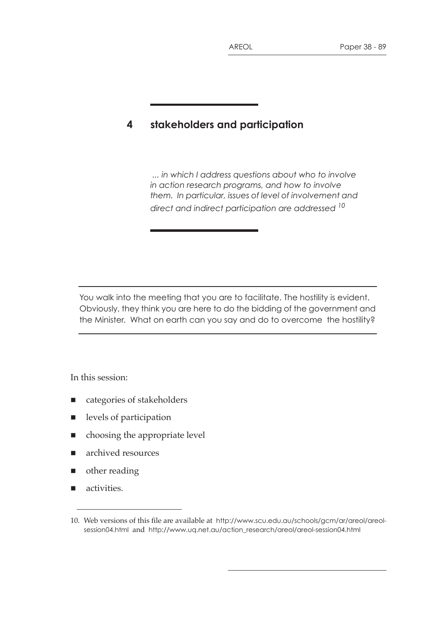# **4 stakeholders and participation**

 *... in which I address questions about who to involve in action research programs, and how to involve them. In particular, issues of level of involvement and direct and indirect participation are addressed 10*

You walk into the meeting that you are to facilitate. The hostility is evident. Obviously, they think you are here to do the bidding of the government and the Minister. What on earth can you say and do to overcome the hostility?

In this session:

- categories of stakeholders
- **levels of participation**
- **n** choosing the appropriate level
- **n** archived resources
- **n** other reading
- activities.

<sup>10.</sup> Web versions of this file are available at http://www.scu.edu.au/schools/gcm/ar/areol/areolsession04.html and http://www.uq.net.au/action\_research/areol/areol-session04.html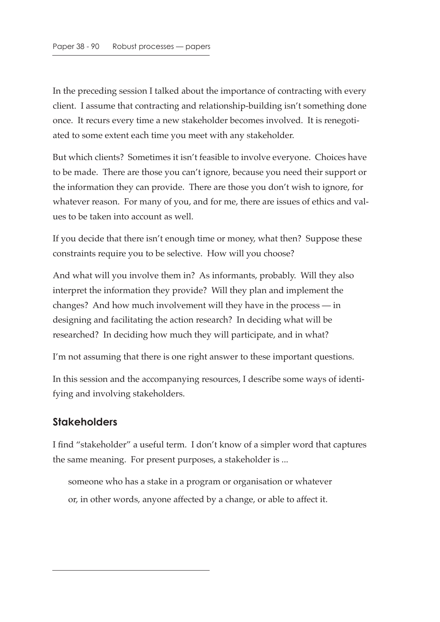In the preceding session I talked about the importance of contracting with every client. I assume that contracting and relationship-building isn't something done once. It recurs every time a new stakeholder becomes involved. It is renegotiated to some extent each time you meet with any stakeholder.

But which clients? Sometimes it isn't feasible to involve everyone. Choices have to be made. There are those you can't ignore, because you need their support or the information they can provide. There are those you don't wish to ignore, for whatever reason. For many of you, and for me, there are issues of ethics and values to be taken into account as well.

If you decide that there isn't enough time or money, what then? Suppose these constraints require you to be selective. How will you choose?

And what will you involve them in? As informants, probably. Will they also interpret the information they provide? Will they plan and implement the changes? And how much involvement will they have in the process — in designing and facilitating the action research? In deciding what will be researched? In deciding how much they will participate, and in what?

I'm not assuming that there is one right answer to these important questions.

In this session and the accompanying resources, I describe some ways of identifying and involving stakeholders.

### **Stakeholders**

I find "stakeholder" a useful term. I don't know of a simpler word that captures the same meaning. For present purposes, a stakeholder is ...

someone who has a stake in a program or organisation or whatever or, in other words, anyone affected by a change, or able to affect it.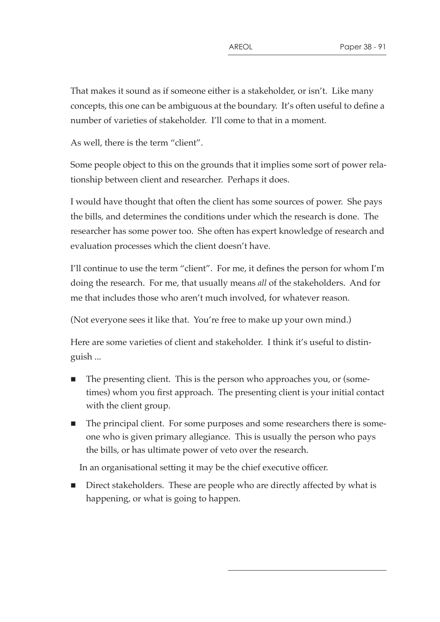That makes it sound as if someone either is a stakeholder, or isn't. Like many concepts, this one can be ambiguous at the boundary. It's often useful to define a number of varieties of stakeholder. I'll come to that in a moment.

As well, there is the term "client".

Some people object to this on the grounds that it implies some sort of power relationship between client and researcher. Perhaps it does.

I would have thought that often the client has some sources of power. She pays the bills, and determines the conditions under which the research is done. The researcher has some power too. She often has expert knowledge of research and evaluation processes which the client doesn't have.

I'll continue to use the term "client". For me, it defines the person for whom I'm doing the research. For me, that usually means *all* of the stakeholders. And for me that includes those who aren't much involved, for whatever reason.

(Not everyone sees it like that. You're free to make up your own mind.)

Here are some varieties of client and stakeholder. I think it's useful to distinguish ...

- The presenting client. This is the person who approaches you, or (sometimes) whom you first approach. The presenting client is your initial contact with the client group.
- The principal client. For some purposes and some researchers there is someone who is given primary allegiance. This is usually the person who pays the bills, or has ultimate power of veto over the research.

In an organisational setting it may be the chief executive officer.

■ Direct stakeholders. These are people who are directly affected by what is happening, or what is going to happen.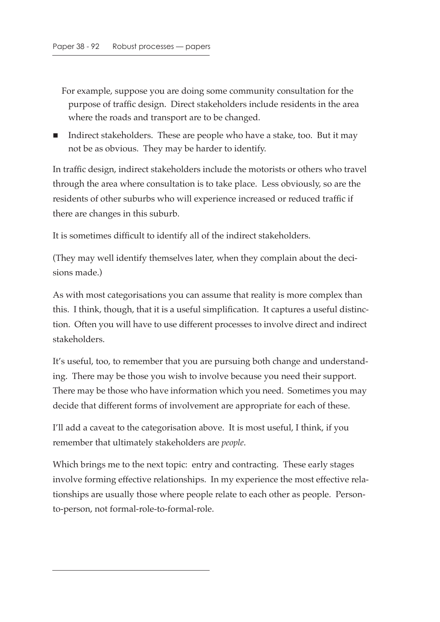For example, suppose you are doing some community consultation for the purpose of traffic design. Direct stakeholders include residents in the area where the roads and transport are to be changed.

Indirect stakeholders. These are people who have a stake, too. But it may not be as obvious. They may be harder to identify.

In traffic design, indirect stakeholders include the motorists or others who travel through the area where consultation is to take place. Less obviously, so are the residents of other suburbs who will experience increased or reduced traffic if there are changes in this suburb.

It is sometimes difficult to identify all of the indirect stakeholders.

(They may well identify themselves later, when they complain about the decisions made.)

As with most categorisations you can assume that reality is more complex than this. I think, though, that it is a useful simplification. It captures a useful distinction. Often you will have to use different processes to involve direct and indirect stakeholders.

It's useful, too, to remember that you are pursuing both change and understanding. There may be those you wish to involve because you need their support. There may be those who have information which you need. Sometimes you may decide that different forms of involvement are appropriate for each of these.

I'll add a caveat to the categorisation above. It is most useful, I think, if you remember that ultimately stakeholders are *people*.

Which brings me to the next topic: entry and contracting. These early stages involve forming effective relationships. In my experience the most effective relationships are usually those where people relate to each other as people. Personto-person, not formal-role-to-formal-role.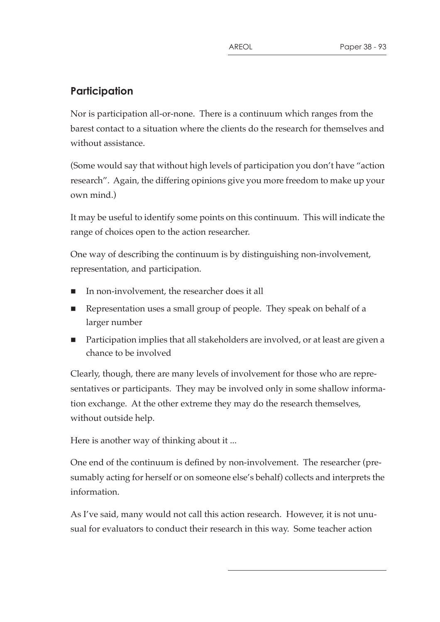# **Participation**

Nor is participation all-or-none. There is a continuum which ranges from the barest contact to a situation where the clients do the research for themselves and without assistance.

(Some would say that without high levels of participation you don't have "action research". Again, the differing opinions give you more freedom to make up your own mind.)

It may be useful to identify some points on this continuum. This will indicate the range of choices open to the action researcher.

One way of describing the continuum is by distinguishing non-involvement, representation, and participation.

- In non-involvement, the researcher does it all
- Representation uses a small group of people. They speak on behalf of a larger number
- Participation implies that all stakeholders are involved, or at least are given a chance to be involved

Clearly, though, there are many levels of involvement for those who are representatives or participants. They may be involved only in some shallow information exchange. At the other extreme they may do the research themselves, without outside help.

Here is another way of thinking about it ...

One end of the continuum is defined by non-involvement. The researcher (presumably acting for herself or on someone else's behalf) collects and interprets the information.

As I've said, many would not call this action research. However, it is not unusual for evaluators to conduct their research in this way. Some teacher action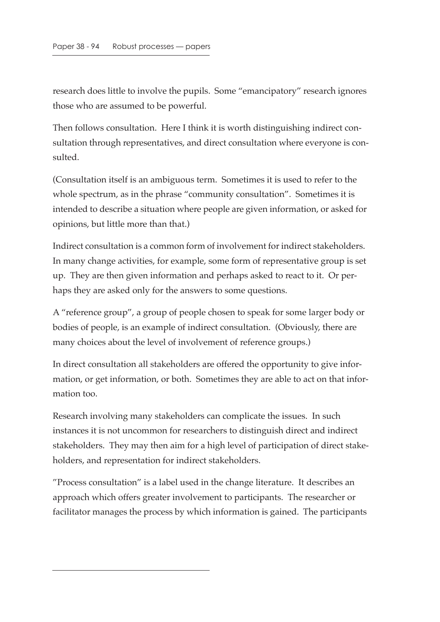research does little to involve the pupils. Some "emancipatory" research ignores those who are assumed to be powerful.

Then follows consultation. Here I think it is worth distinguishing indirect consultation through representatives, and direct consultation where everyone is consulted.

(Consultation itself is an ambiguous term. Sometimes it is used to refer to the whole spectrum, as in the phrase "community consultation". Sometimes it is intended to describe a situation where people are given information, or asked for opinions, but little more than that.)

Indirect consultation is a common form of involvement for indirect stakeholders. In many change activities, for example, some form of representative group is set up. They are then given information and perhaps asked to react to it. Or perhaps they are asked only for the answers to some questions.

A "reference group", a group of people chosen to speak for some larger body or bodies of people, is an example of indirect consultation. (Obviously, there are many choices about the level of involvement of reference groups.)

In direct consultation all stakeholders are offered the opportunity to give information, or get information, or both. Sometimes they are able to act on that information too.

Research involving many stakeholders can complicate the issues. In such instances it is not uncommon for researchers to distinguish direct and indirect stakeholders. They may then aim for a high level of participation of direct stakeholders, and representation for indirect stakeholders.

"Process consultation" is a label used in the change literature. It describes an approach which offers greater involvement to participants. The researcher or facilitator manages the process by which information is gained. The participants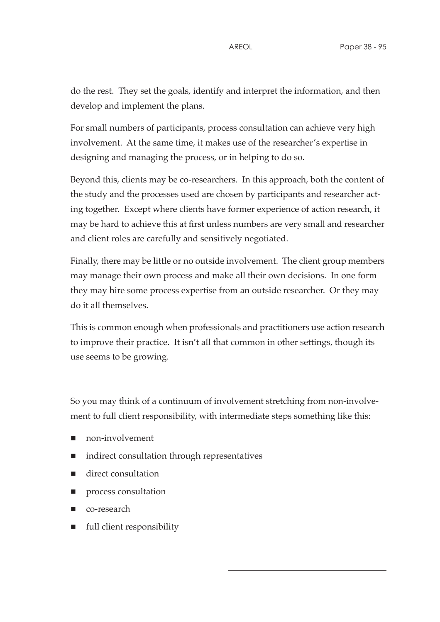do the rest. They set the goals, identify and interpret the information, and then develop and implement the plans.

For small numbers of participants, process consultation can achieve very high involvement. At the same time, it makes use of the researcher's expertise in designing and managing the process, or in helping to do so.

Beyond this, clients may be co-researchers. In this approach, both the content of the study and the processes used are chosen by participants and researcher acting together. Except where clients have former experience of action research, it may be hard to achieve this at first unless numbers are very small and researcher and client roles are carefully and sensitively negotiated.

Finally, there may be little or no outside involvement. The client group members may manage their own process and make all their own decisions. In one form they may hire some process expertise from an outside researcher. Or they may do it all themselves.

This is common enough when professionals and practitioners use action research to improve their practice. It isn't all that common in other settings, though its use seems to be growing.

So you may think of a continuum of involvement stretching from non-involvement to full client responsibility, with intermediate steps something like this:

- non-involvement
- indirect consultation through representatives
- direct consultation
- process consultation
- co-research
- full client responsibility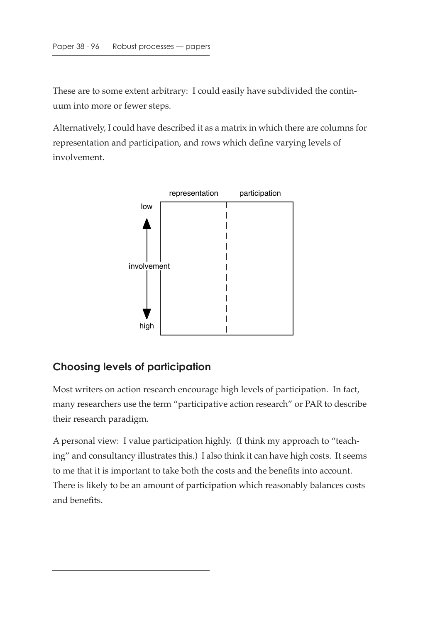These are to some extent arbitrary: I could easily have subdivided the continuum into more or fewer steps.

Alternatively, I could have described it as a matrix in which there are columns for representation and participation, and rows which define varying levels of involvement.



# **Choosing levels of participation**

Most writers on action research encourage high levels of participation. In fact, many researchers use the term "participative action research" or PAR to describe their research paradigm.

A personal view: I value participation highly. (I think my approach to "teaching" and consultancy illustrates this.) I also think it can have high costs. It seems to me that it is important to take both the costs and the benefits into account. There is likely to be an amount of participation which reasonably balances costs and benefits.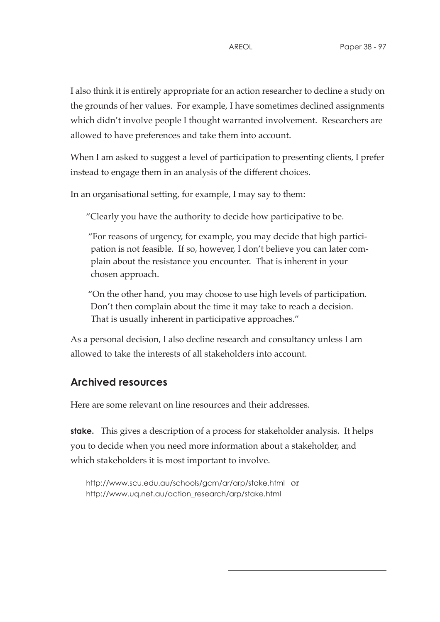I also think it is entirely appropriate for an action researcher to decline a study on the grounds of her values. For example, I have sometimes declined assignments which didn't involve people I thought warranted involvement. Researchers are allowed to have preferences and take them into account.

When I am asked to suggest a level of participation to presenting clients, I prefer instead to engage them in an analysis of the different choices.

In an organisational setting, for example, I may say to them:

"Clearly you have the authority to decide how participative to be.

 "For reasons of urgency, for example, you may decide that high participation is not feasible. If so, however, I don't believe you can later complain about the resistance you encounter. That is inherent in your chosen approach.

 "On the other hand, you may choose to use high levels of participation. Don't then complain about the time it may take to reach a decision. That is usually inherent in participative approaches."

As a personal decision, I also decline research and consultancy unless I am allowed to take the interests of all stakeholders into account.

# **Archived resources**

Here are some relevant on line resources and their addresses.

**stake.** This gives a description of a process for stakeholder analysis. It helps you to decide when you need more information about a stakeholder, and which stakeholders it is most important to involve.

http://www.scu.edu.au/schools/gcm/ar/arp/stake.html or http://www.uq.net.au/action\_research/arp/stake.html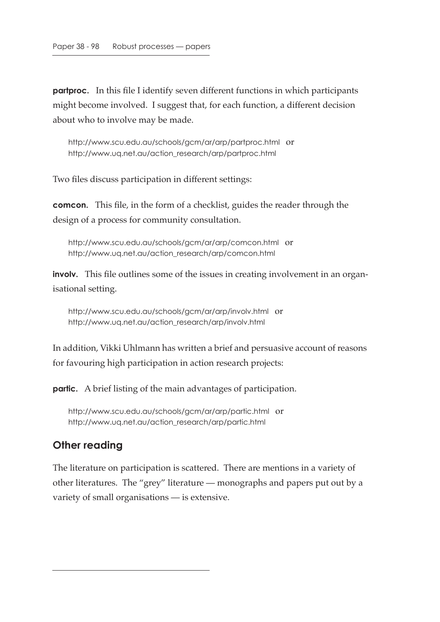**partproc.** In this file I identify seven different functions in which participants might become involved. I suggest that, for each function, a different decision about who to involve may be made.

http://www.scu.edu.au/schools/gcm/ar/arp/partproc.html or http://www.uq.net.au/action\_research/arp/partproc.html

Two files discuss participation in different settings:

**comcon.** This file, in the form of a checklist, guides the reader through the design of a process for community consultation.

http://www.scu.edu.au/schools/gcm/ar/arp/comcon.html or http://www.uq.net.au/action\_research/arp/comcon.html

**involv.** This file outlines some of the issues in creating involvement in an organisational setting.

http://www.scu.edu.au/schools/gcm/ar/arp/involv.html or http://www.uq.net.au/action\_research/arp/involv.html

In addition, Vikki Uhlmann has written a brief and persuasive account of reasons for favouring high participation in action research projects:

**partic.** A brief listing of the main advantages of participation.

http://www.scu.edu.au/schools/gcm/ar/arp/partic.html or http://www.uq.net.au/action\_research/arp/partic.html

### **Other reading**

The literature on participation is scattered. There are mentions in a variety of other literatures. The "grey" literature — monographs and papers put out by a variety of small organisations — is extensive.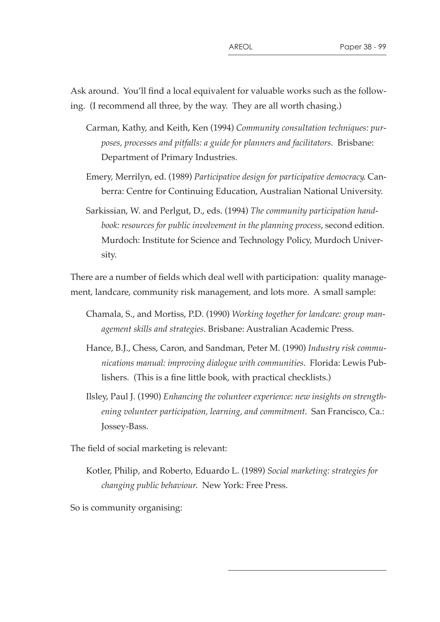Ask around. You'll find a local equivalent for valuable works such as the following. (I recommend all three, by the way. They are all worth chasing.)

- Carman, Kathy, and Keith, Ken (1994) *Community consultation techniques: purposes, processes and pitfalls: a guide for planners and facilitators*. Brisbane: Department of Primary Industries.
- Emery, Merrilyn, ed. (1989) *Participative design for participative democracy*. Canberra: Centre for Continuing Education, Australian National University.
- Sarkissian, W. and Perlgut, D., eds. (1994) *The community participation handbook: resources for public involvement in the planning process*, second edition. Murdoch: Institute for Science and Technology Policy, Murdoch University.

There are a number of fields which deal well with participation: quality management, landcare, community risk management, and lots more. A small sample:

- Chamala, S., and Mortiss, P.D. (1990) *Working together for landcare: group management skills and strategies*. Brisbane: Australian Academic Press.
- Hance, B.J., Chess, Caron, and Sandman, Peter M. (1990) *Industry risk communications manual: improving dialogue with communities*. Florida: Lewis Publishers. (This is a fine little book, with practical checklists.)
- Ilsley, Paul J. (1990) *Enhancing the volunteer experience: new insights on strengthening volunteer participation, learning, and commitment*. San Francisco, Ca.: Jossey-Bass.

The field of social marketing is relevant:

Kotler, Philip, and Roberto, Eduardo L. (1989) *Social marketing: strategies for changing public behaviour*. New York: Free Press.

So is community organising: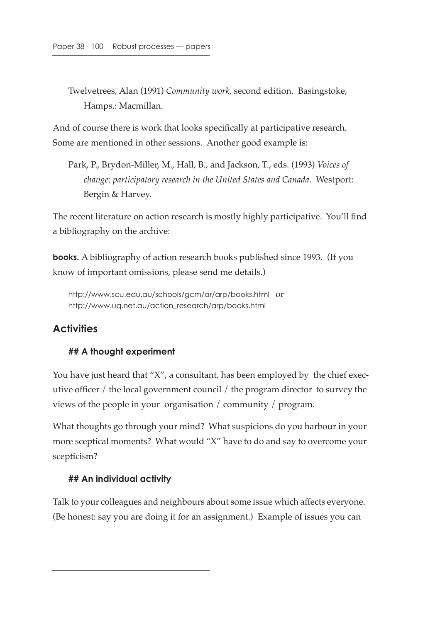Twelvetrees, Alan (1991) *Community work*, second edition. Basingstoke, Hamps.: Macmillan.

And of course there is work that looks specifically at participative research. Some are mentioned in other sessions. Another good example is:

Park, P., Brydon-Miller, M., Hall, B., and Jackson, T., eds. (1993) *Voices of change: participatory research in the United States and Canada*. Westport: Bergin & Harvey.

The recent literature on action research is mostly highly participative. You'll find a bibliography on the archive:

**books.** A bibliography of action research books published since 1993. (If you know of important omissions, please send me details.)

http://www.scu.edu.au/schools/gcm/ar/arp/books.html or http://www.uq.net.au/action\_research/arp/books.html

### **Activities**

#### **## A thought experiment**

You have just heard that "X", a consultant, has been employed by the chief executive officer / the local government council / the program director to survey the views of the people in your organisation / community / program.

What thoughts go through your mind? What suspicions do you harbour in your more sceptical moments? What would "X" have to do and say to overcome your scepticism?

#### **## An individual activity**

Talk to your colleagues and neighbours about some issue which affects everyone. (Be honest: say you are doing it for an assignment.) Example of issues you can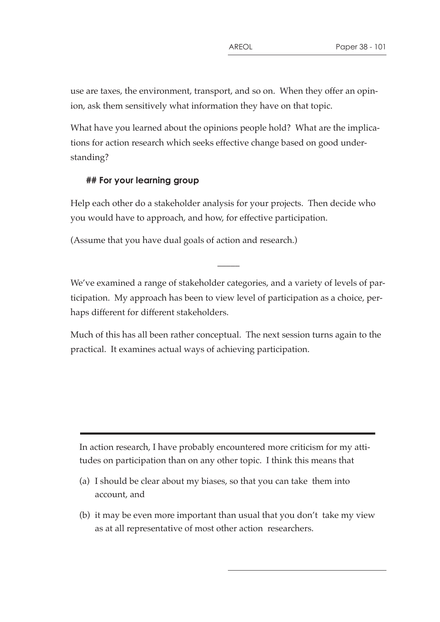use are taxes, the environment, transport, and so on. When they offer an opinion, ask them sensitively what information they have on that topic.

What have you learned about the opinions people hold? What are the implications for action research which seeks effective change based on good understanding?

### **## For your learning group**

Help each other do a stakeholder analysis for your projects. Then decide who you would have to approach, and how, for effective participation.

(Assume that you have dual goals of action and research.)

We've examined a range of stakeholder categories, and a variety of levels of participation. My approach has been to view level of participation as a choice, perhaps different for different stakeholders.

 $\overline{\phantom{a}}$ 

Much of this has all been rather conceptual. The next session turns again to the practical. It examines actual ways of achieving participation.

In action research, I have probably encountered more criticism for my attitudes on participation than on any other topic. I think this means that

- (a) I should be clear about my biases, so that you can take them into account, and
- (b) it may be even more important than usual that you don't take my view as at all representative of most other action researchers.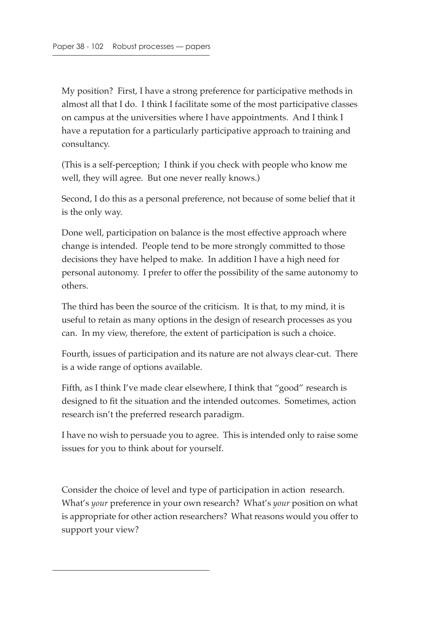My position? First, I have a strong preference for participative methods in almost all that I do. I think I facilitate some of the most participative classes on campus at the universities where I have appointments. And I think I have a reputation for a particularly participative approach to training and consultancy.

(This is a self-perception; I think if you check with people who know me well, they will agree. But one never really knows.)

Second, I do this as a personal preference, not because of some belief that it is the only way.

Done well, participation on balance is the most effective approach where change is intended. People tend to be more strongly committed to those decisions they have helped to make. In addition I have a high need for personal autonomy. I prefer to offer the possibility of the same autonomy to others.

The third has been the source of the criticism. It is that, to my mind, it is useful to retain as many options in the design of research processes as you can. In my view, therefore, the extent of participation is such a choice.

Fourth, issues of participation and its nature are not always clear-cut. There is a wide range of options available.

Fifth, as I think I've made clear elsewhere, I think that "good" research is designed to fit the situation and the intended outcomes. Sometimes, action research isn't the preferred research paradigm.

I have no wish to persuade you to agree. This is intended only to raise some issues for you to think about for yourself.

Consider the choice of level and type of participation in action research. What's *your* preference in your own research? What's *your* position on what is appropriate for other action researchers? What reasons would you offer to support your view?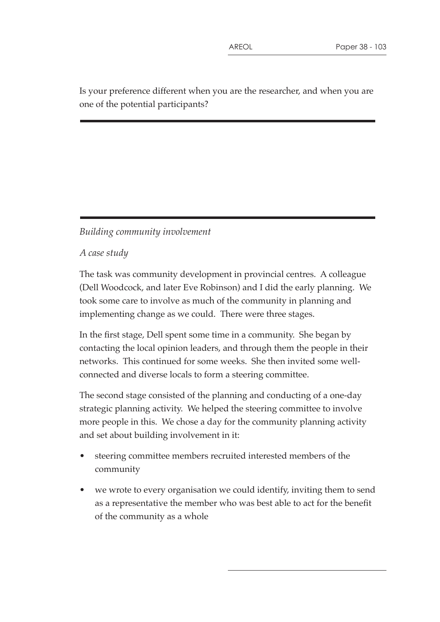Is your preference different when you are the researcher, and when you are one of the potential participants?

### *Building community involvement*

### *A case study*

The task was community development in provincial centres. A colleague (Dell Woodcock, and later Eve Robinson) and I did the early planning. We took some care to involve as much of the community in planning and implementing change as we could. There were three stages.

In the first stage, Dell spent some time in a community. She began by contacting the local opinion leaders, and through them the people in their networks. This continued for some weeks. She then invited some wellconnected and diverse locals to form a steering committee.

The second stage consisted of the planning and conducting of a one-day strategic planning activity. We helped the steering committee to involve more people in this. We chose a day for the community planning activity and set about building involvement in it:

- steering committee members recruited interested members of the community
- we wrote to every organisation we could identify, inviting them to send as a representative the member who was best able to act for the benefit of the community as a whole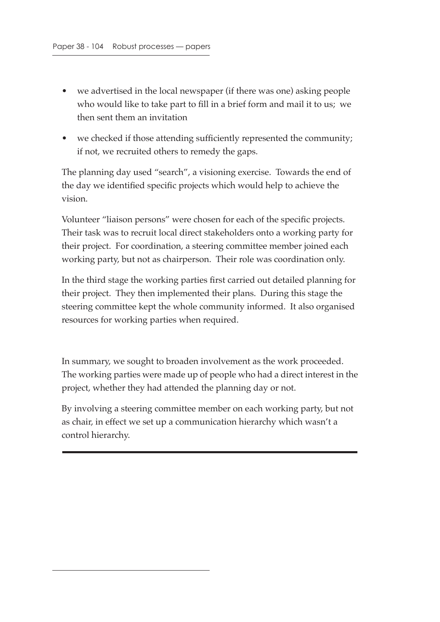- we advertised in the local newspaper (if there was one) asking people who would like to take part to fill in a brief form and mail it to us; we then sent them an invitation
- we checked if those attending sufficiently represented the community; if not, we recruited others to remedy the gaps.

The planning day used "search", a visioning exercise. Towards the end of the day we identified specific projects which would help to achieve the vision.

Volunteer "liaison persons" were chosen for each of the specific projects. Their task was to recruit local direct stakeholders onto a working party for their project. For coordination, a steering committee member joined each working party, but not as chairperson. Their role was coordination only.

In the third stage the working parties first carried out detailed planning for their project. They then implemented their plans. During this stage the steering committee kept the whole community informed. It also organised resources for working parties when required.

In summary, we sought to broaden involvement as the work proceeded. The working parties were made up of people who had a direct interest in the project, whether they had attended the planning day or not.

By involving a steering committee member on each working party, but not as chair, in effect we set up a communication hierarchy which wasn't a control hierarchy.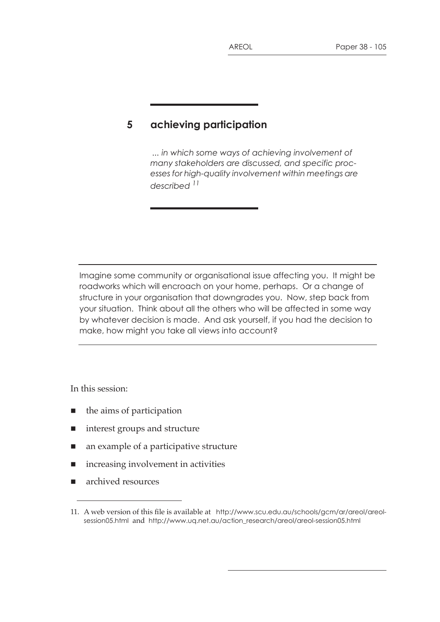# **5 achieving participation**

 *... in which some ways of achieving involvement of many stakeholders are discussed, and specific processes for high-quality involvement within meetings are described <sup>11</sup>*

Imagine some community or organisational issue affecting you. It might be roadworks which will encroach on your home, perhaps. Or a change of structure in your organisation that downgrades you. Now, step back from your situation. Think about all the others who will be affected in some way by whatever decision is made. And ask yourself, if you had the decision to make, how might you take all views into account?

In this session:

- $\blacksquare$  the aims of participation
- interest groups and structure
- an example of a participative structure
- increasing involvement in activities
- archived resources

<sup>11.</sup> A web version of this file is available at http://www.scu.edu.au/schools/gcm/ar/areol/areolsession05.html and http://www.uq.net.au/action\_research/areol/areol-session05.html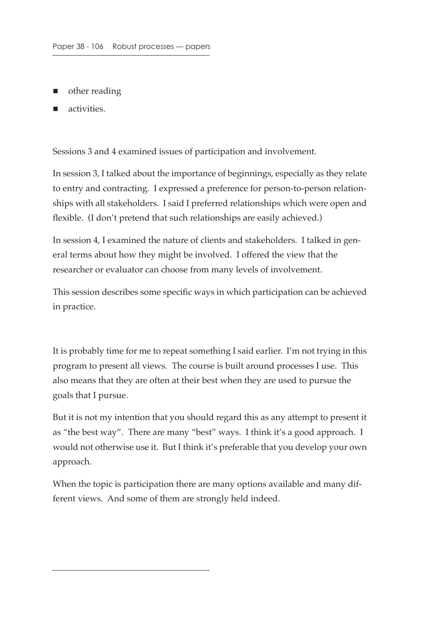- **n** other reading
- activities.

Sessions 3 and 4 examined issues of participation and involvement.

In session 3, I talked about the importance of beginnings, especially as they relate to entry and contracting. I expressed a preference for person-to-person relationships with all stakeholders. I said I preferred relationships which were open and flexible. (I don't pretend that such relationships are easily achieved.)

In session 4, I examined the nature of clients and stakeholders. I talked in general terms about how they might be involved. I offered the view that the researcher or evaluator can choose from many levels of involvement.

This session describes some specific ways in which participation can be achieved in practice.

It is probably time for me to repeat something I said earlier. I'm not trying in this program to present all views. The course is built around processes I use. This also means that they are often at their best when they are used to pursue the goals that I pursue.

But it is not my intention that you should regard this as any attempt to present it as "the best way". There are many "best" ways. I think it's a good approach. I would not otherwise use it. But I think it's preferable that you develop your own approach.

When the topic is participation there are many options available and many different views. And some of them are strongly held indeed.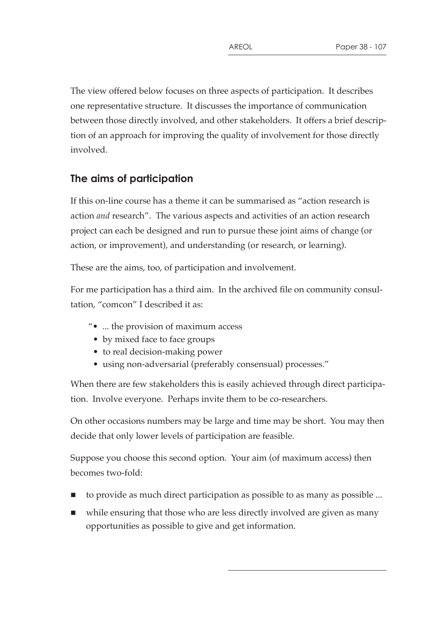The view offered below focuses on three aspects of participation. It describes one representative structure. It discusses the importance of communication between those directly involved, and other stakeholders. It offers a brief description of an approach for improving the quality of involvement for those directly involved.

# **The aims of participation**

If this on-line course has a theme it can be summarised as "action research is action *and* research". The various aspects and activities of an action research project can each be designed and run to pursue these joint aims of change (or action, or improvement), and understanding (or research, or learning).

These are the aims, too, of participation and involvement.

For me participation has a third aim. In the archived file on community consultation, "comcon" I described it as:

- "• ... the provision of maximum access
	- by mixed face to face groups
	- to real decision-making power
	- using non-adversarial (preferably consensual) processes."

When there are few stakeholders this is easily achieved through direct participation. Involve everyone. Perhaps invite them to be co-researchers.

On other occasions numbers may be large and time may be short. You may then decide that only lower levels of participation are feasible.

Suppose you choose this second option. Your aim (of maximum access) then becomes two-fold:

- to provide as much direct participation as possible to as many as possible ...
- while ensuring that those who are less directly involved are given as many opportunities as possible to give and get information.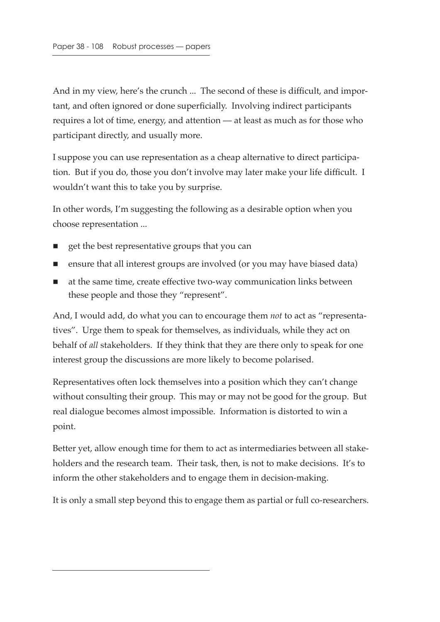And in my view, here's the crunch ... The second of these is difficult, and important, and often ignored or done superficially. Involving indirect participants requires a lot of time, energy, and attention — at least as much as for those who participant directly, and usually more.

I suppose you can use representation as a cheap alternative to direct participation. But if you do, those you don't involve may later make your life difficult. I wouldn't want this to take you by surprise.

In other words, I'm suggesting the following as a desirable option when you choose representation ...

- get the best representative groups that you can
- ensure that all interest groups are involved (or you may have biased data)
- at the same time, create effective two-way communication links between these people and those they "represent".

And, I would add, do what you can to encourage them *not* to act as "representatives". Urge them to speak for themselves, as individuals, while they act on behalf of *all* stakeholders. If they think that they are there only to speak for one interest group the discussions are more likely to become polarised.

Representatives often lock themselves into a position which they can't change without consulting their group. This may or may not be good for the group. But real dialogue becomes almost impossible. Information is distorted to win a point.

Better yet, allow enough time for them to act as intermediaries between all stakeholders and the research team. Their task, then, is not to make decisions. It's to inform the other stakeholders and to engage them in decision-making.

It is only a small step beyond this to engage them as partial or full co-researchers.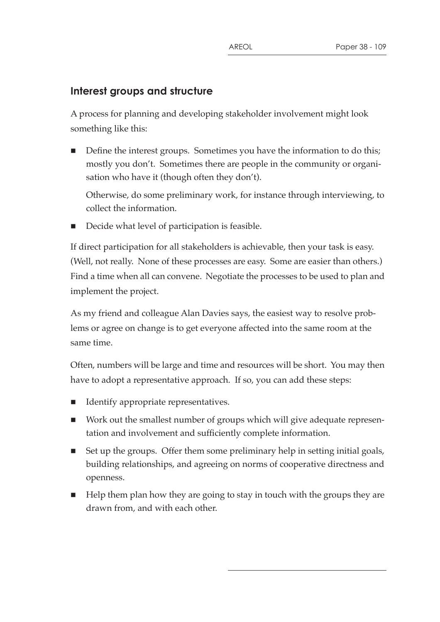# **Interest groups and structure**

A process for planning and developing stakeholder involvement might look something like this:

 Define the interest groups. Sometimes you have the information to do this; mostly you don't. Sometimes there are people in the community or organisation who have it (though often they don't).

Otherwise, do some preliminary work, for instance through interviewing, to collect the information.

Decide what level of participation is feasible.

If direct participation for all stakeholders is achievable, then your task is easy. (Well, not really. None of these processes are easy. Some are easier than others.) Find a time when all can convene. Negotiate the processes to be used to plan and implement the project.

As my friend and colleague Alan Davies says, the easiest way to resolve problems or agree on change is to get everyone affected into the same room at the same time.

Often, numbers will be large and time and resources will be short. You may then have to adopt a representative approach. If so, you can add these steps:

- Identify appropriate representatives.
- Work out the smallest number of groups which will give adequate representation and involvement and sufficiently complete information.
- Set up the groups. Offer them some preliminary help in setting initial goals, building relationships, and agreeing on norms of cooperative directness and openness.
- $\blacksquare$  Help them plan how they are going to stay in touch with the groups they are drawn from, and with each other.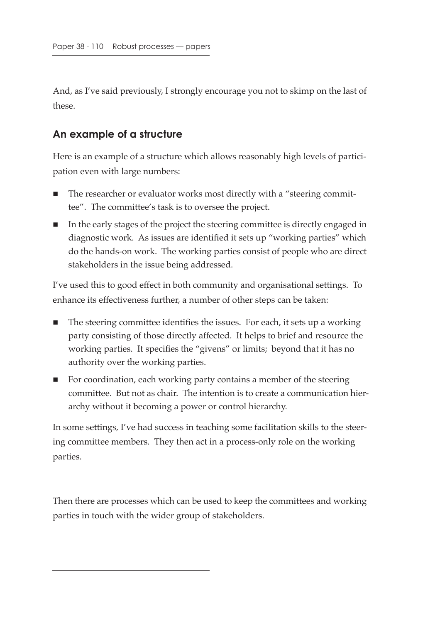And, as I've said previously, I strongly encourage you not to skimp on the last of these.

## **An example of a structure**

Here is an example of a structure which allows reasonably high levels of participation even with large numbers:

- The researcher or evaluator works most directly with a "steering committee". The committee's task is to oversee the project.
- In the early stages of the project the steering committee is directly engaged in diagnostic work. As issues are identified it sets up "working parties" which do the hands-on work. The working parties consist of people who are direct stakeholders in the issue being addressed.

I've used this to good effect in both community and organisational settings. To enhance its effectiveness further, a number of other steps can be taken:

- The steering committee identifies the issues. For each, it sets up a working party consisting of those directly affected. It helps to brief and resource the working parties. It specifies the "givens" or limits; beyond that it has no authority over the working parties.
- For coordination, each working party contains a member of the steering committee. But not as chair. The intention is to create a communication hierarchy without it becoming a power or control hierarchy.

In some settings, I've had success in teaching some facilitation skills to the steering committee members. They then act in a process-only role on the working parties.

Then there are processes which can be used to keep the committees and working parties in touch with the wider group of stakeholders.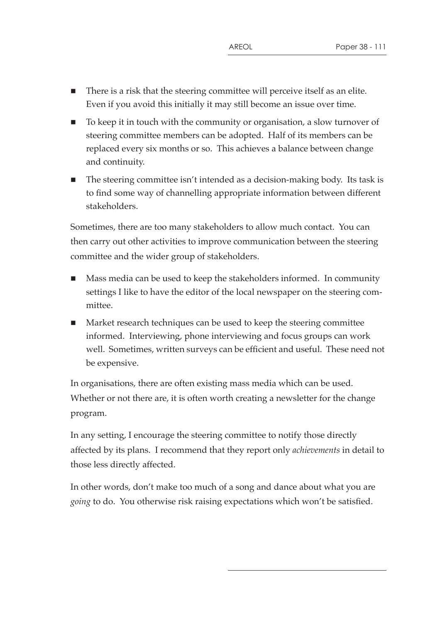- There is a risk that the steering committee will perceive itself as an elite. Even if you avoid this initially it may still become an issue over time.
- To keep it in touch with the community or organisation, a slow turnover of steering committee members can be adopted. Half of its members can be replaced every six months or so. This achieves a balance between change and continuity.
- The steering committee isn't intended as a decision-making body. Its task is to find some way of channelling appropriate information between different stakeholders.

Sometimes, there are too many stakeholders to allow much contact. You can then carry out other activities to improve communication between the steering committee and the wider group of stakeholders.

- **Mass media can be used to keep the stakeholders informed. In community** settings I like to have the editor of the local newspaper on the steering committee.
- Market research techniques can be used to keep the steering committee informed. Interviewing, phone interviewing and focus groups can work well. Sometimes, written surveys can be efficient and useful. These need not be expensive.

In organisations, there are often existing mass media which can be used. Whether or not there are, it is often worth creating a newsletter for the change program.

In any setting, I encourage the steering committee to notify those directly affected by its plans. I recommend that they report only *achievements* in detail to those less directly affected.

In other words, don't make too much of a song and dance about what you are *going* to do. You otherwise risk raising expectations which won't be satisfied.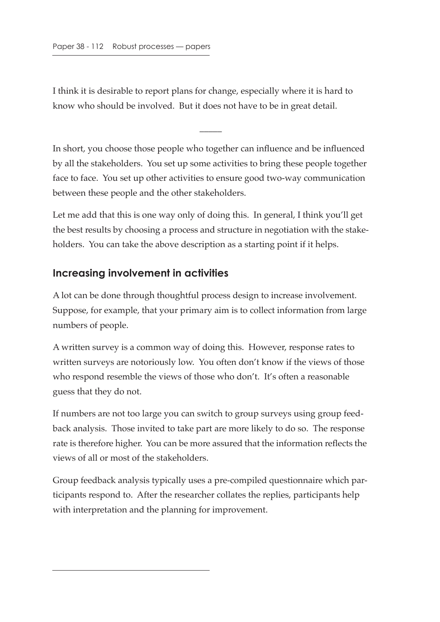I think it is desirable to report plans for change, especially where it is hard to know who should be involved. But it does not have to be in great detail.

In short, you choose those people who together can influence and be influenced by all the stakeholders. You set up some activities to bring these people together face to face. You set up other activities to ensure good two-way communication between these people and the other stakeholders.

 $\overline{\phantom{a}}$ 

Let me add that this is one way only of doing this. In general, I think you'll get the best results by choosing a process and structure in negotiation with the stakeholders. You can take the above description as a starting point if it helps.

## **Increasing involvement in activities**

A lot can be done through thoughtful process design to increase involvement. Suppose, for example, that your primary aim is to collect information from large numbers of people.

A written survey is a common way of doing this. However, response rates to written surveys are notoriously low. You often don't know if the views of those who respond resemble the views of those who don't. It's often a reasonable guess that they do not.

If numbers are not too large you can switch to group surveys using group feedback analysis. Those invited to take part are more likely to do so. The response rate is therefore higher. You can be more assured that the information reflects the views of all or most of the stakeholders.

Group feedback analysis typically uses a pre-compiled questionnaire which participants respond to. After the researcher collates the replies, participants help with interpretation and the planning for improvement.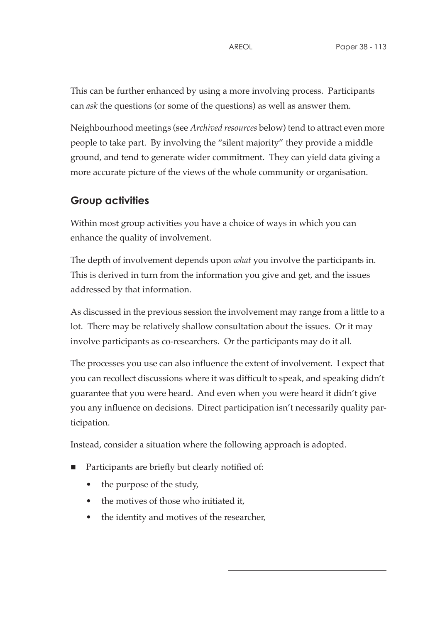This can be further enhanced by using a more involving process. Participants can *ask* the questions (or some of the questions) as well as answer them.

Neighbourhood meetings (see *Archived resources* below) tend to attract even more people to take part. By involving the "silent majority" they provide a middle ground, and tend to generate wider commitment. They can yield data giving a more accurate picture of the views of the whole community or organisation.

## **Group activities**

Within most group activities you have a choice of ways in which you can enhance the quality of involvement.

The depth of involvement depends upon *what* you involve the participants in. This is derived in turn from the information you give and get, and the issues addressed by that information.

As discussed in the previous session the involvement may range from a little to a lot. There may be relatively shallow consultation about the issues. Or it may involve participants as co-researchers. Or the participants may do it all.

The processes you use can also influence the extent of involvement. I expect that you can recollect discussions where it was difficult to speak, and speaking didn't guarantee that you were heard. And even when you were heard it didn't give you any influence on decisions. Direct participation isn't necessarily quality participation.

Instead, consider a situation where the following approach is adopted.

- Participants are briefly but clearly notified of:
	- the purpose of the study,
	- the motives of those who initiated it,
	- the identity and motives of the researcher,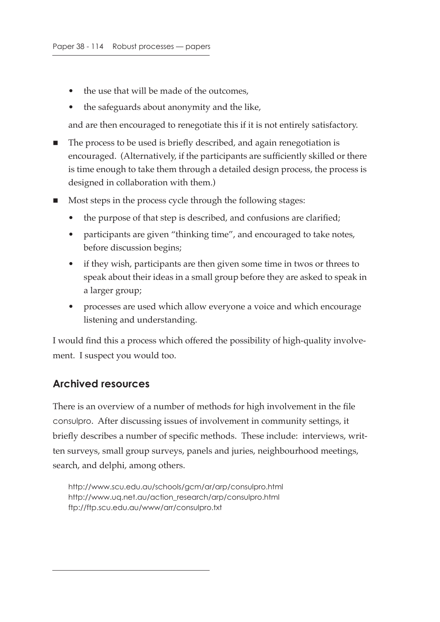- the use that will be made of the outcomes,
- the safeguards about anonymity and the like,

and are then encouraged to renegotiate this if it is not entirely satisfactory.

- The process to be used is briefly described, and again renegotiation is encouraged. (Alternatively, if the participants are sufficiently skilled or there is time enough to take them through a detailed design process, the process is designed in collaboration with them.)
- Most steps in the process cycle through the following stages:
	- the purpose of that step is described, and confusions are clarified;
	- participants are given "thinking time", and encouraged to take notes, before discussion begins;
	- if they wish, participants are then given some time in twos or threes to speak about their ideas in a small group before they are asked to speak in a larger group;
	- processes are used which allow everyone a voice and which encourage listening and understanding.

I would find this a process which offered the possibility of high-quality involvement. I suspect you would too.

## **Archived resources**

There is an overview of a number of methods for high involvement in the file consulpro. After discussing issues of involvement in community settings, it briefly describes a number of specific methods. These include: interviews, written surveys, small group surveys, panels and juries, neighbourhood meetings, search, and delphi, among others.

http://www.scu.edu.au/schools/gcm/ar/arp/consulpro.html http://www.uq.net.au/action\_research/arp/consulpro.html ftp://ftp.scu.edu.au/www/arr/consulpro.txt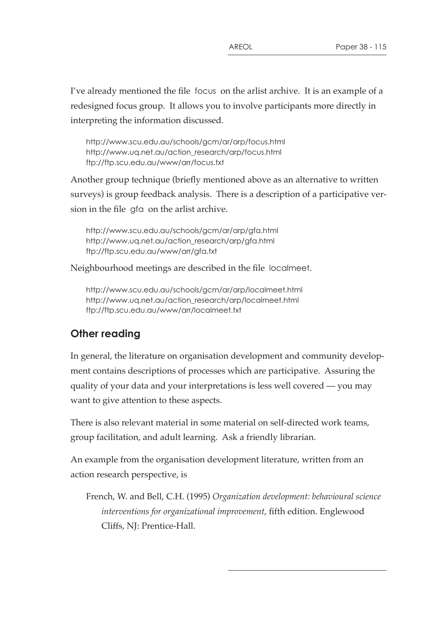I've already mentioned the file focus on the arlist archive. It is an example of a redesigned focus group. It allows you to involve participants more directly in interpreting the information discussed.

http://www.scu.edu.au/schools/gcm/ar/arp/focus.html http://www.uq.net.au/action\_research/arp/focus.html ftp://ftp.scu.edu.au/www/arr/focus.txt

Another group technique (briefly mentioned above as an alternative to written surveys) is group feedback analysis. There is a description of a participative version in the file gfa on the arlist archive.

http://www.scu.edu.au/schools/gcm/ar/arp/gfa.html http://www.uq.net.au/action\_research/arp/gfa.html ftp://ftp.scu.edu.au/www/arr/gfa.txt

Neighbourhood meetings are described in the file localmeet.

http://www.scu.edu.au/schools/gcm/ar/arp/localmeet.html http://www.uq.net.au/action\_research/arp/localmeet.html ftp://ftp.scu.edu.au/www/arr/localmeet.txt

# **Other reading**

In general, the literature on organisation development and community development contains descriptions of processes which are participative. Assuring the quality of your data and your interpretations is less well covered — you may want to give attention to these aspects.

There is also relevant material in some material on self-directed work teams, group facilitation, and adult learning. Ask a friendly librarian.

An example from the organisation development literature, written from an action research perspective, is

French, W. and Bell, C.H. (1995) *Organization development: behavioural science interventions for organizational improvement*, fifth edition. Englewood Cliffs, NJ: Prentice-Hall.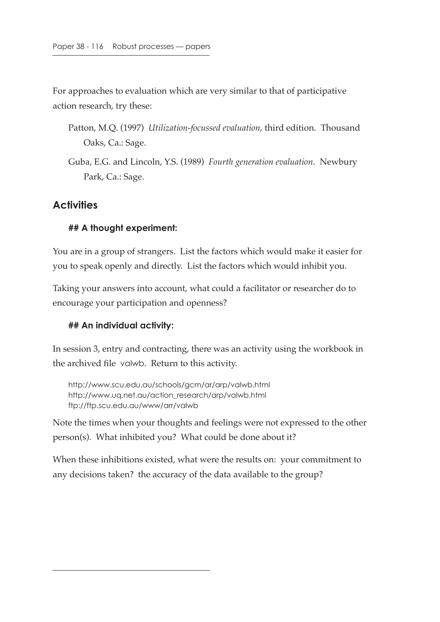For approaches to evaluation which are very similar to that of participative action research, try these:

- Patton, M.Q. (1997) *Utilization-focussed evaluation*, third edition. Thousand Oaks, Ca.: Sage.
- Guba, E.G. and Lincoln, Y.S. (1989) *Fourth generation evaluation*. Newbury Park, Ca.: Sage.

#### **Activities**

#### **## A thought experiment:**

You are in a group of strangers. List the factors which would make it easier for you to speak openly and directly. List the factors which would inhibit you.

Taking your answers into account, what could a facilitator or researcher do to encourage your participation and openness?

#### **## An individual activity:**

In session 3, entry and contracting, there was an activity using the workbook in the archived file valwb. Return to this activity.

http://www.scu.edu.au/schools/gcm/ar/arp/valwb.html http://www.uq.net.au/action\_research/arp/valwb.html ftp://ftp.scu.edu.au/www/arr/valwb

Note the times when your thoughts and feelings were not expressed to the other person(s). What inhibited you? What could be done about it?

When these inhibitions existed, what were the results on: your commitment to any decisions taken? the accuracy of the data available to the group?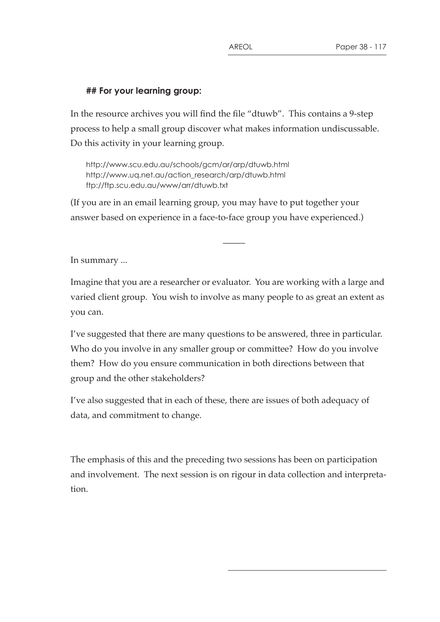#### **## For your learning group:**

In the resource archives you will find the file "dtuwb". This contains a 9-step process to help a small group discover what makes information undiscussable. Do this activity in your learning group.

http://www.scu.edu.au/schools/gcm/ar/arp/dtuwb.html http://www.uq.net.au/action\_research/arp/dtuwb.html ftp://ftp.scu.edu.au/www/arr/dtuwb.txt

(If you are in an email learning group, you may have to put together your answer based on experience in a face-to-face group you have experienced.)

In summary ...

Imagine that you are a researcher or evaluator. You are working with a large and varied client group. You wish to involve as many people to as great an extent as you can.

 $\frac{1}{2}$ 

I've suggested that there are many questions to be answered, three in particular. Who do you involve in any smaller group or committee? How do you involve them? How do you ensure communication in both directions between that group and the other stakeholders?

I've also suggested that in each of these, there are issues of both adequacy of data, and commitment to change.

The emphasis of this and the preceding two sessions has been on participation and involvement. The next session is on rigour in data collection and interpretation.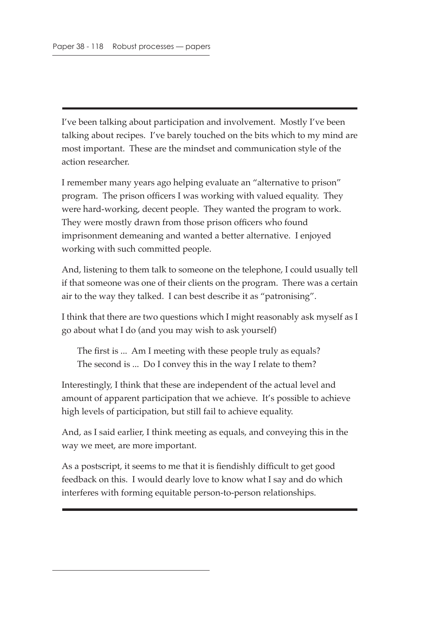I've been talking about participation and involvement. Mostly I've been talking about recipes. I've barely touched on the bits which to my mind are most important. These are the mindset and communication style of the action researcher.

I remember many years ago helping evaluate an "alternative to prison" program. The prison officers I was working with valued equality. They were hard-working, decent people. They wanted the program to work. They were mostly drawn from those prison officers who found imprisonment demeaning and wanted a better alternative. I enjoyed working with such committed people.

And, listening to them talk to someone on the telephone, I could usually tell if that someone was one of their clients on the program. There was a certain air to the way they talked. I can best describe it as "patronising".

I think that there are two questions which I might reasonably ask myself as I go about what I do (and you may wish to ask yourself)

The first is ... Am I meeting with these people truly as equals? The second is ... Do I convey this in the way I relate to them?

Interestingly, I think that these are independent of the actual level and amount of apparent participation that we achieve. It's possible to achieve high levels of participation, but still fail to achieve equality.

And, as I said earlier, I think meeting as equals, and conveying this in the way we meet, are more important.

As a postscript, it seems to me that it is fiendishly difficult to get good feedback on this. I would dearly love to know what I say and do which interferes with forming equitable person-to-person relationships.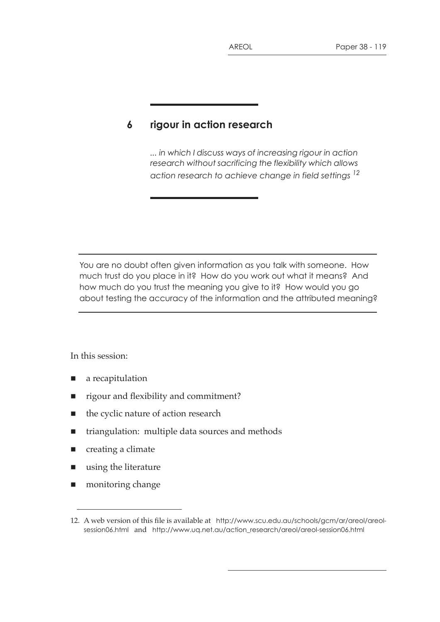# **6 rigour in action research**

*... in which I discuss ways of increasing rigour in action research without sacrificing the flexibility which allows action research to achieve change in field settings 12*

You are no doubt often given information as you talk with someone. How much trust do you place in it? How do you work out what it means? And how much do you trust the meaning you give to it? How would you go about testing the accuracy of the information and the attributed meaning?

In this session:

- a recapitulation
- rigour and flexibility and commitment?
- the cyclic nature of action research
- triangulation: multiple data sources and methods
- creating a climate
- $\blacksquare$  using the literature
- monitoring change

<sup>12.</sup> A web version of this file is available at http://www.scu.edu.au/schools/gcm/ar/areol/areolsession06.html and http://www.uq.net.au/action\_research/areol/areol-session06.html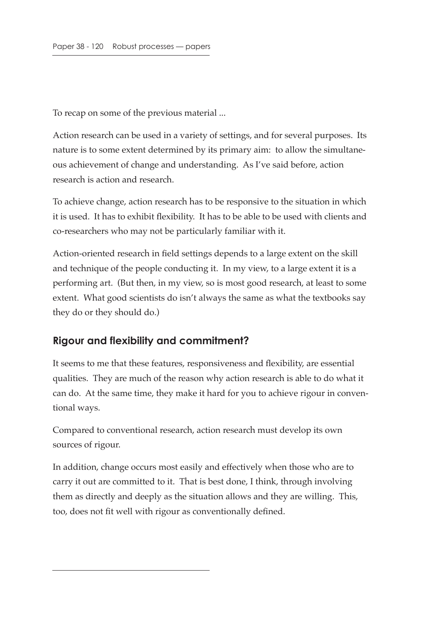To recap on some of the previous material ...

Action research can be used in a variety of settings, and for several purposes. Its nature is to some extent determined by its primary aim: to allow the simultaneous achievement of change and understanding. As I've said before, action research is action and research.

To achieve change, action research has to be responsive to the situation in which it is used. It has to exhibit flexibility. It has to be able to be used with clients and co-researchers who may not be particularly familiar with it.

Action-oriented research in field settings depends to a large extent on the skill and technique of the people conducting it. In my view, to a large extent it is a performing art. (But then, in my view, so is most good research, at least to some extent. What good scientists do isn't always the same as what the textbooks say they do or they should do.)

#### **Rigour and flexibility and commitment?**

It seems to me that these features, responsiveness and flexibility, are essential qualities. They are much of the reason why action research is able to do what it can do. At the same time, they make it hard for you to achieve rigour in conventional ways.

Compared to conventional research, action research must develop its own sources of rigour.

In addition, change occurs most easily and effectively when those who are to carry it out are committed to it. That is best done, I think, through involving them as directly and deeply as the situation allows and they are willing. This, too, does not fit well with rigour as conventionally defined.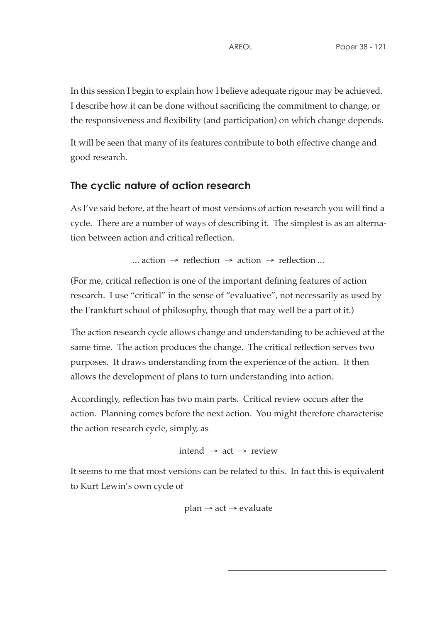In this session I begin to explain how I believe adequate rigour may be achieved. I describe how it can be done without sacrificing the commitment to change, or the responsiveness and flexibility (and participation) on which change depends.

It will be seen that many of its features contribute to both effective change and good research.

## **The cyclic nature of action research**

As I've said before, at the heart of most versions of action research you will find a cycle. There are a number of ways of describing it. The simplest is as an alternation between action and critical reflection.

... action  $\rightarrow$  reflection  $\rightarrow$  action  $\rightarrow$  reflection ...

(For me, critical reflection is one of the important defining features of action research. I use "critical" in the sense of "evaluative", not necessarily as used by the Frankfurt school of philosophy, though that may well be a part of it.)

The action research cycle allows change and understanding to be achieved at the same time. The action produces the change. The critical reflection serves two purposes. It draws understanding from the experience of the action. It then allows the development of plans to turn understanding into action.

Accordingly, reflection has two main parts. Critical review occurs after the action. Planning comes before the next action. You might therefore characterise the action research cycle, simply, as

intend → act → review

It seems to me that most versions can be related to this. In fact this is equivalent to Kurt Lewin's own cycle of

plan → act → evaluate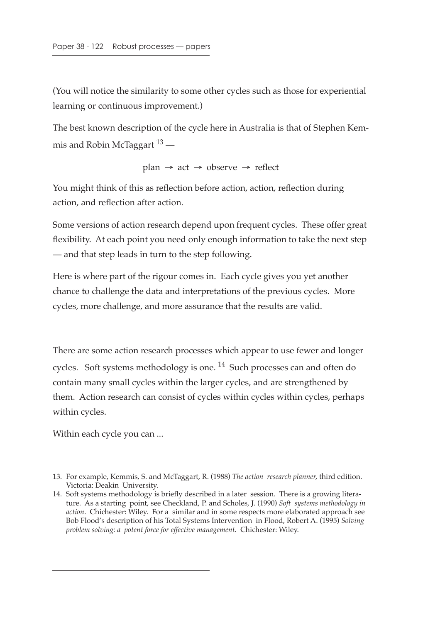(You will notice the similarity to some other cycles such as those for experiential learning or continuous improvement.)

The best known description of the cycle here in Australia is that of Stephen Kemmis and Robin McTaggart<sup>13</sup> —

plan  $\rightarrow$  act  $\rightarrow$  observe  $\rightarrow$  reflect

You might think of this as reflection before action, action, reflection during action, and reflection after action.

Some versions of action research depend upon frequent cycles. These offer great flexibility. At each point you need only enough information to take the next step — and that step leads in turn to the step following.

Here is where part of the rigour comes in. Each cycle gives you yet another chance to challenge the data and interpretations of the previous cycles. More cycles, more challenge, and more assurance that the results are valid.

There are some action research processes which appear to use fewer and longer cycles. Soft systems methodology is one.<sup>14</sup> Such processes can and often do contain many small cycles within the larger cycles, and are strengthened by them. Action research can consist of cycles within cycles within cycles, perhaps within cycles.

Within each cycle you can ...

<sup>13.</sup> For example, Kemmis, S. and McTaggart, R. (1988) *The action research planner*, third edition. Victoria: Deakin University.

<sup>14.</sup> Soft systems methodology is briefly described in a later session. There is a growing literature. As a starting point, see Checkland, P. and Scholes, J. (1990) *Soft systems methodology in action*. Chichester: Wiley. For a similar and in some respects more elaborated approach see Bob Flood's description of his Total Systems Intervention in Flood, Robert A. (1995) *Solving problem solving: a potent force for effective management*. Chichester: Wiley.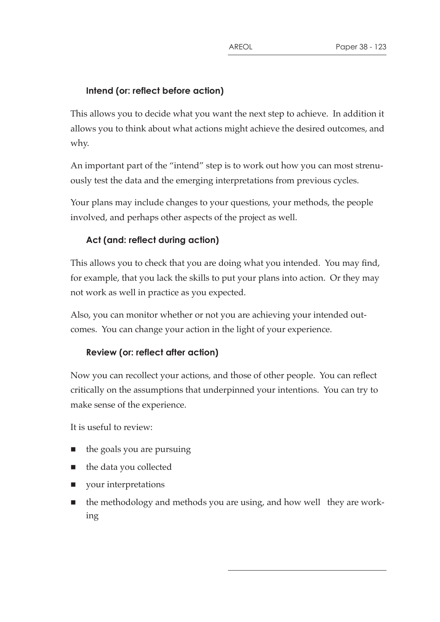## **Intend (or: reflect before action)**

This allows you to decide what you want the next step to achieve. In addition it allows you to think about what actions might achieve the desired outcomes, and why.

An important part of the "intend" step is to work out how you can most strenuously test the data and the emerging interpretations from previous cycles.

Your plans may include changes to your questions, your methods, the people involved, and perhaps other aspects of the project as well.

## **Act (and: reflect during action)**

This allows you to check that you are doing what you intended. You may find, for example, that you lack the skills to put your plans into action. Or they may not work as well in practice as you expected.

Also, you can monitor whether or not you are achieving your intended outcomes. You can change your action in the light of your experience.

## **Review (or: reflect after action)**

Now you can recollect your actions, and those of other people. You can reflect critically on the assumptions that underpinned your intentions. You can try to make sense of the experience.

It is useful to review:

- $\blacksquare$  the goals you are pursuing
- $\blacksquare$  the data you collected
- **u** your interpretations
- the methodology and methods you are using, and how well they are working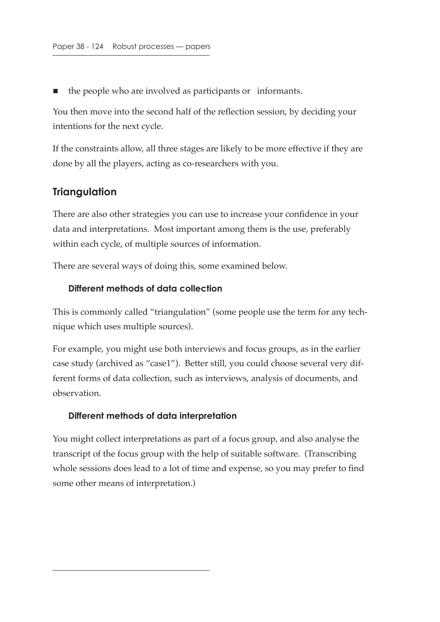$\blacksquare$  the people who are involved as participants or informants.

You then move into the second half of the reflection session, by deciding your intentions for the next cycle.

If the constraints allow, all three stages are likely to be more effective if they are done by all the players, acting as co-researchers with you.

#### **Triangulation**

There are also other strategies you can use to increase your confidence in your data and interpretations. Most important among them is the use, preferably within each cycle, of multiple sources of information.

There are several ways of doing this, some examined below.

#### **Different methods of data collection**

This is commonly called "triangulation" (some people use the term for any technique which uses multiple sources).

For example, you might use both interviews and focus groups, as in the earlier case study (archived as "case1"). Better still, you could choose several very different forms of data collection, such as interviews, analysis of documents, and observation.

#### **Different methods of data interpretation**

You might collect interpretations as part of a focus group, and also analyse the transcript of the focus group with the help of suitable software. (Transcribing whole sessions does lead to a lot of time and expense, so you may prefer to find some other means of interpretation.)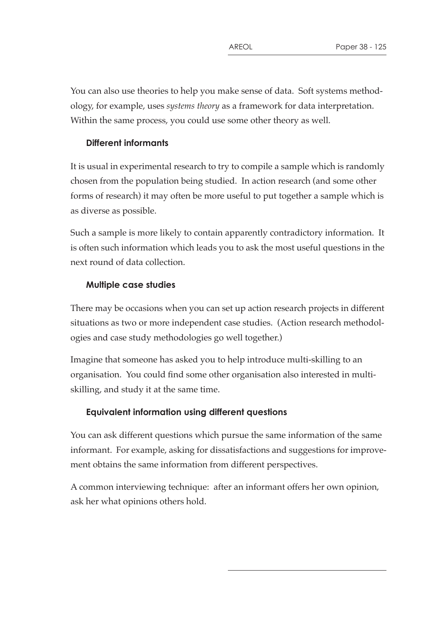You can also use theories to help you make sense of data. Soft systems methodology, for example, uses *systems theory* as a framework for data interpretation. Within the same process, you could use some other theory as well.

#### **Different informants**

It is usual in experimental research to try to compile a sample which is randomly chosen from the population being studied. In action research (and some other forms of research) it may often be more useful to put together a sample which is as diverse as possible.

Such a sample is more likely to contain apparently contradictory information. It is often such information which leads you to ask the most useful questions in the next round of data collection.

#### **Multiple case studies**

There may be occasions when you can set up action research projects in different situations as two or more independent case studies. (Action research methodologies and case study methodologies go well together.)

Imagine that someone has asked you to help introduce multi-skilling to an organisation. You could find some other organisation also interested in multiskilling, and study it at the same time.

## **Equivalent information using different questions**

You can ask different questions which pursue the same information of the same informant. For example, asking for dissatisfactions and suggestions for improvement obtains the same information from different perspectives.

A common interviewing technique: after an informant offers her own opinion, ask her what opinions others hold.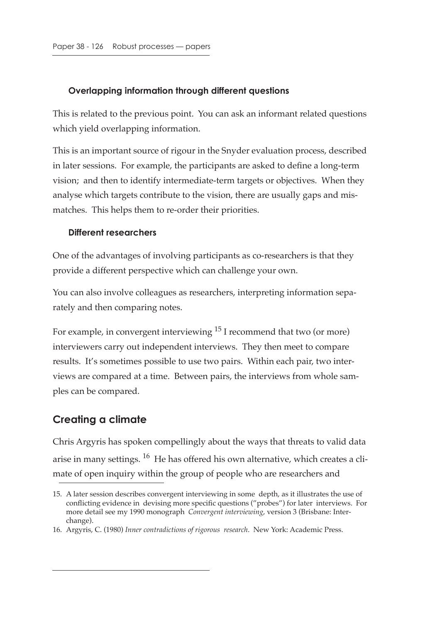#### **Overlapping information through different questions**

This is related to the previous point. You can ask an informant related questions which yield overlapping information.

This is an important source of rigour in the Snyder evaluation process, described in later sessions. For example, the participants are asked to define a long-term vision; and then to identify intermediate-term targets or objectives. When they analyse which targets contribute to the vision, there are usually gaps and mismatches. This helps them to re-order their priorities.

#### **Different researchers**

One of the advantages of involving participants as co-researchers is that they provide a different perspective which can challenge your own.

You can also involve colleagues as researchers, interpreting information separately and then comparing notes.

For example, in convergent interviewing  $^{15}$  I recommend that two (or more) interviewers carry out independent interviews. They then meet to compare results. It's sometimes possible to use two pairs. Within each pair, two interviews are compared at a time. Between pairs, the interviews from whole samples can be compared.

## **Creating a climate**

Chris Argyris has spoken compellingly about the ways that threats to valid data arise in many settings.  $^{16}$  He has offered his own alternative, which creates a climate of open inquiry within the group of people who are researchers and

<sup>15.</sup> A later session describes convergent interviewing in some depth, as it illustrates the use of conflicting evidence in devising more specific questions ("probes") for later interviews. For more detail see my 1990 monograph *Convergent interviewing*, version 3 (Brisbane: Interchange).

<sup>16.</sup> Argyris, C. (1980) *Inner contradictions of rigorous research*. New York: Academic Press.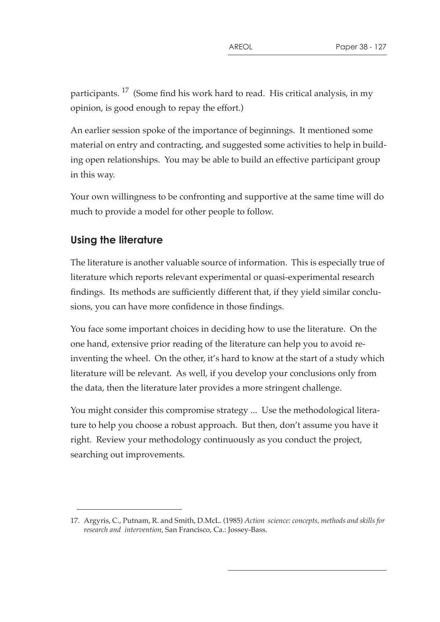participants. 17 (Some find his work hard to read. His critical analysis, in my opinion, is good enough to repay the effort.)

An earlier session spoke of the importance of beginnings. It mentioned some material on entry and contracting, and suggested some activities to help in building open relationships. You may be able to build an effective participant group in this way.

Your own willingness to be confronting and supportive at the same time will do much to provide a model for other people to follow.

# **Using the literature**

The literature is another valuable source of information. This is especially true of literature which reports relevant experimental or quasi-experimental research findings. Its methods are sufficiently different that, if they yield similar conclusions, you can have more confidence in those findings.

You face some important choices in deciding how to use the literature. On the one hand, extensive prior reading of the literature can help you to avoid reinventing the wheel. On the other, it's hard to know at the start of a study which literature will be relevant. As well, if you develop your conclusions only from the data, then the literature later provides a more stringent challenge.

You might consider this compromise strategy ... Use the methodological literature to help you choose a robust approach. But then, don't assume you have it right. Review your methodology continuously as you conduct the project, searching out improvements.

<sup>17.</sup> Argyris, C., Putnam, R. and Smith, D.McL. (1985) *Action science: concepts, methods and skills for research and intervention*, San Francisco, Ca.: Jossey-Bass.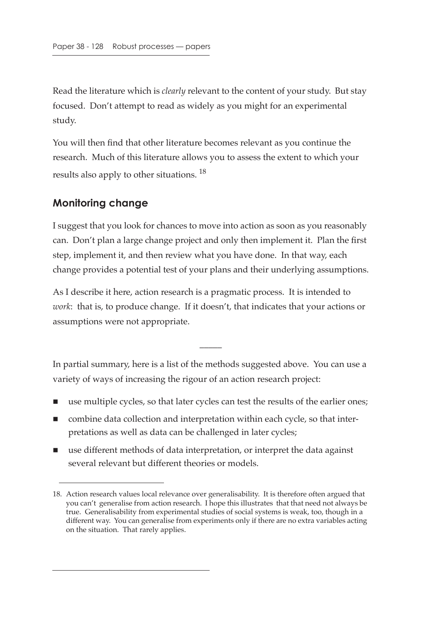Read the literature which is *clearly* relevant to the content of your study. But stay focused. Don't attempt to read as widely as you might for an experimental study.

You will then find that other literature becomes relevant as you continue the research. Much of this literature allows you to assess the extent to which your results also apply to other situations. 18

## **Monitoring change**

I suggest that you look for chances to move into action as soon as you reasonably can. Don't plan a large change project and only then implement it. Plan the first step, implement it, and then review what you have done. In that way, each change provides a potential test of your plans and their underlying assumptions.

As I describe it here, action research is a pragmatic process. It is intended to *work*: that is, to produce change. If it doesn't, that indicates that your actions or assumptions were not appropriate.

In partial summary, here is a list of the methods suggested above. You can use a variety of ways of increasing the rigour of an action research project:

 $\overline{\phantom{a}}$ 

- use multiple cycles, so that later cycles can test the results of the earlier ones;
- **EXECOM** combine data collection and interpretation within each cycle, so that interpretations as well as data can be challenged in later cycles;
- use different methods of data interpretation, or interpret the data against several relevant but different theories or models.

<sup>18.</sup> Action research values local relevance over generalisability. It is therefore often argued that you can't generalise from action research. I hope this illustrates that that need not always be true. Generalisability from experimental studies of social systems is weak, too, though in a different way. You can generalise from experiments only if there are no extra variables acting on the situation. That rarely applies.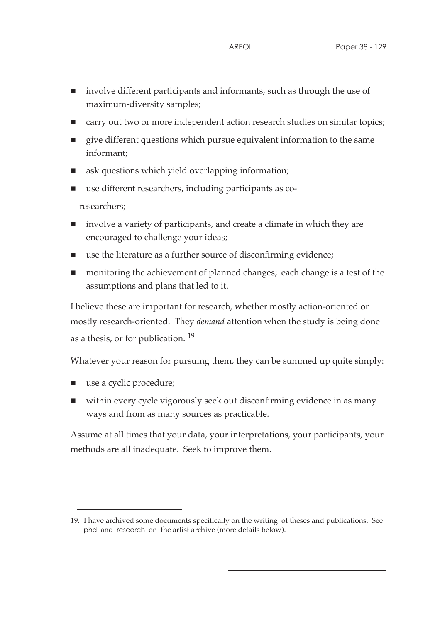- involve different participants and informants, such as through the use of maximum-diversity samples;
- **EXECUTE:** carry out two or more independent action research studies on similar topics;
- **E** give different questions which pursue equivalent information to the same informant;
- ask questions which yield overlapping information;
- use different researchers, including participants as co-

researchers;

- involve a variety of participants, and create a climate in which they are encouraged to challenge your ideas;
- use the literature as a further source of disconfirming evidence;
- monitoring the achievement of planned changes; each change is a test of the assumptions and plans that led to it.

I believe these are important for research, whether mostly action-oriented or mostly research-oriented. They *demand* attention when the study is being done as a thesis, or for publication. 19

Whatever your reason for pursuing them, they can be summed up quite simply:

- use a cyclic procedure;
- within every cycle vigorously seek out disconfirming evidence in as many ways and from as many sources as practicable.

Assume at all times that your data, your interpretations, your participants, your methods are all inadequate. Seek to improve them.

<sup>19.</sup> I have archived some documents specifically on the writing of theses and publications. See phd and research on the arlist archive (more details below).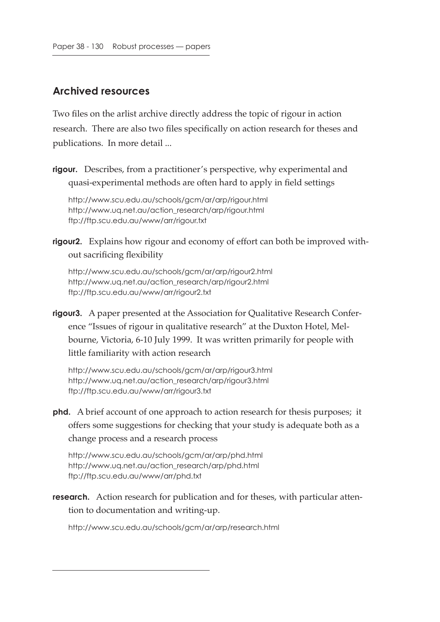#### **Archived resources**

Two files on the arlist archive directly address the topic of rigour in action research. There are also two files specifically on action research for theses and publications. In more detail ...

**rigour.** Describes, from a practitioner's perspective, why experimental and quasi-experimental methods are often hard to apply in field settings

http://www.scu.edu.au/schools/gcm/ar/arp/rigour.html http://www.uq.net.au/action\_research/arp/rigour.html ftp://ftp.scu.edu.au/www/arr/rigour.txt

**rigour2.** Explains how rigour and economy of effort can both be improved without sacrificing flexibility

http://www.scu.edu.au/schools/gcm/ar/arp/rigour2.html http://www.uq.net.au/action\_research/arp/rigour2.html ftp://ftp.scu.edu.au/www/arr/rigour2.txt

**rigour3.** A paper presented at the Association for Qualitative Research Conference "Issues of rigour in qualitative research" at the Duxton Hotel, Melbourne, Victoria, 6-10 July 1999. It was written primarily for people with little familiarity with action research

http://www.scu.edu.au/schools/gcm/ar/arp/rigour3.html http://www.uq.net.au/action\_research/arp/rigour3.html ftp://ftp.scu.edu.au/www/arr/rigour3.txt

**phd.** A brief account of one approach to action research for thesis purposes; it offers some suggestions for checking that your study is adequate both as a change process and a research process

http://www.scu.edu.au/schools/gcm/ar/arp/phd.html http://www.uq.net.au/action\_research/arp/phd.html ftp://ftp.scu.edu.au/www/arr/phd.txt

**research.** Action research for publication and for theses, with particular attention to documentation and writing-up.

http://www.scu.edu.au/schools/gcm/ar/arp/research.html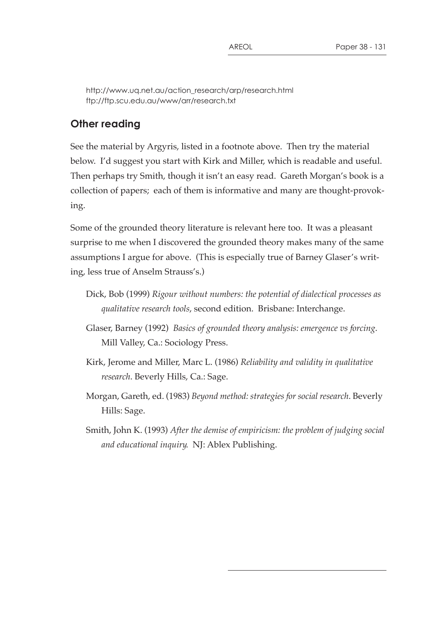http://www.uq.net.au/action\_research/arp/research.html ftp://ftp.scu.edu.au/www/arr/research.txt

#### **Other reading**

See the material by Argyris, listed in a footnote above. Then try the material below. I'd suggest you start with Kirk and Miller, which is readable and useful. Then perhaps try Smith, though it isn't an easy read. Gareth Morgan's book is a collection of papers; each of them is informative and many are thought-provoking.

Some of the grounded theory literature is relevant here too. It was a pleasant surprise to me when I discovered the grounded theory makes many of the same assumptions I argue for above. (This is especially true of Barney Glaser's writing, less true of Anselm Strauss's.)

- Dick, Bob (1999) *Rigour without numbers: the potential of dialectical processes as qualitative research tools*, second edition. Brisbane: Interchange.
- Glaser, Barney (1992) *Basics of grounded theory analysis: emergence vs forcing*. Mill Valley, Ca.: Sociology Press.
- Kirk, Jerome and Miller, Marc L. (1986) *Reliability and validity in qualitative research*. Beverly Hills, Ca.: Sage.
- Morgan, Gareth, ed. (1983) *Beyond method: strategies for social research*. Beverly Hills: Sage.
- Smith, John K. (1993) *After the demise of empiricism: the problem of judging social and educational inquiry*. NJ: Ablex Publishing.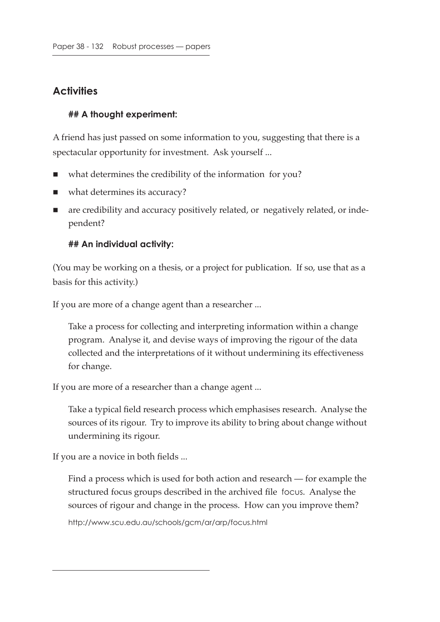## **Activities**

#### **## A thought experiment:**

A friend has just passed on some information to you, suggesting that there is a spectacular opportunity for investment. Ask yourself ...

- what determines the credibility of the information for you?
- what determines its accuracy?
- are credibility and accuracy positively related, or negatively related, or independent?

#### **## An individual activity:**

(You may be working on a thesis, or a project for publication. If so, use that as a basis for this activity.)

If you are more of a change agent than a researcher ...

Take a process for collecting and interpreting information within a change program. Analyse it, and devise ways of improving the rigour of the data collected and the interpretations of it without undermining its effectiveness for change.

If you are more of a researcher than a change agent ...

Take a typical field research process which emphasises research. Analyse the sources of its rigour. Try to improve its ability to bring about change without undermining its rigour.

If you are a novice in both fields ...

Find a process which is used for both action and research — for example the structured focus groups described in the archived file focus. Analyse the sources of rigour and change in the process. How can you improve them? http://www.scu.edu.au/schools/gcm/ar/arp/focus.html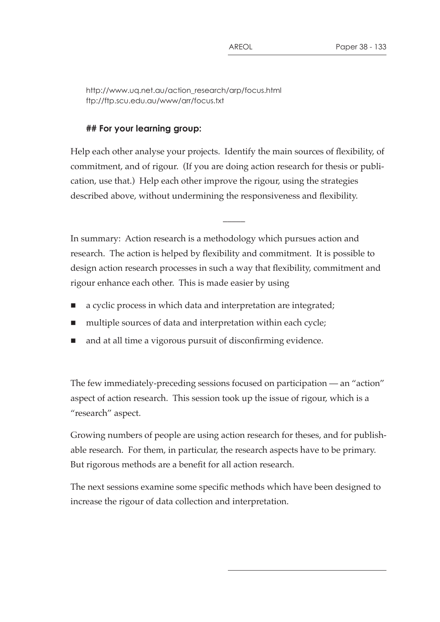http://www.uq.net.au/action\_research/arp/focus.html ftp://ftp.scu.edu.au/www/arr/focus.txt

#### **## For your learning group:**

Help each other analyse your projects. Identify the main sources of flexibility, of commitment, and of rigour. (If you are doing action research for thesis or publication, use that.) Help each other improve the rigour, using the strategies described above, without undermining the responsiveness and flexibility.

 $\frac{1}{2}$ 

In summary: Action research is a methodology which pursues action and research. The action is helped by flexibility and commitment. It is possible to design action research processes in such a way that flexibility, commitment and rigour enhance each other. This is made easier by using

- a cyclic process in which data and interpretation are integrated;
- multiple sources of data and interpretation within each cycle;
- and at all time a vigorous pursuit of disconfirming evidence.

The few immediately-preceding sessions focused on participation — an "action" aspect of action research. This session took up the issue of rigour, which is a "research" aspect.

Growing numbers of people are using action research for theses, and for publishable research. For them, in particular, the research aspects have to be primary. But rigorous methods are a benefit for all action research.

The next sessions examine some specific methods which have been designed to increase the rigour of data collection and interpretation.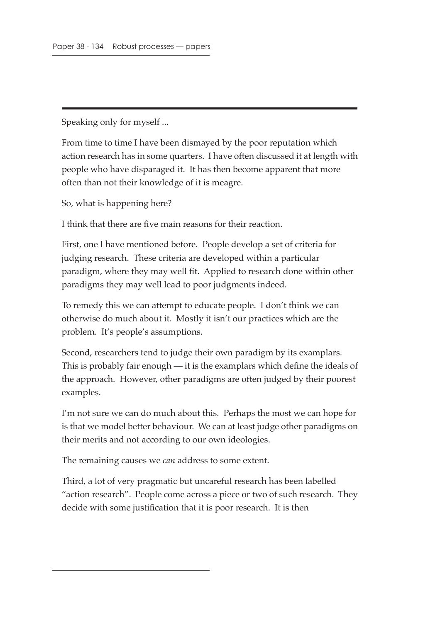Speaking only for myself ...

From time to time I have been dismayed by the poor reputation which action research has in some quarters. I have often discussed it at length with people who have disparaged it. It has then become apparent that more often than not their knowledge of it is meagre.

So, what is happening here?

I think that there are five main reasons for their reaction.

First, one I have mentioned before. People develop a set of criteria for judging research. These criteria are developed within a particular paradigm, where they may well fit. Applied to research done within other paradigms they may well lead to poor judgments indeed.

To remedy this we can attempt to educate people. I don't think we can otherwise do much about it. Mostly it isn't our practices which are the problem. It's people's assumptions.

Second, researchers tend to judge their own paradigm by its examplars. This is probably fair enough — it is the examplars which define the ideals of the approach. However, other paradigms are often judged by their poorest examples.

I'm not sure we can do much about this. Perhaps the most we can hope for is that we model better behaviour. We can at least judge other paradigms on their merits and not according to our own ideologies.

The remaining causes we *can* address to some extent.

Third, a lot of very pragmatic but uncareful research has been labelled "action research". People come across a piece or two of such research. They decide with some justification that it is poor research. It is then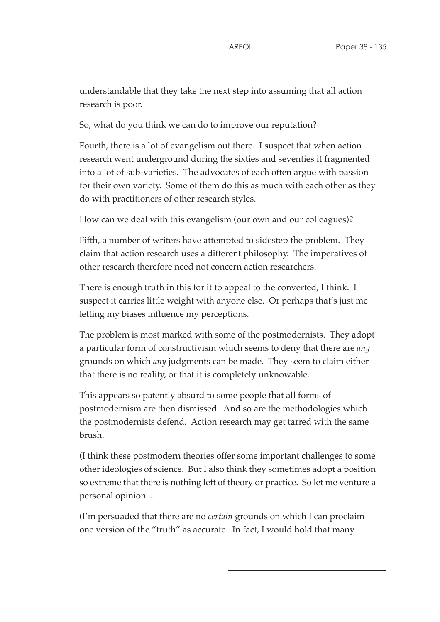understandable that they take the next step into assuming that all action research is poor.

So, what do you think we can do to improve our reputation?

Fourth, there is a lot of evangelism out there. I suspect that when action research went underground during the sixties and seventies it fragmented into a lot of sub-varieties. The advocates of each often argue with passion for their own variety. Some of them do this as much with each other as they do with practitioners of other research styles.

How can we deal with this evangelism (our own and our colleagues)?

Fifth, a number of writers have attempted to sidestep the problem. They claim that action research uses a different philosophy. The imperatives of other research therefore need not concern action researchers.

There is enough truth in this for it to appeal to the converted, I think. I suspect it carries little weight with anyone else. Or perhaps that's just me letting my biases influence my perceptions.

The problem is most marked with some of the postmodernists. They adopt a particular form of constructivism which seems to deny that there are *any* grounds on which *any* judgments can be made. They seem to claim either that there is no reality, or that it is completely unknowable.

This appears so patently absurd to some people that all forms of postmodernism are then dismissed. And so are the methodologies which the postmodernists defend. Action research may get tarred with the same brush.

(I think these postmodern theories offer some important challenges to some other ideologies of science. But I also think they sometimes adopt a position so extreme that there is nothing left of theory or practice. So let me venture a personal opinion ...

(I'm persuaded that there are no *certain* grounds on which I can proclaim one version of the "truth" as accurate. In fact, I would hold that many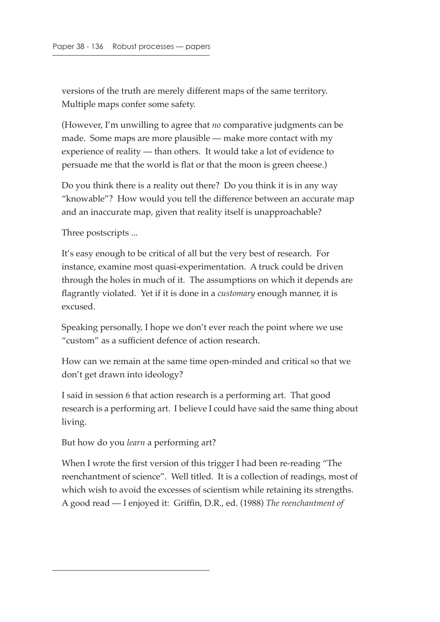versions of the truth are merely different maps of the same territory. Multiple maps confer some safety.

(However, I'm unwilling to agree that *no* comparative judgments can be made. Some maps are more plausible — make more contact with my experience of reality — than others. It would take a lot of evidence to persuade me that the world is flat or that the moon is green cheese.)

Do you think there is a reality out there? Do you think it is in any way "knowable"? How would you tell the difference between an accurate map and an inaccurate map, given that reality itself is unapproachable?

Three postscripts ...

It's easy enough to be critical of all but the very best of research. For instance, examine most quasi-experimentation. A truck could be driven through the holes in much of it. The assumptions on which it depends are flagrantly violated. Yet if it is done in a *customary* enough manner, it is excused.

Speaking personally, I hope we don't ever reach the point where we use "custom" as a sufficient defence of action research.

How can we remain at the same time open-minded and critical so that we don't get drawn into ideology?

I said in session 6 that action research is a performing art. That good research is a performing art. I believe I could have said the same thing about living.

But how do you *learn* a performing art?

When I wrote the first version of this trigger I had been re-reading "The reenchantment of science". Well titled. It is a collection of readings, most of which wish to avoid the excesses of scientism while retaining its strengths. A good read — I enjoyed it: Griffin, D.R., ed. (1988) *The reenchantment of*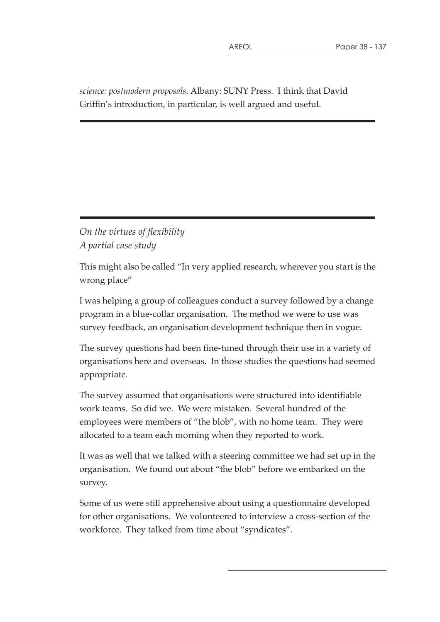*science: postmodern proposals*. Albany: SUNY Press. I think that David Griffin's introduction, in particular, is well argued and useful.

# *On the virtues of flexibility A partial case study*

This might also be called "In very applied research, wherever you start is the wrong place"

I was helping a group of colleagues conduct a survey followed by a change program in a blue-collar organisation. The method we were to use was survey feedback, an organisation development technique then in vogue.

The survey questions had been fine-tuned through their use in a variety of organisations here and overseas. In those studies the questions had seemed appropriate.

The survey assumed that organisations were structured into identifiable work teams. So did we. We were mistaken. Several hundred of the employees were members of "the blob", with no home team. They were allocated to a team each morning when they reported to work.

It was as well that we talked with a steering committee we had set up in the organisation. We found out about "the blob" before we embarked on the survey.

Some of us were still apprehensive about using a questionnaire developed for other organisations. We volunteered to interview a cross-section of the workforce. They talked from time about "syndicates".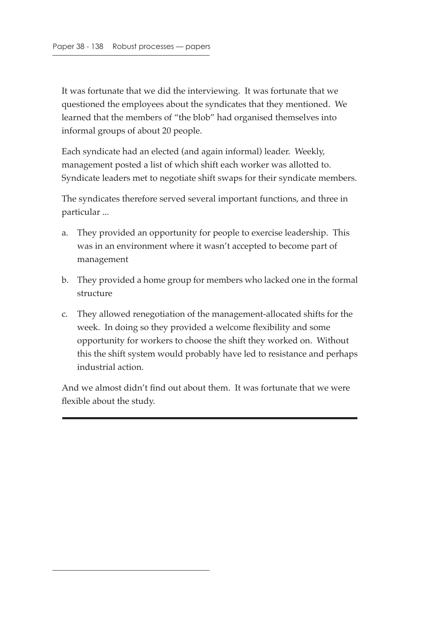It was fortunate that we did the interviewing. It was fortunate that we questioned the employees about the syndicates that they mentioned. We learned that the members of "the blob" had organised themselves into informal groups of about 20 people.

Each syndicate had an elected (and again informal) leader. Weekly, management posted a list of which shift each worker was allotted to. Syndicate leaders met to negotiate shift swaps for their syndicate members.

The syndicates therefore served several important functions, and three in particular ...

- a. They provided an opportunity for people to exercise leadership. This was in an environment where it wasn't accepted to become part of management
- b. They provided a home group for members who lacked one in the formal structure
- c. They allowed renegotiation of the management-allocated shifts for the week. In doing so they provided a welcome flexibility and some opportunity for workers to choose the shift they worked on. Without this the shift system would probably have led to resistance and perhaps industrial action.

And we almost didn't find out about them. It was fortunate that we were flexible about the study.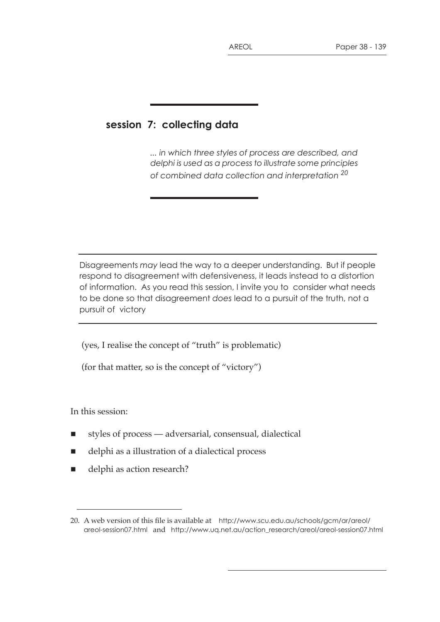# **session 7: collecting data**

*... in which three styles of process are described, and delphi is used as a process to illustrate some principles of combined data collection and interpretation 20*

Disagreements *may* lead the way to a deeper understanding. But if people respond to disagreement with defensiveness, it leads instead to a distortion of information. As you read this session, I invite you to consider what needs to be done so that disagreement *does* lead to a pursuit of the truth, not a pursuit of victory

(yes, I realise the concept of "truth" is problematic)

(for that matter, so is the concept of "victory")

In this session:

- styles of process adversarial, consensual, dialectical
- delphi as a illustration of a dialectical process
- delphi as action research?

<sup>20.</sup> A web version of this file is available at http://www.scu.edu.au/schools/gcm/ar/areol/ areol-session07.html and http://www.uq.net.au/action\_research/areol/areol-session07.html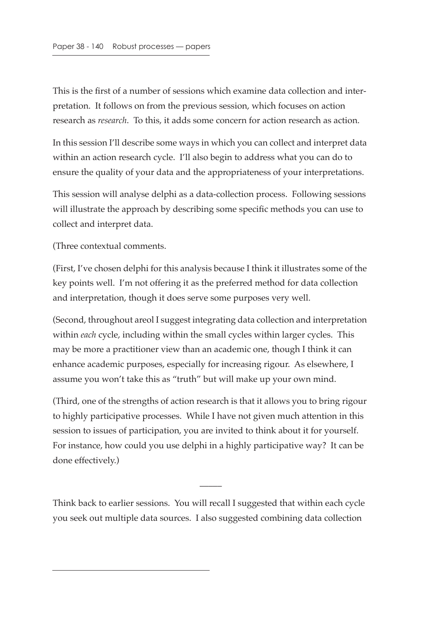This is the first of a number of sessions which examine data collection and interpretation. It follows on from the previous session, which focuses on action research as *research*. To this, it adds some concern for action research as action.

In this session I'll describe some ways in which you can collect and interpret data within an action research cycle. I'll also begin to address what you can do to ensure the quality of your data and the appropriateness of your interpretations.

This session will analyse delphi as a data-collection process. Following sessions will illustrate the approach by describing some specific methods you can use to collect and interpret data.

(Three contextual comments.

(First, I've chosen delphi for this analysis because I think it illustrates some of the key points well. I'm not offering it as the preferred method for data collection and interpretation, though it does serve some purposes very well.

(Second, throughout areol I suggest integrating data collection and interpretation within *each* cycle, including within the small cycles within larger cycles. This may be more a practitioner view than an academic one, though I think it can enhance academic purposes, especially for increasing rigour. As elsewhere, I assume you won't take this as "truth" but will make up your own mind.

(Third, one of the strengths of action research is that it allows you to bring rigour to highly participative processes. While I have not given much attention in this session to issues of participation, you are invited to think about it for yourself. For instance, how could you use delphi in a highly participative way? It can be done effectively.)

Think back to earlier sessions. You will recall I suggested that within each cycle you seek out multiple data sources. I also suggested combining data collection

 $\overline{\phantom{a}}$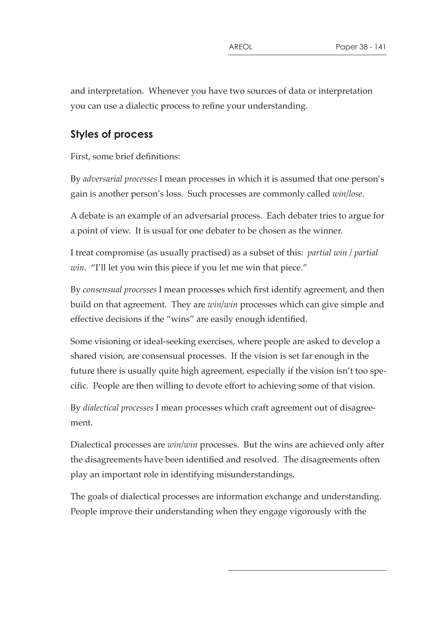and interpretation. Whenever you have two sources of data or interpretation you can use a dialectic process to refine your understanding.

## **Styles of process**

First, some brief definitions:

By *adversarial processes* I mean processes in which it is assumed that one person's gain is another person's loss. Such processes are commonly called *win/lose*.

A debate is an example of an adversarial process. Each debater tries to argue for a point of view. It is usual for one debater to be chosen as the winner.

I treat compromise (as usually practised) as a subset of this: *partial win / partial win*. "I'll let you win this piece if you let me win that piece."

By *consensual processes* I mean processes which first identify agreement, and then build on that agreement. They are *win/win* processes which can give simple and effective decisions if the "wins" are easily enough identified.

Some visioning or ideal-seeking exercises, where people are asked to develop a shared vision, are consensual processes. If the vision is set far enough in the future there is usually quite high agreement, especially if the vision isn't too specific. People are then willing to devote effort to achieving some of that vision.

By *dialectical processes* I mean processes which craft agreement out of disagreement.

Dialectical processes are *win/win* processes. But the wins are achieved only after the disagreements have been identified and resolved. The disagreements often play an important role in identifying misunderstandings.

The goals of dialectical processes are information exchange and understanding. People improve their understanding when they engage vigorously with the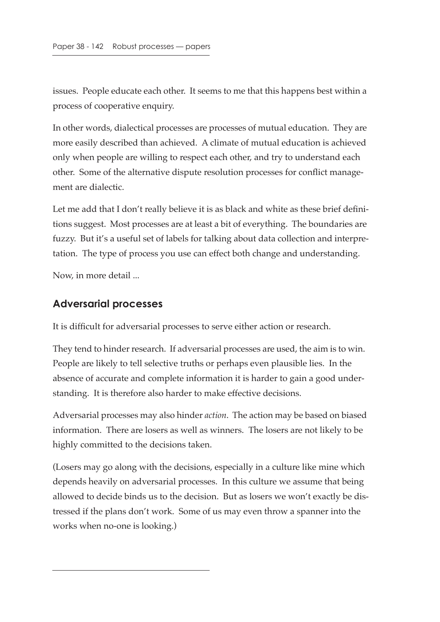issues. People educate each other. It seems to me that this happens best within a process of cooperative enquiry.

In other words, dialectical processes are processes of mutual education. They are more easily described than achieved. A climate of mutual education is achieved only when people are willing to respect each other, and try to understand each other. Some of the alternative dispute resolution processes for conflict management are dialectic.

Let me add that I don't really believe it is as black and white as these brief definitions suggest. Most processes are at least a bit of everything. The boundaries are fuzzy. But it's a useful set of labels for talking about data collection and interpretation. The type of process you use can effect both change and understanding.

Now, in more detail ...

#### **Adversarial processes**

It is difficult for adversarial processes to serve either action or research.

They tend to hinder research. If adversarial processes are used, the aim is to win. People are likely to tell selective truths or perhaps even plausible lies. In the absence of accurate and complete information it is harder to gain a good understanding. It is therefore also harder to make effective decisions.

Adversarial processes may also hinder *action*. The action may be based on biased information. There are losers as well as winners. The losers are not likely to be highly committed to the decisions taken.

(Losers may go along with the decisions, especially in a culture like mine which depends heavily on adversarial processes. In this culture we assume that being allowed to decide binds us to the decision. But as losers we won't exactly be distressed if the plans don't work. Some of us may even throw a spanner into the works when no-one is looking.)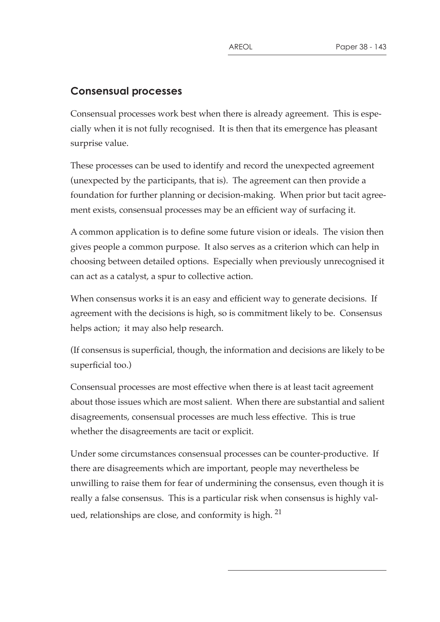# **Consensual processes**

Consensual processes work best when there is already agreement. This is especially when it is not fully recognised. It is then that its emergence has pleasant surprise value.

These processes can be used to identify and record the unexpected agreement (unexpected by the participants, that is). The agreement can then provide a foundation for further planning or decision-making. When prior but tacit agreement exists, consensual processes may be an efficient way of surfacing it.

A common application is to define some future vision or ideals. The vision then gives people a common purpose. It also serves as a criterion which can help in choosing between detailed options. Especially when previously unrecognised it can act as a catalyst, a spur to collective action.

When consensus works it is an easy and efficient way to generate decisions. If agreement with the decisions is high, so is commitment likely to be. Consensus helps action; it may also help research.

(If consensus is superficial, though, the information and decisions are likely to be superficial too.)

Consensual processes are most effective when there is at least tacit agreement about those issues which are most salient. When there are substantial and salient disagreements, consensual processes are much less effective. This is true whether the disagreements are tacit or explicit.

Under some circumstances consensual processes can be counter-productive. If there are disagreements which are important, people may nevertheless be unwilling to raise them for fear of undermining the consensus, even though it is really a false consensus. This is a particular risk when consensus is highly valued, relationships are close, and conformity is high. <sup>21</sup>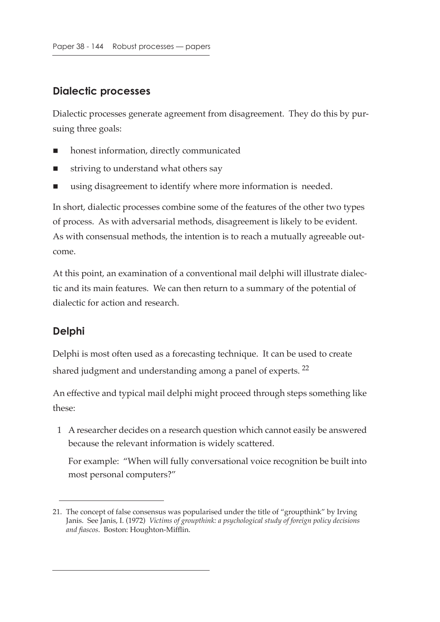## **Dialectic processes**

Dialectic processes generate agreement from disagreement. They do this by pursuing three goals:

- honest information, directly communicated
- striving to understand what others say
- using disagreement to identify where more information is needed.

In short, dialectic processes combine some of the features of the other two types of process. As with adversarial methods, disagreement is likely to be evident. As with consensual methods, the intention is to reach a mutually agreeable outcome.

At this point, an examination of a conventional mail delphi will illustrate dialectic and its main features. We can then return to a summary of the potential of dialectic for action and research.

## **Delphi**

Delphi is most often used as a forecasting technique. It can be used to create shared judgment and understanding among a panel of experts.<sup>22</sup>

An effective and typical mail delphi might proceed through steps something like these:

 1 A researcher decides on a research question which cannot easily be answered because the relevant information is widely scattered.

For example: "When will fully conversational voice recognition be built into most personal computers?"

<sup>21.</sup> The concept of false consensus was popularised under the title of "groupthink" by Irving Janis. See Janis, I. (1972) *Victims of groupthink: a psychological study of foreign policy decisions and fiascos*. Boston: Houghton-Mifflin.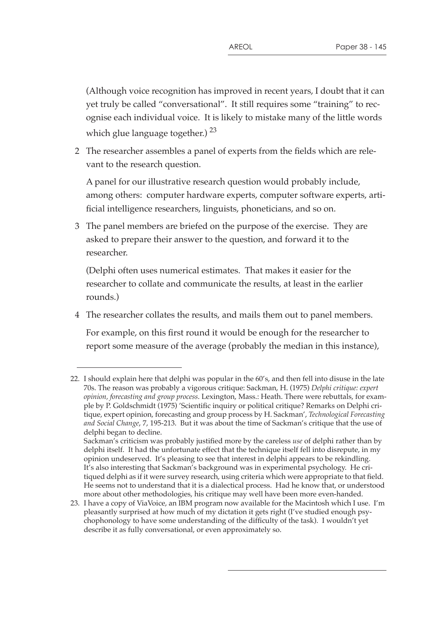(Although voice recognition has improved in recent years, I doubt that it can yet truly be called "conversational". It still requires some "training" to recognise each individual voice. It is likely to mistake many of the little words which glue language together.)<sup>23</sup>

 2 The researcher assembles a panel of experts from the fields which are relevant to the research question.

A panel for our illustrative research question would probably include, among others: computer hardware experts, computer software experts, artificial intelligence researchers, linguists, phoneticians, and so on.

 3 The panel members are briefed on the purpose of the exercise. They are asked to prepare their answer to the question, and forward it to the researcher.

(Delphi often uses numerical estimates. That makes it easier for the researcher to collate and communicate the results, at least in the earlier rounds.)

4 The researcher collates the results, and mails them out to panel members.

For example, on this first round it would be enough for the researcher to report some measure of the average (probably the median in this instance),

<sup>22.</sup> I should explain here that delphi was popular in the 60's, and then fell into disuse in the late 70s. The reason was probably a vigorous critique: Sackman, H. (1975) *Delphi critique: expert opinion, forecasting and group process*. Lexington, Mass.: Heath. There were rebuttals, for example by P. Goldschmidt (1975) 'Scientific inquiry or political critique? Remarks on Delphi critique, expert opinion, forecasting and group process by H. Sackman', *Technological Forecasting and Social Change*, 7, 195-213. But it was about the time of Sackman's critique that the use of delphi began to decline.

Sackman's criticism was probably justified more by the careless *use* of delphi rather than by delphi itself. It had the unfortunate effect that the technique itself fell into disrepute, in my opinion undeserved. It's pleasing to see that interest in delphi appears to be rekindling. It's also interesting that Sackman's background was in experimental psychology. He critiqued delphi as if it were survey research, using criteria which were appropriate to that field. He seems not to understand that it is a dialectical process. Had he know that, or understood more about other methodologies, his critique may well have been more even-handed.

<sup>23.</sup> I have a copy of ViaVoice, an IBM program now available for the Macintosh which I use. I'm pleasantly surprised at how much of my dictation it gets right (I've studied enough psychophonology to have some understanding of the difficulty of the task). I wouldn't yet describe it as fully conversational, or even approximately so.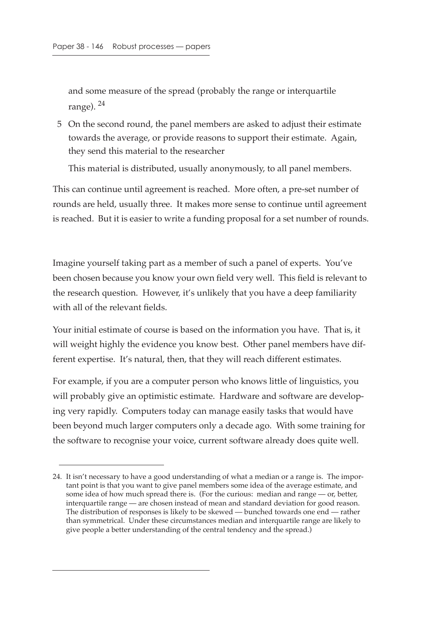and some measure of the spread (probably the range or interquartile range).  $^{24}$ 

 5 On the second round, the panel members are asked to adjust their estimate towards the average, or provide reasons to support their estimate. Again, they send this material to the researcher

This material is distributed, usually anonymously, to all panel members.

This can continue until agreement is reached. More often, a pre-set number of rounds are held, usually three. It makes more sense to continue until agreement is reached. But it is easier to write a funding proposal for a set number of rounds.

Imagine yourself taking part as a member of such a panel of experts. You've been chosen because you know your own field very well. This field is relevant to the research question. However, it's unlikely that you have a deep familiarity with all of the relevant fields.

Your initial estimate of course is based on the information you have. That is, it will weight highly the evidence you know best. Other panel members have different expertise. It's natural, then, that they will reach different estimates.

For example, if you are a computer person who knows little of linguistics, you will probably give an optimistic estimate. Hardware and software are developing very rapidly. Computers today can manage easily tasks that would have been beyond much larger computers only a decade ago. With some training for the software to recognise your voice, current software already does quite well.

<sup>24.</sup> It isn't necessary to have a good understanding of what a median or a range is. The important point is that you want to give panel members some idea of the average estimate, and some idea of how much spread there is. (For the curious: median and range — or, better, interquartile range — are chosen instead of mean and standard deviation for good reason. The distribution of responses is likely to be skewed — bunched towards one end — rather than symmetrical. Under these circumstances median and interquartile range are likely to give people a better understanding of the central tendency and the spread.)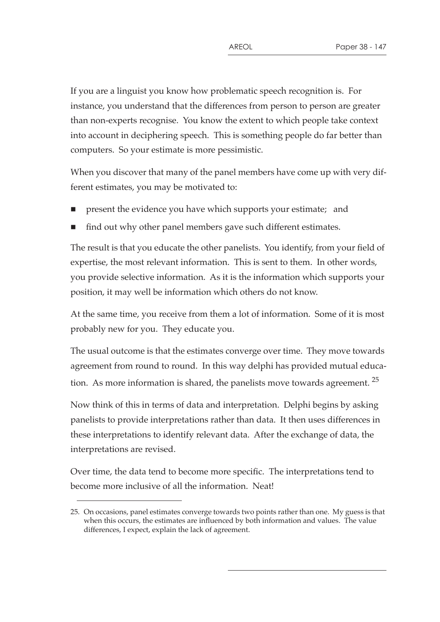If you are a linguist you know how problematic speech recognition is. For instance, you understand that the differences from person to person are greater than non-experts recognise. You know the extent to which people take context into account in deciphering speech. This is something people do far better than computers. So your estimate is more pessimistic.

When you discover that many of the panel members have come up with very different estimates, you may be motivated to:

- present the evidence you have which supports your estimate; and
- find out why other panel members gave such different estimates.

The result is that you educate the other panelists. You identify, from your field of expertise, the most relevant information. This is sent to them. In other words, you provide selective information. As it is the information which supports your position, it may well be information which others do not know.

At the same time, you receive from them a lot of information. Some of it is most probably new for you. They educate you.

The usual outcome is that the estimates converge over time. They move towards agreement from round to round. In this way delphi has provided mutual education. As more information is shared, the panelists move towards agreement. <sup>25</sup>

Now think of this in terms of data and interpretation. Delphi begins by asking panelists to provide interpretations rather than data. It then uses differences in these interpretations to identify relevant data. After the exchange of data, the interpretations are revised.

Over time, the data tend to become more specific. The interpretations tend to become more inclusive of all the information. Neat!

<sup>25.</sup> On occasions, panel estimates converge towards two points rather than one. My guess is that when this occurs, the estimates are influenced by both information and values. The value differences, I expect, explain the lack of agreement.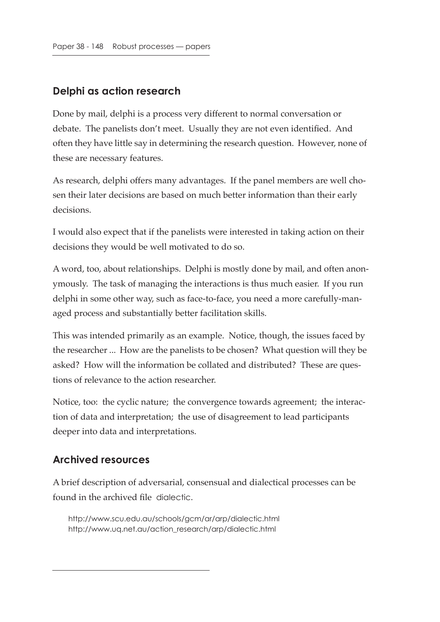## **Delphi as action research**

Done by mail, delphi is a process very different to normal conversation or debate. The panelists don't meet. Usually they are not even identified. And often they have little say in determining the research question. However, none of these are necessary features.

As research, delphi offers many advantages. If the panel members are well chosen their later decisions are based on much better information than their early decisions.

I would also expect that if the panelists were interested in taking action on their decisions they would be well motivated to do so.

A word, too, about relationships. Delphi is mostly done by mail, and often anonymously. The task of managing the interactions is thus much easier. If you run delphi in some other way, such as face-to-face, you need a more carefully-managed process and substantially better facilitation skills.

This was intended primarily as an example. Notice, though, the issues faced by the researcher ... How are the panelists to be chosen? What question will they be asked? How will the information be collated and distributed? These are questions of relevance to the action researcher.

Notice, too: the cyclic nature; the convergence towards agreement; the interaction of data and interpretation; the use of disagreement to lead participants deeper into data and interpretations.

## **Archived resources**

A brief description of adversarial, consensual and dialectical processes can be found in the archived file dialectic.

http://www.scu.edu.au/schools/gcm/ar/arp/dialectic.html http://www.uq.net.au/action\_research/arp/dialectic.html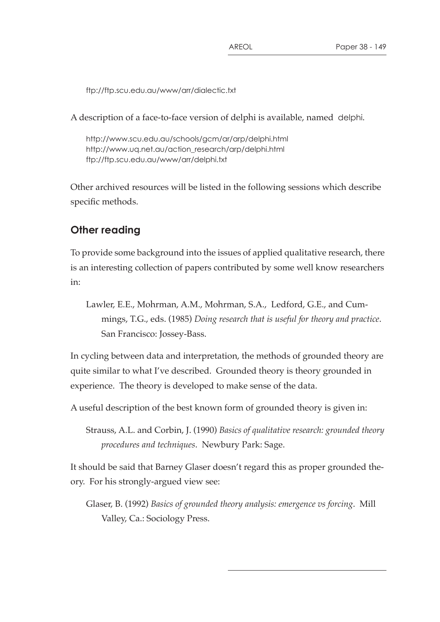#### ftp://ftp.scu.edu.au/www/arr/dialectic.txt

A description of a face-to-face version of delphi is available, named delphi.

http://www.scu.edu.au/schools/gcm/ar/arp/delphi.html http://www.uq.net.au/action\_research/arp/delphi.html ftp://ftp.scu.edu.au/www/arr/delphi.txt

Other archived resources will be listed in the following sessions which describe specific methods.

# **Other reading**

To provide some background into the issues of applied qualitative research, there is an interesting collection of papers contributed by some well know researchers in:

Lawler, E.E., Mohrman, A.M., Mohrman, S.A., Ledford, G.E., and Cummings, T.G., eds. (1985) *Doing research that is useful for theory and practice*. San Francisco: Jossey-Bass.

In cycling between data and interpretation, the methods of grounded theory are quite similar to what I've described. Grounded theory is theory grounded in experience. The theory is developed to make sense of the data.

A useful description of the best known form of grounded theory is given in:

Strauss, A.L. and Corbin, J. (1990) *Basics of qualitative research: grounded theory procedures and techniques*. Newbury Park: Sage.

It should be said that Barney Glaser doesn't regard this as proper grounded theory. For his strongly-argued view see:

Glaser, B. (1992) *Basics of grounded theory analysis: emergence vs forcing*. Mill Valley, Ca.: Sociology Press.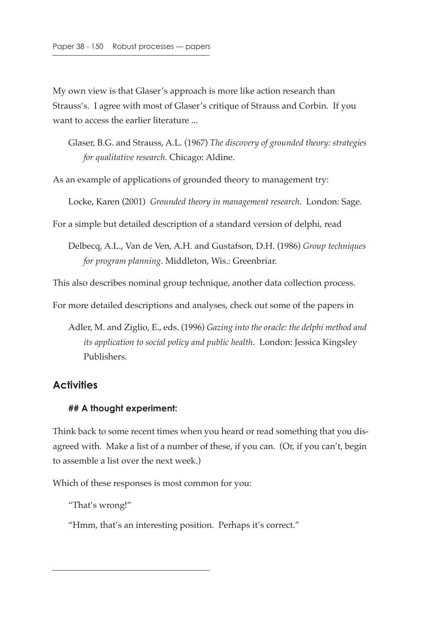My own view is that Glaser's approach is more like action research than Strauss's. I agree with most of Glaser's critique of Strauss and Corbin. If you want to access the earlier literature ...

Glaser, B.G. and Strauss, A.L. (1967) *The discovery of grounded theory: strategies for qualitative research*. Chicago: Aldine.

As an example of applications of grounded theory to management try:

Locke, Karen (2001) *Grounded theory in management research*. London: Sage.

For a simple but detailed description of a standard version of delphi, read

Delbecq, A.L., Van de Ven, A.H. and Gustafson, D.H. (1986) *Group techniques for program planning*. Middleton, Wis.: Greenbriar.

This also describes nominal group technique, another data collection process.

For more detailed descriptions and analyses, check out some of the papers in

Adler, M. and Ziglio, E., eds. (1996) *Gazing into the oracle: the delphi method and its application to social policy and public health*. London: Jessica Kingsley Publishers.

## **Activities**

#### **## A thought experiment:**

Think back to some recent times when you heard or read something that you disagreed with. Make a list of a number of these, if you can. (Or, if you can't, begin to assemble a list over the next week.)

Which of these responses is most common for you:

"That's wrong!"

"Hmm, that's an interesting position. Perhaps it's correct."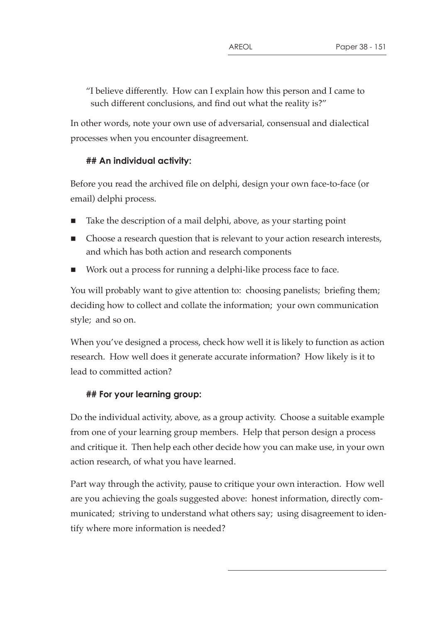"I believe differently. How can I explain how this person and I came to such different conclusions, and find out what the reality is?"

In other words, note your own use of adversarial, consensual and dialectical processes when you encounter disagreement.

### **## An individual activity:**

Before you read the archived file on delphi, design your own face-to-face (or email) delphi process.

- Take the description of a mail delphi, above, as your starting point
- Choose a research question that is relevant to your action research interests, and which has both action and research components
- Work out a process for running a delphi-like process face to face.

You will probably want to give attention to: choosing panelists; briefing them; deciding how to collect and collate the information; your own communication style; and so on.

When you've designed a process, check how well it is likely to function as action research. How well does it generate accurate information? How likely is it to lead to committed action?

#### **## For your learning group:**

Do the individual activity, above, as a group activity. Choose a suitable example from one of your learning group members. Help that person design a process and critique it. Then help each other decide how you can make use, in your own action research, of what you have learned.

Part way through the activity, pause to critique your own interaction. How well are you achieving the goals suggested above: honest information, directly communicated; striving to understand what others say; using disagreement to identify where more information is needed?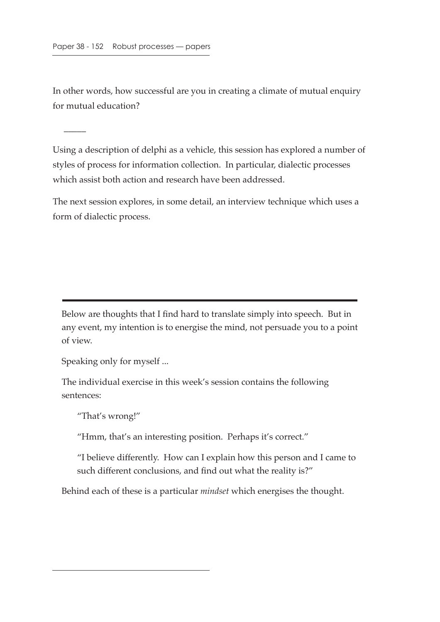$\frac{1}{2}$ 

In other words, how successful are you in creating a climate of mutual enquiry for mutual education?

Using a description of delphi as a vehicle, this session has explored a number of styles of process for information collection. In particular, dialectic processes which assist both action and research have been addressed.

The next session explores, in some detail, an interview technique which uses a form of dialectic process.

Below are thoughts that I find hard to translate simply into speech. But in any event, my intention is to energise the mind, not persuade you to a point of view.

Speaking only for myself ...

The individual exercise in this week's session contains the following sentences:

"That's wrong!"

"Hmm, that's an interesting position. Perhaps it's correct."

 "I believe differently. How can I explain how this person and I came to such different conclusions, and find out what the reality is?"

Behind each of these is a particular *mindset* which energises the thought.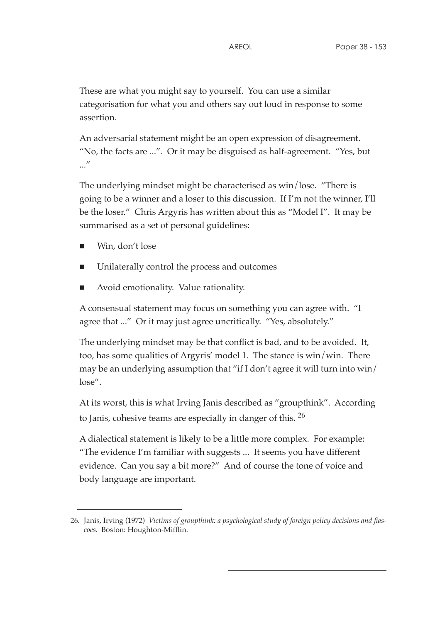These are what you might say to yourself. You can use a similar categorisation for what you and others say out loud in response to some assertion.

An adversarial statement might be an open expression of disagreement. "No, the facts are ...". Or it may be disguised as half-agreement. "Yes, but ..."

The underlying mindset might be characterised as win/lose. "There is going to be a winner and a loser to this discussion. If I'm not the winner, I'll be the loser." Chris Argyris has written about this as "Model I". It may be summarised as a set of personal guidelines:

- Win, don't lose
- Unilaterally control the process and outcomes
- Avoid emotionality. Value rationality.

A consensual statement may focus on something you can agree with. "I agree that ..." Or it may just agree uncritically. "Yes, absolutely."

The underlying mindset may be that conflict is bad, and to be avoided. It, too, has some qualities of Argyris' model 1. The stance is win/win. There may be an underlying assumption that "if I don't agree it will turn into win/  $\log e''$ .

At its worst, this is what Irving Janis described as "groupthink". According to Janis, cohesive teams are especially in danger of this. 26

A dialectical statement is likely to be a little more complex. For example: "The evidence I'm familiar with suggests ... It seems you have different evidence. Can you say a bit more?" And of course the tone of voice and body language are important.

<sup>26.</sup> Janis, Irving (1972) *Victims of groupthink: a psychological study of foreign policy decisions and fiascoes*. Boston: Houghton-Mifflin.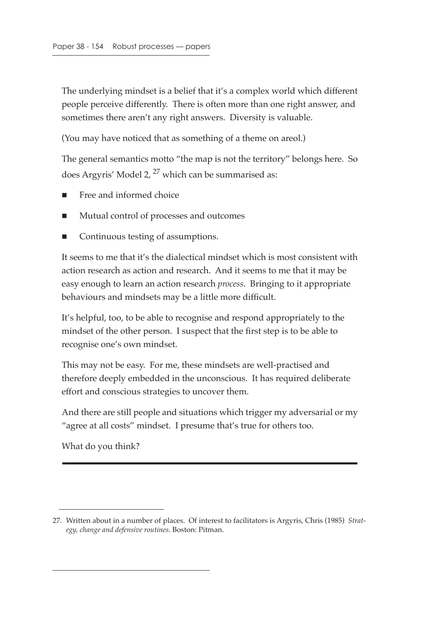The underlying mindset is a belief that it's a complex world which different people perceive differently. There is often more than one right answer, and sometimes there aren't any right answers. Diversity is valuable.

(You may have noticed that as something of a theme on areol.)

The general semantics motto "the map is not the territory" belongs here. So does Argyris' Model 2,  $^{27}$  which can be summarised as:

- Free and informed choice
- Mutual control of processes and outcomes
- Continuous testing of assumptions.

It seems to me that it's the dialectical mindset which is most consistent with action research as action and research. And it seems to me that it may be easy enough to learn an action research *process*. Bringing to it appropriate behaviours and mindsets may be a little more difficult.

It's helpful, too, to be able to recognise and respond appropriately to the mindset of the other person. I suspect that the first step is to be able to recognise one's own mindset.

This may not be easy. For me, these mindsets are well-practised and therefore deeply embedded in the unconscious. It has required deliberate effort and conscious strategies to uncover them.

And there are still people and situations which trigger my adversarial or my "agree at all costs" mindset. I presume that's true for others too.

What do you think?

<sup>27.</sup> Written about in a number of places. Of interest to facilitators is Argyris, Chris (1985) *Strategy, change and defensive routines*. Boston: Pitman.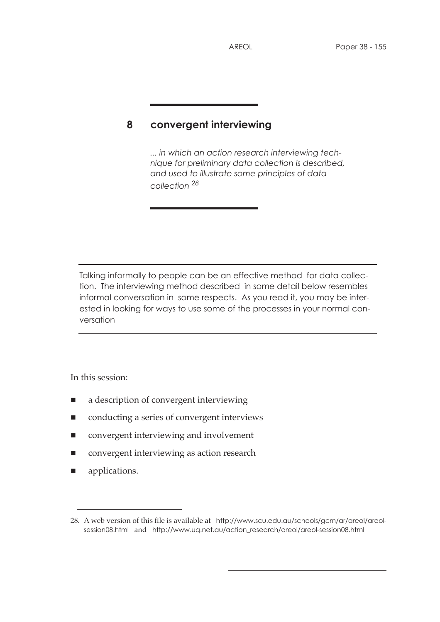# **8 convergent interviewing**

*... in which an action research interviewing technique for preliminary data collection is described, and used to illustrate some principles of data collection 28*

Talking informally to people can be an effective method for data collection. The interviewing method described in some detail below resembles informal conversation in some respects. As you read it, you may be interested in looking for ways to use some of the processes in your normal conversation

In this session:

- a description of convergent interviewing
- conducting a series of convergent interviews
- **n** convergent interviewing and involvement
- **n** convergent interviewing as action research
- **n** applications.

<sup>28.</sup> A web version of this file is available at http://www.scu.edu.au/schools/gcm/ar/areol/areolsession08.html and http://www.uq.net.au/action\_research/areol/areol-session08.html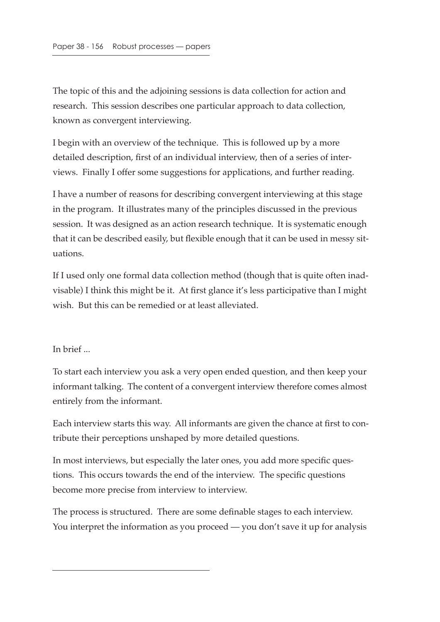The topic of this and the adjoining sessions is data collection for action and research. This session describes one particular approach to data collection, known as convergent interviewing.

I begin with an overview of the technique. This is followed up by a more detailed description, first of an individual interview, then of a series of interviews. Finally I offer some suggestions for applications, and further reading.

I have a number of reasons for describing convergent interviewing at this stage in the program. It illustrates many of the principles discussed in the previous session. It was designed as an action research technique. It is systematic enough that it can be described easily, but flexible enough that it can be used in messy situations.

If I used only one formal data collection method (though that is quite often inadvisable) I think this might be it. At first glance it's less participative than I might wish. But this can be remedied or at least alleviated.

#### In brief ...

To start each interview you ask a very open ended question, and then keep your informant talking. The content of a convergent interview therefore comes almost entirely from the informant.

Each interview starts this way. All informants are given the chance at first to contribute their perceptions unshaped by more detailed questions.

In most interviews, but especially the later ones, you add more specific questions. This occurs towards the end of the interview. The specific questions become more precise from interview to interview.

The process is structured. There are some definable stages to each interview. You interpret the information as you proceed — you don't save it up for analysis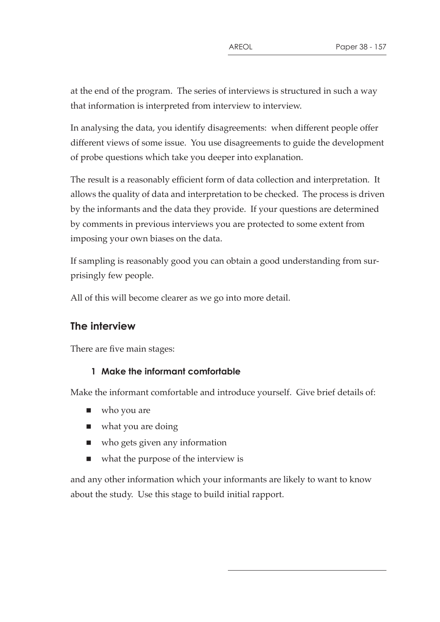at the end of the program. The series of interviews is structured in such a way that information is interpreted from interview to interview.

In analysing the data, you identify disagreements: when different people offer different views of some issue. You use disagreements to guide the development of probe questions which take you deeper into explanation.

The result is a reasonably efficient form of data collection and interpretation. It allows the quality of data and interpretation to be checked. The process is driven by the informants and the data they provide. If your questions are determined by comments in previous interviews you are protected to some extent from imposing your own biases on the data.

If sampling is reasonably good you can obtain a good understanding from surprisingly few people.

All of this will become clearer as we go into more detail.

# **The interview**

There are five main stages:

### **1 Make the informant comfortable**

Make the informant comfortable and introduce yourself. Give brief details of:

- who you are
- what you are doing
- who gets given any information
- what the purpose of the interview is

and any other information which your informants are likely to want to know about the study. Use this stage to build initial rapport.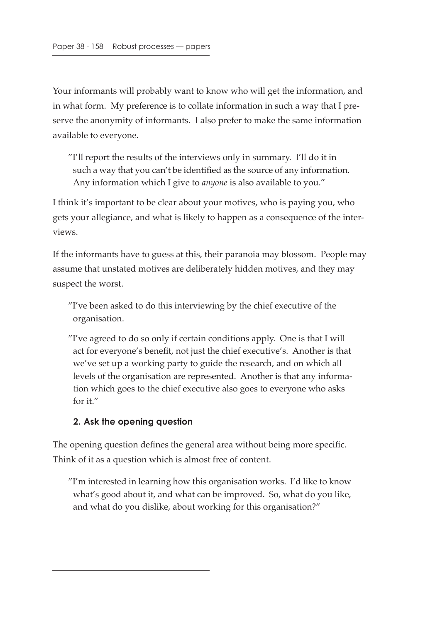Your informants will probably want to know who will get the information, and in what form. My preference is to collate information in such a way that I preserve the anonymity of informants. I also prefer to make the same information available to everyone.

"I'll report the results of the interviews only in summary. I'll do it in such a way that you can't be identified as the source of any information. Any information which I give to *anyone* is also available to you."

I think it's important to be clear about your motives, who is paying you, who gets your allegiance, and what is likely to happen as a consequence of the interviews.

If the informants have to guess at this, their paranoia may blossom. People may assume that unstated motives are deliberately hidden motives, and they may suspect the worst.

"I've been asked to do this interviewing by the chief executive of the organisation.

"I've agreed to do so only if certain conditions apply. One is that I will act for everyone's benefit, not just the chief executive's. Another is that we've set up a working party to guide the research, and on which all levels of the organisation are represented. Another is that any information which goes to the chief executive also goes to everyone who asks for it."

### **2. Ask the opening question**

The opening question defines the general area without being more specific. Think of it as a question which is almost free of content.

"I'm interested in learning how this organisation works. I'd like to know what's good about it, and what can be improved. So, what do you like, and what do you dislike, about working for this organisation?"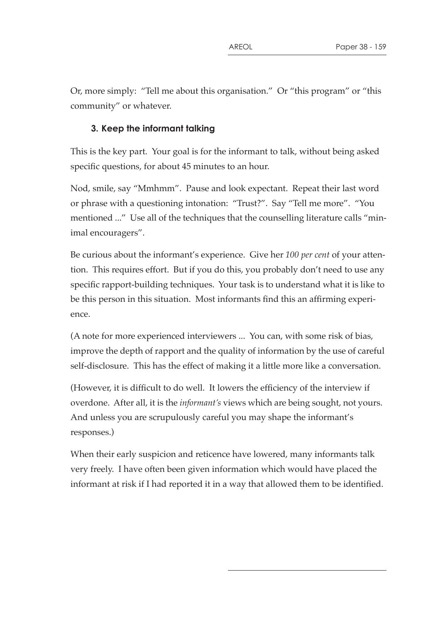Or, more simply: "Tell me about this organisation." Or "this program" or "this community" or whatever.

### **3. Keep the informant talking**

This is the key part. Your goal is for the informant to talk, without being asked specific questions, for about 45 minutes to an hour.

Nod, smile, say "Mmhmm". Pause and look expectant. Repeat their last word or phrase with a questioning intonation: "Trust?". Say "Tell me more". "You mentioned ..." Use all of the techniques that the counselling literature calls "minimal encouragers".

Be curious about the informant's experience. Give her *100 per cent* of your attention. This requires effort. But if you do this, you probably don't need to use any specific rapport-building techniques. Your task is to understand what it is like to be this person in this situation. Most informants find this an affirming experience.

(A note for more experienced interviewers ... You can, with some risk of bias, improve the depth of rapport and the quality of information by the use of careful self-disclosure. This has the effect of making it a little more like a conversation.

(However, it is difficult to do well. It lowers the efficiency of the interview if overdone. After all, it is the *informant's* views which are being sought, not yours. And unless you are scrupulously careful you may shape the informant's responses.)

When their early suspicion and reticence have lowered, many informants talk very freely. I have often been given information which would have placed the informant at risk if I had reported it in a way that allowed them to be identified.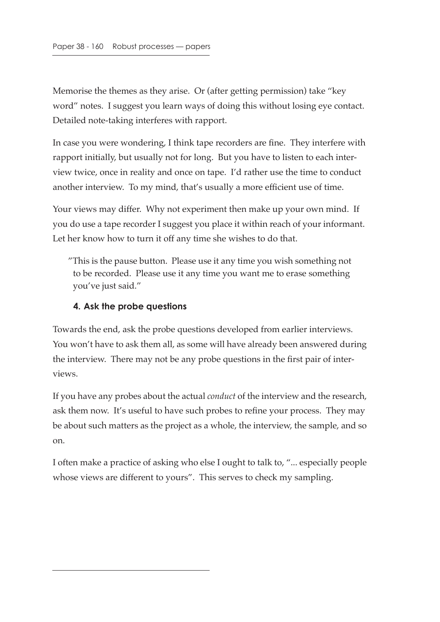Memorise the themes as they arise. Or (after getting permission) take "key word" notes. I suggest you learn ways of doing this without losing eye contact. Detailed note-taking interferes with rapport.

In case you were wondering, I think tape recorders are fine. They interfere with rapport initially, but usually not for long. But you have to listen to each interview twice, once in reality and once on tape. I'd rather use the time to conduct another interview. To my mind, that's usually a more efficient use of time.

Your views may differ. Why not experiment then make up your own mind. If you do use a tape recorder I suggest you place it within reach of your informant. Let her know how to turn it off any time she wishes to do that.

"This is the pause button. Please use it any time you wish something not to be recorded. Please use it any time you want me to erase something you've just said."

#### **4. Ask the probe questions**

Towards the end, ask the probe questions developed from earlier interviews. You won't have to ask them all, as some will have already been answered during the interview. There may not be any probe questions in the first pair of interviews.

If you have any probes about the actual *conduct* of the interview and the research, ask them now. It's useful to have such probes to refine your process. They may be about such matters as the project as a whole, the interview, the sample, and so on.

I often make a practice of asking who else I ought to talk to, "... especially people whose views are different to yours". This serves to check my sampling.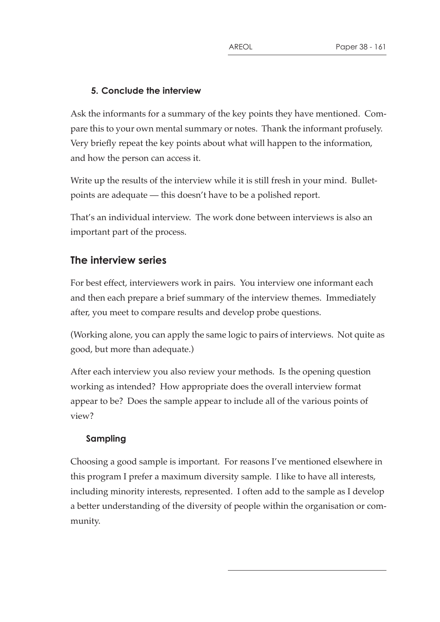## **5. Conclude the interview**

Ask the informants for a summary of the key points they have mentioned. Compare this to your own mental summary or notes. Thank the informant profusely. Very briefly repeat the key points about what will happen to the information, and how the person can access it.

Write up the results of the interview while it is still fresh in your mind. Bulletpoints are adequate — this doesn't have to be a polished report.

That's an individual interview. The work done between interviews is also an important part of the process.

# **The interview series**

For best effect, interviewers work in pairs. You interview one informant each and then each prepare a brief summary of the interview themes. Immediately after, you meet to compare results and develop probe questions.

(Working alone, you can apply the same logic to pairs of interviews. Not quite as good, but more than adequate.)

After each interview you also review your methods. Is the opening question working as intended? How appropriate does the overall interview format appear to be? Does the sample appear to include all of the various points of view?

## **Sampling**

Choosing a good sample is important. For reasons I've mentioned elsewhere in this program I prefer a maximum diversity sample. I like to have all interests, including minority interests, represented. I often add to the sample as I develop a better understanding of the diversity of people within the organisation or community.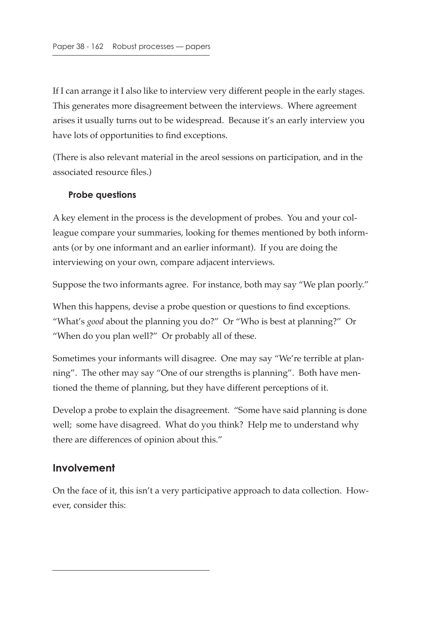If I can arrange it I also like to interview very different people in the early stages. This generates more disagreement between the interviews. Where agreement arises it usually turns out to be widespread. Because it's an early interview you have lots of opportunities to find exceptions.

(There is also relevant material in the areol sessions on participation, and in the associated resource files.)

#### **Probe questions**

A key element in the process is the development of probes. You and your colleague compare your summaries, looking for themes mentioned by both informants (or by one informant and an earlier informant). If you are doing the interviewing on your own, compare adjacent interviews.

Suppose the two informants agree. For instance, both may say "We plan poorly."

When this happens, devise a probe question or questions to find exceptions. "What's *good* about the planning you do?" Or "Who is best at planning?" Or "When do you plan well?" Or probably all of these.

Sometimes your informants will disagree. One may say "We're terrible at planning". The other may say "One of our strengths is planning". Both have mentioned the theme of planning, but they have different perceptions of it.

Develop a probe to explain the disagreement. "Some have said planning is done well; some have disagreed. What do you think? Help me to understand why there are differences of opinion about this."

## **Involvement**

On the face of it, this isn't a very participative approach to data collection. However, consider this: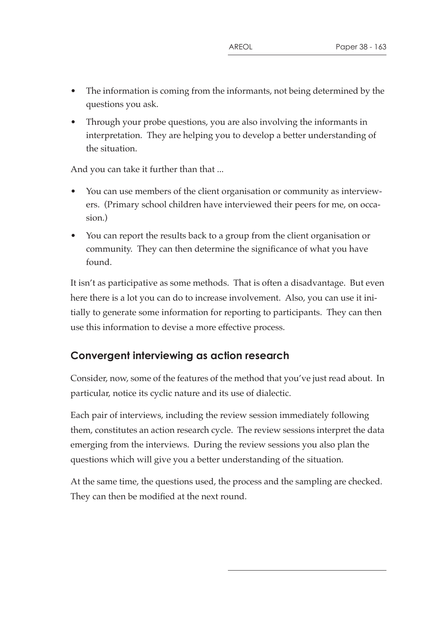- The information is coming from the informants, not being determined by the questions you ask.
- Through your probe questions, you are also involving the informants in interpretation. They are helping you to develop a better understanding of the situation.

And you can take it further than that ...

- You can use members of the client organisation or community as interviewers. (Primary school children have interviewed their peers for me, on occasion.)
- You can report the results back to a group from the client organisation or community. They can then determine the significance of what you have found.

It isn't as participative as some methods. That is often a disadvantage. But even here there is a lot you can do to increase involvement. Also, you can use it initially to generate some information for reporting to participants. They can then use this information to devise a more effective process.

# **Convergent interviewing as action research**

Consider, now, some of the features of the method that you've just read about. In particular, notice its cyclic nature and its use of dialectic.

Each pair of interviews, including the review session immediately following them, constitutes an action research cycle. The review sessions interpret the data emerging from the interviews. During the review sessions you also plan the questions which will give you a better understanding of the situation.

At the same time, the questions used, the process and the sampling are checked. They can then be modified at the next round.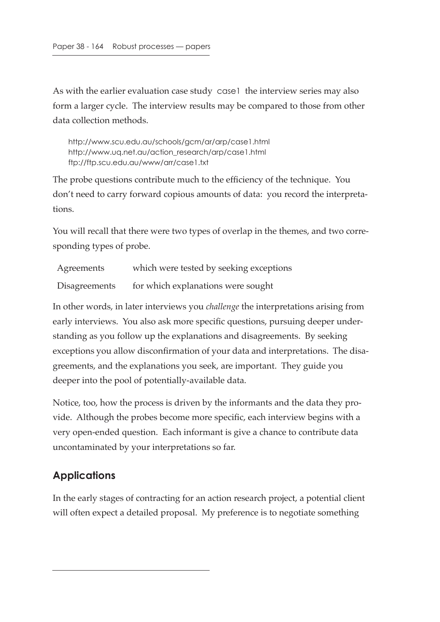As with the earlier evaluation case study case l the interview series may also form a larger cycle. The interview results may be compared to those from other data collection methods.

http://www.scu.edu.au/schools/gcm/ar/arp/case1.html http://www.uq.net.au/action\_research/arp/case1.html ftp://ftp.scu.edu.au/www/arr/case1.txt

The probe questions contribute much to the efficiency of the technique. You don't need to carry forward copious amounts of data: you record the interpretations.

You will recall that there were two types of overlap in the themes, and two corresponding types of probe.

| Agreements | which were tested by seeking exceptions |
|------------|-----------------------------------------|
|            |                                         |

Disagreements for which explanations were sought

In other words, in later interviews you *challenge* the interpretations arising from early interviews. You also ask more specific questions, pursuing deeper understanding as you follow up the explanations and disagreements. By seeking exceptions you allow disconfirmation of your data and interpretations. The disagreements, and the explanations you seek, are important. They guide you deeper into the pool of potentially-available data.

Notice, too, how the process is driven by the informants and the data they provide. Although the probes become more specific, each interview begins with a very open-ended question. Each informant is give a chance to contribute data uncontaminated by your interpretations so far.

## **Applications**

In the early stages of contracting for an action research project, a potential client will often expect a detailed proposal. My preference is to negotiate something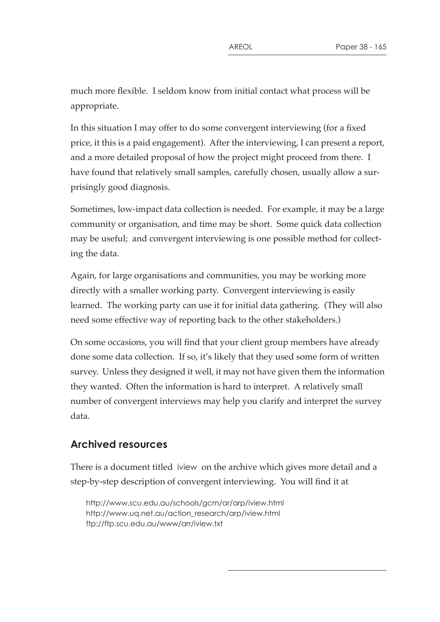much more flexible. I seldom know from initial contact what process will be appropriate.

In this situation I may offer to do some convergent interviewing (for a fixed price, it this is a paid engagement). After the interviewing, I can present a report, and a more detailed proposal of how the project might proceed from there. I have found that relatively small samples, carefully chosen, usually allow a surprisingly good diagnosis.

Sometimes, low-impact data collection is needed. For example, it may be a large community or organisation, and time may be short. Some quick data collection may be useful; and convergent interviewing is one possible method for collecting the data.

Again, for large organisations and communities, you may be working more directly with a smaller working party. Convergent interviewing is easily learned. The working party can use it for initial data gathering. (They will also need some effective way of reporting back to the other stakeholders.)

On some occasions, you will find that your client group members have already done some data collection. If so, it's likely that they used some form of written survey. Unless they designed it well, it may not have given them the information they wanted. Often the information is hard to interpret. A relatively small number of convergent interviews may help you clarify and interpret the survey data.

## **Archived resources**

There is a document titled iview on the archive which gives more detail and a step-by-step description of convergent interviewing. You will find it at

http://www.scu.edu.au/schools/gcm/ar/arp/iview.html http://www.uq.net.au/action\_research/arp/iview.html ftp://ftp.scu.edu.au/www/arr/iview.txt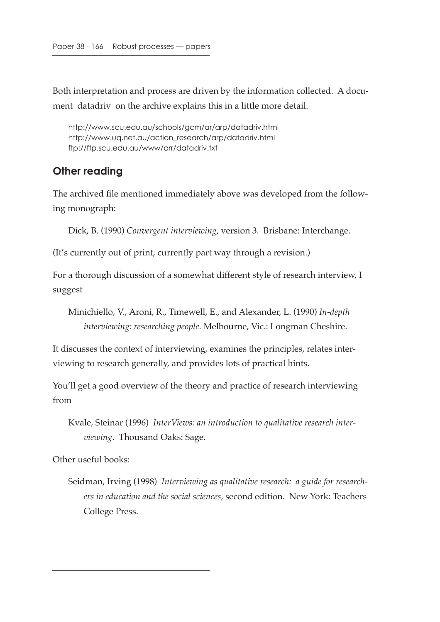Both interpretation and process are driven by the information collected. A document datadriv on the archive explains this in a little more detail.

http://www.scu.edu.au/schools/gcm/ar/arp/datadriv.html http://www.uq.net.au/action\_research/arp/datadriv.html ftp://ftp.scu.edu.au/www/arr/datadriv.txt

## **Other reading**

The archived file mentioned immediately above was developed from the following monograph:

Dick, B. (1990) *Convergent interviewing*, version 3. Brisbane: Interchange.

(It's currently out of print, currently part way through a revision.)

For a thorough discussion of a somewhat different style of research interview, I suggest

Minichiello, V., Aroni, R., Timewell, E., and Alexander, L. (1990) *In-depth interviewing: researching people*. Melbourne, Vic.: Longman Cheshire.

It discusses the context of interviewing, examines the principles, relates interviewing to research generally, and provides lots of practical hints.

You'll get a good overview of the theory and practice of research interviewing from

```
Kvale, Steinar (1996) InterViews: an introduction to qualitative research inter-
viewing. Thousand Oaks: Sage.
```
Other useful books:

Seidman, Irving (1998) *Interviewing as qualitative research: a guide for researchers in education and the social sciences*, second edition. New York: Teachers College Press.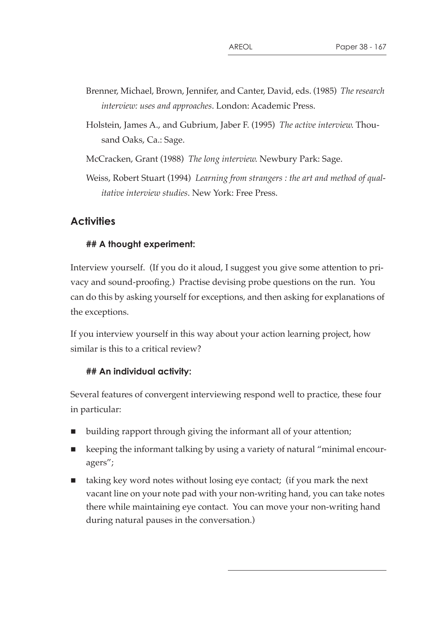- Brenner, Michael, Brown, Jennifer, and Canter, David, eds. (1985) *The research interview: uses and approaches*. London: Academic Press.
- Holstein, James A., and Gubrium, Jaber F. (1995) *The active interview*. Thousand Oaks, Ca.: Sage.

McCracken, Grant (1988) *The long interview*. Newbury Park: Sage.

Weiss, Robert Stuart (1994) *Learning from strangers : the art and method of qualitative interview studies*. New York: Free Press.

## **Activities**

### **## A thought experiment:**

Interview yourself. (If you do it aloud, I suggest you give some attention to privacy and sound-proofing.) Practise devising probe questions on the run. You can do this by asking yourself for exceptions, and then asking for explanations of the exceptions.

If you interview yourself in this way about your action learning project, how similar is this to a critical review?

### **## An individual activity:**

Several features of convergent interviewing respond well to practice, these four in particular:

- building rapport through giving the informant all of your attention;
- **EXECUTE:** keeping the informant talking by using a variety of natural "minimal encouragers";
- taking key word notes without losing eye contact; (if you mark the next vacant line on your note pad with your non-writing hand, you can take notes there while maintaining eye contact. You can move your non-writing hand during natural pauses in the conversation.)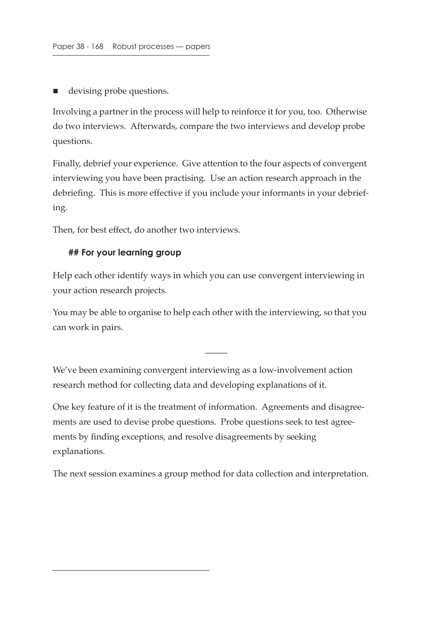■ devising probe questions.

Involving a partner in the process will help to reinforce it for you, too. Otherwise do two interviews. Afterwards, compare the two interviews and develop probe questions.

Finally, debrief your experience. Give attention to the four aspects of convergent interviewing you have been practising. Use an action research approach in the debriefing. This is more effective if you include your informants in your debriefing.

Then, for best effect, do another two interviews.

#### **## For your learning group**

Help each other identify ways in which you can use convergent interviewing in your action research projects.

You may be able to organise to help each other with the interviewing, so that you can work in pairs.

 $\frac{1}{2}$ 

We've been examining convergent interviewing as a low-involvement action research method for collecting data and developing explanations of it.

One key feature of it is the treatment of information. Agreements and disagreements are used to devise probe questions. Probe questions seek to test agreements by finding exceptions, and resolve disagreements by seeking explanations.

The next session examines a group method for data collection and interpretation.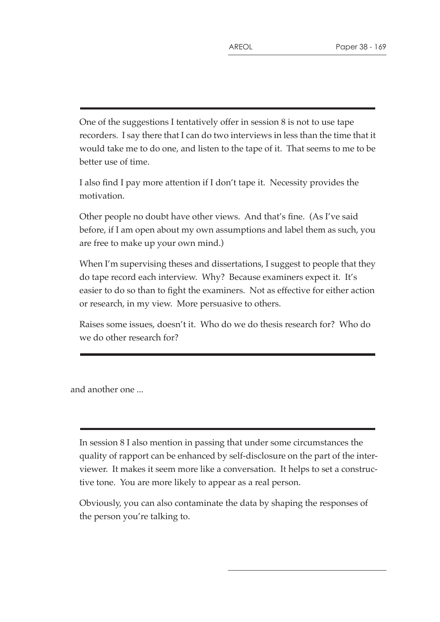One of the suggestions I tentatively offer in session 8 is not to use tape recorders. I say there that I can do two interviews in less than the time that it would take me to do one, and listen to the tape of it. That seems to me to be better use of time.

I also find I pay more attention if I don't tape it. Necessity provides the motivation.

Other people no doubt have other views. And that's fine. (As I've said before, if I am open about my own assumptions and label them as such, you are free to make up your own mind.)

When I'm supervising theses and dissertations, I suggest to people that they do tape record each interview. Why? Because examiners expect it. It's easier to do so than to fight the examiners. Not as effective for either action or research, in my view. More persuasive to others.

Raises some issues, doesn't it. Who do we do thesis research for? Who do we do other research for?

and another one ...

In session 8 I also mention in passing that under some circumstances the quality of rapport can be enhanced by self-disclosure on the part of the interviewer. It makes it seem more like a conversation. It helps to set a constructive tone. You are more likely to appear as a real person.

Obviously, you can also contaminate the data by shaping the responses of the person you're talking to.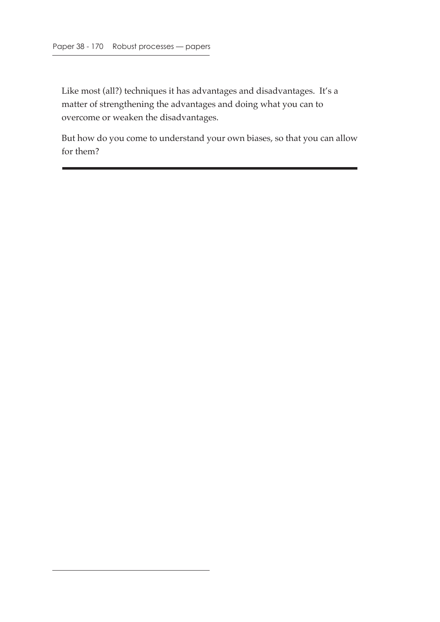Like most (all?) techniques it has advantages and disadvantages. It's a matter of strengthening the advantages and doing what you can to overcome or weaken the disadvantages.

But how do you come to understand your own biases, so that you can allow for them?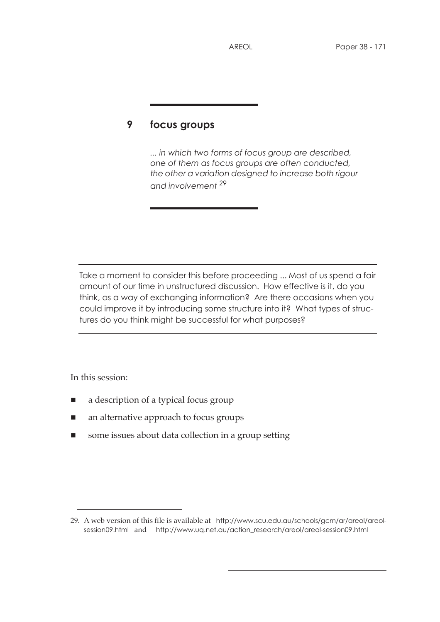## **9 focus groups**

*... in which two forms of focus group are described, one of them as focus groups are often conducted, the other a variation designed to increase both rigour and involvement 29*

Take a moment to consider this before proceeding ... Most of us spend a fair amount of our time in unstructured discussion. How effective is it, do you think, as a way of exchanging information? Are there occasions when you could improve it by introducing some structure into it? What types of structures do you think might be successful for what purposes?

In this session:

- a description of a typical focus group
- an alternative approach to focus groups
- some issues about data collection in a group setting

<sup>29.</sup> A web version of this file is available at http://www.scu.edu.au/schools/gcm/ar/areol/areolsession09.html and http://www.uq.net.au/action\_research/areol/areol-session09.html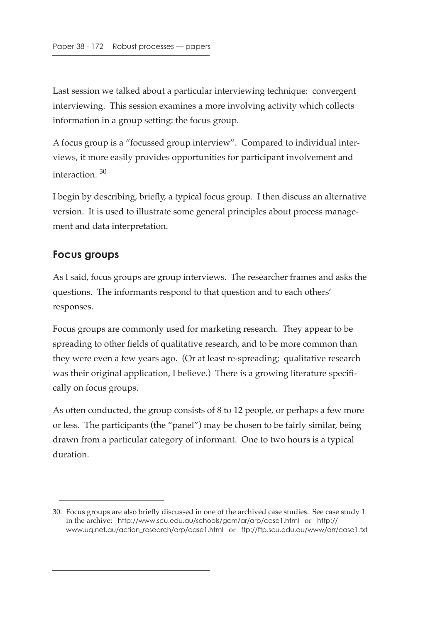Last session we talked about a particular interviewing technique: convergent interviewing. This session examines a more involving activity which collects information in a group setting: the focus group.

A focus group is a "focussed group interview". Compared to individual interviews, it more easily provides opportunities for participant involvement and interaction.<sup>30</sup>

I begin by describing, briefly, a typical focus group. I then discuss an alternative version. It is used to illustrate some general principles about process management and data interpretation.

## **Focus groups**

As I said, focus groups are group interviews. The researcher frames and asks the questions. The informants respond to that question and to each others' responses.

Focus groups are commonly used for marketing research. They appear to be spreading to other fields of qualitative research, and to be more common than they were even a few years ago. (Or at least re-spreading; qualitative research was their original application, I believe.) There is a growing literature specifically on focus groups.

As often conducted, the group consists of 8 to 12 people, or perhaps a few more or less. The participants (the "panel") may be chosen to be fairly similar, being drawn from a particular category of informant. One to two hours is a typical duration.

<sup>30.</sup> Focus groups are also briefly discussed in one of the archived case studies. See case study 1 in the archive: http://www.scu.edu.au/schools/gcm/ar/arp/case1.html or http:// www.uq.net.au/action\_research/arp/case1.html or ftp://ftp.scu.edu.au/www/arr/case1.txt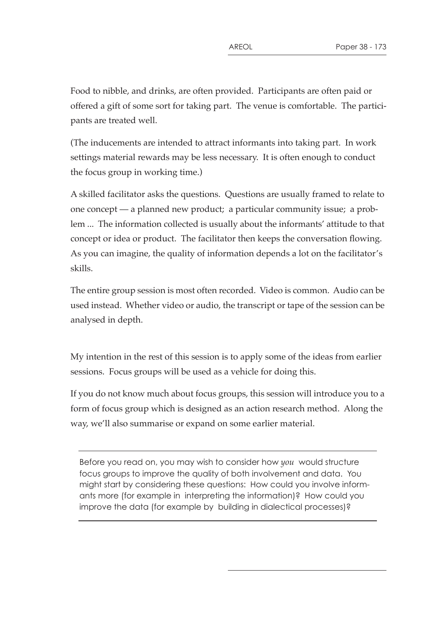Food to nibble, and drinks, are often provided. Participants are often paid or offered a gift of some sort for taking part. The venue is comfortable. The participants are treated well.

(The inducements are intended to attract informants into taking part. In work settings material rewards may be less necessary. It is often enough to conduct the focus group in working time.)

A skilled facilitator asks the questions. Questions are usually framed to relate to one concept — a planned new product; a particular community issue; a problem ... The information collected is usually about the informants' attitude to that concept or idea or product. The facilitator then keeps the conversation flowing. As you can imagine, the quality of information depends a lot on the facilitator's skills.

The entire group session is most often recorded. Video is common. Audio can be used instead. Whether video or audio, the transcript or tape of the session can be analysed in depth.

My intention in the rest of this session is to apply some of the ideas from earlier sessions. Focus groups will be used as a vehicle for doing this.

If you do not know much about focus groups, this session will introduce you to a form of focus group which is designed as an action research method. Along the way, we'll also summarise or expand on some earlier material.

Before you read on, you may wish to consider how *you* would structure focus groups to improve the quality of both involvement and data. You might start by considering these questions: How could you involve informants more (for example in interpreting the information)? How could you improve the data (for example by building in dialectical processes)?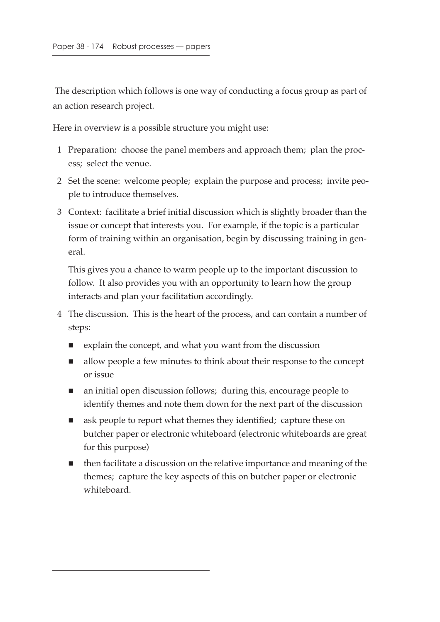The description which follows is one way of conducting a focus group as part of an action research project.

Here in overview is a possible structure you might use:

- 1 Preparation: choose the panel members and approach them; plan the process; select the venue.
- 2 Set the scene: welcome people; explain the purpose and process; invite people to introduce themselves.
- 3 Context: facilitate a brief initial discussion which is slightly broader than the issue or concept that interests you. For example, if the topic is a particular form of training within an organisation, begin by discussing training in general.

This gives you a chance to warm people up to the important discussion to follow. It also provides you with an opportunity to learn how the group interacts and plan your facilitation accordingly.

- 4 The discussion. This is the heart of the process, and can contain a number of steps:
	- explain the concept, and what you want from the discussion
	- allow people a few minutes to think about their response to the concept or issue
	- an initial open discussion follows; during this, encourage people to identify themes and note them down for the next part of the discussion
	- ask people to report what themes they identified; capture these on butcher paper or electronic whiteboard (electronic whiteboards are great for this purpose)
	- $\blacksquare$  then facilitate a discussion on the relative importance and meaning of the themes; capture the key aspects of this on butcher paper or electronic whiteboard.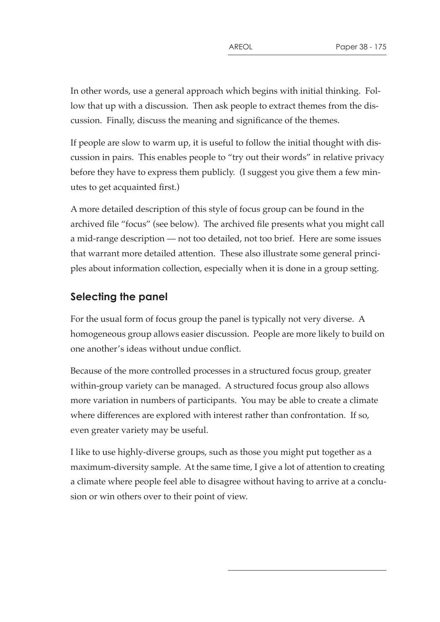In other words, use a general approach which begins with initial thinking. Follow that up with a discussion. Then ask people to extract themes from the discussion. Finally, discuss the meaning and significance of the themes.

If people are slow to warm up, it is useful to follow the initial thought with discussion in pairs. This enables people to "try out their words" in relative privacy before they have to express them publicly. (I suggest you give them a few minutes to get acquainted first.)

A more detailed description of this style of focus group can be found in the archived file "focus" (see below). The archived file presents what you might call a mid-range description — not too detailed, not too brief. Here are some issues that warrant more detailed attention. These also illustrate some general principles about information collection, especially when it is done in a group setting.

# **Selecting the panel**

For the usual form of focus group the panel is typically not very diverse. A homogeneous group allows easier discussion. People are more likely to build on one another's ideas without undue conflict.

Because of the more controlled processes in a structured focus group, greater within-group variety can be managed. A structured focus group also allows more variation in numbers of participants. You may be able to create a climate where differences are explored with interest rather than confrontation. If so, even greater variety may be useful.

I like to use highly-diverse groups, such as those you might put together as a maximum-diversity sample. At the same time, I give a lot of attention to creating a climate where people feel able to disagree without having to arrive at a conclusion or win others over to their point of view.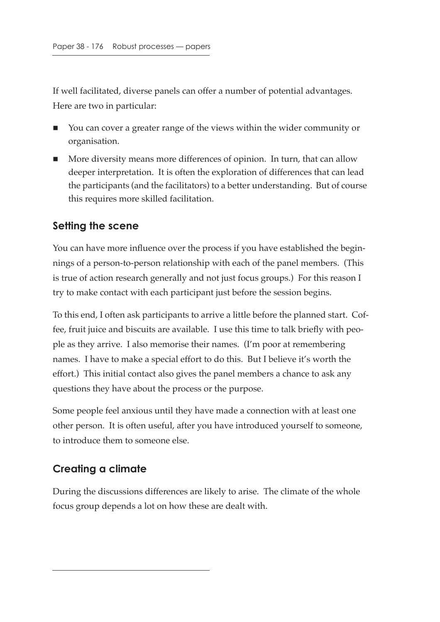If well facilitated, diverse panels can offer a number of potential advantages. Here are two in particular:

- You can cover a greater range of the views within the wider community or organisation.
- More diversity means more differences of opinion. In turn, that can allow deeper interpretation. It is often the exploration of differences that can lead the participants (and the facilitators) to a better understanding. But of course this requires more skilled facilitation.

### **Setting the scene**

You can have more influence over the process if you have established the beginnings of a person-to-person relationship with each of the panel members. (This is true of action research generally and not just focus groups.) For this reason I try to make contact with each participant just before the session begins.

To this end, I often ask participants to arrive a little before the planned start. Coffee, fruit juice and biscuits are available. I use this time to talk briefly with people as they arrive. I also memorise their names. (I'm poor at remembering names. I have to make a special effort to do this. But I believe it's worth the effort.) This initial contact also gives the panel members a chance to ask any questions they have about the process or the purpose.

Some people feel anxious until they have made a connection with at least one other person. It is often useful, after you have introduced yourself to someone, to introduce them to someone else.

## **Creating a climate**

During the discussions differences are likely to arise. The climate of the whole focus group depends a lot on how these are dealt with.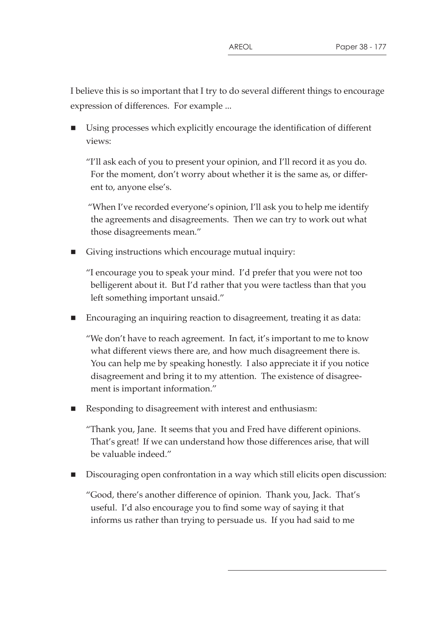I believe this is so important that I try to do several different things to encourage expression of differences. For example ...

 Using processes which explicitly encourage the identification of different views:

"I'll ask each of you to present your opinion, and I'll record it as you do. For the moment, don't worry about whether it is the same as, or different to, anyone else's.

 "When I've recorded everyone's opinion, I'll ask you to help me identify the agreements and disagreements. Then we can try to work out what those disagreements mean."

Giving instructions which encourage mutual inquiry:

"I encourage you to speak your mind. I'd prefer that you were not too belligerent about it. But I'd rather that you were tactless than that you left something important unsaid."

■ Encouraging an inquiring reaction to disagreement, treating it as data:

"We don't have to reach agreement. In fact, it's important to me to know what different views there are, and how much disagreement there is. You can help me by speaking honestly. I also appreciate it if you notice disagreement and bring it to my attention. The existence of disagreement is important information."

Responding to disagreement with interest and enthusiasm:

"Thank you, Jane. It seems that you and Fred have different opinions. That's great! If we can understand how those differences arise, that will be valuable indeed."

Discouraging open confrontation in a way which still elicits open discussion:

"Good, there's another difference of opinion. Thank you, Jack. That's useful. I'd also encourage you to find some way of saying it that informs us rather than trying to persuade us. If you had said to me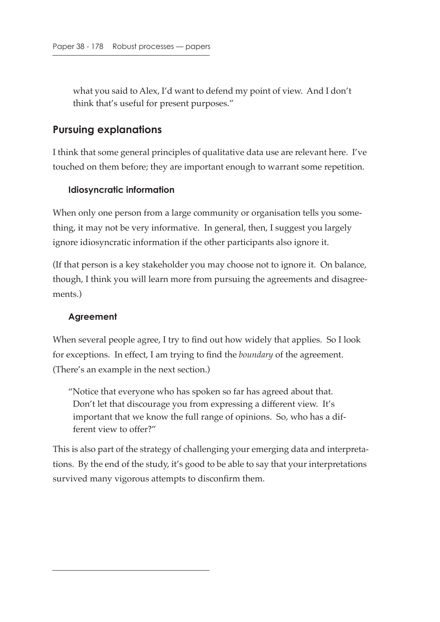what you said to Alex, I'd want to defend my point of view. And I don't think that's useful for present purposes."

# **Pursuing explanations**

I think that some general principles of qualitative data use are relevant here. I've touched on them before; they are important enough to warrant some repetition.

#### **Idiosyncratic information**

When only one person from a large community or organisation tells you something, it may not be very informative. In general, then, I suggest you largely ignore idiosyncratic information if the other participants also ignore it.

(If that person is a key stakeholder you may choose not to ignore it. On balance, though, I think you will learn more from pursuing the agreements and disagreements.)

### **Agreement**

When several people agree, I try to find out how widely that applies. So I look for exceptions. In effect, I am trying to find the *boundary* of the agreement. (There's an example in the next section.)

"Notice that everyone who has spoken so far has agreed about that. Don't let that discourage you from expressing a different view. It's important that we know the full range of opinions. So, who has a different view to offer?"

This is also part of the strategy of challenging your emerging data and interpretations. By the end of the study, it's good to be able to say that your interpretations survived many vigorous attempts to disconfirm them.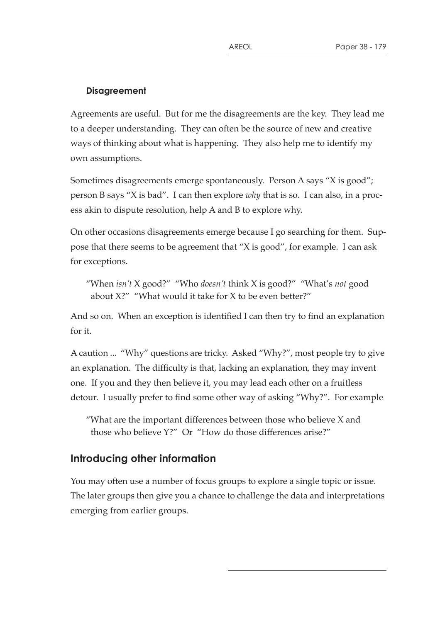### **Disagreement**

Agreements are useful. But for me the disagreements are the key. They lead me to a deeper understanding. They can often be the source of new and creative ways of thinking about what is happening. They also help me to identify my own assumptions.

Sometimes disagreements emerge spontaneously. Person A says "X is good"; person B says "X is bad". I can then explore *why* that is so. I can also, in a process akin to dispute resolution, help A and B to explore why.

On other occasions disagreements emerge because I go searching for them. Suppose that there seems to be agreement that "X is good", for example. I can ask for exceptions.

"When *isn't* X good?" "Who *doesn't* think X is good?" "What's *not* good about X?" "What would it take for X to be even better?"

And so on. When an exception is identified I can then try to find an explanation for it.

A caution ... "Why" questions are tricky. Asked "Why?", most people try to give an explanation. The difficulty is that, lacking an explanation, they may invent one. If you and they then believe it, you may lead each other on a fruitless detour. I usually prefer to find some other way of asking "Why?". For example

"What are the important differences between those who believe X and those who believe Y?" Or "How do those differences arise?"

# **Introducing other information**

You may often use a number of focus groups to explore a single topic or issue. The later groups then give you a chance to challenge the data and interpretations emerging from earlier groups.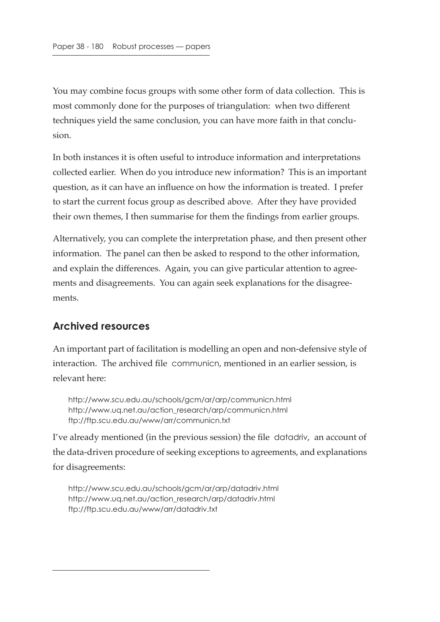You may combine focus groups with some other form of data collection. This is most commonly done for the purposes of triangulation: when two different techniques yield the same conclusion, you can have more faith in that conclusion.

In both instances it is often useful to introduce information and interpretations collected earlier. When do you introduce new information? This is an important question, as it can have an influence on how the information is treated. I prefer to start the current focus group as described above. After they have provided their own themes, I then summarise for them the findings from earlier groups.

Alternatively, you can complete the interpretation phase, and then present other information. The panel can then be asked to respond to the other information, and explain the differences. Again, you can give particular attention to agreements and disagreements. You can again seek explanations for the disagreements.

### **Archived resources**

An important part of facilitation is modelling an open and non-defensive style of interaction. The archived file communicn, mentioned in an earlier session, is relevant here:

http://www.scu.edu.au/schools/gcm/ar/arp/communicn.html http://www.uq.net.au/action\_research/arp/communicn.html ftp://ftp.scu.edu.au/www/arr/communicn.txt

I've already mentioned (in the previous session) the file datadriv, an account of the data-driven procedure of seeking exceptions to agreements, and explanations for disagreements:

http://www.scu.edu.au/schools/gcm/ar/arp/datadriv.html http://www.uq.net.au/action\_research/arp/datadriv.html ftp://ftp.scu.edu.au/www/arr/datadriv.txt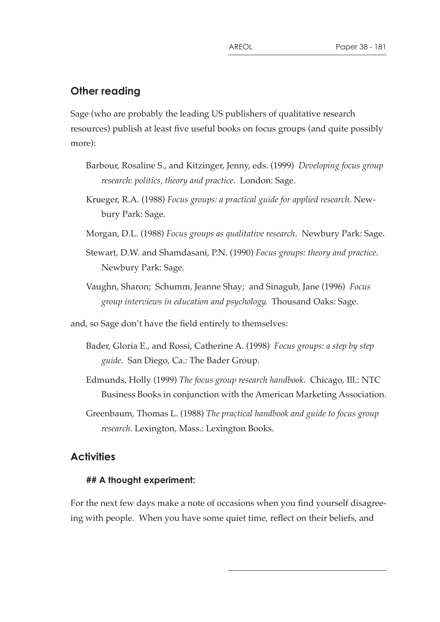## **Other reading**

Sage (who are probably the leading US publishers of qualitative research resources) publish at least five useful books on focus groups (and quite possibly more):

- Barbour, Rosaline S., and Kitzinger, Jenny, eds. (1999) *Developing focus group research: politics, theory and practice*. London: Sage.
- Krueger, R.A. (1988) *Focus groups: a practical guide for applied research*. Newbury Park: Sage.
- Morgan, D.L. (1988) *Focus groups as qualitative research*. Newbury Park: Sage.
- Stewart, D.W. and Shamdasani, P.N. (1990) *Focus groups: theory and practice*. Newbury Park: Sage.
- Vaughn, Sharon; Schumm, Jeanne Shay; and Sinagub, Jane (1996) *Focus group interviews in education and psychology*. Thousand Oaks: Sage.

and, so Sage don't have the field entirely to themselves:

- Bader, Gloria E., and Rossi, Catherine A. (1998) *Focus groups: a step by step guide*. San Diego, Ca.: The Bader Group.
- Edmunds, Holly (1999) *The focus group research handbook*. Chicago, Ill.: NTC Business Books in conjunction with the American Marketing Association.
- Greenbaum, Thomas L. (1988) *The practical handbook and guide to focus group research*. Lexington, Mass.: Lexington Books.

## **Activities**

#### **## A thought experiment:**

For the next few days make a note of occasions when you find yourself disagreeing with people. When you have some quiet time, reflect on their beliefs, and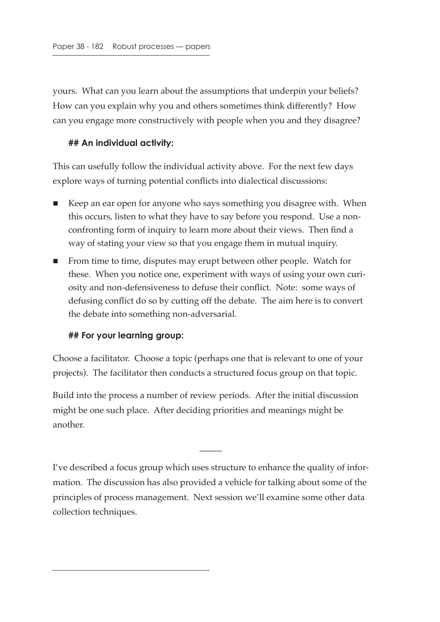yours. What can you learn about the assumptions that underpin your beliefs? How can you explain why you and others sometimes think differently? How can you engage more constructively with people when you and they disagree?

#### **## An individual activity:**

This can usefully follow the individual activity above. For the next few days explore ways of turning potential conflicts into dialectical discussions:

- Keep an ear open for anyone who says something you disagree with. When this occurs, listen to what they have to say before you respond. Use a nonconfronting form of inquiry to learn more about their views. Then find a way of stating your view so that you engage them in mutual inquiry.
- From time to time, disputes may erupt between other people. Watch for these. When you notice one, experiment with ways of using your own curiosity and non-defensiveness to defuse their conflict. Note: some ways of defusing conflict do so by cutting off the debate. The aim here is to convert the debate into something non-adversarial.

#### **## For your learning group:**

Choose a facilitator. Choose a topic (perhaps one that is relevant to one of your projects). The facilitator then conducts a structured focus group on that topic.

Build into the process a number of review periods. After the initial discussion might be one such place. After deciding priorities and meanings might be another.

I've described a focus group which uses structure to enhance the quality of information. The discussion has also provided a vehicle for talking about some of the principles of process management. Next session we'll examine some other data collection techniques.

 $\overline{\phantom{a}}$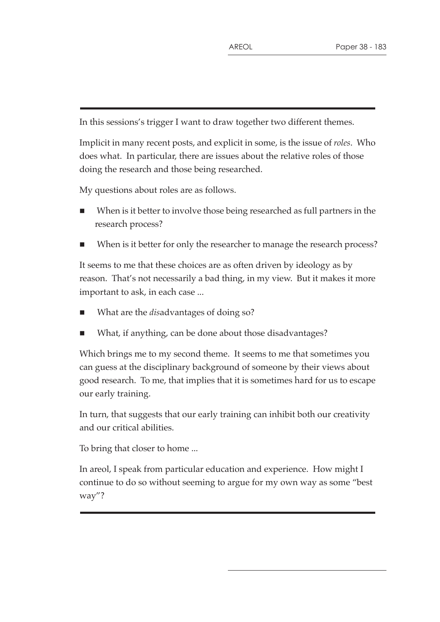In this sessions's trigger I want to draw together two different themes.

Implicit in many recent posts, and explicit in some, is the issue of *roles*. Who does what. In particular, there are issues about the relative roles of those doing the research and those being researched.

My questions about roles are as follows.

- When is it better to involve those being researched as full partners in the research process?
- When is it better for only the researcher to manage the research process?

It seems to me that these choices are as often driven by ideology as by reason. That's not necessarily a bad thing, in my view. But it makes it more important to ask, in each case ...

- What are the *dis*advantages of doing so?
- What, if anything, can be done about those disadvantages?

Which brings me to my second theme. It seems to me that sometimes you can guess at the disciplinary background of someone by their views about good research. To me, that implies that it is sometimes hard for us to escape our early training.

In turn, that suggests that our early training can inhibit both our creativity and our critical abilities.

To bring that closer to home ...

In areol, I speak from particular education and experience. How might I continue to do so without seeming to argue for my own way as some "best way"?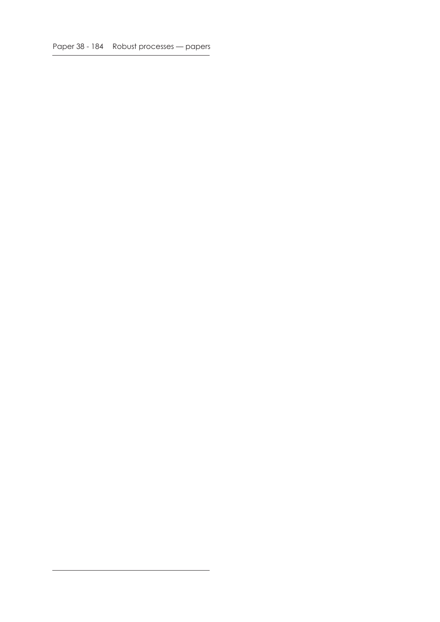Paper 38 - 184 Robust processes — papers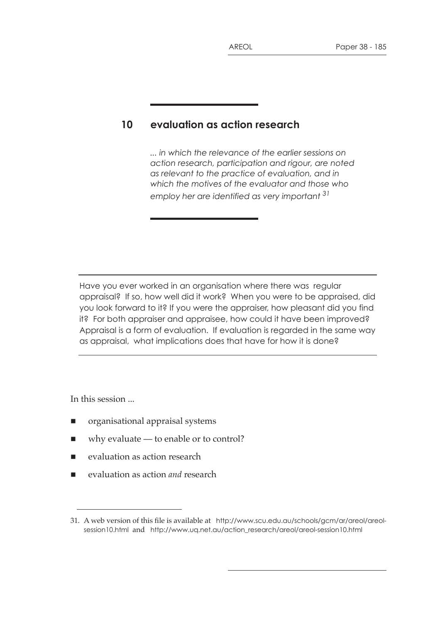## **10 evaluation as action research**

*... in which the relevance of the earlier sessions on action research, participation and rigour, are noted as relevant to the practice of evaluation, and in which the motives of the evaluator and those who employ her are identified as very important <sup>31</sup>*

Have you ever worked in an organisation where there was regular appraisal? If so, how well did it work? When you were to be appraised, did you look forward to it? If you were the appraiser, how pleasant did you find it? For both appraiser and appraisee, how could it have been improved? Appraisal is a form of evaluation. If evaluation is regarded in the same way as appraisal, what implications does that have for how it is done?

In this session ...

- **n** organisational appraisal systems
- why evaluate to enable or to control?
- evaluation as action research
- evaluation as action *and* research

<sup>31.</sup> A web version of this file is available at http://www.scu.edu.au/schools/gcm/ar/areol/areolsession10.html and http://www.uq.net.au/action\_research/areol/areol-session10.html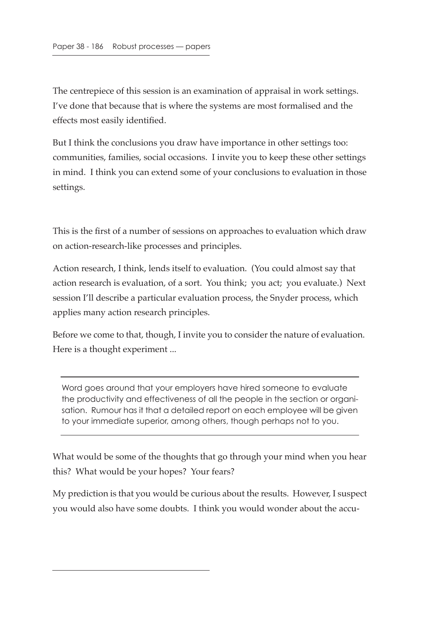The centrepiece of this session is an examination of appraisal in work settings. I've done that because that is where the systems are most formalised and the effects most easily identified.

But I think the conclusions you draw have importance in other settings too: communities, families, social occasions. I invite you to keep these other settings in mind. I think you can extend some of your conclusions to evaluation in those settings.

This is the first of a number of sessions on approaches to evaluation which draw on action-research-like processes and principles.

Action research, I think, lends itself to evaluation. (You could almost say that action research is evaluation, of a sort. You think; you act; you evaluate.) Next session I'll describe a particular evaluation process, the Snyder process, which applies many action research principles.

Before we come to that, though, I invite you to consider the nature of evaluation. Here is a thought experiment ...

Word goes around that your employers have hired someone to evaluate the productivity and effectiveness of all the people in the section or organisation. Rumour has it that a detailed report on each employee will be given to your immediate superior, among others, though perhaps not to you.

What would be some of the thoughts that go through your mind when you hear this? What would be your hopes? Your fears?

My prediction is that you would be curious about the results. However, I suspect you would also have some doubts. I think you would wonder about the accu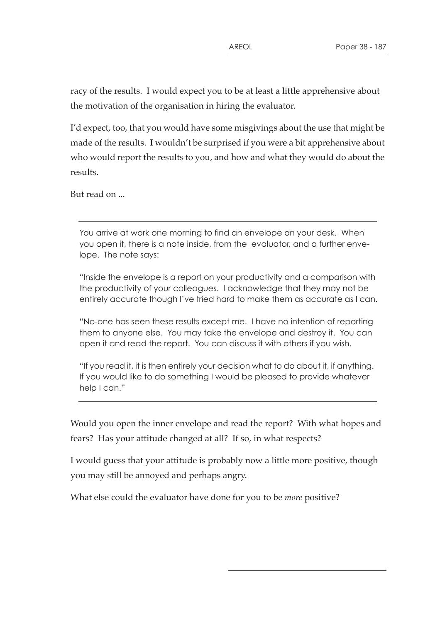racy of the results. I would expect you to be at least a little apprehensive about the motivation of the organisation in hiring the evaluator.

I'd expect, too, that you would have some misgivings about the use that might be made of the results. I wouldn't be surprised if you were a bit apprehensive about who would report the results to you, and how and what they would do about the results.

But read on ...

You arrive at work one morning to find an envelope on your desk. When you open it, there is a note inside, from the evaluator, and a further envelope. The note says:

"Inside the envelope is a report on your productivity and a comparison with the productivity of your colleagues. I acknowledge that they may not be entirely accurate though I've tried hard to make them as accurate as I can.

"No-one has seen these results except me. I have no intention of reporting them to anyone else. You may take the envelope and destroy it. You can open it and read the report. You can discuss it with others if you wish.

"If you read it, it is then entirely your decision what to do about it, if anything. If you would like to do something I would be pleased to provide whatever help I can."

Would you open the inner envelope and read the report? With what hopes and fears? Has your attitude changed at all? If so, in what respects?

I would guess that your attitude is probably now a little more positive, though you may still be annoyed and perhaps angry.

What else could the evaluator have done for you to be *more* positive?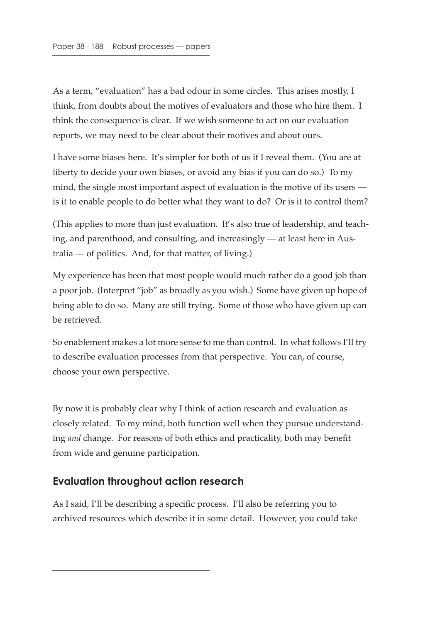As a term, "evaluation" has a bad odour in some circles. This arises mostly, I think, from doubts about the motives of evaluators and those who hire them. I think the consequence is clear. If we wish someone to act on our evaluation reports, we may need to be clear about their motives and about ours.

I have some biases here. It's simpler for both of us if I reveal them. (You are at liberty to decide your own biases, or avoid any bias if you can do so.) To my mind, the single most important aspect of evaluation is the motive of its users is it to enable people to do better what they want to do? Or is it to control them?

(This applies to more than just evaluation. It's also true of leadership, and teaching, and parenthood, and consulting, and increasingly — at least here in Australia — of politics. And, for that matter, of living.)

My experience has been that most people would much rather do a good job than a poor job. (Interpret "job" as broadly as you wish.) Some have given up hope of being able to do so. Many are still trying. Some of those who have given up can be retrieved.

So enablement makes a lot more sense to me than control. In what follows I'll try to describe evaluation processes from that perspective. You can, of course, choose your own perspective.

By now it is probably clear why I think of action research and evaluation as closely related. To my mind, both function well when they pursue understanding *and* change. For reasons of both ethics and practicality, both may benefit from wide and genuine participation.

## **Evaluation throughout action research**

As I said, I'll be describing a specific process. I'll also be referring you to archived resources which describe it in some detail. However, you could take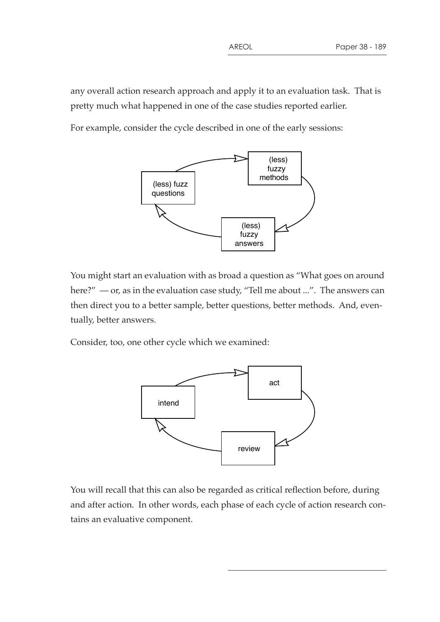any overall action research approach and apply it to an evaluation task. That is pretty much what happened in one of the case studies reported earlier.

For example, consider the cycle described in one of the early sessions:



You might start an evaluation with as broad a question as "What goes on around here?" — or, as in the evaluation case study, "Tell me about ...". The answers can then direct you to a better sample, better questions, better methods. And, eventually, better answers.

Consider, too, one other cycle which we examined:



You will recall that this can also be regarded as critical reflection before, during and after action. In other words, each phase of each cycle of action research contains an evaluative component.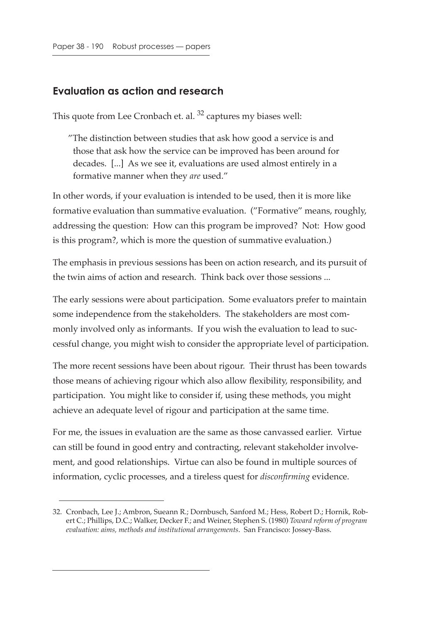## **Evaluation as action and research**

This quote from Lee Cronbach et. al. <sup>32</sup> captures my biases well:

"The distinction between studies that ask how good a service is and those that ask how the service can be improved has been around for decades. [...] As we see it, evaluations are used almost entirely in a formative manner when they *are* used."

In other words, if your evaluation is intended to be used, then it is more like formative evaluation than summative evaluation. ("Formative" means, roughly, addressing the question: How can this program be improved? Not: How good is this program?, which is more the question of summative evaluation.)

The emphasis in previous sessions has been on action research, and its pursuit of the twin aims of action and research. Think back over those sessions ...

The early sessions were about participation. Some evaluators prefer to maintain some independence from the stakeholders. The stakeholders are most commonly involved only as informants. If you wish the evaluation to lead to successful change, you might wish to consider the appropriate level of participation.

The more recent sessions have been about rigour. Their thrust has been towards those means of achieving rigour which also allow flexibility, responsibility, and participation. You might like to consider if, using these methods, you might achieve an adequate level of rigour and participation at the same time.

For me, the issues in evaluation are the same as those canvassed earlier. Virtue can still be found in good entry and contracting, relevant stakeholder involvement, and good relationships. Virtue can also be found in multiple sources of information, cyclic processes, and a tireless quest for *disconfirming* evidence.

<sup>32.</sup> Cronbach, Lee J.; Ambron, Sueann R.; Dornbusch, Sanford M.; Hess, Robert D.; Hornik, Robert C.; Phillips, D.C.; Walker, Decker F.; and Weiner, Stephen S. (1980) *Toward reform of program evaluation: aims, methods and institutional arrangements*. San Francisco: Jossey-Bass.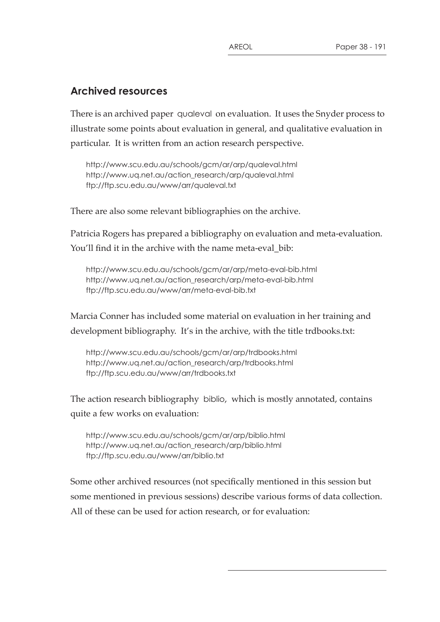# **Archived resources**

There is an archived paper qualeval on evaluation. It uses the Snyder process to illustrate some points about evaluation in general, and qualitative evaluation in particular. It is written from an action research perspective.

http://www.scu.edu.au/schools/gcm/ar/arp/qualeval.html http://www.uq.net.au/action\_research/arp/qualeval.html ftp://ftp.scu.edu.au/www/arr/qualeval.txt

There are also some relevant bibliographies on the archive.

Patricia Rogers has prepared a bibliography on evaluation and meta-evaluation. You'll find it in the archive with the name meta-eval\_bib:

http://www.scu.edu.au/schools/gcm/ar/arp/meta-eval-bib.html http://www.uq.net.au/action\_research/arp/meta-eval-bib.html ftp://ftp.scu.edu.au/www/arr/meta-eval-bib.txt

Marcia Conner has included some material on evaluation in her training and development bibliography. It's in the archive, with the title trdbooks.txt:

http://www.scu.edu.au/schools/gcm/ar/arp/trdbooks.html http://www.uq.net.au/action\_research/arp/trdbooks.html ftp://ftp.scu.edu.au/www/arr/trdbooks.txt

The action research bibliography biblio, which is mostly annotated, contains quite a few works on evaluation:

http://www.scu.edu.au/schools/gcm/ar/arp/biblio.html http://www.uq.net.au/action\_research/arp/biblio.html ftp://ftp.scu.edu.au/www/arr/biblio.txt

Some other archived resources (not specifically mentioned in this session but some mentioned in previous sessions) describe various forms of data collection. All of these can be used for action research, or for evaluation: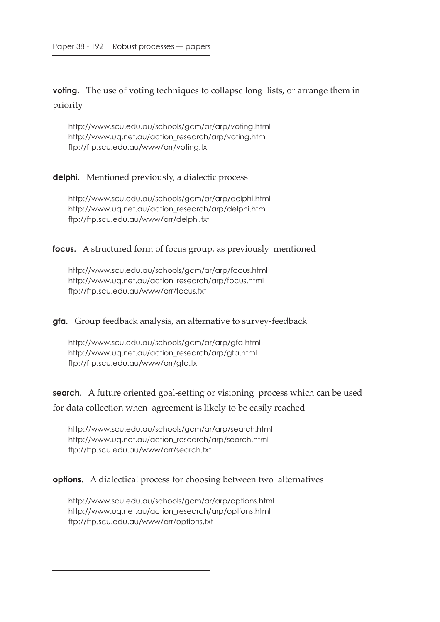**voting.** The use of voting techniques to collapse long lists, or arrange them in priority

http://www.scu.edu.au/schools/gcm/ar/arp/voting.html http://www.uq.net.au/action\_research/arp/voting.html ftp://ftp.scu.edu.au/www/arr/voting.txt

#### **delphi.** Mentioned previously, a dialectic process

http://www.scu.edu.au/schools/gcm/ar/arp/delphi.html http://www.uq.net.au/action\_research/arp/delphi.html ftp://ftp.scu.edu.au/www/arr/delphi.txt

#### **focus.** A structured form of focus group, as previously mentioned

http://www.scu.edu.au/schools/gcm/ar/arp/focus.html http://www.uq.net.au/action\_research/arp/focus.html ftp://ftp.scu.edu.au/www/arr/focus.txt

#### **gfa.** Group feedback analysis, an alternative to survey-feedback

http://www.scu.edu.au/schools/gcm/ar/arp/gfa.html http://www.uq.net.au/action\_research/arp/gfa.html ftp://ftp.scu.edu.au/www/arr/gfa.txt

## **search.** A future oriented goal-setting or visioning process which can be used for data collection when agreement is likely to be easily reached

http://www.scu.edu.au/schools/gcm/ar/arp/search.html http://www.uq.net.au/action\_research/arp/search.html ftp://ftp.scu.edu.au/www/arr/search.txt

#### **options.** A dialectical process for choosing between two alternatives

http://www.scu.edu.au/schools/gcm/ar/arp/options.html http://www.uq.net.au/action\_research/arp/options.html ftp://ftp.scu.edu.au/www/arr/options.txt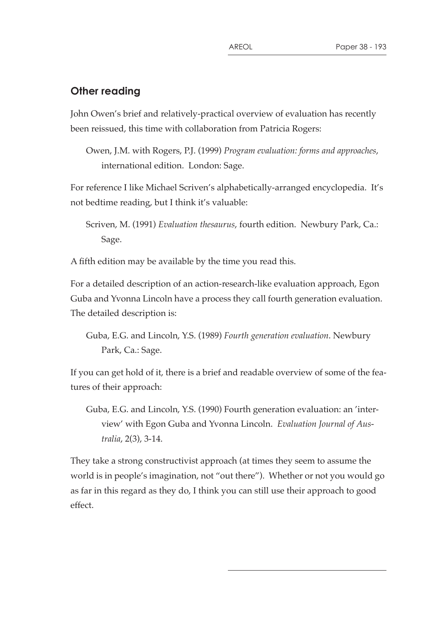## **Other reading**

John Owen's brief and relatively-practical overview of evaluation has recently been reissued, this time with collaboration from Patricia Rogers:

Owen, J.M. with Rogers, P.J. (1999) *Program evaluation: forms and approaches*, international edition. London: Sage.

For reference I like Michael Scriven's alphabetically-arranged encyclopedia. It's not bedtime reading, but I think it's valuable:

Scriven, M. (1991) *Evaluation thesaurus*, fourth edition. Newbury Park, Ca.: Sage.

A fifth edition may be available by the time you read this.

For a detailed description of an action-research-like evaluation approach, Egon Guba and Yvonna Lincoln have a process they call fourth generation evaluation. The detailed description is:

Guba, E.G. and Lincoln, Y.S. (1989) *Fourth generation evaluation*. Newbury Park, Ca.: Sage.

If you can get hold of it, there is a brief and readable overview of some of the features of their approach:

Guba, E.G. and Lincoln, Y.S. (1990) Fourth generation evaluation: an 'interview' with Egon Guba and Yvonna Lincoln. *Evaluation Journal of Australia*, 2(3), 3-14.

They take a strong constructivist approach (at times they seem to assume the world is in people's imagination, not "out there"). Whether or not you would go as far in this regard as they do, I think you can still use their approach to good effect.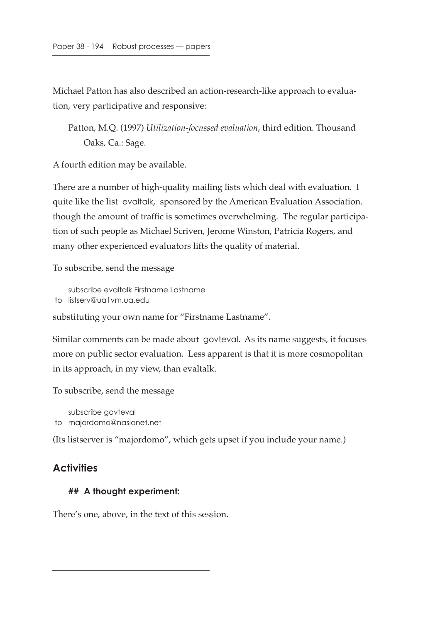Michael Patton has also described an action-research-like approach to evaluation, very participative and responsive:

Patton, M.Q. (1997) *Utilization-focussed evaluation*, third edition. Thousand Oaks, Ca.: Sage.

A fourth edition may be available.

There are a number of high-quality mailing lists which deal with evaluation. I quite like the list evaltalk, sponsored by the American Evaluation Association. though the amount of traffic is sometimes overwhelming. The regular participation of such people as Michael Scriven, Jerome Winston, Patricia Rogers, and many other experienced evaluators lifts the quality of material.

To subscribe, send the message

subscribe evaltalk Firstname Lastname to listserv@ua1vm.ua.edu

substituting your own name for "Firstname Lastname".

Similar comments can be made about govteval. As its name suggests, it focuses more on public sector evaluation. Less apparent is that it is more cosmopolitan in its approach, in my view, than evaltalk.

To subscribe, send the message

subscribe govteval to majordomo@nasionet.net

(Its listserver is "majordomo", which gets upset if you include your name.)

### **Activities**

#### **## A thought experiment:**

There's one, above, in the text of this session.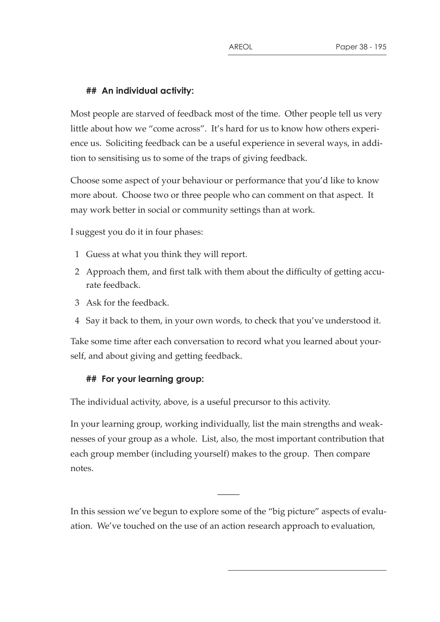### **## An individual activity:**

Most people are starved of feedback most of the time. Other people tell us very little about how we "come across". It's hard for us to know how others experience us. Soliciting feedback can be a useful experience in several ways, in addition to sensitising us to some of the traps of giving feedback.

Choose some aspect of your behaviour or performance that you'd like to know more about. Choose two or three people who can comment on that aspect. It may work better in social or community settings than at work.

I suggest you do it in four phases:

- 1 Guess at what you think they will report.
- 2 Approach them, and first talk with them about the difficulty of getting accurate feedback.
- 3 Ask for the feedback.
- 4 Say it back to them, in your own words, to check that you've understood it.

Take some time after each conversation to record what you learned about yourself, and about giving and getting feedback.

## **## For your learning group:**

The individual activity, above, is a useful precursor to this activity.

In your learning group, working individually, list the main strengths and weaknesses of your group as a whole. List, also, the most important contribution that each group member (including yourself) makes to the group. Then compare notes.

In this session we've begun to explore some of the "big picture" aspects of evaluation. We've touched on the use of an action research approach to evaluation,

 $\overline{\phantom{a}}$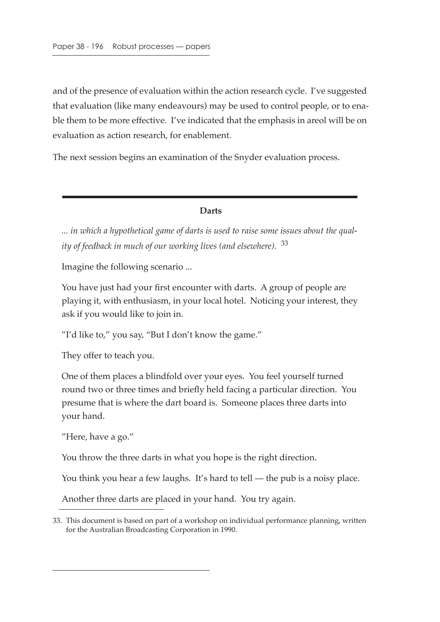and of the presence of evaluation within the action research cycle. I've suggested that evaluation (like many endeavours) may be used to control people, or to enable them to be more effective. I've indicated that the emphasis in areol will be on evaluation as action research, for enablement.

The next session begins an examination of the Snyder evaluation process.

#### **Darts**

*... in which a hypothetical game of darts is used to raise some issues about the quality of feedback in much of our working lives (and elsewhere).*<sup>33</sup>

Imagine the following scenario ...

You have just had your first encounter with darts. A group of people are playing it, with enthusiasm, in your local hotel. Noticing your interest, they ask if you would like to join in.

"I'd like to," you say, "But I don't know the game."

They offer to teach you.

One of them places a blindfold over your eyes. You feel yourself turned round two or three times and briefly held facing a particular direction. You presume that is where the dart board is. Someone places three darts into your hand.

```
"Here, have a go."
```
You throw the three darts in what you hope is the right direction.

You think you hear a few laughs. It's hard to tell — the pub is a noisy place.

Another three darts are placed in your hand. You try again.

<sup>33.</sup> This document is based on part of a workshop on individual performance planning, written for the Australian Broadcasting Corporation in 1990.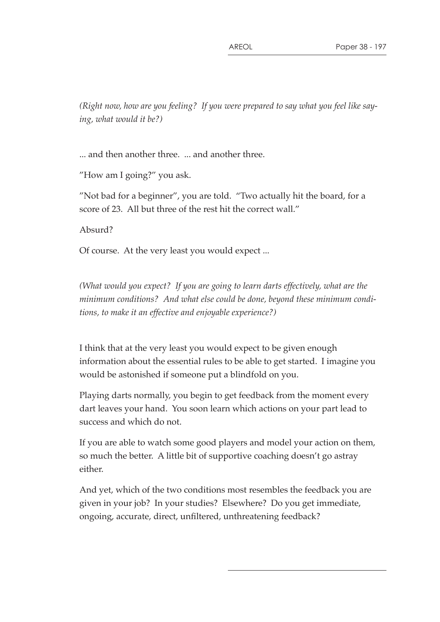*(Right now, how are you feeling? If you were prepared to say what you feel like saying, what would it be?)*

... and then another three. ... and another three.

"How am I going?" you ask.

"Not bad for a beginner", you are told. "Two actually hit the board, for a score of 23. All but three of the rest hit the correct wall."

Absurd?

Of course. At the very least you would expect ...

*(What would you expect? If you are going to learn darts effectively, what are the minimum conditions? And what else could be done, beyond these minimum conditions, to make it an effective and enjoyable experience?)*

I think that at the very least you would expect to be given enough information about the essential rules to be able to get started. I imagine you would be astonished if someone put a blindfold on you.

Playing darts normally, you begin to get feedback from the moment every dart leaves your hand. You soon learn which actions on your part lead to success and which do not.

If you are able to watch some good players and model your action on them, so much the better. A little bit of supportive coaching doesn't go astray either.

And yet, which of the two conditions most resembles the feedback you are given in your job? In your studies? Elsewhere? Do you get immediate, ongoing, accurate, direct, unfiltered, unthreatening feedback?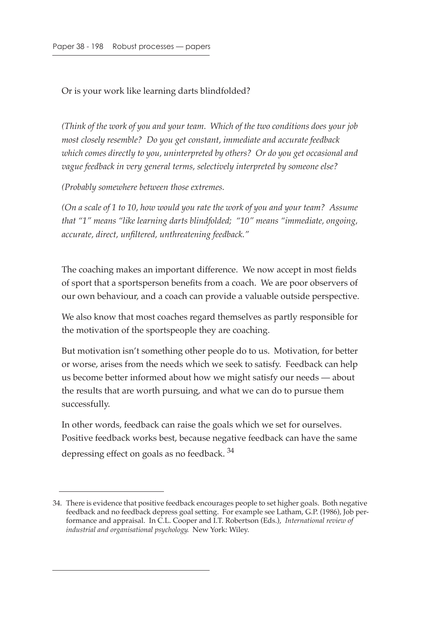### Or is your work like learning darts blindfolded?

*(Think of the work of you and your team. Which of the two conditions does your job most closely resemble? Do you get constant, immediate and accurate feedback which comes directly to you, uninterpreted by others? Or do you get occasional and vague feedback in very general terms, selectively interpreted by someone else?*

*(Probably somewhere between those extremes.*

*(On a scale of 1 to 10, how would you rate the work of you and your team? Assume that "1" means "like learning darts blindfolded; "10" means "immediate, ongoing, accurate, direct, unfiltered, unthreatening feedback."*

The coaching makes an important difference. We now accept in most fields of sport that a sportsperson benefits from a coach. We are poor observers of our own behaviour, and a coach can provide a valuable outside perspective.

We also know that most coaches regard themselves as partly responsible for the motivation of the sportspeople they are coaching.

But motivation isn't something other people do to us. Motivation, for better or worse, arises from the needs which we seek to satisfy. Feedback can help us become better informed about how we might satisfy our needs — about the results that are worth pursuing, and what we can do to pursue them successfully.

In other words, feedback can raise the goals which we set for ourselves. Positive feedback works best, because negative feedback can have the same depressing effect on goals as no feedback.<sup>34</sup>

<sup>34.</sup> There is evidence that positive feedback encourages people to set higher goals. Both negative feedback and no feedback depress goal setting. For example see Latham, G.P. (1986), Job performance and appraisal. In C.L. Cooper and I.T. Robertson (Eds.), *International review of industrial and organisational psychology*. New York: Wiley.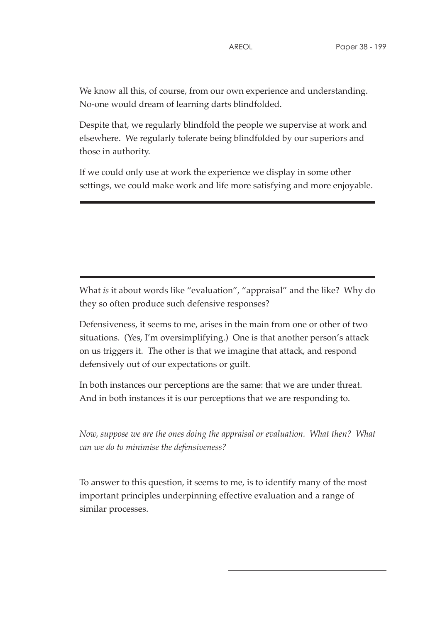We know all this, of course, from our own experience and understanding. No-one would dream of learning darts blindfolded.

Despite that, we regularly blindfold the people we supervise at work and elsewhere. We regularly tolerate being blindfolded by our superiors and those in authority.

If we could only use at work the experience we display in some other settings, we could make work and life more satisfying and more enjoyable.

What *is* it about words like "evaluation", "appraisal" and the like? Why do they so often produce such defensive responses?

Defensiveness, it seems to me, arises in the main from one or other of two situations. (Yes, I'm oversimplifying.) One is that another person's attack on us triggers it. The other is that we imagine that attack, and respond defensively out of our expectations or guilt.

In both instances our perceptions are the same: that we are under threat. And in both instances it is our perceptions that we are responding to.

*Now, suppose we are the ones doing the appraisal or evaluation. What then? What can we do to minimise the defensiveness?*

To answer to this question, it seems to me, is to identify many of the most important principles underpinning effective evaluation and a range of similar processes.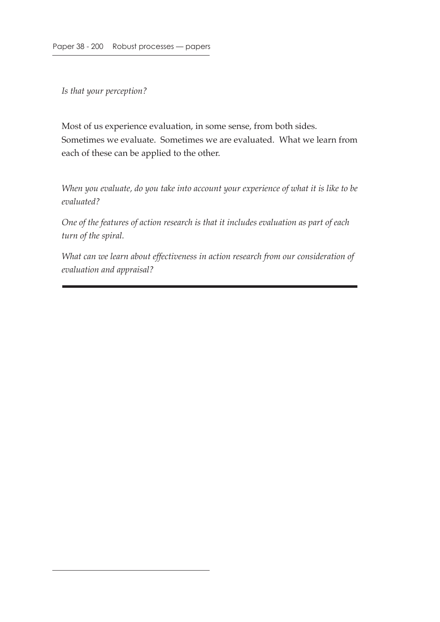*Is that your perception?*

Most of us experience evaluation, in some sense, from both sides. Sometimes we evaluate. Sometimes we are evaluated. What we learn from each of these can be applied to the other.

*When you evaluate, do you take into account your experience of what it is like to be evaluated?*

*One of the features of action research is that it includes evaluation as part of each turn of the spiral.*

*What can we learn about effectiveness in action research from our consideration of evaluation and appraisal?*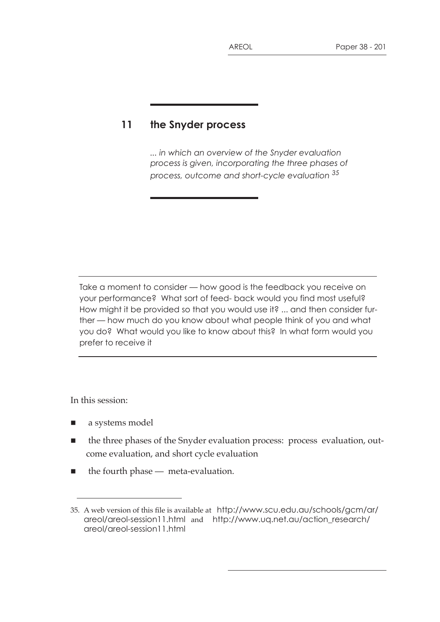# **11 the Snyder process**

*... in which an overview of the Snyder evaluation process is given, incorporating the three phases of process, outcome and short-cycle evaluation 35*

Take a moment to consider — how good is the feedback you receive on your performance? What sort of feed- back would you find most useful? How might it be provided so that you would use it? ... and then consider further — how much do you know about what people think of you and what you do? What would you like to know about this? In what form would you prefer to receive it

In this session:

- **a** systems model
- $\blacksquare$  the three phases of the Snyder evaluation process: process evaluation, outcome evaluation, and short cycle evaluation
- $\blacksquare$  the fourth phase meta-evaluation.

<sup>35.</sup> A web version of this file is available at http://www.scu.edu.au/schools/gcm/ar/ areol/areol-session11.html and http://www.uq.net.au/action\_research/ areol/areol-session11.html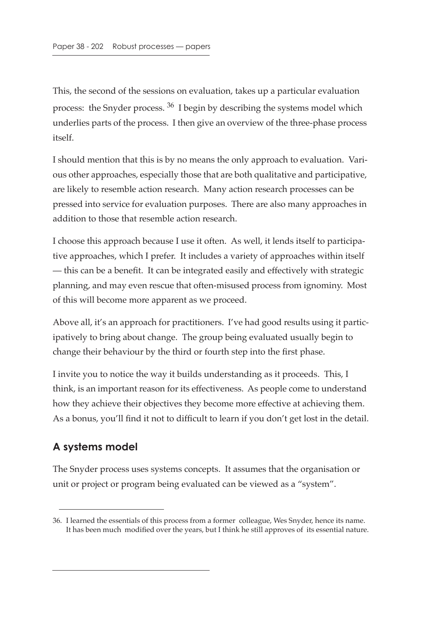This, the second of the sessions on evaluation, takes up a particular evaluation process: the Snyder process.  $36$  I begin by describing the systems model which underlies parts of the process. I then give an overview of the three-phase process itself.

I should mention that this is by no means the only approach to evaluation. Various other approaches, especially those that are both qualitative and participative, are likely to resemble action research. Many action research processes can be pressed into service for evaluation purposes. There are also many approaches in addition to those that resemble action research.

I choose this approach because I use it often. As well, it lends itself to participative approaches, which I prefer. It includes a variety of approaches within itself — this can be a benefit. It can be integrated easily and effectively with strategic planning, and may even rescue that often-misused process from ignominy. Most of this will become more apparent as we proceed.

Above all, it's an approach for practitioners. I've had good results using it participatively to bring about change. The group being evaluated usually begin to change their behaviour by the third or fourth step into the first phase.

I invite you to notice the way it builds understanding as it proceeds. This, I think, is an important reason for its effectiveness. As people come to understand how they achieve their objectives they become more effective at achieving them. As a bonus, you'll find it not to difficult to learn if you don't get lost in the detail.

# **A systems model**

The Snyder process uses systems concepts. It assumes that the organisation or unit or project or program being evaluated can be viewed as a "system".

<sup>36.</sup> I learned the essentials of this process from a former colleague, Wes Snyder, hence its name. It has been much modified over the years, but I think he still approves of its essential nature.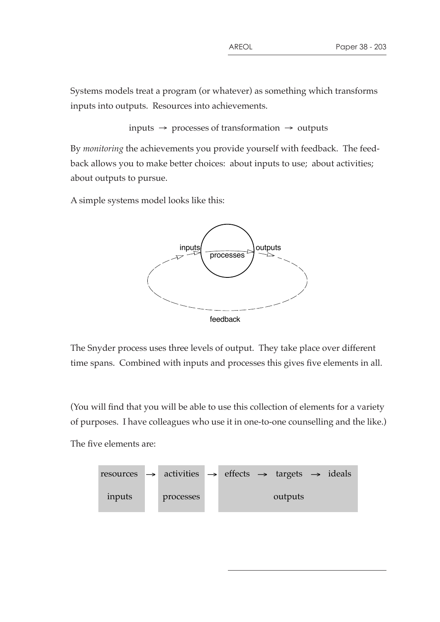Systems models treat a program (or whatever) as something which transforms inputs into outputs. Resources into achievements.

inputs → processes of transformation → outputs

By *monitoring* the achievements you provide yourself with feedback. The feedback allows you to make better choices: about inputs to use; about activities; about outputs to pursue.

A simple systems model looks like this:



The Snyder process uses three levels of output. They take place over different time spans. Combined with inputs and processes this gives five elements in all.

(You will find that you will be able to use this collection of elements for a variety of purposes. I have colleagues who use it in one-to-one counselling and the like.)

The five elements are:

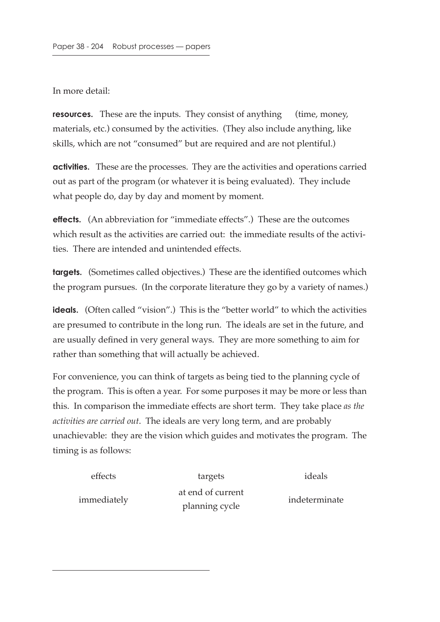#### In more detail:

**resources.** These are the inputs. They consist of anything (time, money, materials, etc.) consumed by the activities. (They also include anything, like skills, which are not "consumed" but are required and are not plentiful.)

**activities.** These are the processes. They are the activities and operations carried out as part of the program (or whatever it is being evaluated). They include what people do, day by day and moment by moment.

**effects.** (An abbreviation for "immediate effects".) These are the outcomes which result as the activities are carried out: the immediate results of the activities. There are intended and unintended effects.

**targets.** (Sometimes called objectives.) These are the identified outcomes which the program pursues. (In the corporate literature they go by a variety of names.)

**ideals.** (Often called "vision".) This is the "better world" to which the activities are presumed to contribute in the long run. The ideals are set in the future, and are usually defined in very general ways. They are more something to aim for rather than something that will actually be achieved.

For convenience, you can think of targets as being tied to the planning cycle of the program. This is often a year. For some purposes it may be more or less than this. In comparison the immediate effects are short term. They take place *as the activities are carried out*. The ideals are very long term, and are probably unachievable: they are the vision which guides and motivates the program. The timing is as follows:

| effects     | targets           | ideals        |
|-------------|-------------------|---------------|
| immediately | at end of current | indeterminate |
|             | planning cycle    |               |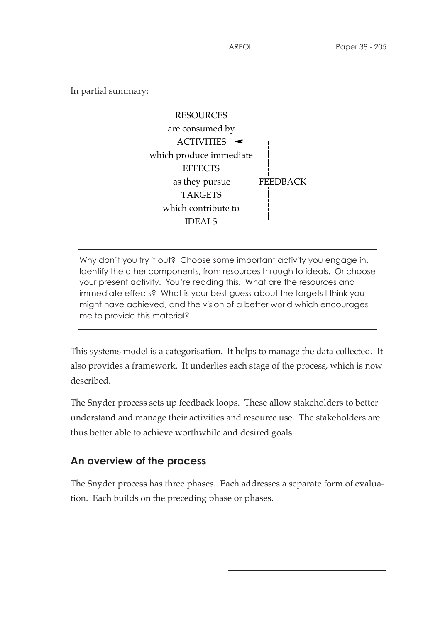In partial summary:



Why don't you try it out? Choose some important activity you engage in. Identify the other components, from resources through to ideals. Or choose your present activity. You're reading this. What are the resources and immediate effects? What is your best guess about the targets I think you might have achieved, and the vision of a better world which encourages me to provide this material?

This systems model is a categorisation. It helps to manage the data collected. It also provides a framework. It underlies each stage of the process, which is now described.

The Snyder process sets up feedback loops. These allow stakeholders to better understand and manage their activities and resource use. The stakeholders are thus better able to achieve worthwhile and desired goals.

## **An overview of the process**

The Snyder process has three phases. Each addresses a separate form of evaluation. Each builds on the preceding phase or phases.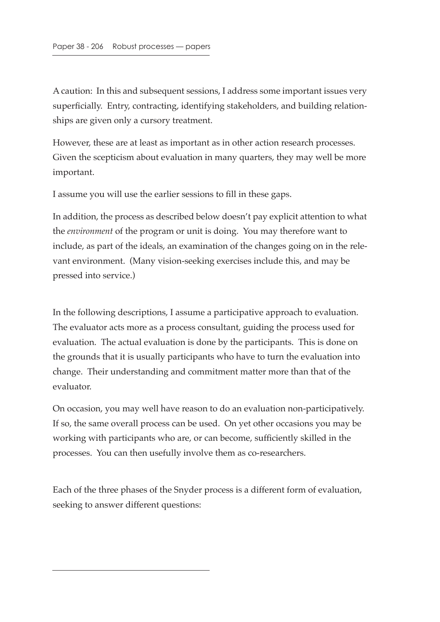A caution: In this and subsequent sessions, I address some important issues very superficially. Entry, contracting, identifying stakeholders, and building relationships are given only a cursory treatment.

However, these are at least as important as in other action research processes. Given the scepticism about evaluation in many quarters, they may well be more important.

I assume you will use the earlier sessions to fill in these gaps.

In addition, the process as described below doesn't pay explicit attention to what the *environment* of the program or unit is doing. You may therefore want to include, as part of the ideals, an examination of the changes going on in the relevant environment. (Many vision-seeking exercises include this, and may be pressed into service.)

In the following descriptions, I assume a participative approach to evaluation. The evaluator acts more as a process consultant, guiding the process used for evaluation. The actual evaluation is done by the participants. This is done on the grounds that it is usually participants who have to turn the evaluation into change. Their understanding and commitment matter more than that of the evaluator.

On occasion, you may well have reason to do an evaluation non-participatively. If so, the same overall process can be used. On yet other occasions you may be working with participants who are, or can become, sufficiently skilled in the processes. You can then usefully involve them as co-researchers.

Each of the three phases of the Snyder process is a different form of evaluation, seeking to answer different questions: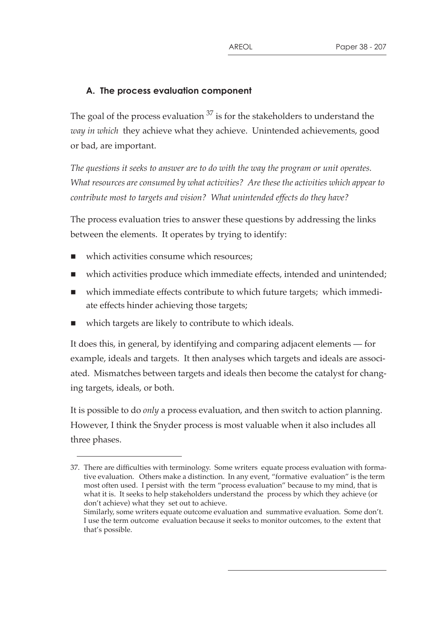### **A. The process evaluation component**

The goal of the process evaluation  $37$  is for the stakeholders to understand the *way in which* they achieve what they achieve. Unintended achievements, good or bad, are important.

*The questions it seeks to answer are to do with the way the program or unit operates. What resources are consumed by what activities? Are these the activities which appear to contribute most to targets and vision? What unintended effects do they have?*

The process evaluation tries to answer these questions by addressing the links between the elements. It operates by trying to identify:

- which activities consume which resources;
- which activities produce which immediate effects, intended and unintended;
- which immediate effects contribute to which future targets; which immediate effects hinder achieving those targets;
- which targets are likely to contribute to which ideals.

It does this, in general, by identifying and comparing adjacent elements — for example, ideals and targets. It then analyses which targets and ideals are associated. Mismatches between targets and ideals then become the catalyst for changing targets, ideals, or both.

It is possible to do *only* a process evaluation, and then switch to action planning. However, I think the Snyder process is most valuable when it also includes all three phases.

<sup>37.</sup> There are difficulties with terminology. Some writers equate process evaluation with formative evaluation. Others make a distinction. In any event, "formative evaluation" is the term most often used. I persist with the term "process evaluation" because to my mind, that is what it is. It seeks to help stakeholders understand the process by which they achieve (or don't achieve) what they set out to achieve.

Similarly, some writers equate outcome evaluation and summative evaluation. Some don't. I use the term outcome evaluation because it seeks to monitor outcomes, to the extent that that's possible.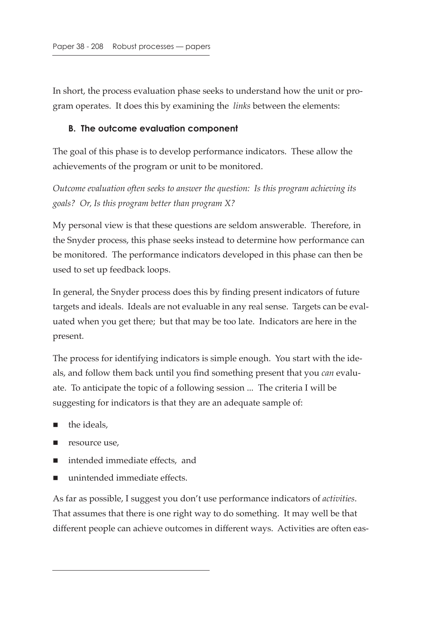In short, the process evaluation phase seeks to understand how the unit or program operates. It does this by examining the *links* between the elements:

### **B. The outcome evaluation component**

The goal of this phase is to develop performance indicators. These allow the achievements of the program or unit to be monitored.

*Outcome evaluation often seeks to answer the question: Is this program achieving its goals? Or, Is this program better than program X?*

My personal view is that these questions are seldom answerable. Therefore, in the Snyder process, this phase seeks instead to determine how performance can be monitored. The performance indicators developed in this phase can then be used to set up feedback loops.

In general, the Snyder process does this by finding present indicators of future targets and ideals. Ideals are not evaluable in any real sense. Targets can be evaluated when you get there; but that may be too late. Indicators are here in the present.

The process for identifying indicators is simple enough. You start with the ideals, and follow them back until you find something present that you *can* evaluate. To anticipate the topic of a following session ... The criteria I will be suggesting for indicators is that they are an adequate sample of:

- the ideals,
- resource use,
- intended immediate effects, and
- unintended immediate effects.

As far as possible, I suggest you don't use performance indicators of *activities*. That assumes that there is one right way to do something. It may well be that different people can achieve outcomes in different ways. Activities are often eas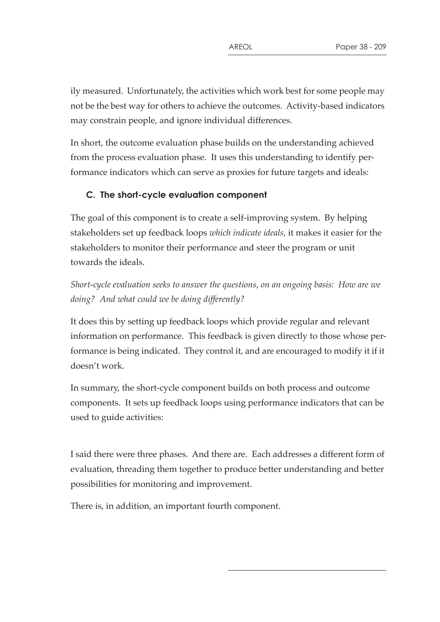ily measured. Unfortunately, the activities which work best for some people may not be the best way for others to achieve the outcomes. Activity-based indicators may constrain people, and ignore individual differences.

In short, the outcome evaluation phase builds on the understanding achieved from the process evaluation phase. It uses this understanding to identify performance indicators which can serve as proxies for future targets and ideals:

## **C. The short-cycle evaluation component**

The goal of this component is to create a self-improving system. By helping stakeholders set up feedback loops *which indicate ideals*, it makes it easier for the stakeholders to monitor their performance and steer the program or unit towards the ideals.

*Short-cycle evaluation seeks to answer the questions, on an ongoing basis: How are we doing? And what could we be doing differently?*

It does this by setting up feedback loops which provide regular and relevant information on performance. This feedback is given directly to those whose performance is being indicated. They control it, and are encouraged to modify it if it doesn't work.

In summary, the short-cycle component builds on both process and outcome components. It sets up feedback loops using performance indicators that can be used to guide activities:

I said there were three phases. And there are. Each addresses a different form of evaluation, threading them together to produce better understanding and better possibilities for monitoring and improvement.

There is, in addition, an important fourth component.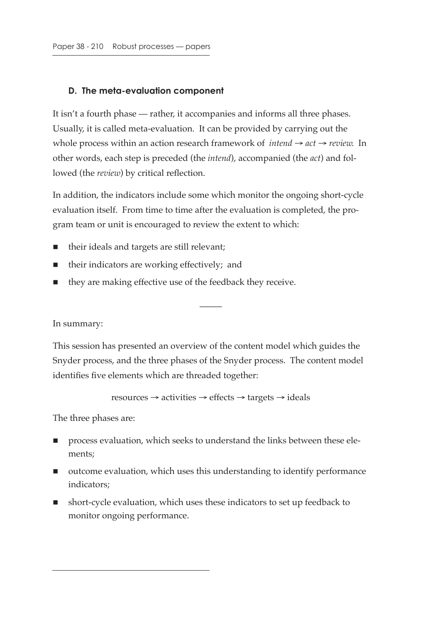### **D. The meta-evaluation component**

It isn't a fourth phase — rather, it accompanies and informs all three phases. Usually, it is called meta-evaluation. It can be provided by carrying out the whole process within an action research framework of *intend* → *act* → *review*. In other words, each step is preceded (the *intend*), accompanied (the *act*) and followed (the *review*) by critical reflection.

In addition, the indicators include some which monitor the ongoing short-cycle evaluation itself. From time to time after the evaluation is completed, the program team or unit is encouraged to review the extent to which:

- their ideals and targets are still relevant;
- their indicators are working effectively; and
- they are making effective use of the feedback they receive.

In summary:

This session has presented an overview of the content model which guides the Snyder process, and the three phases of the Snyder process. The content model identifies five elements which are threaded together:

 $\overline{\phantom{a}}$ 

resources  $\rightarrow$  activities  $\rightarrow$  effects  $\rightarrow$  targets  $\rightarrow$  ideals

The three phases are:

- **PEDIA** process evaluation, which seeks to understand the links between these elements;
- outcome evaluation, which uses this understanding to identify performance indicators;
- short-cycle evaluation, which uses these indicators to set up feedback to monitor ongoing performance.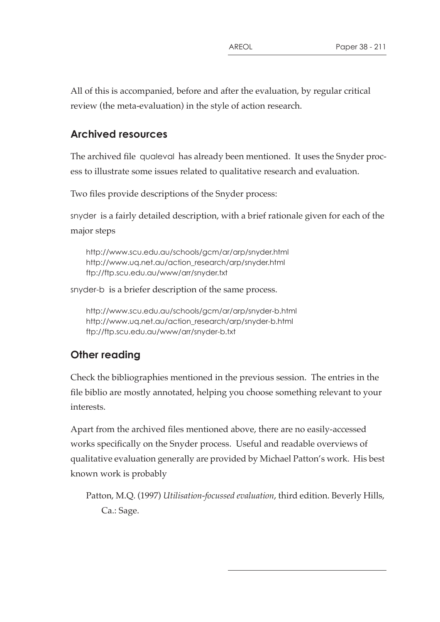All of this is accompanied, before and after the evaluation, by regular critical review (the meta-evaluation) in the style of action research.

## **Archived resources**

The archived file qualeval has already been mentioned. It uses the Snyder process to illustrate some issues related to qualitative research and evaluation.

Two files provide descriptions of the Snyder process:

snyder is a fairly detailed description, with a brief rationale given for each of the major steps

http://www.scu.edu.au/schools/gcm/ar/arp/snyder.html http://www.uq.net.au/action\_research/arp/snyder.html ftp://ftp.scu.edu.au/www/arr/snyder.txt

snyder-b is a briefer description of the same process.

http://www.scu.edu.au/schools/gcm/ar/arp/snyder-b.html http://www.uq.net.au/action\_research/arp/snyder-b.html ftp://ftp.scu.edu.au/www/arr/snyder-b.txt

# **Other reading**

Check the bibliographies mentioned in the previous session. The entries in the file biblio are mostly annotated, helping you choose something relevant to your interests.

Apart from the archived files mentioned above, there are no easily-accessed works specifically on the Snyder process. Useful and readable overviews of qualitative evaluation generally are provided by Michael Patton's work. His best known work is probably

Patton, M.Q. (1997) *Utilisation-focussed evaluation*, third edition. Beverly Hills, Ca.: Sage.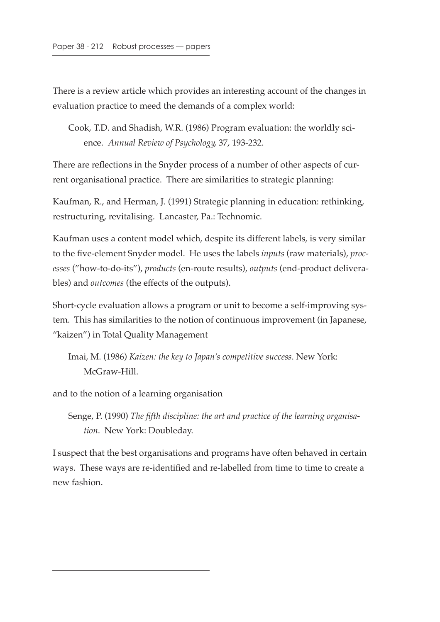There is a review article which provides an interesting account of the changes in evaluation practice to meed the demands of a complex world:

Cook, T.D. and Shadish, W.R. (1986) Program evaluation: the worldly science. *Annual Review of Psychology*, 37, 193-232.

There are reflections in the Snyder process of a number of other aspects of current organisational practice. There are similarities to strategic planning:

Kaufman, R., and Herman, J. (1991) Strategic planning in education: rethinking, restructuring, revitalising. Lancaster, Pa.: Technomic.

Kaufman uses a content model which, despite its different labels, is very similar to the five-element Snyder model. He uses the labels *inputs* (raw materials), *processes* ("how-to-do-its"), *products* (en-route results), *outputs* (end-product deliverables) and *outcomes* (the effects of the outputs).

Short-cycle evaluation allows a program or unit to become a self-improving system. This has similarities to the notion of continuous improvement (in Japanese, "kaizen") in Total Quality Management

Imai, M. (1986) *Kaizen: the key to Japan's competitive success*. New York: McGraw-Hill

and to the notion of a learning organisation

Senge, P. (1990) *The fifth discipline: the art and practice of the learning organisation*. New York: Doubleday.

I suspect that the best organisations and programs have often behaved in certain ways. These ways are re-identified and re-labelled from time to time to create a new fashion.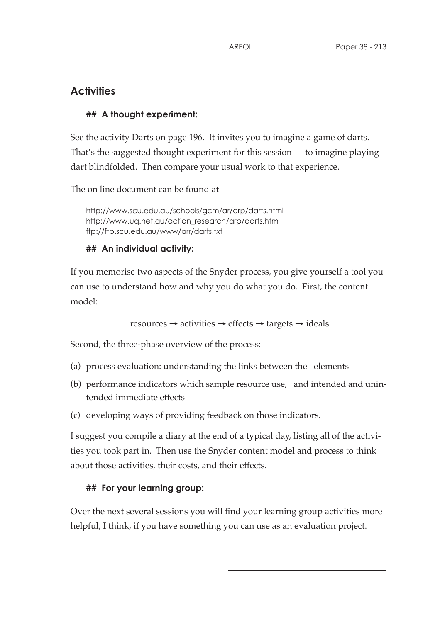# **Activities**

## **## A thought experiment:**

See the activity Darts on page 196. It invites you to imagine a game of darts. That's the suggested thought experiment for this session — to imagine playing dart blindfolded. Then compare your usual work to that experience.

The on line document can be found at

http://www.scu.edu.au/schools/gcm/ar/arp/darts.html http://www.uq.net.au/action\_research/arp/darts.html ftp://ftp.scu.edu.au/www/arr/darts.txt

## **## An individual activity:**

If you memorise two aspects of the Snyder process, you give yourself a tool you can use to understand how and why you do what you do. First, the content model:

```
resources \rightarrow activities \rightarrow effects \rightarrow targets \rightarrow ideals
```
Second, the three-phase overview of the process:

- (a) process evaluation: understanding the links between the elements
- (b) performance indicators which sample resource use, and intended and unintended immediate effects
- (c) developing ways of providing feedback on those indicators.

I suggest you compile a diary at the end of a typical day, listing all of the activities you took part in. Then use the Snyder content model and process to think about those activities, their costs, and their effects.

## **## For your learning group:**

Over the next several sessions you will find your learning group activities more helpful, I think, if you have something you can use as an evaluation project.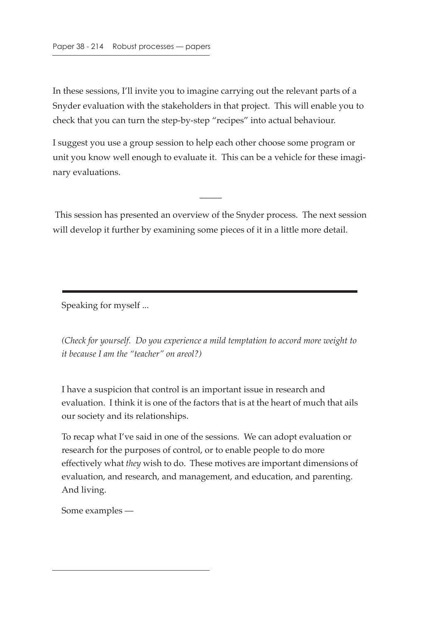In these sessions, I'll invite you to imagine carrying out the relevant parts of a Snyder evaluation with the stakeholders in that project. This will enable you to check that you can turn the step-by-step "recipes" into actual behaviour.

I suggest you use a group session to help each other choose some program or unit you know well enough to evaluate it. This can be a vehicle for these imaginary evaluations.

 This session has presented an overview of the Snyder process. The next session will develop it further by examining some pieces of it in a little more detail.

 $\overline{\phantom{a}}$ 

Speaking for myself ...

*(Check for yourself. Do you experience a mild temptation to accord more weight to it because I am the "teacher" on areol?)*

I have a suspicion that control is an important issue in research and evaluation. I think it is one of the factors that is at the heart of much that ails our society and its relationships.

To recap what I've said in one of the sessions. We can adopt evaluation or research for the purposes of control, or to enable people to do more effectively what *they* wish to do. These motives are important dimensions of evaluation, and research, and management, and education, and parenting. And living.

Some examples —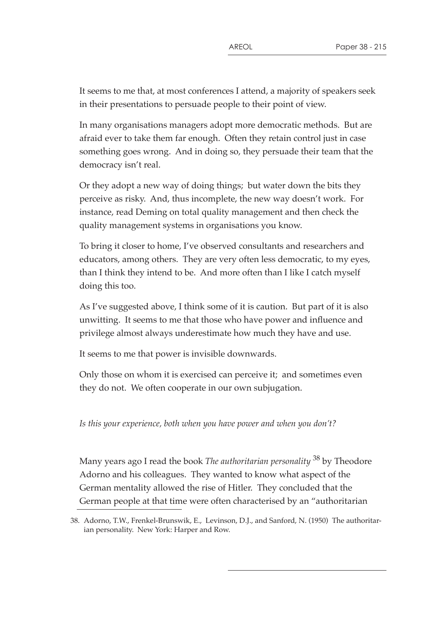It seems to me that, at most conferences I attend, a majority of speakers seek in their presentations to persuade people to their point of view.

In many organisations managers adopt more democratic methods. But are afraid ever to take them far enough. Often they retain control just in case something goes wrong. And in doing so, they persuade their team that the democracy isn't real.

Or they adopt a new way of doing things; but water down the bits they perceive as risky. And, thus incomplete, the new way doesn't work. For instance, read Deming on total quality management and then check the quality management systems in organisations you know.

To bring it closer to home, I've observed consultants and researchers and educators, among others. They are very often less democratic, to my eyes, than I think they intend to be. And more often than I like I catch myself doing this too.

As I've suggested above, I think some of it is caution. But part of it is also unwitting. It seems to me that those who have power and influence and privilege almost always underestimate how much they have and use.

It seems to me that power is invisible downwards.

Only those on whom it is exercised can perceive it; and sometimes even they do not. We often cooperate in our own subjugation.

*Is this your experience, both when you have power and when you don't?*

Many years ago I read the book *The authoritarian personality* 38 by Theodore Adorno and his colleagues. They wanted to know what aspect of the German mentality allowed the rise of Hitler. They concluded that the German people at that time were often characterised by an "authoritarian

<sup>38.</sup> Adorno, T.W., Frenkel-Brunswik, E., Levinson, D.J., and Sanford, N. (1950) The authoritarian personality. New York: Harper and Row.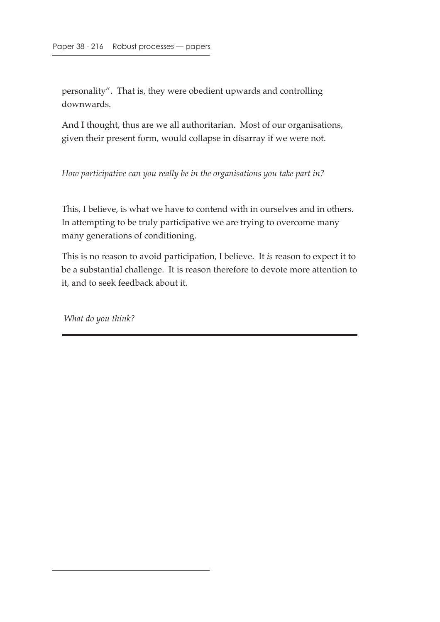personality". That is, they were obedient upwards and controlling downwards.

And I thought, thus are we all authoritarian. Most of our organisations, given their present form, would collapse in disarray if we were not.

*How participative can you really be in the organisations you take part in?*

This, I believe, is what we have to contend with in ourselves and in others. In attempting to be truly participative we are trying to overcome many many generations of conditioning.

This is no reason to avoid participation, I believe. It *is* reason to expect it to be a substantial challenge. It is reason therefore to devote more attention to it, and to seek feedback about it.

 *What do you think?*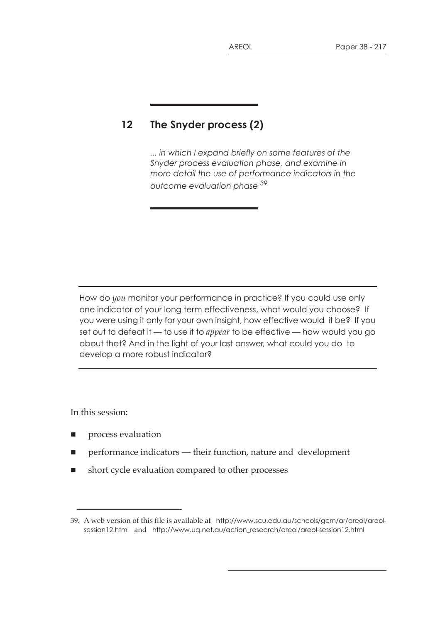# **12 The Snyder process (2)**

*... in which I expand briefly on some features of the Snyder process evaluation phase, and examine in more detail the use of performance indicators in the outcome evaluation phase 39*

How do *you* monitor your performance in practice? If you could use only one indicator of your long term effectiveness, what would you choose? If you were using it only for your own insight, how effective would it be? If you set out to defeat it — to use it to *appear* to be effective — how would you go about that? And in the light of your last answer, what could you do to develop a more robust indicator?

In this session:

- **n** process evaluation
- performance indicators their function, nature and development
- short cycle evaluation compared to other processes

<sup>39.</sup> A web version of this file is available at http://www.scu.edu.au/schools/gcm/ar/areol/areolsession12.html and http://www.uq.net.au/action\_research/areol/areol-session12.html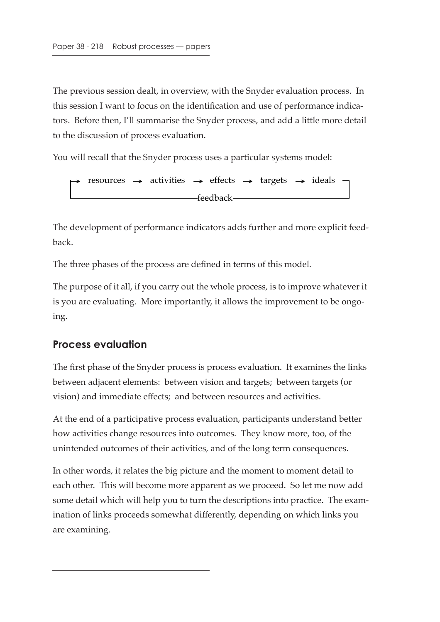The previous session dealt, in overview, with the Snyder evaluation process. In this session I want to focus on the identification and use of performance indicators. Before then, I'll summarise the Snyder process, and add a little more detail to the discussion of process evaluation.

You will recall that the Snyder process uses a particular systems model:

```
resources \rightarrow activities \rightarrow effects \rightarrow targets \rightarrow ideals -
                         feedback
```
The development of performance indicators adds further and more explicit feedback.

The three phases of the process are defined in terms of this model.

The purpose of it all, if you carry out the whole process, is to improve whatever it is you are evaluating. More importantly, it allows the improvement to be ongoing.

### **Process evaluation**

The first phase of the Snyder process is process evaluation. It examines the links between adjacent elements: between vision and targets; between targets (or vision) and immediate effects; and between resources and activities.

At the end of a participative process evaluation, participants understand better how activities change resources into outcomes. They know more, too, of the unintended outcomes of their activities, and of the long term consequences.

In other words, it relates the big picture and the moment to moment detail to each other. This will become more apparent as we proceed. So let me now add some detail which will help you to turn the descriptions into practice. The examination of links proceeds somewhat differently, depending on which links you are examining.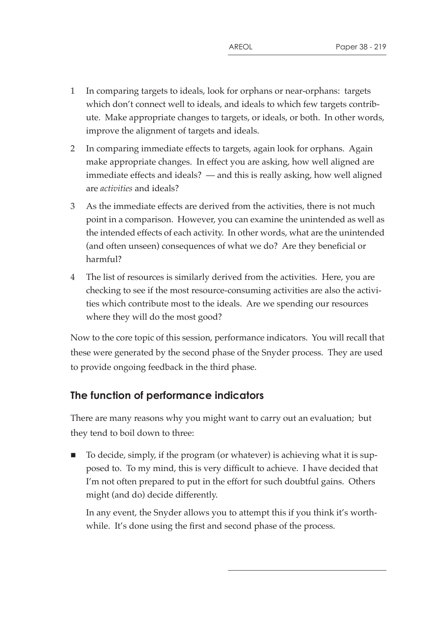- 1 In comparing targets to ideals, look for orphans or near-orphans: targets which don't connect well to ideals, and ideals to which few targets contribute. Make appropriate changes to targets, or ideals, or both. In other words, improve the alignment of targets and ideals.
- 2 In comparing immediate effects to targets, again look for orphans. Again make appropriate changes. In effect you are asking, how well aligned are immediate effects and ideals? — and this is really asking, how well aligned are *activities* and ideals?
- 3 As the immediate effects are derived from the activities, there is not much point in a comparison. However, you can examine the unintended as well as the intended effects of each activity. In other words, what are the unintended (and often unseen) consequences of what we do? Are they beneficial or harmful?
- 4 The list of resources is similarly derived from the activities. Here, you are checking to see if the most resource-consuming activities are also the activities which contribute most to the ideals. Are we spending our resources where they will do the most good?

Now to the core topic of this session, performance indicators. You will recall that these were generated by the second phase of the Snyder process. They are used to provide ongoing feedback in the third phase.

# **The function of performance indicators**

There are many reasons why you might want to carry out an evaluation; but they tend to boil down to three:

■ To decide, simply, if the program (or whatever) is achieving what it is supposed to. To my mind, this is very difficult to achieve. I have decided that I'm not often prepared to put in the effort for such doubtful gains. Others might (and do) decide differently.

In any event, the Snyder allows you to attempt this if you think it's worthwhile. It's done using the first and second phase of the process.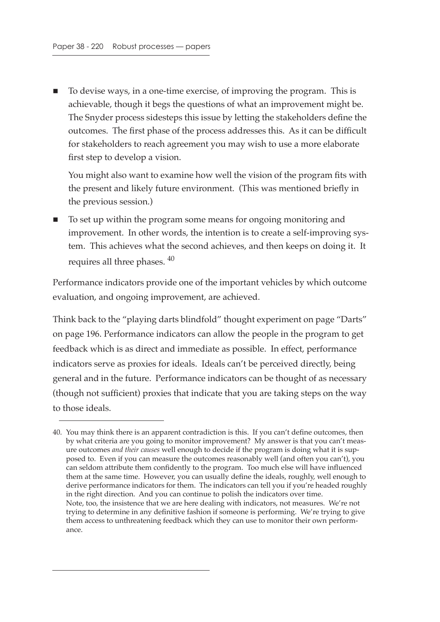■ To devise ways, in a one-time exercise, of improving the program. This is achievable, though it begs the questions of what an improvement might be. The Snyder process sidesteps this issue by letting the stakeholders define the outcomes. The first phase of the process addresses this. As it can be difficult for stakeholders to reach agreement you may wish to use a more elaborate first step to develop a vision.

You might also want to examine how well the vision of the program fits with the present and likely future environment. (This was mentioned briefly in the previous session.)

 To set up within the program some means for ongoing monitoring and improvement. In other words, the intention is to create a self-improving system. This achieves what the second achieves, and then keeps on doing it. It requires all three phases. 40

Performance indicators provide one of the important vehicles by which outcome evaluation, and ongoing improvement, are achieved.

Think back to the "playing darts blindfold" thought experiment on page "Darts" on page 196. Performance indicators can allow the people in the program to get feedback which is as direct and immediate as possible. In effect, performance indicators serve as proxies for ideals. Ideals can't be perceived directly, being general and in the future. Performance indicators can be thought of as necessary (though not sufficient) proxies that indicate that you are taking steps on the way to those ideals.

<sup>40.</sup> You may think there is an apparent contradiction is this. If you can't define outcomes, then by what criteria are you going to monitor improvement? My answer is that you can't measure outcomes *and their causes* well enough to decide if the program is doing what it is supposed to. Even if you can measure the outcomes reasonably well (and often you can't), you can seldom attribute them confidently to the program. Too much else will have influenced them at the same time. However, you can usually define the ideals, roughly, well enough to derive performance indicators for them. The indicators can tell you if you're headed roughly in the right direction. And you can continue to polish the indicators over time. Note, too, the insistence that we are here dealing with indicators, not measures. We're not trying to determine in any definitive fashion if someone is performing. We're trying to give them access to unthreatening feedback which they can use to monitor their own performance.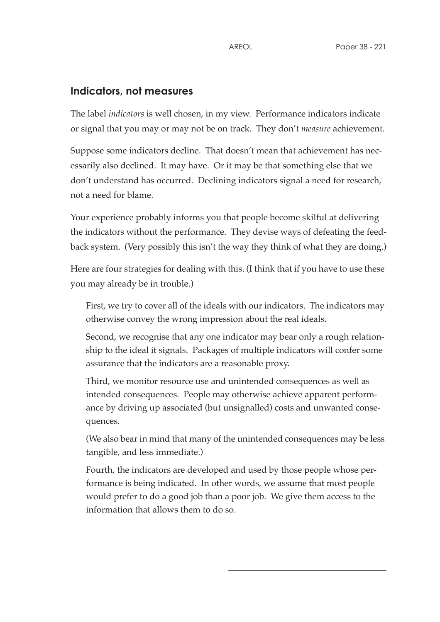# **Indicators, not measures**

The label *indicators* is well chosen, in my view. Performance indicators indicate or signal that you may or may not be on track. They don't *measure* achievement.

Suppose some indicators decline. That doesn't mean that achievement has necessarily also declined. It may have. Or it may be that something else that we don't understand has occurred. Declining indicators signal a need for research, not a need for blame.

Your experience probably informs you that people become skilful at delivering the indicators without the performance. They devise ways of defeating the feedback system. (Very possibly this isn't the way they think of what they are doing.)

Here are four strategies for dealing with this. (I think that if you have to use these you may already be in trouble.)

First, we try to cover all of the ideals with our indicators. The indicators may otherwise convey the wrong impression about the real ideals.

Second, we recognise that any one indicator may bear only a rough relationship to the ideal it signals. Packages of multiple indicators will confer some assurance that the indicators are a reasonable proxy.

Third, we monitor resource use and unintended consequences as well as intended consequences. People may otherwise achieve apparent performance by driving up associated (but unsignalled) costs and unwanted consequences.

(We also bear in mind that many of the unintended consequences may be less tangible, and less immediate.)

Fourth, the indicators are developed and used by those people whose performance is being indicated. In other words, we assume that most people would prefer to do a good job than a poor job. We give them access to the information that allows them to do so.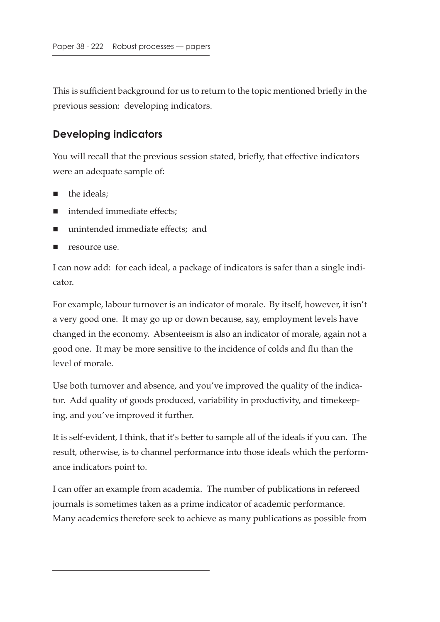This is sufficient background for us to return to the topic mentioned briefly in the previous session: developing indicators.

### **Developing indicators**

You will recall that the previous session stated, briefly, that effective indicators were an adequate sample of:

- $\blacksquare$  the ideals;
- intended immediate effects;
- unintended immediate effects; and
- resource use.

I can now add: for each ideal, a package of indicators is safer than a single indicator.

For example, labour turnover is an indicator of morale. By itself, however, it isn't a very good one. It may go up or down because, say, employment levels have changed in the economy. Absenteeism is also an indicator of morale, again not a good one. It may be more sensitive to the incidence of colds and flu than the level of morale.

Use both turnover and absence, and you've improved the quality of the indicator. Add quality of goods produced, variability in productivity, and timekeeping, and you've improved it further.

It is self-evident, I think, that it's better to sample all of the ideals if you can. The result, otherwise, is to channel performance into those ideals which the performance indicators point to.

I can offer an example from academia. The number of publications in refereed journals is sometimes taken as a prime indicator of academic performance. Many academics therefore seek to achieve as many publications as possible from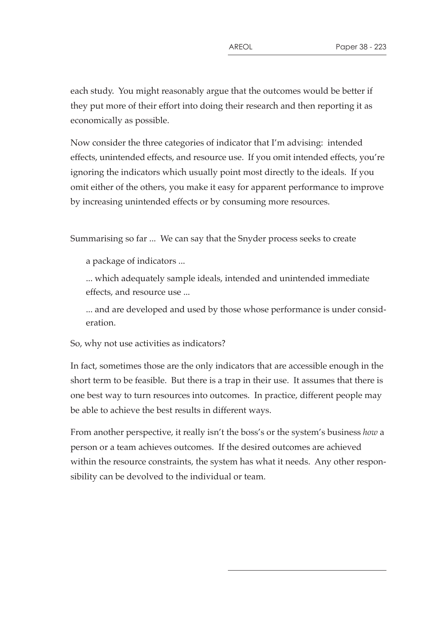each study. You might reasonably argue that the outcomes would be better if they put more of their effort into doing their research and then reporting it as economically as possible.

Now consider the three categories of indicator that I'm advising: intended effects, unintended effects, and resource use. If you omit intended effects, you're ignoring the indicators which usually point most directly to the ideals. If you omit either of the others, you make it easy for apparent performance to improve by increasing unintended effects or by consuming more resources.

Summarising so far ... We can say that the Snyder process seeks to create

a package of indicators ...

... which adequately sample ideals, intended and unintended immediate effects, and resource use ...

... and are developed and used by those whose performance is under consideration.

So, why not use activities as indicators?

In fact, sometimes those are the only indicators that are accessible enough in the short term to be feasible. But there is a trap in their use. It assumes that there is one best way to turn resources into outcomes. In practice, different people may be able to achieve the best results in different ways.

From another perspective, it really isn't the boss's or the system's business *how* a person or a team achieves outcomes. If the desired outcomes are achieved within the resource constraints, the system has what it needs. Any other responsibility can be devolved to the individual or team.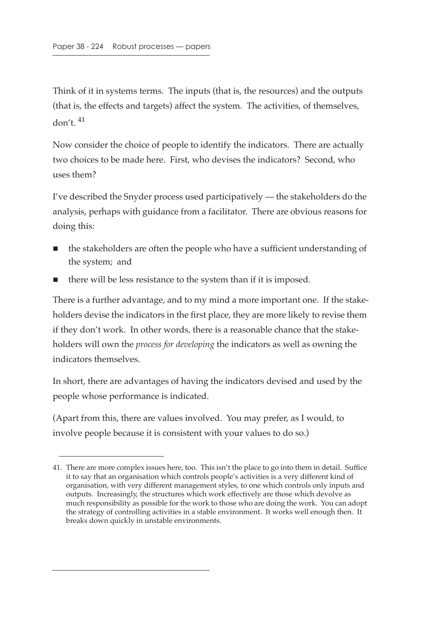Think of it in systems terms. The inputs (that is, the resources) and the outputs (that is, the effects and targets) affect the system. The activities, of themselves, don't.  $41$ 

Now consider the choice of people to identify the indicators. There are actually two choices to be made here. First, who devises the indicators? Second, who uses them?

I've described the Snyder process used participatively — the stakeholders do the analysis, perhaps with guidance from a facilitator. There are obvious reasons for doing this:

- the stakeholders are often the people who have a sufficient understanding of the system; and
- there will be less resistance to the system than if it is imposed.

There is a further advantage, and to my mind a more important one. If the stakeholders devise the indicators in the first place, they are more likely to revise them if they don't work. In other words, there is a reasonable chance that the stakeholders will own the *process for developing* the indicators as well as owning the indicators themselves.

In short, there are advantages of having the indicators devised and used by the people whose performance is indicated.

(Apart from this, there are values involved. You may prefer, as I would, to involve people because it is consistent with your values to do so.)

<sup>41.</sup> There are more complex issues here, too. This isn't the place to go into them in detail. Suffice it to say that an organisation which controls people's activities is a very different kind of organisation, with very different management styles, to one which controls only inputs and outputs. Increasingly, the structures which work effectively are those which devolve as much responsibility as possible for the work to those who are doing the work. You can adopt the strategy of controlling activities in a stable environment. It works well enough then. It breaks down quickly in unstable environments.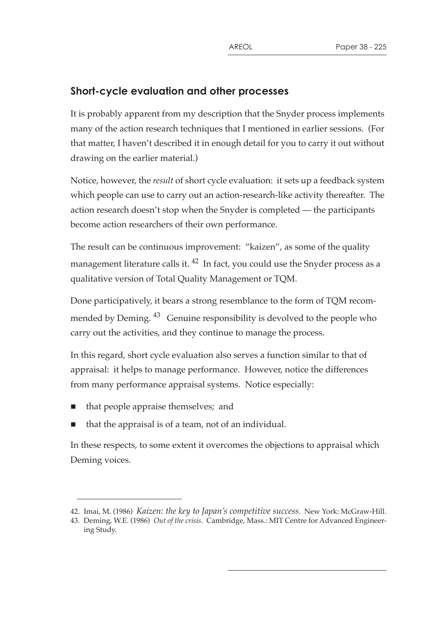# **Short-cycle evaluation and other processes**

It is probably apparent from my description that the Snyder process implements many of the action research techniques that I mentioned in earlier sessions. (For that matter, I haven't described it in enough detail for you to carry it out without drawing on the earlier material.)

Notice, however, the *result* of short cycle evaluation: it sets up a feedback system which people can use to carry out an action-research-like activity thereafter. The action research doesn't stop when the Snyder is completed — the participants become action researchers of their own performance.

The result can be continuous improvement: "kaizen", as some of the quality management literature calls it.  $42$  In fact, you could use the Snyder process as a qualitative version of Total Quality Management or TQM.

Done participatively, it bears a strong resemblance to the form of TQM recommended by Deming. <sup>43</sup> Genuine responsibility is devolved to the people who carry out the activities, and they continue to manage the process.

In this regard, short cycle evaluation also serves a function similar to that of appraisal: it helps to manage performance. However, notice the differences from many performance appraisal systems. Notice especially:

- that people appraise themselves; and
- that the appraisal is of a team, not of an individual.

In these respects, to some extent it overcomes the objections to appraisal which Deming voices.

<sup>42.</sup> Imai, M. (1986) *Kaizen: the key to Japan's competitive success*. New York: McGraw-Hill.

<sup>43.</sup> Deming, W.E. (1986) *Out of the crisis*. Cambridge, Mass.: MIT Centre for Advanced Engineering Study.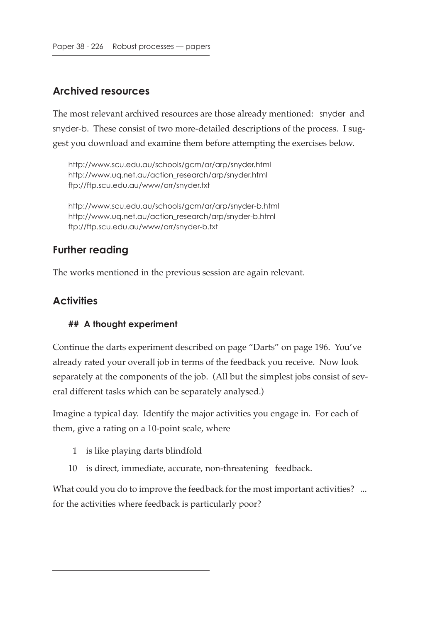# **Archived resources**

The most relevant archived resources are those already mentioned: snyder and snyder-b. These consist of two more-detailed descriptions of the process. I suggest you download and examine them before attempting the exercises below.

http://www.scu.edu.au/schools/gcm/ar/arp/snyder.html http://www.uq.net.au/action\_research/arp/snyder.html ftp://ftp.scu.edu.au/www/arr/snyder.txt

http://www.scu.edu.au/schools/gcm/ar/arp/snyder-b.html http://www.uq.net.au/action\_research/arp/snyder-b.html ftp://ftp.scu.edu.au/www/arr/snyder-b.txt

## **Further reading**

The works mentioned in the previous session are again relevant.

## **Activities**

#### **## A thought experiment**

Continue the darts experiment described on page "Darts" on page 196. You've already rated your overall job in terms of the feedback you receive. Now look separately at the components of the job. (All but the simplest jobs consist of several different tasks which can be separately analysed.)

Imagine a typical day. Identify the major activities you engage in. For each of them, give a rating on a 10-point scale, where

- 1 is like playing darts blindfold
- 10 is direct, immediate, accurate, non-threatening feedback.

What could you do to improve the feedback for the most important activities? ... for the activities where feedback is particularly poor?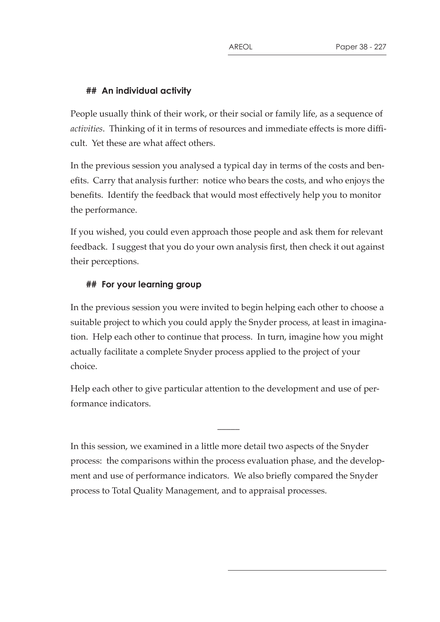### **## An individual activity**

People usually think of their work, or their social or family life, as a sequence of *activities*. Thinking of it in terms of resources and immediate effects is more difficult. Yet these are what affect others.

In the previous session you analysed a typical day in terms of the costs and benefits. Carry that analysis further: notice who bears the costs, and who enjoys the benefits. Identify the feedback that would most effectively help you to monitor the performance.

If you wished, you could even approach those people and ask them for relevant feedback. I suggest that you do your own analysis first, then check it out against their perceptions.

### **## For your learning group**

In the previous session you were invited to begin helping each other to choose a suitable project to which you could apply the Snyder process, at least in imagination. Help each other to continue that process. In turn, imagine how you might actually facilitate a complete Snyder process applied to the project of your choice.

Help each other to give particular attention to the development and use of performance indicators.

 $\overline{\phantom{a}}$ 

In this session, we examined in a little more detail two aspects of the Snyder process: the comparisons within the process evaluation phase, and the development and use of performance indicators. We also briefly compared the Snyder process to Total Quality Management, and to appraisal processes.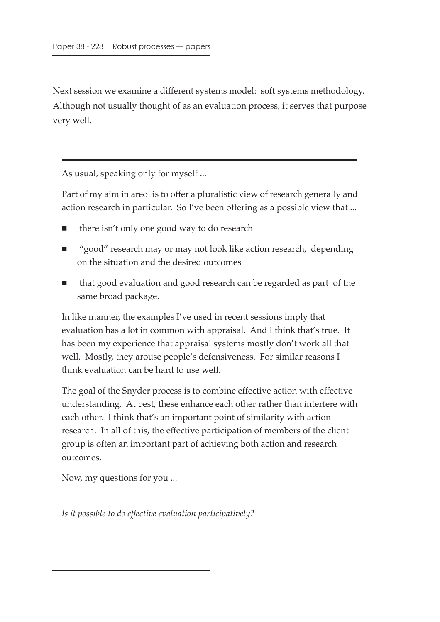Next session we examine a different systems model: soft systems methodology. Although not usually thought of as an evaluation process, it serves that purpose very well.

As usual, speaking only for myself ...

Part of my aim in areol is to offer a pluralistic view of research generally and action research in particular. So I've been offering as a possible view that ...

- there isn't only one good way to do research
- "good" research may or may not look like action research, depending on the situation and the desired outcomes
- that good evaluation and good research can be regarded as part of the same broad package.

In like manner, the examples I've used in recent sessions imply that evaluation has a lot in common with appraisal. And I think that's true. It has been my experience that appraisal systems mostly don't work all that well. Mostly, they arouse people's defensiveness. For similar reasons I think evaluation can be hard to use well.

The goal of the Snyder process is to combine effective action with effective understanding. At best, these enhance each other rather than interfere with each other. I think that's an important point of similarity with action research. In all of this, the effective participation of members of the client group is often an important part of achieving both action and research outcomes.

Now, my questions for you ...

*Is it possible to do effective evaluation participatively?*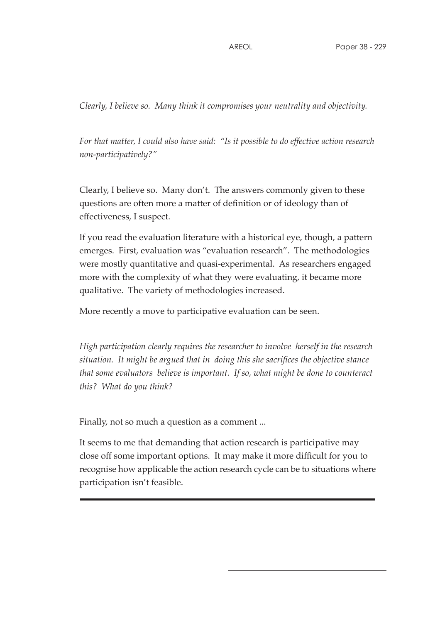*Clearly, I believe so. Many think it compromises your neutrality and objectivity.*

*For that matter, I could also have said: "Is it possible to do effective action research non-participatively?"*

Clearly, I believe so. Many don't. The answers commonly given to these questions are often more a matter of definition or of ideology than of effectiveness, I suspect.

If you read the evaluation literature with a historical eye, though, a pattern emerges. First, evaluation was "evaluation research". The methodologies were mostly quantitative and quasi-experimental. As researchers engaged more with the complexity of what they were evaluating, it became more qualitative. The variety of methodologies increased.

More recently a move to participative evaluation can be seen.

*High participation clearly requires the researcher to involve herself in the research situation. It might be argued that in doing this she sacrifices the objective stance that some evaluators believe is important. If so, what might be done to counteract this? What do you think?*

Finally, not so much a question as a comment ...

It seems to me that demanding that action research is participative may close off some important options. It may make it more difficult for you to recognise how applicable the action research cycle can be to situations where participation isn't feasible.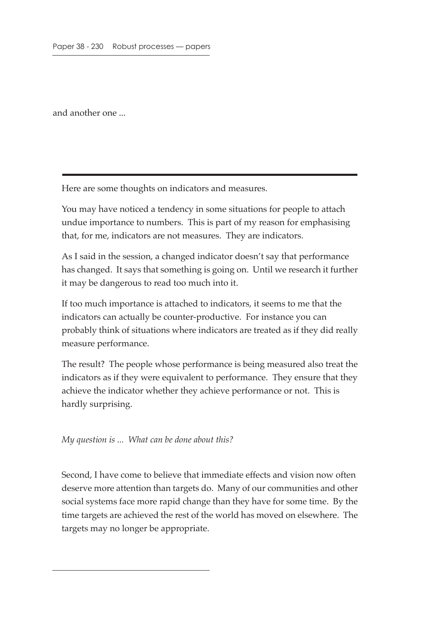and another one ...

Here are some thoughts on indicators and measures.

You may have noticed a tendency in some situations for people to attach undue importance to numbers. This is part of my reason for emphasising that, for me, indicators are not measures. They are indicators.

As I said in the session, a changed indicator doesn't say that performance has changed. It says that something is going on. Until we research it further it may be dangerous to read too much into it.

If too much importance is attached to indicators, it seems to me that the indicators can actually be counter-productive. For instance you can probably think of situations where indicators are treated as if they did really measure performance.

The result? The people whose performance is being measured also treat the indicators as if they were equivalent to performance. They ensure that they achieve the indicator whether they achieve performance or not. This is hardly surprising.

*My question is ... What can be done about this?*

Second, I have come to believe that immediate effects and vision now often deserve more attention than targets do. Many of our communities and other social systems face more rapid change than they have for some time. By the time targets are achieved the rest of the world has moved on elsewhere. The targets may no longer be appropriate.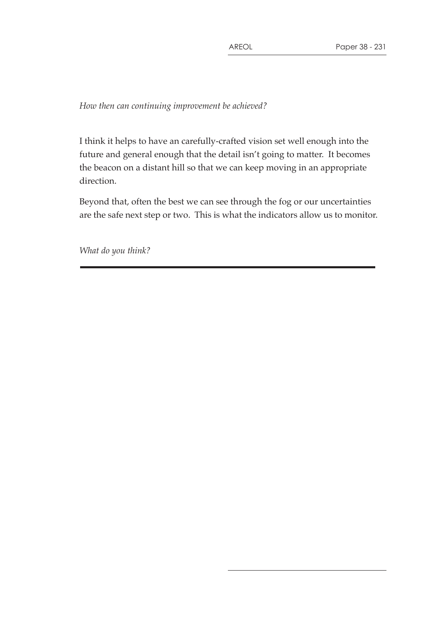*How then can continuing improvement be achieved?*

I think it helps to have an carefully-crafted vision set well enough into the future and general enough that the detail isn't going to matter. It becomes the beacon on a distant hill so that we can keep moving in an appropriate direction.

Beyond that, often the best we can see through the fog or our uncertainties are the safe next step or two. This is what the indicators allow us to monitor.

*What do you think?*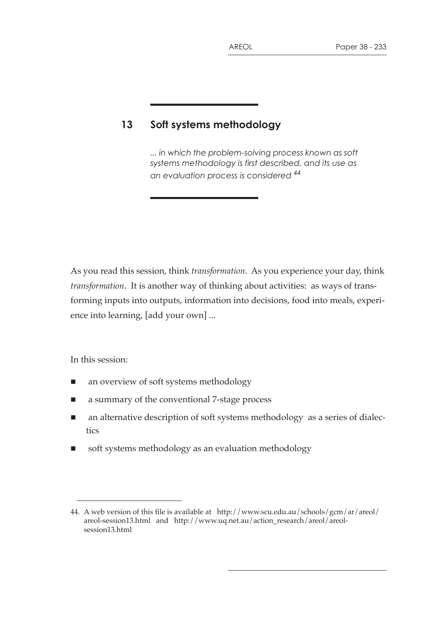# **13 Soft systems methodology**

*... in which the problem-solving process known as soft systems methodology is first described, and its use as an evaluation process is considered 44*

As you read this session, think *transformation*. As you experience your day, think *transformation*. It is another way of thinking about activities: as ways of transforming inputs into outputs, information into decisions, food into meals, experience into learning, [add your own] ...

In this session:

- **a** an overview of soft systems methodology
- a summary of the conventional 7-stage process
- an alternative description of soft systems methodology as a series of dialectics
- soft systems methodology as an evaluation methodology

<sup>44.</sup> A web version of this file is available at http://www.scu.edu.au/schools/gcm/ar/areol/ areol-session13.html and http://www.uq.net.au/action\_research/areol/areolsession13.html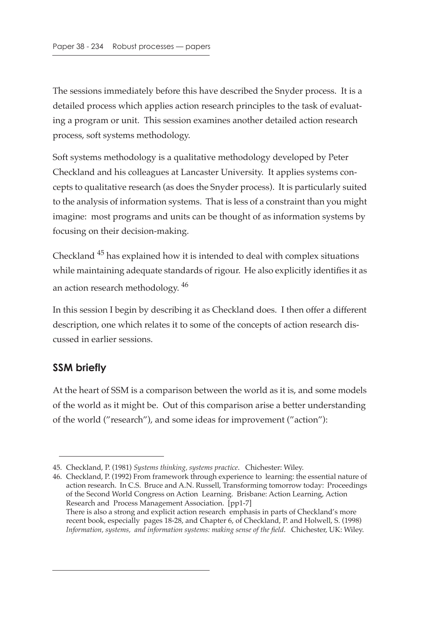The sessions immediately before this have described the Snyder process. It is a detailed process which applies action research principles to the task of evaluating a program or unit. This session examines another detailed action research process, soft systems methodology.

Soft systems methodology is a qualitative methodology developed by Peter Checkland and his colleagues at Lancaster University. It applies systems concepts to qualitative research (as does the Snyder process). It is particularly suited to the analysis of information systems. That is less of a constraint than you might imagine: most programs and units can be thought of as information systems by focusing on their decision-making.

Checkland 45 has explained how it is intended to deal with complex situations while maintaining adequate standards of rigour. He also explicitly identifies it as an action research methodology. 46

In this session I begin by describing it as Checkland does. I then offer a different description, one which relates it to some of the concepts of action research discussed in earlier sessions.

# **SSM briefly**

At the heart of SSM is a comparison between the world as it is, and some models of the world as it might be. Out of this comparison arise a better understanding of the world ("research"), and some ideas for improvement ("action"):

46. Checkland, P. (1992) From framework through experience to learning: the essential nature of action research. In C.S. Bruce and A.N. Russell, Transforming tomorrow today: Proceedings of the Second World Congress on Action Learning. Brisbane: Action Learning, Action Research and Process Management Association. [pp1-7] There is also a strong and explicit action research emphasis in parts of Checkland's more recent book, especially pages 18-28, and Chapter 6, of Checkland, P. and Holwell, S. (1998)

*Information, systems, and information systems: making sense of the field*. Chichester, UK: Wiley.

<sup>45.</sup> Checkland, P. (1981) *Systems thinking, systems practice*. Chichester: Wiley.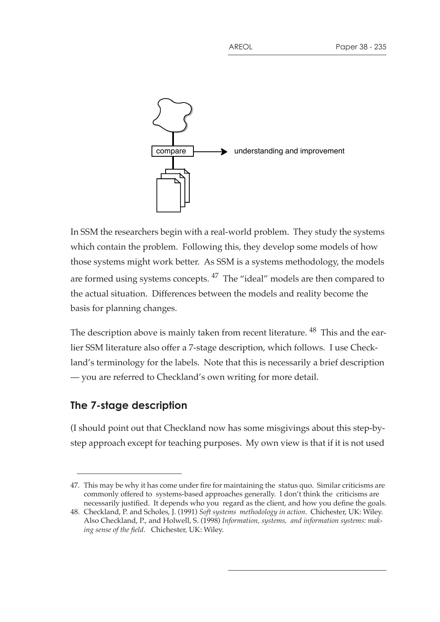



In SSM the researchers begin with a real-world problem. They study the systems which contain the problem. Following this, they develop some models of how those systems might work better. As SSM is a systems methodology, the models are formed using systems concepts. <sup>47</sup> The "ideal" models are then compared to the actual situation. Differences between the models and reality become the basis for planning changes.

The description above is mainly taken from recent literature. <sup>48</sup> This and the earlier SSM literature also offer a 7-stage description, which follows. I use Checkland's terminology for the labels. Note that this is necessarily a brief description — you are referred to Checkland's own writing for more detail.

# **The 7-stage description**

(I should point out that Checkland now has some misgivings about this step-bystep approach except for teaching purposes. My own view is that if it is not used

<sup>47.</sup> This may be why it has come under fire for maintaining the status quo. Similar criticisms are commonly offered to systems-based approaches generally. I don't think the criticisms are necessarily justified. It depends who you regard as the client, and how you define the goals.

<sup>48.</sup> Checkland, P. and Scholes, J. (1991) *Soft systems methodology in action*. Chichester, UK: Wiley. Also Checkland, P., and Holwell, S. (1998) *Information, systems, and information systems: making sense of the field*. Chichester, UK: Wiley.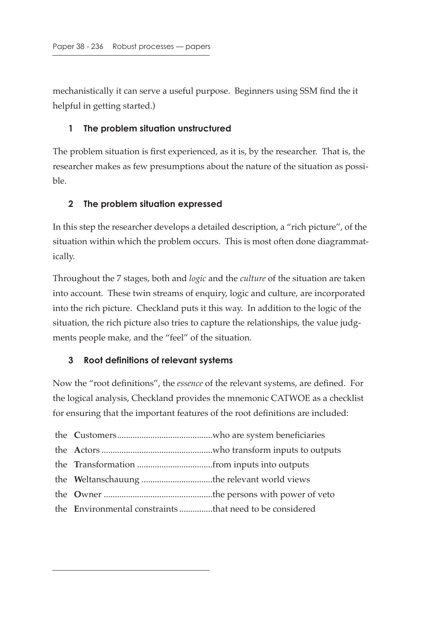mechanistically it can serve a useful purpose. Beginners using SSM find the it helpful in getting started.)

#### **1 The problem situation unstructured**

The problem situation is first experienced, as it is, by the researcher. That is, the researcher makes as few presumptions about the nature of the situation as possible.

### **2 The problem situation expressed**

In this step the researcher develops a detailed description, a "rich picture", of the situation within which the problem occurs. This is most often done diagrammatically.

Throughout the 7 stages, both and *logic* and the *culture* of the situation are taken into account. These twin streams of enquiry, logic and culture, are incorporated into the rich picture. Checkland puts it this way. In addition to the logic of the situation, the rich picture also tries to capture the relationships, the value judgments people make, and the "feel" of the situation.

### **3 Root definitions of relevant systems**

Now the "root definitions", the *essence* of the relevant systems, are defined. For the logical analysis, Checkland provides the mnemonic CATWOE as a checklist for ensuring that the important features of the root definitions are included:

| the Environmental constraints that need to be considered |  |
|----------------------------------------------------------|--|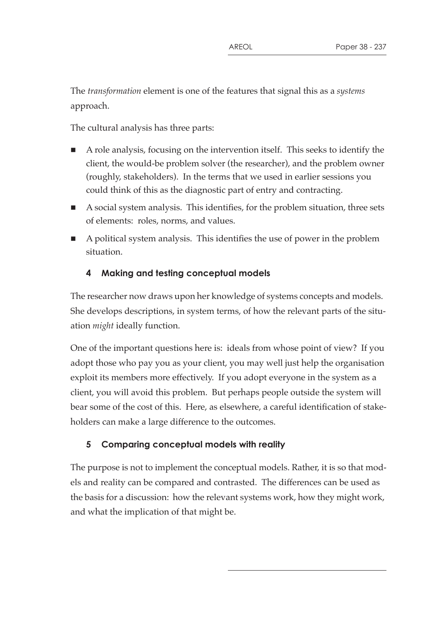The *transformation* element is one of the features that signal this as a *systems* approach.

The cultural analysis has three parts:

- A role analysis, focusing on the intervention itself. This seeks to identify the client, the would-be problem solver (the researcher), and the problem owner (roughly, stakeholders). In the terms that we used in earlier sessions you could think of this as the diagnostic part of entry and contracting.
- A social system analysis. This identifies, for the problem situation, three sets of elements: roles, norms, and values.
- A political system analysis. This identifies the use of power in the problem situation.

## **4 Making and testing conceptual models**

The researcher now draws upon her knowledge of systems concepts and models. She develops descriptions, in system terms, of how the relevant parts of the situation *might* ideally function.

One of the important questions here is: ideals from whose point of view? If you adopt those who pay you as your client, you may well just help the organisation exploit its members more effectively. If you adopt everyone in the system as a client, you will avoid this problem. But perhaps people outside the system will bear some of the cost of this. Here, as elsewhere, a careful identification of stakeholders can make a large difference to the outcomes.

## **5 Comparing conceptual models with reality**

The purpose is not to implement the conceptual models. Rather, it is so that models and reality can be compared and contrasted. The differences can be used as the basis for a discussion: how the relevant systems work, how they might work, and what the implication of that might be.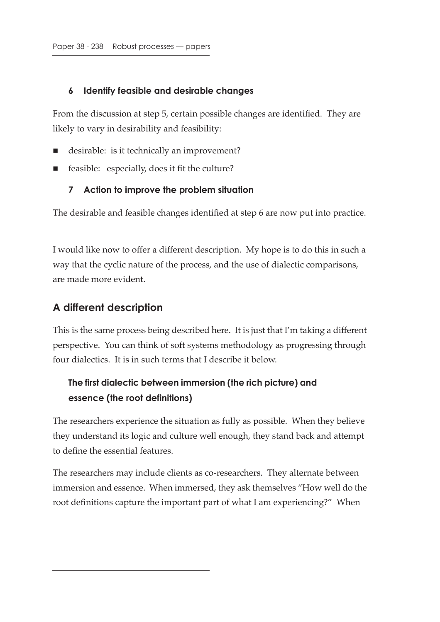#### **6 Identify feasible and desirable changes**

From the discussion at step 5, certain possible changes are identified. They are likely to vary in desirability and feasibility:

- desirable: is it technically an improvement?
- feasible: especially, does it fit the culture?

#### **7 Action to improve the problem situation**

The desirable and feasible changes identified at step 6 are now put into practice.

I would like now to offer a different description. My hope is to do this in such a way that the cyclic nature of the process, and the use of dialectic comparisons, are made more evident.

### **A different description**

This is the same process being described here. It is just that I'm taking a different perspective. You can think of soft systems methodology as progressing through four dialectics. It is in such terms that I describe it below.

# **The first dialectic between immersion (the rich picture) and essence (the root definitions)**

The researchers experience the situation as fully as possible. When they believe they understand its logic and culture well enough, they stand back and attempt to define the essential features.

The researchers may include clients as co-researchers. They alternate between immersion and essence. When immersed, they ask themselves "How well do the root definitions capture the important part of what I am experiencing?" When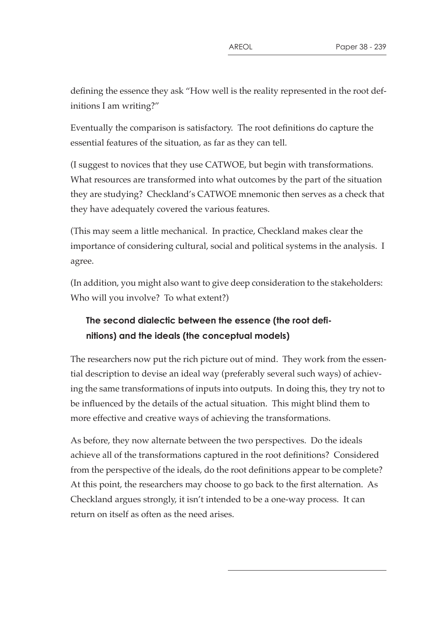defining the essence they ask "How well is the reality represented in the root definitions I am writing?"

Eventually the comparison is satisfactory. The root definitions do capture the essential features of the situation, as far as they can tell.

(I suggest to novices that they use CATWOE, but begin with transformations. What resources are transformed into what outcomes by the part of the situation they are studying? Checkland's CATWOE mnemonic then serves as a check that they have adequately covered the various features.

(This may seem a little mechanical. In practice, Checkland makes clear the importance of considering cultural, social and political systems in the analysis. I agree.

(In addition, you might also want to give deep consideration to the stakeholders: Who will you involve? To what extent?)

# **The second dialectic between the essence (the root definitions) and the ideals (the conceptual models)**

The researchers now put the rich picture out of mind. They work from the essential description to devise an ideal way (preferably several such ways) of achieving the same transformations of inputs into outputs. In doing this, they try not to be influenced by the details of the actual situation. This might blind them to more effective and creative ways of achieving the transformations.

As before, they now alternate between the two perspectives. Do the ideals achieve all of the transformations captured in the root definitions? Considered from the perspective of the ideals, do the root definitions appear to be complete? At this point, the researchers may choose to go back to the first alternation. As Checkland argues strongly, it isn't intended to be a one-way process. It can return on itself as often as the need arises.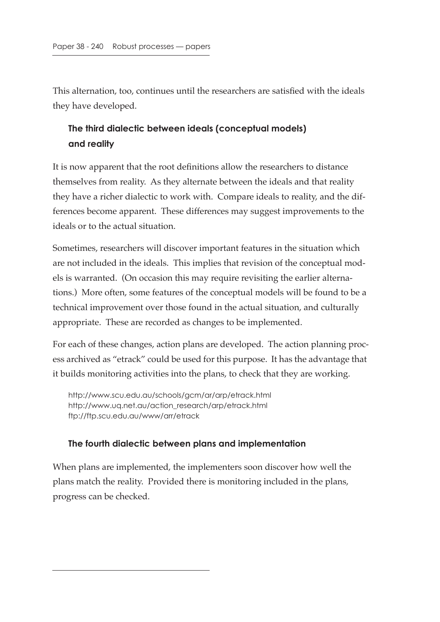This alternation, too, continues until the researchers are satisfied with the ideals they have developed.

# **The third dialectic between ideals (conceptual models) and reality**

It is now apparent that the root definitions allow the researchers to distance themselves from reality. As they alternate between the ideals and that reality they have a richer dialectic to work with. Compare ideals to reality, and the differences become apparent. These differences may suggest improvements to the ideals or to the actual situation.

Sometimes, researchers will discover important features in the situation which are not included in the ideals. This implies that revision of the conceptual models is warranted. (On occasion this may require revisiting the earlier alternations.) More often, some features of the conceptual models will be found to be a technical improvement over those found in the actual situation, and culturally appropriate. These are recorded as changes to be implemented.

For each of these changes, action plans are developed. The action planning process archived as "etrack" could be used for this purpose. It has the advantage that it builds monitoring activities into the plans, to check that they are working.

http://www.scu.edu.au/schools/gcm/ar/arp/etrack.html http://www.uq.net.au/action\_research/arp/etrack.html ftp://ftp.scu.edu.au/www/arr/etrack

### **The fourth dialectic between plans and implementation**

When plans are implemented, the implementers soon discover how well the plans match the reality. Provided there is monitoring included in the plans, progress can be checked.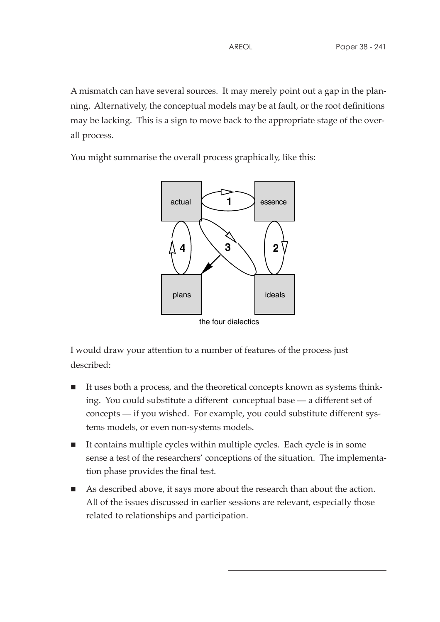A mismatch can have several sources. It may merely point out a gap in the planning. Alternatively, the conceptual models may be at fault, or the root definitions may be lacking. This is a sign to move back to the appropriate stage of the overall process.

You might summarise the overall process graphically, like this:



I would draw your attention to a number of features of the process just described:

- It uses both a process, and the theoretical concepts known as systems thinking. You could substitute a different conceptual base — a different set of concepts — if you wished. For example, you could substitute different systems models, or even non-systems models.
- $\blacksquare$  It contains multiple cycles within multiple cycles. Each cycle is in some sense a test of the researchers' conceptions of the situation. The implementation phase provides the final test.
- As described above, it says more about the research than about the action. All of the issues discussed in earlier sessions are relevant, especially those related to relationships and participation.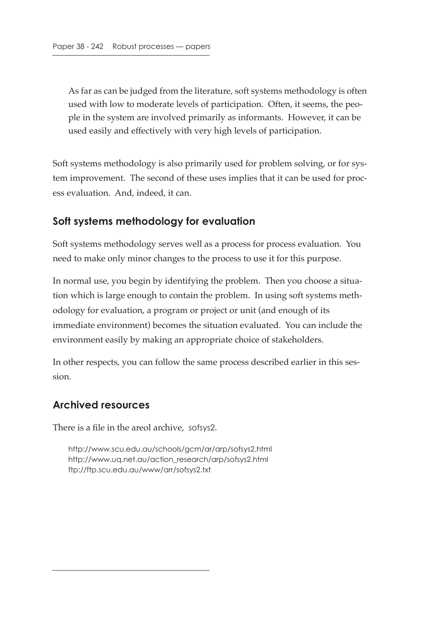As far as can be judged from the literature, soft systems methodology is often used with low to moderate levels of participation. Often, it seems, the people in the system are involved primarily as informants. However, it can be used easily and effectively with very high levels of participation.

Soft systems methodology is also primarily used for problem solving, or for system improvement. The second of these uses implies that it can be used for process evaluation. And, indeed, it can.

### **Soft systems methodology for evaluation**

Soft systems methodology serves well as a process for process evaluation. You need to make only minor changes to the process to use it for this purpose.

In normal use, you begin by identifying the problem. Then you choose a situation which is large enough to contain the problem. In using soft systems methodology for evaluation, a program or project or unit (and enough of its immediate environment) becomes the situation evaluated. You can include the environment easily by making an appropriate choice of stakeholders.

In other respects, you can follow the same process described earlier in this session.

## **Archived resources**

There is a file in the areol archive, sofsys2.

http://www.scu.edu.au/schools/gcm/ar/arp/sofsys2.html http://www.uq.net.au/action\_research/arp/sofsys2.html ftp://ftp.scu.edu.au/www/arr/sofsys2.txt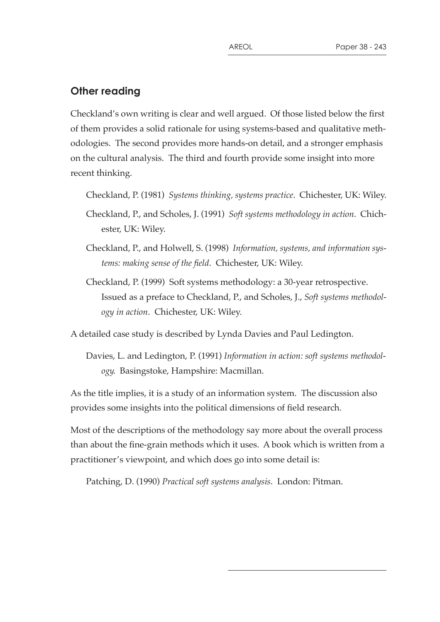## **Other reading**

Checkland's own writing is clear and well argued. Of those listed below the first of them provides a solid rationale for using systems-based and qualitative methodologies. The second provides more hands-on detail, and a stronger emphasis on the cultural analysis. The third and fourth provide some insight into more recent thinking.

Checkland, P. (1981) *Systems thinking, systems practice*. Chichester, UK: Wiley.

Checkland, P., and Scholes, J. (1991) *Soft systems methodology in action*. Chichester, UK: Wiley.

- Checkland, P., and Holwell, S. (1998) *Information, systems, and information systems: making sense of the field*. Chichester, UK: Wiley.
- Checkland, P. (1999) Soft systems methodology: a 30-year retrospective. Issued as a preface to Checkland, P., and Scholes, J., *Soft systems methodology in action*. Chichester, UK: Wiley.

A detailed case study is described by Lynda Davies and Paul Ledington.

Davies, L. and Ledington, P. (1991) *Information in action: soft systems methodology*. Basingstoke, Hampshire: Macmillan.

As the title implies, it is a study of an information system. The discussion also provides some insights into the political dimensions of field research.

Most of the descriptions of the methodology say more about the overall process than about the fine-grain methods which it uses. A book which is written from a practitioner's viewpoint, and which does go into some detail is:

Patching, D. (1990) *Practical soft systems analysis*. London: Pitman.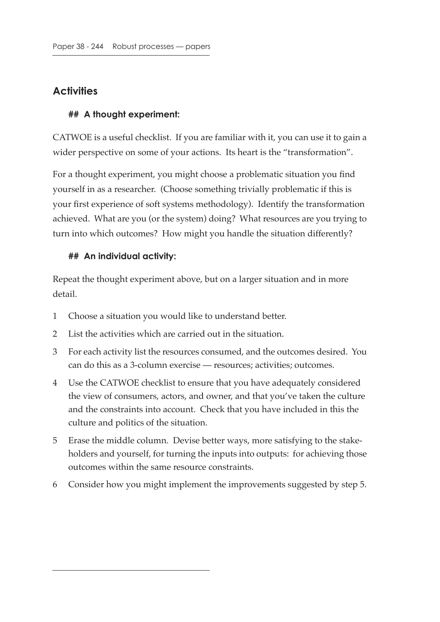## **Activities**

#### **## A thought experiment:**

CATWOE is a useful checklist. If you are familiar with it, you can use it to gain a wider perspective on some of your actions. Its heart is the "transformation".

For a thought experiment, you might choose a problematic situation you find yourself in as a researcher. (Choose something trivially problematic if this is your first experience of soft systems methodology). Identify the transformation achieved. What are you (or the system) doing? What resources are you trying to turn into which outcomes? How might you handle the situation differently?

#### **## An individual activity:**

Repeat the thought experiment above, but on a larger situation and in more detail.

- 1 Choose a situation you would like to understand better.
- 2 List the activities which are carried out in the situation.
- 3 For each activity list the resources consumed, and the outcomes desired. You can do this as a 3-column exercise — resources; activities; outcomes.
- 4 Use the CATWOE checklist to ensure that you have adequately considered the view of consumers, actors, and owner, and that you've taken the culture and the constraints into account. Check that you have included in this the culture and politics of the situation.
- 5 Erase the middle column. Devise better ways, more satisfying to the stakeholders and yourself, for turning the inputs into outputs: for achieving those outcomes within the same resource constraints.
- 6 Consider how you might implement the improvements suggested by step 5.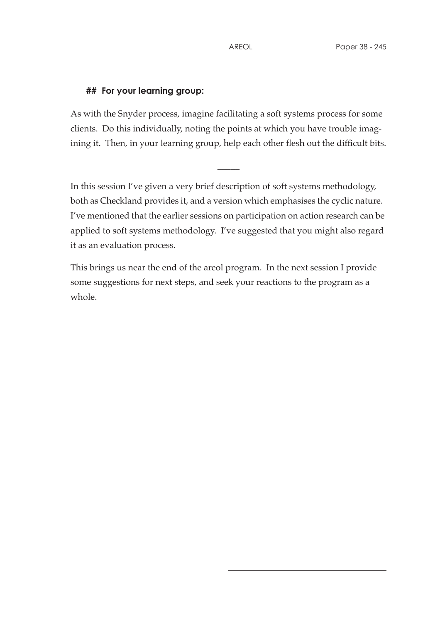### **## For your learning group:**

As with the Snyder process, imagine facilitating a soft systems process for some clients. Do this individually, noting the points at which you have trouble imagining it. Then, in your learning group, help each other flesh out the difficult bits.

 $\overline{\phantom{a}}$ 

In this session I've given a very brief description of soft systems methodology, both as Checkland provides it, and a version which emphasises the cyclic nature. I've mentioned that the earlier sessions on participation on action research can be applied to soft systems methodology. I've suggested that you might also regard it as an evaluation process.

This brings us near the end of the areol program. In the next session I provide some suggestions for next steps, and seek your reactions to the program as a whole.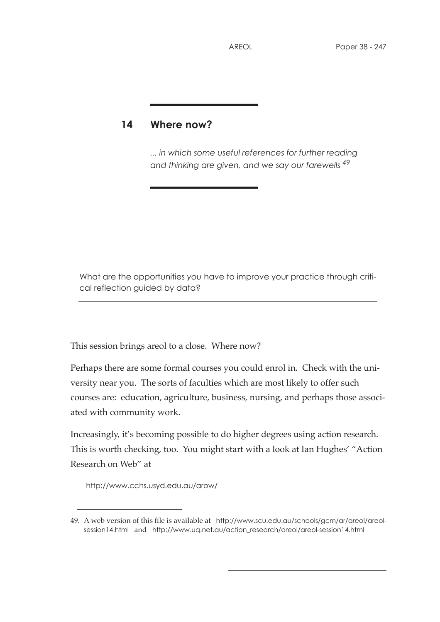# **14 Where now?**

*... in which some useful references for further reading and thinking are given, and we say our farewells 49*

What are the opportunities *you* have to improve your practice through critical reflection guided by data?

This session brings areol to a close. Where now?

Perhaps there are some formal courses you could enrol in. Check with the university near you. The sorts of faculties which are most likely to offer such courses are: education, agriculture, business, nursing, and perhaps those associated with community work.

Increasingly, it's becoming possible to do higher degrees using action research. This is worth checking, too. You might start with a look at Ian Hughes' "Action Research on Web" at

http://www.cchs.usyd.edu.au/arow/

<sup>49.</sup> A web version of this file is available at http://www.scu.edu.au/schools/gcm/ar/areol/areolsession14.html and http://www.uq.net.au/action\_research/areol/areol-session14.html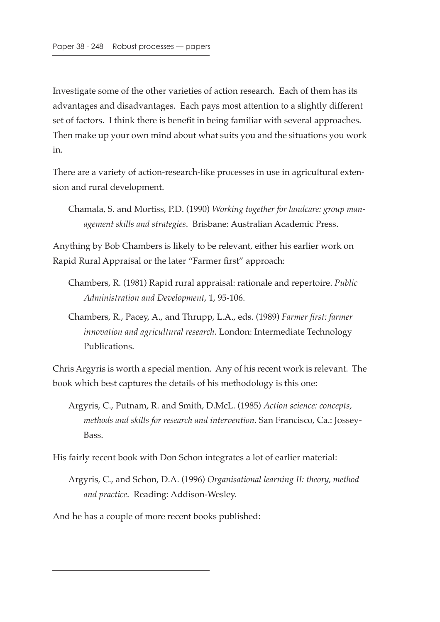Investigate some of the other varieties of action research. Each of them has its advantages and disadvantages. Each pays most attention to a slightly different set of factors. I think there is benefit in being familiar with several approaches. Then make up your own mind about what suits you and the situations you work in.

There are a variety of action-research-like processes in use in agricultural extension and rural development.

Chamala, S. and Mortiss, P.D. (1990) *Working together for landcare: group management skills and strategies*. Brisbane: Australian Academic Press.

Anything by Bob Chambers is likely to be relevant, either his earlier work on Rapid Rural Appraisal or the later "Farmer first" approach:

- Chambers, R. (1981) Rapid rural appraisal: rationale and repertoire. *Public Administration and Development*, 1, 95-106.
- Chambers, R., Pacey, A., and Thrupp, L.A., eds. (1989) *Farmer first: farmer innovation and agricultural research*. London: Intermediate Technology Publications.

Chris Argyris is worth a special mention. Any of his recent work is relevant. The book which best captures the details of his methodology is this one:

Argyris, C., Putnam, R. and Smith, D.McL. (1985) *Action science: concepts, methods and skills for research and intervention*. San Francisco, Ca.: Jossey-Bass.

His fairly recent book with Don Schon integrates a lot of earlier material:

Argyris, C., and Schon, D.A. (1996) *Organisational learning II: theory, method and practice*. Reading: Addison-Wesley.

And he has a couple of more recent books published: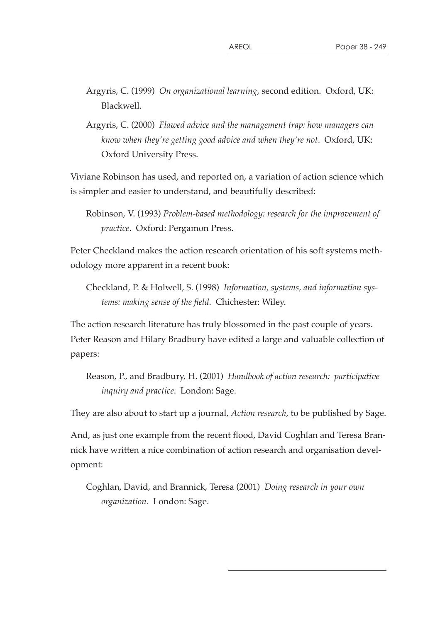- Argyris, C. (1999) *On organizational learning*, second edition. Oxford, UK: Blackwell.
- Argyris, C. (2000) *Flawed advice and the management trap: how managers can know when they're getting good advice and when they're not*. Oxford, UK: Oxford University Press.

Viviane Robinson has used, and reported on, a variation of action science which is simpler and easier to understand, and beautifully described:

Robinson, V. (1993) *Problem-based methodology: research for the improvement of practice*. Oxford: Pergamon Press.

Peter Checkland makes the action research orientation of his soft systems methodology more apparent in a recent book:

Checkland, P. & Holwell, S. (1998) *Information, systems, and information systems: making sense of the field*. Chichester: Wiley.

The action research literature has truly blossomed in the past couple of years. Peter Reason and Hilary Bradbury have edited a large and valuable collection of papers:

Reason, P., and Bradbury, H. (2001) *Handbook of action research: participative inquiry and practice*. London: Sage.

They are also about to start up a journal, *Action research*, to be published by Sage.

And, as just one example from the recent flood, David Coghlan and Teresa Brannick have written a nice combination of action research and organisation development:

Coghlan, David, and Brannick, Teresa (2001) *Doing research in your own organization*. London: Sage.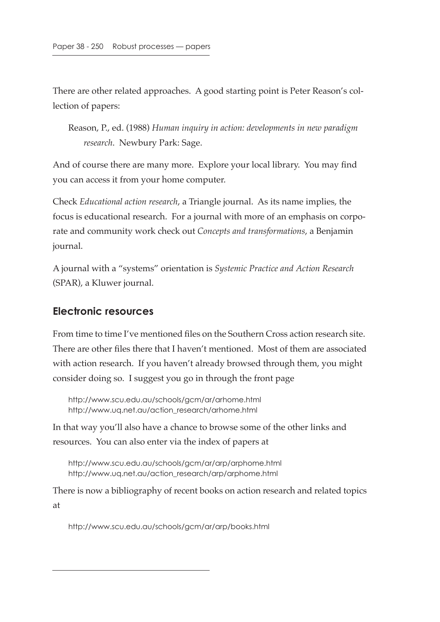There are other related approaches. A good starting point is Peter Reason's collection of papers:

Reason, P., ed. (1988) *Human inquiry in action: developments in new paradigm research*. Newbury Park: Sage.

And of course there are many more. Explore your local library. You may find you can access it from your home computer.

Check *Educational action research*, a Triangle journal. As its name implies, the focus is educational research. For a journal with more of an emphasis on corporate and community work check out *Concepts and transformations*, a Benjamin journal.

A journal with a "systems" orientation is *Systemic Practice and Action Research* (SPAR), a Kluwer journal.

### **Electronic resources**

From time to time I've mentioned files on the Southern Cross action research site. There are other files there that I haven't mentioned. Most of them are associated with action research. If you haven't already browsed through them, you might consider doing so. I suggest you go in through the front page

http://www.scu.edu.au/schools/gcm/ar/arhome.html http://www.uq.net.au/action\_research/arhome.html

In that way you'll also have a chance to browse some of the other links and resources. You can also enter via the index of papers at

http://www.scu.edu.au/schools/gcm/ar/arp/arphome.html http://www.uq.net.au/action\_research/arp/arphome.html

There is now a bibliography of recent books on action research and related topics at

http://www.scu.edu.au/schools/gcm/ar/arp/books.html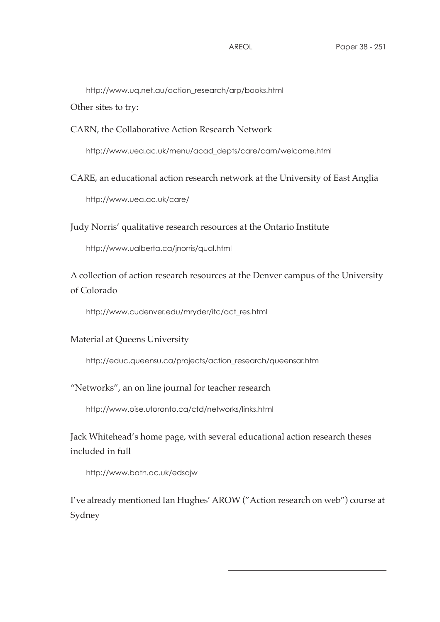http://www.uq.net.au/action\_research/arp/books.html

Other sites to try:

CARN, the Collaborative Action Research Network

http://www.uea.ac.uk/menu/acad\_depts/care/carn/welcome.html

CARE, an educational action research network at the University of East Anglia

http://www.uea.ac.uk/care/

Judy Norris' qualitative research resources at the Ontario Institute

http://www.ualberta.ca/jnorris/qual.html

A collection of action research resources at the Denver campus of the University of Colorado

http://www.cudenver.edu/mryder/itc/act\_res.html

#### Material at Queens University

http://educ.queensu.ca/projects/action\_research/queensar.htm

"Networks", an on line journal for teacher research

http://www.oise.utoronto.ca/ctd/networks/links.html

Jack Whitehead's home page, with several educational action research theses included in full

http://www.bath.ac.uk/edsajw

I've already mentioned Ian Hughes' AROW ("Action research on web") course at Sydney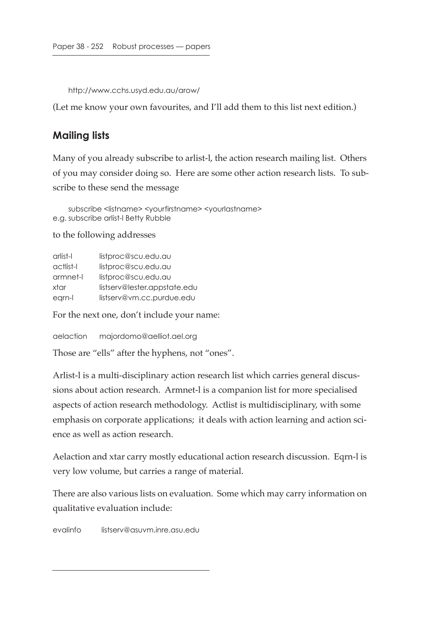http://www.cchs.usyd.edu.au/arow/

(Let me know your own favourites, and I'll add them to this list next edition.)

### **Mailing lists**

Many of you already subscribe to arlist-l, the action research mailing list. Others of you may consider doing so. Here are some other action research lists. To subscribe to these send the message

subscribe <listname> <yourfirstname> <yourlastname> e.g. subscribe arlist-l Betty Rubble

to the following addresses

| arlist-l  | listproc@scu.edu.au          |
|-----------|------------------------------|
| actlist-l | listproc@scu.edu.au          |
| armnet-l  | listproc@scu.edu.au          |
| xtar      | listserv@lester.appstate.edu |
| egrn-l    | listserv@vm.cc.purdue.edu    |
|           |                              |

For the next one, don't include your name:

aelaction majordomo@aelliot.ael.org

Those are "ells" after the hyphens, not "ones".

Arlist-l is a multi-disciplinary action research list which carries general discussions about action research. Armnet-l is a companion list for more specialised aspects of action research methodology. Actlist is multidisciplinary, with some emphasis on corporate applications; it deals with action learning and action science as well as action research.

Aelaction and xtar carry mostly educational action research discussion. Eqrn-l is very low volume, but carries a range of material.

There are also various lists on evaluation. Some which may carry information on qualitative evaluation include:

evalinfo listserv@asuvm.inre.asu.edu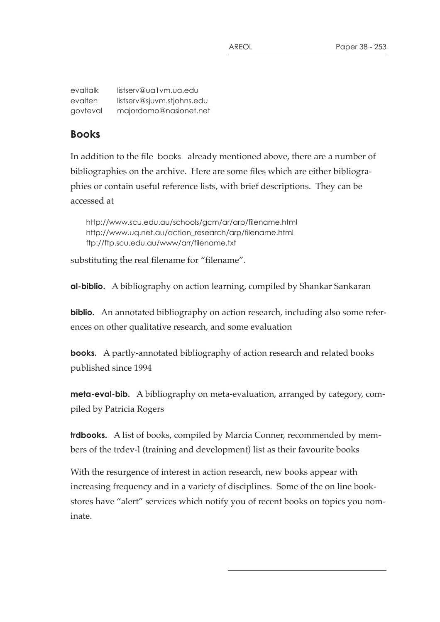evaltalk listserv@ua1vm.ua.edu evalten listserv@sjuvm.stjohns.edu govteval majordomo@nasionet.net

## **Books**

In addition to the file books already mentioned above, there are a number of bibliographies on the archive. Here are some files which are either bibliographies or contain useful reference lists, with brief descriptions. They can be accessed at

http://www.scu.edu.au/schools/gcm/ar/arp/filename.html http://www.uq.net.au/action\_research/arp/filename.html ftp://ftp.scu.edu.au/www/arr/filename.txt

substituting the real filename for "filename".

**al-biblio.** A bibliography on action learning, compiled by Shankar Sankaran

**biblio.** An annotated bibliography on action research, including also some references on other qualitative research, and some evaluation

**books.** A partly-annotated bibliography of action research and related books published since 1994

**meta-eval-bib.** A bibliography on meta-evaluation, arranged by category, compiled by Patricia Rogers

**trdbooks.** A list of books, compiled by Marcia Conner, recommended by members of the trdev-l (training and development) list as their favourite books

With the resurgence of interest in action research, new books appear with increasing frequency and in a variety of disciplines. Some of the on line bookstores have "alert" services which notify you of recent books on topics you nominate.